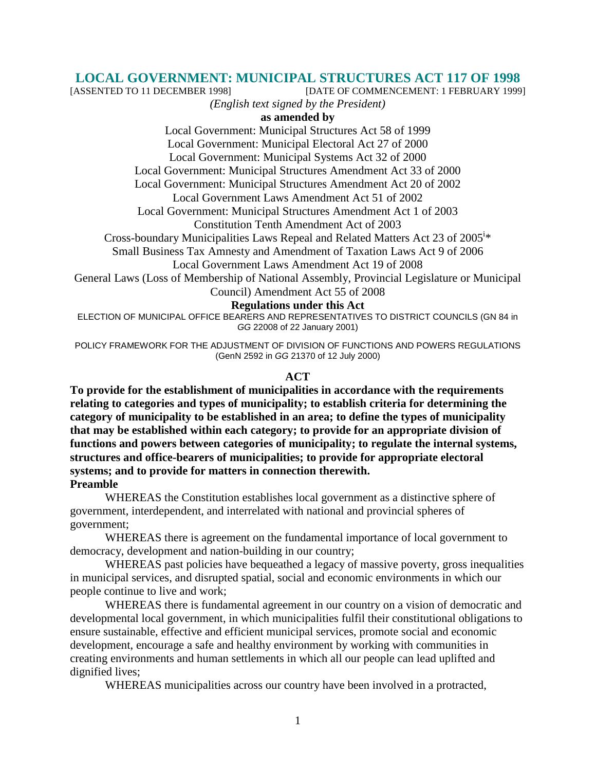# **LOCAL GOVERNMENT: MUNICIPAL STRUCTURES ACT 117 OF 1998**

[DATE OF COMMENCEMENT: 1 FEBRUARY 1999]

*(English text signed by the President)* 

## **as amended by**

Local Government: Municipal Structures Act 58 of 1999 Local Government: Municipal Electoral Act 27 of 2000 Local Government: Municipal Systems Act 32 of 2000 Local Government: Municipal Structures Amendment Act 33 of 2000 Local Government: Municipal Structures Amendment Act 20 of 2002 Local Government Laws Amendment Act 51 of 2002 Local Government: Municipal Structures Amendment Act 1 of 2003 Constitution Tenth Amendment Act of 2003 Cross-boundary Municipalities Laws Repeal and Related Matters Act 23 of 2005<sup>i\*</sup> Small Business Tax Amnesty and Amendment of Taxation Laws Act 9 of 2006 Local Government Laws Amendment Act 19 of 2008

General Laws (Loss of Membership of National Assembly, Provincial Legislature or Municipal Council) Amendment Act 55 of 2008

#### **Regulations under this Act**

ELECTION OF MUNICIPAL OFFICE BEARERS AND REPRESENTATIVES TO DISTRICT COUNCILS (GN 84 in GG 22008 of 22 January 2001)

POLICY FRAMEWORK FOR THE ADJUSTMENT OF DIVISION OF FUNCTIONS AND POWERS REGULATIONS (GenN 2592 in GG 21370 of 12 July 2000)

#### **ACT**

**To provide for the establishment of municipalities in accordance with the requirements relating to categories and types of municipality; to establish criteria for determining the category of municipality to be established in an area; to define the types of municipality that may be established within each category; to provide for an appropriate division of functions and powers between categories of municipality; to regulate the internal systems, structures and office-bearers of municipalities; to provide for appropriate electoral systems; and to provide for matters in connection therewith. Preamble** 

 WHEREAS the Constitution establishes local government as a distinctive sphere of government, interdependent, and interrelated with national and provincial spheres of government;

 WHEREAS there is agreement on the fundamental importance of local government to democracy, development and nation-building in our country;

WHEREAS past policies have bequeathed a legacy of massive poverty, gross inequalities in municipal services, and disrupted spatial, social and economic environments in which our people continue to live and work;

 WHEREAS there is fundamental agreement in our country on a vision of democratic and developmental local government, in which municipalities fulfil their constitutional obligations to ensure sustainable, effective and efficient municipal services, promote social and economic development, encourage a safe and healthy environment by working with communities in creating environments and human settlements in which all our people can lead uplifted and dignified lives;

WHEREAS municipalities across our country have been involved in a protracted,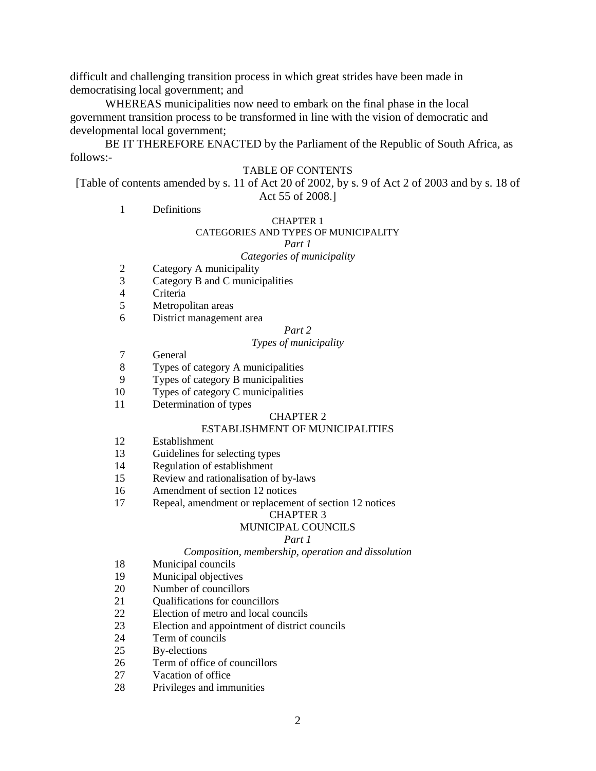difficult and challenging transition process in which great strides have been made in democratising local government; and

 WHEREAS municipalities now need to embark on the final phase in the local government transition process to be transformed in line with the vision of democratic and developmental local government;

 BE IT THEREFORE ENACTED by the Parliament of the Republic of South Africa, as follows:-

#### TABLE OF CONTENTS

[Table of contents amended by s. 11 of Act 20 of 2002, by s. 9 of Act 2 of 2003 and by s. 18 of Act 55 of 2008.]

1 Definitions

#### CHAPTER 1

#### CATEGORIES AND TYPES OF MUNICIPALITY

*Part 1* 

#### *Categories of municipality*

- 2 Category A municipality
- 3 Category B and C municipalities
- 4 Criteria
- 5 Metropolitan areas
- 6 District management area

#### *Part 2*

#### *Types of municipality*

- 7 General
- 8 Types of category A municipalities
- 9 Types of category B municipalities
- 10 Types of category C municipalities
- 11 Determination of types

#### CHAPTER 2

#### ESTABLISHMENT OF MUNICIPALITIES

- 12 Establishment
- 13 Guidelines for selecting types
- 14 Regulation of establishment
- 15 Review and rationalisation of by-laws
- 16 Amendment of section 12 notices
- 17 Repeal, amendment or replacement of section 12 notices

#### CHAPTER 3

#### MUNICIPAL COUNCILS

#### *Part 1*

#### *Composition, membership, operation and dissolution*

- 18 Municipal councils
- 19 Municipal objectives
- 20 Number of councillors<br>21 Oualifications for coun
- 21 Qualifications for councillors
- 22 Election of metro and local councils
- 23 Election and appointment of district councils
- 24 Term of councils
- 25 By-elections
- 26 Term of office of councillors
- 27 Vacation of office
- 28 Privileges and immunities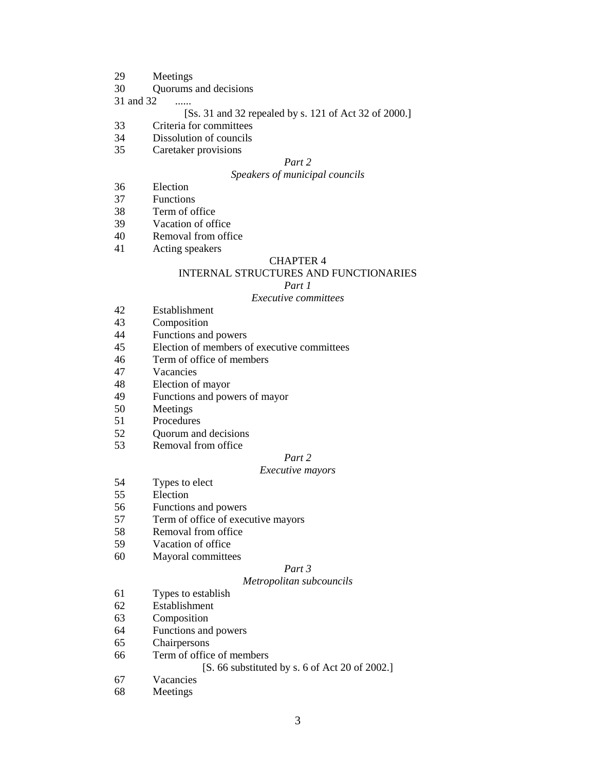- 29 Meetings
- 30 Quorums and decisions

31 and 32 ......

#### [Ss. 31 and 32 repealed by s. 121 of Act 32 of 2000.]

- 33 Criteria for committees
- 34 Dissolution of councils
- 35 Caretaker provisions

#### *Part 2*

#### *Speakers of municipal councils*

- 36 Election
- 37 Functions
- 38 Term of office
- 39 Vacation of office
- 40 Removal from office
- 41 Acting speakers

#### CHAPTER 4

#### INTERNAL STRUCTURES AND FUNCTIONARIES

#### *Part 1*

#### *Executive committees*

- 42 Establishment
- 43 Composition
- 44 Functions and powers
- 45 Election of members of executive committees
- 46 Term of office of members
- 47 Vacancies
- 48 Election of mayor
- 49 Functions and powers of mayor
- 50 Meetings
- 51 Procedures
- 52 Quorum and decisions
- 53 Removal from office

#### *Part 2*

#### *Executive mayors*

- 54 Types to elect
- 55 Election
- 56 Functions and powers
- 57 Term of office of executive mayors
- 58 Removal from office
- 59 Vacation of office
- 60 Mayoral committees

#### *Part 3*

#### *Metropolitan subcouncils*

- 61 Types to establish
- 62 Establishment
- 63 Composition
- 64 Functions and powers
- 65 Chairpersons
- 66 Term of office of members

#### [S. 66 substituted by s. 6 of Act 20 of 2002.]

- 67 Vacancies
- 68 Meetings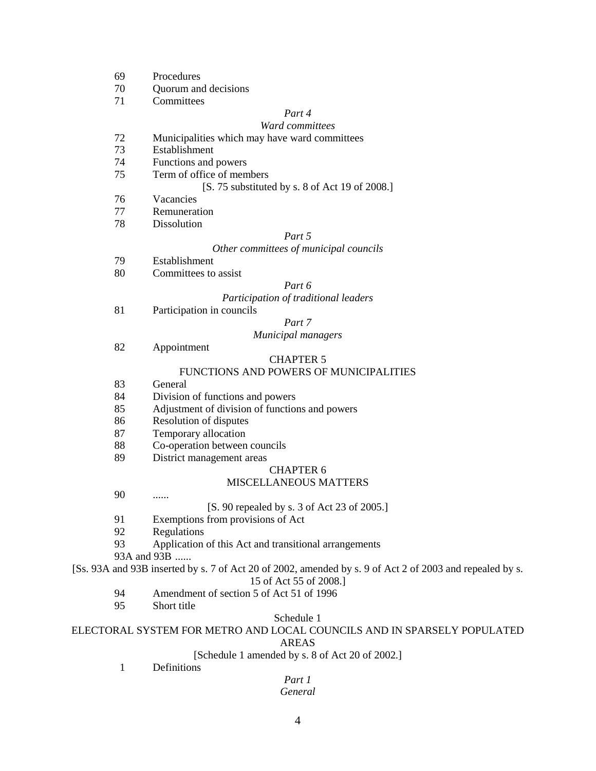- 69 Procedures
- 70 Quorum and decisions
- 71 Committees

## *Part 4*

#### *Ward committees*

- 72 Municipalities which may have ward committees
- 73 Establishment
- 74 Functions and powers
- 75 Term of office of members
	- [S. 75 substituted by s. 8 of Act 19 of 2008.]
- 76 Vacancies
- 77 Remuneration
- 78 Dissolution

#### *Part 5*

#### *Other committees of municipal councils*

- 79 Establishment
- 80 Committees to assist

#### *Part 6*

#### *Participation of traditional leaders*

81 Participation in councils

#### *Part 7*

#### *Municipal managers*

82 Appointment

#### CHAPTER 5

#### FUNCTIONS AND POWERS OF MUNICIPALITIES

- 83 General
- 84 Division of functions and powers
- 85 Adjustment of division of functions and powers
- 86 Resolution of disputes
- 87 Temporary allocation
- 88 Co-operation between councils
- 89 District management areas

#### CHAPTER 6

#### MISCELLANEOUS MATTERS

90 ......

#### [S. 90 repealed by s. 3 of Act 23 of 2005.]

- 91 Exemptions from provisions of Act
- 92 Regulations
- 93 Application of this Act and transitional arrangements

93A and 93B ......

[Ss. 93A and 93B inserted by s. 7 of Act 20 of 2002, amended by s. 9 of Act 2 of 2003 and repealed by s.

#### 15 of Act 55 of 2008.]

- 94 Amendment of section 5 of Act 51 of 1996
- 95 Short title

#### Schedule 1

## ELECTORAL SYSTEM FOR METRO AND LOCAL COUNCILS AND IN SPARSELY POPULATED

## AREAS

#### [Schedule 1 amended by s. 8 of Act 20 of 2002.]

1 Definitions

#### *Part 1 General*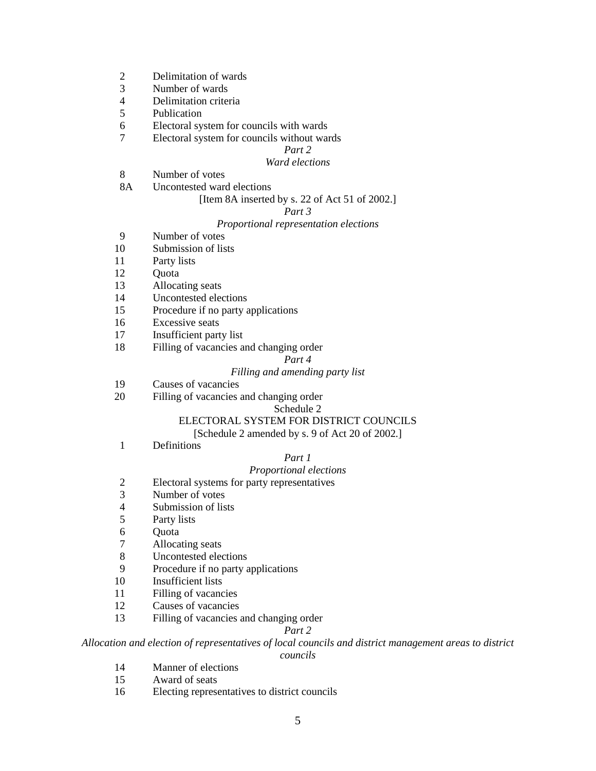- 2 Delimitation of wards
- 3 Number of wards
- 4 Delimitation criteria<br>5 Publication
- Publication
- 6 Electoral system for councils with wards
- 7 Electoral system for councils without wards

#### *Part 2*

#### *Ward elections*

- 8 Number of votes
- 8A Uncontested ward elections

#### [Item 8A inserted by s. 22 of Act 51 of 2002.]

#### *Part 3*

#### *Proportional representation elections*

- 9 Number of votes
- 10 Submission of lists
- 11 Party lists
- 12 Quota
- 13 Allocating seats
- 14 Uncontested elections
- 15 Procedure if no party applications
- 16 Excessive seats
- 17 Insufficient party list
- 18 Filling of vacancies and changing order

#### *Part 4*

#### *Filling and amending party list*

- 19 Causes of vacancies
- 20 Filling of vacancies and changing order

#### Schedule 2

#### ELECTORAL SYSTEM FOR DISTRICT COUNCILS

[Schedule 2 amended by s. 9 of Act 20 of 2002.]

1 Definitions

#### *Part 1*

#### *Proportional elections*

- 2 Electoral systems for party representatives
- 3 Number of votes
- 4 Submission of lists
- 5 Party lists
- **Ouota**
- 7 Allocating seats
- 8 Uncontested elections
- 9 Procedure if no party applications
- 10 Insufficient lists
- 11 Filling of vacancies
- 12 Causes of vacancies
- 13 Filling of vacancies and changing order

#### *Part 2*

## *Allocation and election of representatives of local councils and district management areas to district*

#### *councils*

- 14 Manner of elections
- 15 Award of seats
- 16 Electing representatives to district councils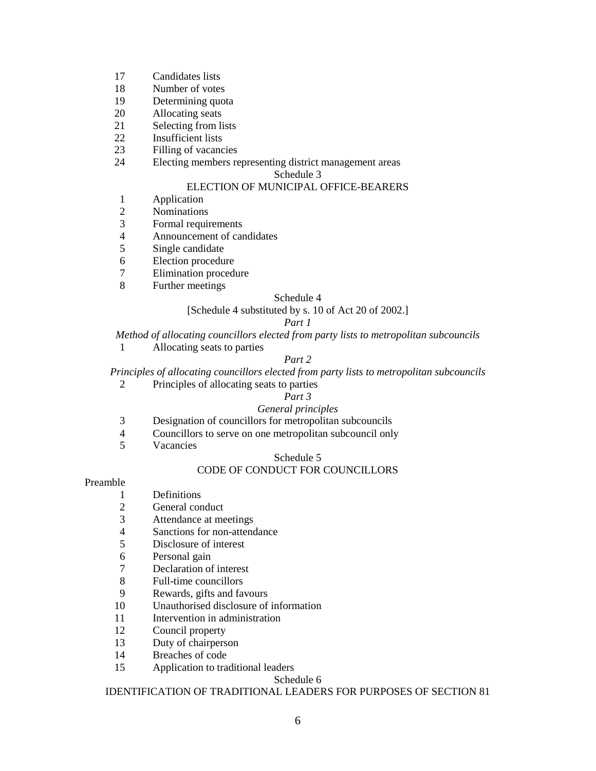- 17 Candidates lists
- 18 Number of votes
- 19 Determining quota
- 20 Allocating seats
- 21 Selecting from lists
- 22 Insufficient lists
- 23 Filling of vacancies
- 24 Electing members representing district management areas

#### Schedule 3

#### ELECTION OF MUNICIPAL OFFICE-BEARERS

- 1 Application
- 2 Nominations
- 3 Formal requirements<br>4 Announcement of car
- 4 Announcement of candidates
- 5 Single candidate
- 6 Election procedure<br>7 Elimination proced
- Elimination procedure
- 8 Further meetings

#### Schedule 4

#### [Schedule 4 substituted by s. 10 of Act 20 of 2002.]

#### *Part 1*

*Method of allocating councillors elected from party lists to metropolitan subcouncils* 

1 Allocating seats to parties

## *Part 2*

*Principles of allocating councillors elected from party lists to metropolitan subcouncils* 

2 Principles of allocating seats to parties

#### *Part 3*

#### *General principles*

- 3 Designation of councillors for metropolitan subcouncils
- 4 Councillors to serve on one metropolitan subcouncil only
- 5 Vacancies

#### Schedule 5

#### CODE OF CONDUCT FOR COUNCILLORS

#### Preamble

- 1 Definitions
- 2 General conduct
- 3 Attendance at meetings
- 4 Sanctions for non-attendance
- 5 Disclosure of interest
- 6 Personal gain
- 7 Declaration of interest
- 8 Full-time councillors
- 9 Rewards, gifts and favours
- 10 Unauthorised disclosure of information
- 11 Intervention in administration
- 12 Council property
- 13 Duty of chairperson
- 14 Breaches of code
- 15 Application to traditional leaders

#### Schedule 6

#### IDENTIFICATION OF TRADITIONAL LEADERS FOR PURPOSES OF SECTION 81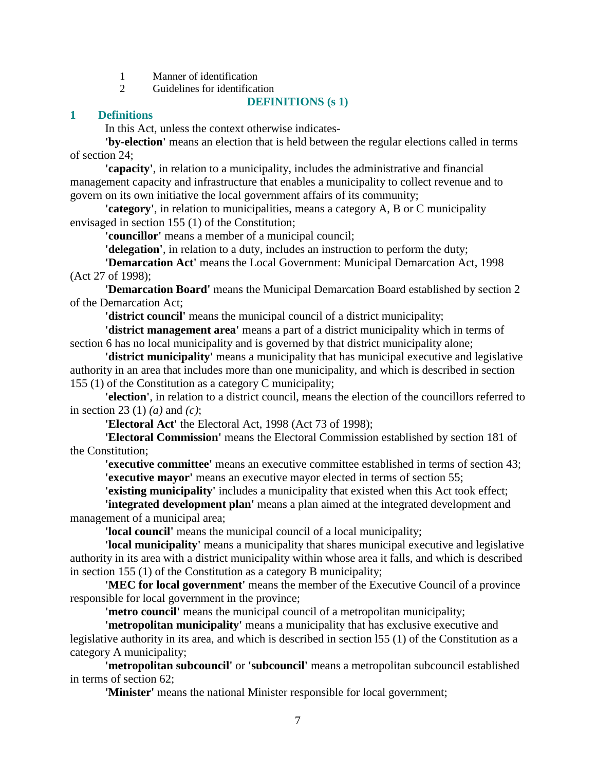- 1 Manner of identification
- 2 Guidelines for identification

#### **DEFINITIONS (s 1)**

#### **1 Definitions**

In this Act, unless the context otherwise indicates-

**'by-election'** means an election that is held between the regular elections called in terms of section 24;

**'capacity'**, in relation to a municipality, includes the administrative and financial management capacity and infrastructure that enables a municipality to collect revenue and to govern on its own initiative the local government affairs of its community;

**'category'**, in relation to municipalities, means a category A, B or C municipality envisaged in section 155 (1) of the Constitution;

**'councillor'** means a member of a municipal council;

**'delegation'**, in relation to a duty, includes an instruction to perform the duty;

**'Demarcation Act'** means the Local Government: Municipal Demarcation Act, 1998 (Act 27 of 1998);

**'Demarcation Board'** means the Municipal Demarcation Board established by section 2 of the Demarcation Act;

**'district council'** means the municipal council of a district municipality;

**'district management area'** means a part of a district municipality which in terms of section 6 has no local municipality and is governed by that district municipality alone;

**'district municipality'** means a municipality that has municipal executive and legislative authority in an area that includes more than one municipality, and which is described in section 155 (1) of the Constitution as a category C municipality;

**'election'**, in relation to a district council, means the election of the councillors referred to in section 23 (1) *(a)* and *(c)*;

**'Electoral Act'** the Electoral Act, 1998 (Act 73 of 1998);

**'Electoral Commission'** means the Electoral Commission established by section 181 of the Constitution;

**'executive committee'** means an executive committee established in terms of section 43; **'executive mayor'** means an executive mayor elected in terms of section 55;

**'existing municipality'** includes a municipality that existed when this Act took effect;

**'integrated development plan'** means a plan aimed at the integrated development and management of a municipal area;

**'local council'** means the municipal council of a local municipality;

**'local municipality'** means a municipality that shares municipal executive and legislative authority in its area with a district municipality within whose area it falls, and which is described in section 155 (1) of the Constitution as a category B municipality;

**'MEC for local government'** means the member of the Executive Council of a province responsible for local government in the province;

**'metro council'** means the municipal council of a metropolitan municipality;

**'metropolitan municipality'** means a municipality that has exclusive executive and legislative authority in its area, and which is described in section l55 (1) of the Constitution as a category A municipality;

**'metropolitan subcouncil'** or **'subcouncil'** means a metropolitan subcouncil established in terms of section 62;

**'Minister'** means the national Minister responsible for local government;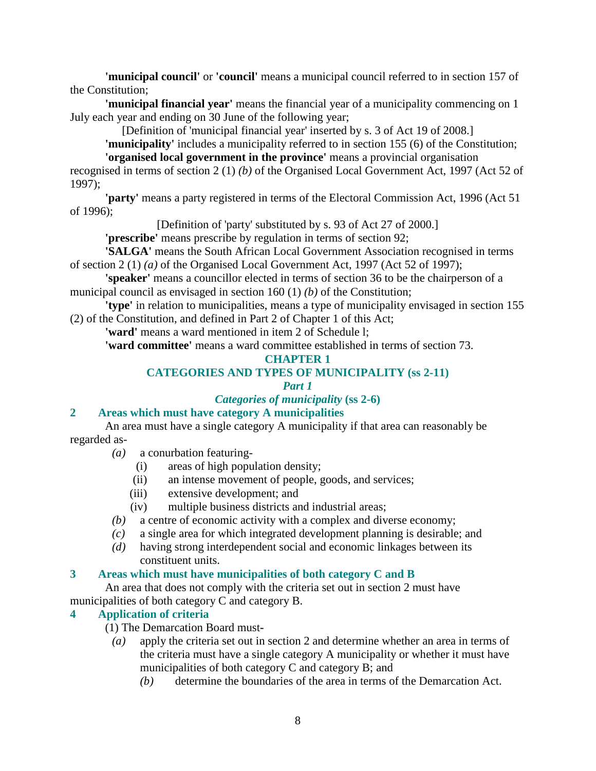**'municipal council'** or **'council'** means a municipal council referred to in section 157 of the Constitution;

**'municipal financial year'** means the financial year of a municipality commencing on 1 July each year and ending on 30 June of the following year;

[Definition of 'municipal financial year' inserted by s. 3 of Act 19 of 2008.]

**'municipality'** includes a municipality referred to in section 155 (6) of the Constitution; **'organised local government in the province'** means a provincial organisation

recognised in terms of section 2 (1) *(b)* of the Organised Local Government Act, 1997 (Act 52 of 1997);

**'party'** means a party registered in terms of the Electoral Commission Act, 1996 (Act 51 of 1996);

[Definition of 'party' substituted by s. 93 of Act 27 of 2000.]

**'prescribe'** means prescribe by regulation in terms of section 92;

**'SALGA'** means the South African Local Government Association recognised in terms of section 2 (1) *(a)* of the Organised Local Government Act, 1997 (Act 52 of 1997);

**'speaker'** means a councillor elected in terms of section 36 to be the chairperson of a municipal council as envisaged in section 160 (1) *(b)* of the Constitution;

**'type'** in relation to municipalities, means a type of municipality envisaged in section 155 (2) of the Constitution, and defined in Part 2 of Chapter 1 of this Act;

**'ward'** means a ward mentioned in item 2 of Schedule l;

**'ward committee'** means a ward committee established in terms of section 73.

## **CHAPTER 1**

## **CATEGORIES AND TYPES OF MUNICIPALITY (ss 2-11)**

## *Part 1*

## *Categories of municipality* **(ss 2-6)**

## **2 Areas which must have category A municipalities**

 An area must have a single category A municipality if that area can reasonably be regarded as-

- *(a)* a conurbation featuring-
	- (i) areas of high population density;
	- (ii) an intense movement of people, goods, and services;
	- (iii) extensive development; and
	- (iv) multiple business districts and industrial areas;
- *(b)* a centre of economic activity with a complex and diverse economy;
- *(c)* a single area for which integrated development planning is desirable; and
- *(d)* having strong interdependent social and economic linkages between its constituent units.

## **3 Areas which must have municipalities of both category C and B**

 An area that does not comply with the criteria set out in section 2 must have municipalities of both category C and category B.

## **4 Application of criteria**

- (1) The Demarcation Board must
	- *(a)* apply the criteria set out in section 2 and determine whether an area in terms of the criteria must have a single category A municipality or whether it must have municipalities of both category C and category B; and
		- *(b)* determine the boundaries of the area in terms of the Demarcation Act.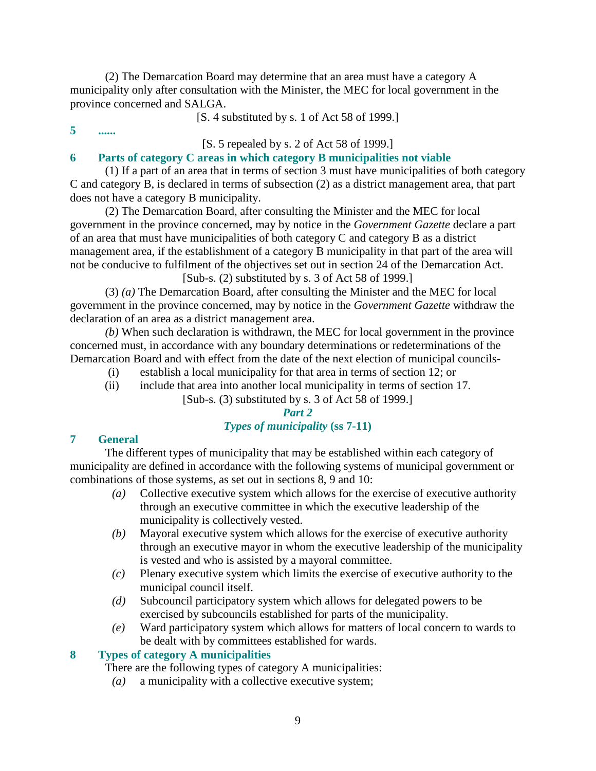(2) The Demarcation Board may determine that an area must have a category A municipality only after consultation with the Minister, the MEC for local government in the province concerned and SALGA.

[S. 4 substituted by s. 1 of Act 58 of 1999.]

**5 ......** 

[S. 5 repealed by s. 2 of Act 58 of 1999.]

## **6 Parts of category C areas in which category B municipalities not viable**

 (1) If a part of an area that in terms of section 3 must have municipalities of both category C and category B, is declared in terms of subsection (2) as a district management area, that part does not have a category B municipality.

 (2) The Demarcation Board, after consulting the Minister and the MEC for local government in the province concerned, may by notice in the *Government Gazette* declare a part of an area that must have municipalities of both category C and category B as a district management area, if the establishment of a category B municipality in that part of the area will not be conducive to fulfilment of the objectives set out in section 24 of the Demarcation Act.

[Sub-s. (2) substituted by s. 3 of Act 58 of 1999.]

 (3) *(a)* The Demarcation Board, after consulting the Minister and the MEC for local government in the province concerned, may by notice in the *Government Gazette* withdraw the declaration of an area as a district management area.

*(b)* When such declaration is withdrawn, the MEC for local government in the province concerned must, in accordance with any boundary determinations or redeterminations of the Demarcation Board and with effect from the date of the next election of municipal councils-

- (i) establish a local municipality for that area in terms of section 12; or
- (ii) include that area into another local municipality in terms of section 17.

## [Sub-s. (3) substituted by s. 3 of Act 58 of 1999.]

## *Part 2*

## *Types of municipality* **(ss 7-11)**

## **7 General**

 The different types of municipality that may be established within each category of municipality are defined in accordance with the following systems of municipal government or combinations of those systems, as set out in sections 8, 9 and 10:

- *(a)* Collective executive system which allows for the exercise of executive authority through an executive committee in which the executive leadership of the municipality is collectively vested.
- *(b)* Mayoral executive system which allows for the exercise of executive authority through an executive mayor in whom the executive leadership of the municipality is vested and who is assisted by a mayoral committee.
- *(c)* Plenary executive system which limits the exercise of executive authority to the municipal council itself.
- *(d)* Subcouncil participatory system which allows for delegated powers to be exercised by subcouncils established for parts of the municipality.
- *(e)* Ward participatory system which allows for matters of local concern to wards to be dealt with by committees established for wards.

## **8 Types of category A municipalities**

There are the following types of category A municipalities:

*(a)* a municipality with a collective executive system;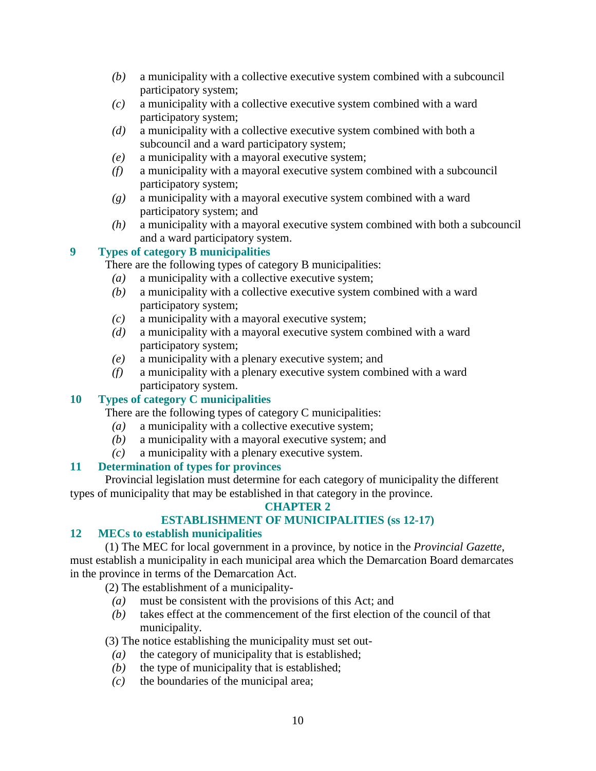- *(b)* a municipality with a collective executive system combined with a subcouncil participatory system;
- *(c)* a municipality with a collective executive system combined with a ward participatory system;
- *(d)* a municipality with a collective executive system combined with both a subcouncil and a ward participatory system;
- *(e)* a municipality with a mayoral executive system;
- *(f)* a municipality with a mayoral executive system combined with a subcouncil participatory system;
- *(g)* a municipality with a mayoral executive system combined with a ward participatory system; and
- *(h)* a municipality with a mayoral executive system combined with both a subcouncil and a ward participatory system.

## **9 Types of category B municipalities**

There are the following types of category B municipalities:

- *(a)* a municipality with a collective executive system;
- *(b)* a municipality with a collective executive system combined with a ward participatory system;
- *(c)* a municipality with a mayoral executive system;
- *(d)* a municipality with a mayoral executive system combined with a ward participatory system;
- *(e)* a municipality with a plenary executive system; and
- *(f)* a municipality with a plenary executive system combined with a ward participatory system.

## **10 Types of category C municipalities**

There are the following types of category C municipalities:

- *(a)* a municipality with a collective executive system;
- *(b)* a municipality with a mayoral executive system; and
- *(c)* a municipality with a plenary executive system.

## **11 Determination of types for provinces**

 Provincial legislation must determine for each category of municipality the different types of municipality that may be established in that category in the province.

## **CHAPTER 2**

## **ESTABLISHMENT OF MUNICIPALITIES (ss 12-17)**

## **12 MECs to establish municipalities**

 (1) The MEC for local government in a province, by notice in the *Provincial Gazette*, must establish a municipality in each municipal area which the Demarcation Board demarcates in the province in terms of the Demarcation Act.

(2) The establishment of a municipality-

- *(a)* must be consistent with the provisions of this Act; and
- *(b)* takes effect at the commencement of the first election of the council of that municipality.

(3) The notice establishing the municipality must set out-

- *(a)* the category of municipality that is established;
- *(b)* the type of municipality that is established;
- *(c)* the boundaries of the municipal area;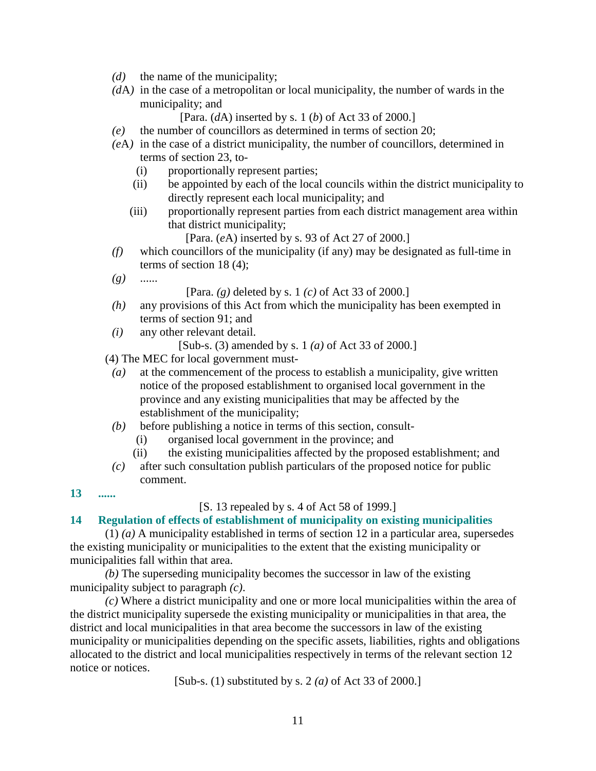- *(d)* the name of the municipality;
- *(d*A*)* in the case of a metropolitan or local municipality, the number of wards in the municipality; and

[Para. (*d*A) inserted by s. 1 (*b*) of Act 33 of 2000.]

- *(e)* the number of councillors as determined in terms of section 20;
- *(e*A*)* in the case of a district municipality, the number of councillors, determined in terms of section 23, to-
	- (i) proportionally represent parties;
	- (ii) be appointed by each of the local councils within the district municipality to directly represent each local municipality; and
	- (iii) proportionally represent parties from each district management area within that district municipality;

[Para. (*e*A) inserted by s. 93 of Act 27 of 2000.]

- *(f)* which councillors of the municipality (if any) may be designated as full-time in terms of section 18 (4);
- *(g)* ......

[Para. *(g)* deleted by s. 1 *(c)* of Act 33 of 2000.]

- *(h)* any provisions of this Act from which the municipality has been exempted in terms of section 91; and
- *(i)* any other relevant detail.

```
[Sub-s. (3) amended by s. 1 (a) of Act 33 of 2000.]
```
- (4) The MEC for local government must-
- *(a)* at the commencement of the process to establish a municipality, give written notice of the proposed establishment to organised local government in the province and any existing municipalities that may be affected by the establishment of the municipality;
- *(b)* before publishing a notice in terms of this section, consult-
	- (i) organised local government in the province; and
	- (ii) the existing municipalities affected by the proposed establishment; and
- *(c)* after such consultation publish particulars of the proposed notice for public comment.

**13 ......** 

#### [S. 13 repealed by s. 4 of Act 58 of 1999.]

#### **14 Regulation of effects of establishment of municipality on existing municipalities**

 (1) *(a)* A municipality established in terms of section 12 in a particular area, supersedes the existing municipality or municipalities to the extent that the existing municipality or municipalities fall within that area.

*(b)* The superseding municipality becomes the successor in law of the existing municipality subject to paragraph *(c)*.

*(c)* Where a district municipality and one or more local municipalities within the area of the district municipality supersede the existing municipality or municipalities in that area, the district and local municipalities in that area become the successors in law of the existing municipality or municipalities depending on the specific assets, liabilities, rights and obligations allocated to the district and local municipalities respectively in terms of the relevant section 12 notice or notices.

[Sub-s. (1) substituted by s. 2 *(a)* of Act 33 of 2000.]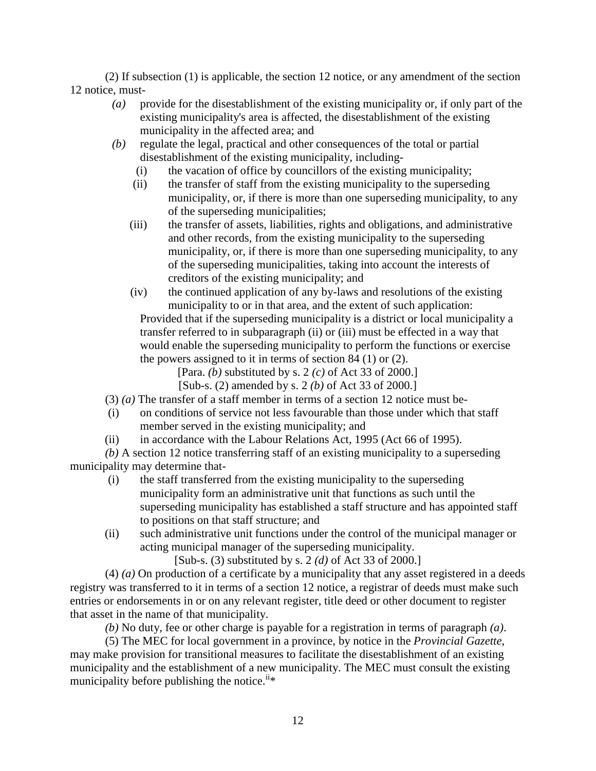(2) If subsection (1) is applicable, the section 12 notice, or any amendment of the section 12 notice, must-

- *(a)* provide for the disestablishment of the existing municipality or, if only part of the existing municipality's area is affected, the disestablishment of the existing municipality in the affected area; and
- *(b)* regulate the legal, practical and other consequences of the total or partial disestablishment of the existing municipality, including-
	- (i) the vacation of office by councillors of the existing municipality;
	- (ii) the transfer of staff from the existing municipality to the superseding municipality, or, if there is more than one superseding municipality, to any of the superseding municipalities;
	- (iii) the transfer of assets, liabilities, rights and obligations, and administrative and other records, from the existing municipality to the superseding municipality, or, if there is more than one superseding municipality, to any of the superseding municipalities, taking into account the interests of creditors of the existing municipality; and
	- (iv) the continued application of any by-laws and resolutions of the existing municipality to or in that area, and the extent of such application:

 Provided that if the superseding municipality is a district or local municipality a transfer referred to in subparagraph (ii) or (iii) must be effected in a way that would enable the superseding municipality to perform the functions or exercise the powers assigned to it in terms of section 84 (1) or (2).

[Para. *(b)* substituted by s. 2 *(c)* of Act 33 of 2000.]

[Sub-s. (2) amended by s. 2 *(b)* of Act 33 of 2000.]

(3) *(a)* The transfer of a staff member in terms of a section 12 notice must be-

- (i) on conditions of service not less favourable than those under which that staff member served in the existing municipality; and
- (ii) in accordance with the Labour Relations Act, 1995 (Act 66 of 1995).

*(b)* A section 12 notice transferring staff of an existing municipality to a superseding municipality may determine that-

- (i) the staff transferred from the existing municipality to the superseding municipality form an administrative unit that functions as such until the superseding municipality has established a staff structure and has appointed staff to positions on that staff structure; and
- (ii) such administrative unit functions under the control of the municipal manager or acting municipal manager of the superseding municipality.

[Sub-s. (3) substituted by s. 2 *(d)* of Act 33 of 2000.]

 (4) *(a)* On production of a certificate by a municipality that any asset registered in a deeds registry was transferred to it in terms of a section 12 notice, a registrar of deeds must make such entries or endorsements in or on any relevant register, title deed or other document to register that asset in the name of that municipality.

*(b)* No duty, fee or other charge is payable for a registration in terms of paragraph *(a)*.

 (5) The MEC for local government in a province, by notice in the *Provincial Gazette*, may make provision for transitional measures to facilitate the disestablishment of an existing municipality and the establishment of a new municipality. The MEC must consult the existing municipality before publishing the notice.<sup> $i^*$ \*</sup>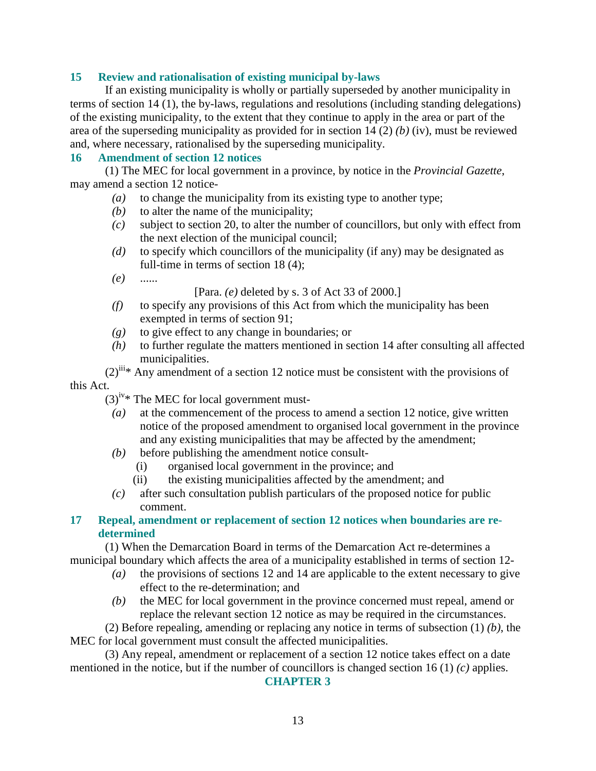## **15 Review and rationalisation of existing municipal by-laws**

 If an existing municipality is wholly or partially superseded by another municipality in terms of section 14 (1), the by-laws, regulations and resolutions (including standing delegations) of the existing municipality, to the extent that they continue to apply in the area or part of the area of the superseding municipality as provided for in section 14 (2) *(b)* (iv), must be reviewed and, where necessary, rationalised by the superseding municipality.

## **16 Amendment of section 12 notices**

 (1) The MEC for local government in a province, by notice in the *Provincial Gazette*, may amend a section 12 notice-

- *(a)* to change the municipality from its existing type to another type;
- *(b)* to alter the name of the municipality;
- *(c)* subject to section 20, to alter the number of councillors, but only with effect from the next election of the municipal council;
- *(d)* to specify which councillors of the municipality (if any) may be designated as full-time in terms of section 18 (4);
- *(e)* ......

[Para. *(e)* deleted by s. 3 of Act 33 of 2000.]

- *(f)* to specify any provisions of this Act from which the municipality has been exempted in terms of section 91;
- *(g)* to give effect to any change in boundaries; or
- *(h)* to further regulate the matters mentioned in section 14 after consulting all affected municipalities.

 $(2)^{iii}$ \* Any amendment of a section 12 notice must be consistent with the provisions of this Act.

- $(3)^{iv}$ \* The MEC for local government must-
	- *(a)* at the commencement of the process to amend a section 12 notice, give written notice of the proposed amendment to organised local government in the province and any existing municipalities that may be affected by the amendment;
	- *(b)* before publishing the amendment notice consult-
		- (i) organised local government in the province; and
		- (ii) the existing municipalities affected by the amendment; and
	- *(c)* after such consultation publish particulars of the proposed notice for public comment.

## **17 Repeal, amendment or replacement of section 12 notices when boundaries are redetermined**

 (1) When the Demarcation Board in terms of the Demarcation Act re-determines a municipal boundary which affects the area of a municipality established in terms of section 12-

- *(a)* the provisions of sections 12 and 14 are applicable to the extent necessary to give effect to the re-determination; and
- *(b)* the MEC for local government in the province concerned must repeal, amend or replace the relevant section 12 notice as may be required in the circumstances.

 (2) Before repealing, amending or replacing any notice in terms of subsection (1) *(b)*, the MEC for local government must consult the affected municipalities.

 (3) Any repeal, amendment or replacement of a section 12 notice takes effect on a date mentioned in the notice, but if the number of councillors is changed section 16 (1) *(c)* applies.

#### **CHAPTER 3**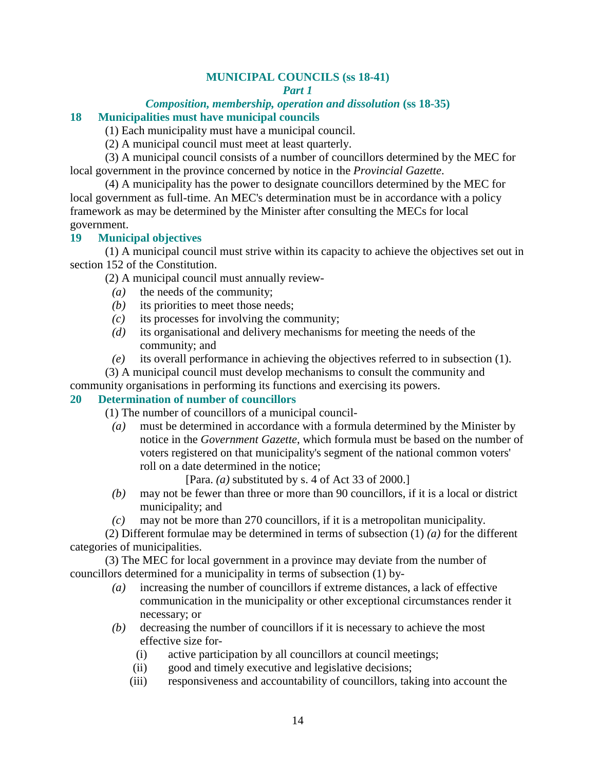## **MUNICIPAL COUNCILS (ss 18-41)**

#### *Part 1*

#### *Composition, membership, operation and dissolution* **(ss 18-35) 18 Municipalities must have municipal councils**

(1) Each municipality must have a municipal council.

(2) A municipal council must meet at least quarterly.

 (3) A municipal council consists of a number of councillors determined by the MEC for local government in the province concerned by notice in the *Provincial Gazette*.

 (4) A municipality has the power to designate councillors determined by the MEC for local government as full-time. An MEC's determination must be in accordance with a policy framework as may be determined by the Minister after consulting the MECs for local government.

## **19 Municipal objectives**

 (1) A municipal council must strive within its capacity to achieve the objectives set out in section 152 of the Constitution.

(2) A municipal council must annually review-

- *(a)* the needs of the community;
- *(b)* its priorities to meet those needs;
- *(c)* its processes for involving the community;
- *(d)* its organisational and delivery mechanisms for meeting the needs of the community; and
- *(e)* its overall performance in achieving the objectives referred to in subsection (1).
- (3) A municipal council must develop mechanisms to consult the community and

community organisations in performing its functions and exercising its powers.

#### **20 Determination of number of councillors**

(1) The number of councillors of a municipal council-

 *(a)* must be determined in accordance with a formula determined by the Minister by notice in the *Government Gazette*, which formula must be based on the number of voters registered on that municipality's segment of the national common voters' roll on a date determined in the notice;

[Para. *(a)* substituted by s. 4 of Act 33 of 2000.]

- *(b)* may not be fewer than three or more than 90 councillors, if it is a local or district municipality; and
- *(c)* may not be more than 270 councillors, if it is a metropolitan municipality.

 (2) Different formulae may be determined in terms of subsection (1) *(a)* for the different categories of municipalities.

 (3) The MEC for local government in a province may deviate from the number of councillors determined for a municipality in terms of subsection (1) by-

- *(a)* increasing the number of councillors if extreme distances, a lack of effective communication in the municipality or other exceptional circumstances render it necessary; or
- *(b)* decreasing the number of councillors if it is necessary to achieve the most effective size for-
	- (i) active participation by all councillors at council meetings;
	- (ii) good and timely executive and legislative decisions;
	- (iii) responsiveness and accountability of councillors, taking into account the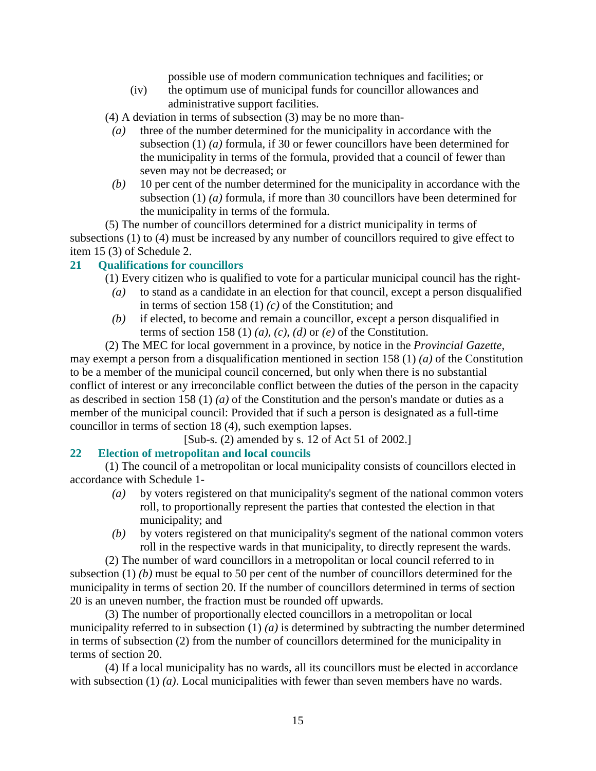possible use of modern communication techniques and facilities; or

 (iv) the optimum use of municipal funds for councillor allowances and administrative support facilities.

(4) A deviation in terms of subsection (3) may be no more than-

- *(a)* three of the number determined for the municipality in accordance with the subsection (1) *(a)* formula, if 30 or fewer councillors have been determined for the municipality in terms of the formula, provided that a council of fewer than seven may not be decreased; or
- *(b)* 10 per cent of the number determined for the municipality in accordance with the subsection (1) *(a)* formula, if more than 30 councillors have been determined for the municipality in terms of the formula.

 (5) The number of councillors determined for a district municipality in terms of subsections (1) to (4) must be increased by any number of councillors required to give effect to item 15 (3) of Schedule 2.

## **21 Qualifications for councillors**

(1) Every citizen who is qualified to vote for a particular municipal council has the right-

- *(a)* to stand as a candidate in an election for that council, except a person disqualified in terms of section 158 (1) *(c)* of the Constitution; and
- *(b)* if elected, to become and remain a councillor, except a person disqualified in terms of section 158 (1) (a), (c), (d) or (e) of the Constitution.

 (2) The MEC for local government in a province, by notice in the *Provincial Gazette*, may exempt a person from a disqualification mentioned in section 158 (1) *(a)* of the Constitution to be a member of the municipal council concerned, but only when there is no substantial conflict of interest or any irreconcilable conflict between the duties of the person in the capacity as described in section 158 (1) *(a)* of the Constitution and the person's mandate or duties as a member of the municipal council: Provided that if such a person is designated as a full-time councillor in terms of section 18 (4), such exemption lapses.

[Sub-s. (2) amended by s. 12 of Act 51 of 2002.]

## **22 Election of metropolitan and local councils**

 (1) The council of a metropolitan or local municipality consists of councillors elected in accordance with Schedule 1-

- *(a)* by voters registered on that municipality's segment of the national common voters roll, to proportionally represent the parties that contested the election in that municipality; and
- *(b)* by voters registered on that municipality's segment of the national common voters roll in the respective wards in that municipality, to directly represent the wards.

 (2) The number of ward councillors in a metropolitan or local council referred to in subsection (1) *(b)* must be equal to 50 per cent of the number of councillors determined for the municipality in terms of section 20. If the number of councillors determined in terms of section 20 is an uneven number, the fraction must be rounded off upwards.

 (3) The number of proportionally elected councillors in a metropolitan or local municipality referred to in subsection (1) *(a)* is determined by subtracting the number determined in terms of subsection (2) from the number of councillors determined for the municipality in terms of section 20.

 (4) If a local municipality has no wards, all its councillors must be elected in accordance with subsection (1) *(a)*. Local municipalities with fewer than seven members have no wards.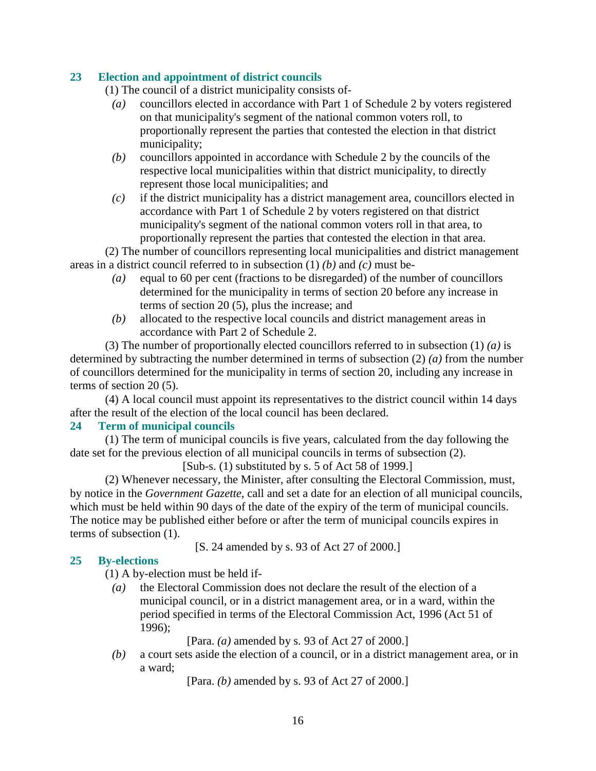## **23 Election and appointment of district councils**

(1) The council of a district municipality consists of-

- *(a)* councillors elected in accordance with Part 1 of Schedule 2 by voters registered on that municipality's segment of the national common voters roll, to proportionally represent the parties that contested the election in that district municipality;
- *(b)* councillors appointed in accordance with Schedule 2 by the councils of the respective local municipalities within that district municipality, to directly represent those local municipalities; and
- *(c)* if the district municipality has a district management area, councillors elected in accordance with Part 1 of Schedule 2 by voters registered on that district municipality's segment of the national common voters roll in that area, to proportionally represent the parties that contested the election in that area.

 (2) The number of councillors representing local municipalities and district management areas in a district council referred to in subsection (1) *(b)* and *(c)* must be-

- *(a)* equal to 60 per cent (fractions to be disregarded) of the number of councillors determined for the municipality in terms of section 20 before any increase in terms of section 20 (5), plus the increase; and
- *(b)* allocated to the respective local councils and district management areas in accordance with Part 2 of Schedule 2.

 (3) The number of proportionally elected councillors referred to in subsection (1) *(a)* is determined by subtracting the number determined in terms of subsection (2) *(a)* from the number of councillors determined for the municipality in terms of section 20, including any increase in terms of section 20 (5).

 (4) A local council must appoint its representatives to the district council within 14 days after the result of the election of the local council has been declared.

## **24 Term of municipal councils**

 (1) The term of municipal councils is five years, calculated from the day following the date set for the previous election of all municipal councils in terms of subsection (2).

[Sub-s. (1) substituted by s. 5 of Act 58 of 1999.]

 (2) Whenever necessary, the Minister, after consulting the Electoral Commission, must, by notice in the *Government Gazette*, call and set a date for an election of all municipal councils, which must be held within 90 days of the date of the expiry of the term of municipal councils. The notice may be published either before or after the term of municipal councils expires in terms of subsection (1).

[S. 24 amended by s. 93 of Act 27 of 2000.]

## **25 By-elections**

(1) A by-election must be held if-

 *(a)* the Electoral Commission does not declare the result of the election of a municipal council, or in a district management area, or in a ward, within the period specified in terms of the Electoral Commission Act, 1996 (Act 51 of 1996);

[Para. *(a)* amended by s. 93 of Act 27 of 2000.]

 *(b)* a court sets aside the election of a council, or in a district management area, or in a ward;

[Para. *(b)* amended by s. 93 of Act 27 of 2000.]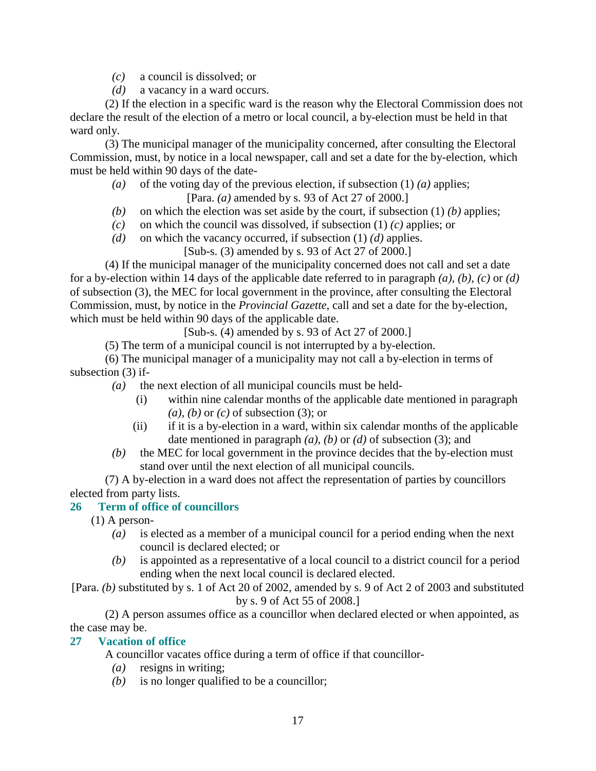- *(c)* a council is dissolved; or
- *(d)* a vacancy in a ward occurs.

 (2) If the election in a specific ward is the reason why the Electoral Commission does not declare the result of the election of a metro or local council, a by-election must be held in that ward only.

 (3) The municipal manager of the municipality concerned, after consulting the Electoral Commission, must, by notice in a local newspaper, call and set a date for the by-election, which must be held within 90 days of the date-

- *(a)* of the voting day of the previous election, if subsection (1) *(a)* applies; [Para. *(a)* amended by s. 93 of Act 27 of 2000.]
- *(b)* on which the election was set aside by the court, if subsection (1) *(b)* applies;
- *(c)* on which the council was dissolved, if subsection (1) *(c)* applies; or
- *(d)* on which the vacancy occurred, if subsection (1) *(d)* applies.
	- [Sub-s. (3) amended by s. 93 of Act 27 of 2000.]

 (4) If the municipal manager of the municipality concerned does not call and set a date for a by-election within 14 days of the applicable date referred to in paragraph *(a)*, *(b)*, *(c)* or *(d)* of subsection (3), the MEC for local government in the province, after consulting the Electoral Commission, must, by notice in the *Provincial Gazette*, call and set a date for the by-election, which must be held within 90 days of the applicable date.

[Sub-s. (4) amended by s. 93 of Act 27 of 2000.]

(5) The term of a municipal council is not interrupted by a by-election.

 (6) The municipal manager of a municipality may not call a by-election in terms of subsection (3) if-

- *(a)* the next election of all municipal councils must be held-
	- (i) within nine calendar months of the applicable date mentioned in paragraph *(a)*, *(b)* or *(c)* of subsection (3); or
	- (ii) if it is a by-election in a ward, within six calendar months of the applicable date mentioned in paragraph *(a)*, *(b)* or *(d)* of subsection (3); and
- *(b)* the MEC for local government in the province decides that the by-election must stand over until the next election of all municipal councils.

 (7) A by-election in a ward does not affect the representation of parties by councillors elected from party lists.

## **26 Term of office of councillors**

(1) A person-

- *(a)* is elected as a member of a municipal council for a period ending when the next council is declared elected; or
- *(b)* is appointed as a representative of a local council to a district council for a period ending when the next local council is declared elected.

[Para. *(b)* substituted by s. 1 of Act 20 of 2002, amended by s. 9 of Act 2 of 2003 and substituted by s. 9 of Act 55 of 2008.]

 (2) A person assumes office as a councillor when declared elected or when appointed, as the case may be.

## **27 Vacation of office**

A councillor vacates office during a term of office if that councillor-

- *(a)* resigns in writing;
- *(b)* is no longer qualified to be a councillor;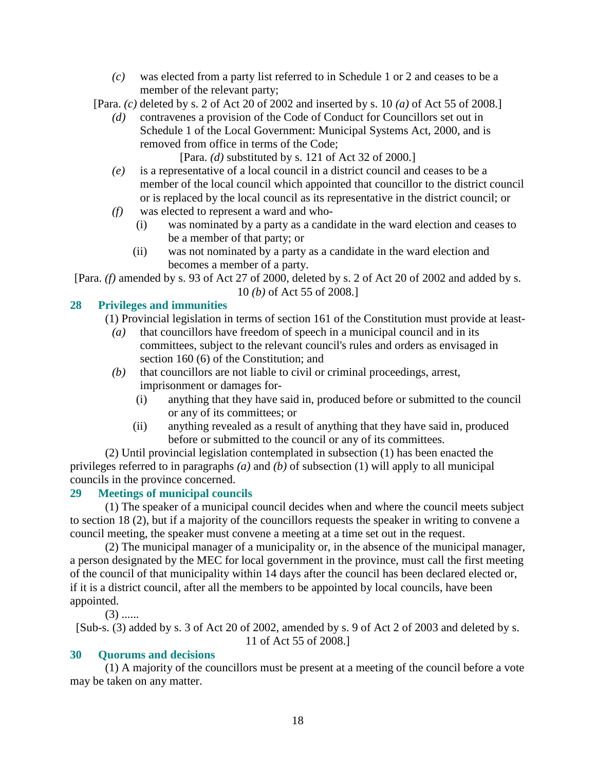*(c)* was elected from a party list referred to in Schedule 1 or 2 and ceases to be a member of the relevant party;

[Para. *(c)* deleted by s. 2 of Act 20 of 2002 and inserted by s. 10 *(a)* of Act 55 of 2008.]

 *(d)* contravenes a provision of the Code of Conduct for Councillors set out in Schedule 1 of the Local Government: Municipal Systems Act, 2000, and is removed from office in terms of the Code;

[Para. *(d)* substituted by s. 121 of Act 32 of 2000.]

- *(e)* is a representative of a local council in a district council and ceases to be a member of the local council which appointed that councillor to the district council or is replaced by the local council as its representative in the district council; or
- *(f)* was elected to represent a ward and who-
	- (i) was nominated by a party as a candidate in the ward election and ceases to be a member of that party; or
	- (ii) was not nominated by a party as a candidate in the ward election and becomes a member of a party.

[Para. *(f)* amended by s. 93 of Act 27 of 2000, deleted by s. 2 of Act 20 of 2002 and added by s. 10 *(b)* of Act 55 of 2008.]

## **28 Privileges and immunities**

(1) Provincial legislation in terms of section 161 of the Constitution must provide at least-

- *(a)* that councillors have freedom of speech in a municipal council and in its committees, subject to the relevant council's rules and orders as envisaged in section 160 (6) of the Constitution; and
- *(b)* that councillors are not liable to civil or criminal proceedings, arrest, imprisonment or damages for-
	- (i) anything that they have said in, produced before or submitted to the council or any of its committees; or
	- (ii) anything revealed as a result of anything that they have said in, produced before or submitted to the council or any of its committees.

 (2) Until provincial legislation contemplated in subsection (1) has been enacted the privileges referred to in paragraphs *(a)* and *(b)* of subsection (1) will apply to all municipal councils in the province concerned.

## **29 Meetings of municipal councils**

 (1) The speaker of a municipal council decides when and where the council meets subject to section 18 (2), but if a majority of the councillors requests the speaker in writing to convene a council meeting, the speaker must convene a meeting at a time set out in the request.

 (2) The municipal manager of a municipality or, in the absence of the municipal manager, a person designated by the MEC for local government in the province, must call the first meeting of the council of that municipality within 14 days after the council has been declared elected or, if it is a district council, after all the members to be appointed by local councils, have been appointed.

 $(3)$  ......

[Sub-s. (3) added by s. 3 of Act 20 of 2002, amended by s. 9 of Act 2 of 2003 and deleted by s. 11 of Act 55 of 2008.]

## **30 Quorums and decisions**

 (1) A majority of the councillors must be present at a meeting of the council before a vote may be taken on any matter.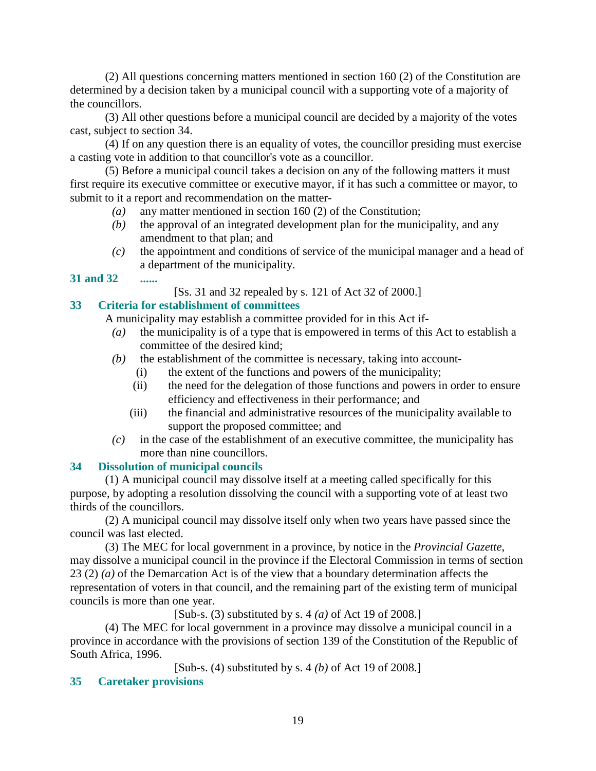(2) All questions concerning matters mentioned in section 160 (2) of the Constitution are determined by a decision taken by a municipal council with a supporting vote of a majority of the councillors.

 (3) All other questions before a municipal council are decided by a majority of the votes cast, subject to section 34.

 (4) If on any question there is an equality of votes, the councillor presiding must exercise a casting vote in addition to that councillor's vote as a councillor.

 (5) Before a municipal council takes a decision on any of the following matters it must first require its executive committee or executive mayor, if it has such a committee or mayor, to submit to it a report and recommendation on the matter-

- *(a)* any matter mentioned in section 160 (2) of the Constitution;
- *(b)* the approval of an integrated development plan for the municipality, and any amendment to that plan; and
- *(c)* the appointment and conditions of service of the municipal manager and a head of a department of the municipality.
- **31 and 32 ......**

[Ss. 31 and 32 repealed by s. 121 of Act 32 of 2000.]

## **33 Criteria for establishment of committees**

A municipality may establish a committee provided for in this Act if-

- *(a)* the municipality is of a type that is empowered in terms of this Act to establish a committee of the desired kind;
- *(b)* the establishment of the committee is necessary, taking into account-
	- (i) the extent of the functions and powers of the municipality;
	- (ii) the need for the delegation of those functions and powers in order to ensure efficiency and effectiveness in their performance; and
	- (iii) the financial and administrative resources of the municipality available to support the proposed committee; and
- *(c)* in the case of the establishment of an executive committee, the municipality has more than nine councillors.

## **34 Dissolution of municipal councils**

 (1) A municipal council may dissolve itself at a meeting called specifically for this purpose, by adopting a resolution dissolving the council with a supporting vote of at least two thirds of the councillors.

 (2) A municipal council may dissolve itself only when two years have passed since the council was last elected.

 (3) The MEC for local government in a province, by notice in the *Provincial Gazette*, may dissolve a municipal council in the province if the Electoral Commission in terms of section 23 (2) *(a)* of the Demarcation Act is of the view that a boundary determination affects the representation of voters in that council, and the remaining part of the existing term of municipal councils is more than one year.

[Sub-s. (3) substituted by s. 4 *(a)* of Act 19 of 2008.]

 (4) The MEC for local government in a province may dissolve a municipal council in a province in accordance with the provisions of section 139 of the Constitution of the Republic of South Africa, 1996.

[Sub-s. (4) substituted by s. 4 *(b)* of Act 19 of 2008.]

## **35 Caretaker provisions**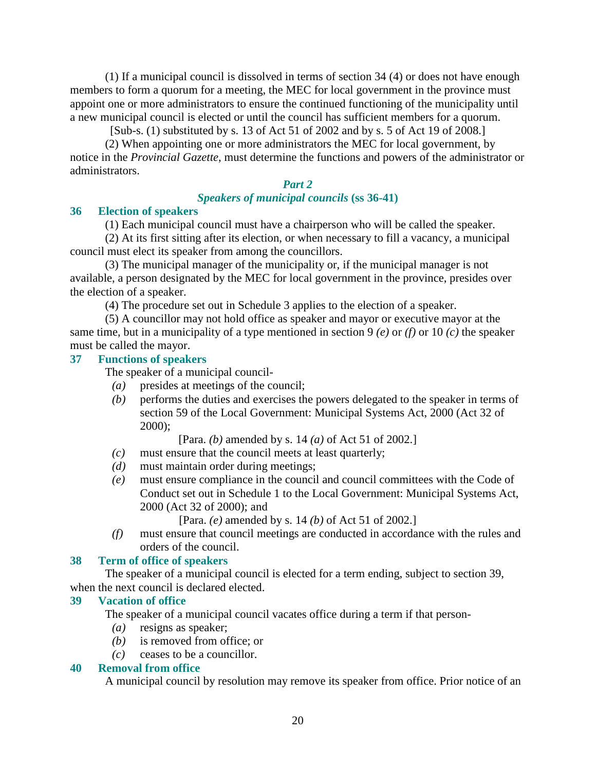(1) If a municipal council is dissolved in terms of section 34 (4) or does not have enough members to form a quorum for a meeting, the MEC for local government in the province must appoint one or more administrators to ensure the continued functioning of the municipality until a new municipal council is elected or until the council has sufficient members for a quorum.

[Sub-s. (1) substituted by s. 13 of Act 51 of 2002 and by s. 5 of Act 19 of 2008.]

 (2) When appointing one or more administrators the MEC for local government, by notice in the *Provincial Gazette*, must determine the functions and powers of the administrator or administrators.

## *Part 2*

#### *Speakers of municipal councils* **(ss 36-41)**

#### **36 Election of speakers**

(1) Each municipal council must have a chairperson who will be called the speaker.

 (2) At its first sitting after its election, or when necessary to fill a vacancy, a municipal council must elect its speaker from among the councillors.

 (3) The municipal manager of the municipality or, if the municipal manager is not available, a person designated by the MEC for local government in the province, presides over the election of a speaker.

(4) The procedure set out in Schedule 3 applies to the election of a speaker.

 (5) A councillor may not hold office as speaker and mayor or executive mayor at the same time, but in a municipality of a type mentioned in section 9 *(e)* or *(f)* or 10 *(c)* the speaker must be called the mayor.

#### **37 Functions of speakers**

The speaker of a municipal council-

- *(a)* presides at meetings of the council;
- *(b)* performs the duties and exercises the powers delegated to the speaker in terms of section 59 of the Local Government: Municipal Systems Act, 2000 (Act 32 of 2000);

[Para. *(b)* amended by s. 14 *(a)* of Act 51 of 2002.]

- *(c)* must ensure that the council meets at least quarterly;
- *(d)* must maintain order during meetings;
- *(e)* must ensure compliance in the council and council committees with the Code of Conduct set out in Schedule 1 to the Local Government: Municipal Systems Act, 2000 (Act 32 of 2000); and

[Para. *(e)* amended by s. 14 *(b)* of Act 51 of 2002.]

 *(f)* must ensure that council meetings are conducted in accordance with the rules and orders of the council.

#### **38 Term of office of speakers**

The speaker of a municipal council is elected for a term ending, subject to section 39,

## when the next council is declared elected.

## **39 Vacation of office**

The speaker of a municipal council vacates office during a term if that person-

- *(a)* resigns as speaker;
- *(b)* is removed from office; or
- *(c)* ceases to be a councillor.

#### **40 Removal from office**

A municipal council by resolution may remove its speaker from office. Prior notice of an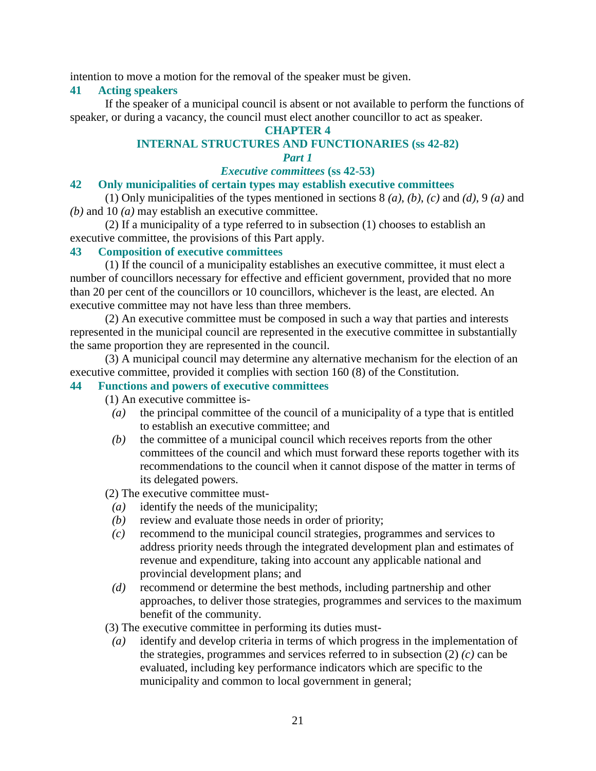intention to move a motion for the removal of the speaker must be given.

#### **41 Acting speakers**

 If the speaker of a municipal council is absent or not available to perform the functions of speaker, or during a vacancy, the council must elect another councillor to act as speaker.

#### **CHAPTER 4**

## **INTERNAL STRUCTURES AND FUNCTIONARIES (ss 42-82)**

## *Part 1*

#### *Executive committees* **(ss 42-53)**

## **42 Only municipalities of certain types may establish executive committees**

 (1) Only municipalities of the types mentioned in sections 8 *(a)*, *(b)*, *(c)* and *(d)*, 9 *(a)* and *(b)* and 10 *(a)* may establish an executive committee.

 (2) If a municipality of a type referred to in subsection (1) chooses to establish an executive committee, the provisions of this Part apply.

#### **43 Composition of executive committees**

 (1) If the council of a municipality establishes an executive committee, it must elect a number of councillors necessary for effective and efficient government, provided that no more than 20 per cent of the councillors or 10 councillors, whichever is the least, are elected. An executive committee may not have less than three members.

 (2) An executive committee must be composed in such a way that parties and interests represented in the municipal council are represented in the executive committee in substantially the same proportion they are represented in the council.

 (3) A municipal council may determine any alternative mechanism for the election of an executive committee, provided it complies with section 160 (8) of the Constitution.

#### **44 Functions and powers of executive committees**

(1) An executive committee is-

- *(a)* the principal committee of the council of a municipality of a type that is entitled to establish an executive committee; and
- *(b)* the committee of a municipal council which receives reports from the other committees of the council and which must forward these reports together with its recommendations to the council when it cannot dispose of the matter in terms of its delegated powers.

(2) The executive committee must-

- *(a)* identify the needs of the municipality;
- *(b)* review and evaluate those needs in order of priority;
- *(c)* recommend to the municipal council strategies, programmes and services to address priority needs through the integrated development plan and estimates of revenue and expenditure, taking into account any applicable national and provincial development plans; and
- *(d)* recommend or determine the best methods, including partnership and other approaches, to deliver those strategies, programmes and services to the maximum benefit of the community.
- (3) The executive committee in performing its duties must-
- *(a)* identify and develop criteria in terms of which progress in the implementation of the strategies, programmes and services referred to in subsection  $(2)$  *(c)* can be evaluated, including key performance indicators which are specific to the municipality and common to local government in general;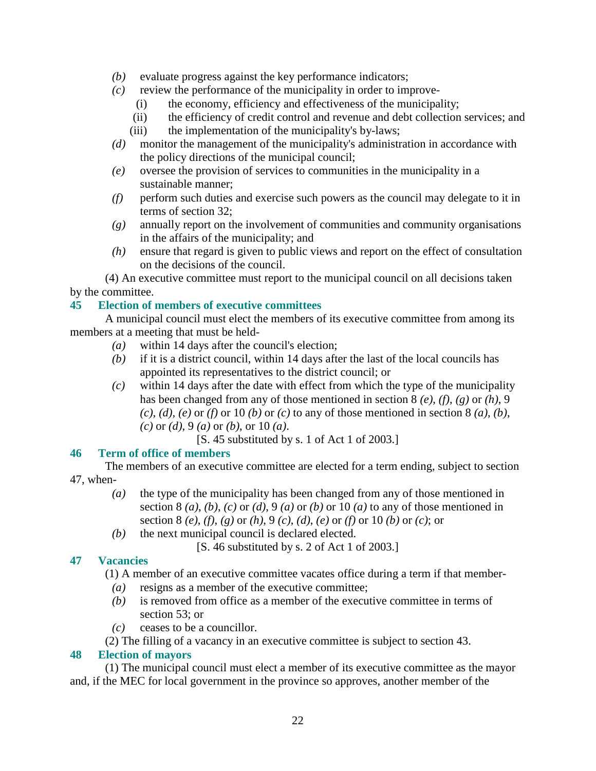- *(b)* evaluate progress against the key performance indicators;
- *(c)* review the performance of the municipality in order to improve-
	- (i) the economy, efficiency and effectiveness of the municipality;
	- (ii) the efficiency of credit control and revenue and debt collection services; and
	- (iii) the implementation of the municipality's by-laws;
- *(d)* monitor the management of the municipality's administration in accordance with the policy directions of the municipal council;
- *(e)* oversee the provision of services to communities in the municipality in a sustainable manner;
- *(f)* perform such duties and exercise such powers as the council may delegate to it in terms of section 32;
- *(g)* annually report on the involvement of communities and community organisations in the affairs of the municipality; and
- *(h)* ensure that regard is given to public views and report on the effect of consultation on the decisions of the council.

 (4) An executive committee must report to the municipal council on all decisions taken by the committee.

## **45 Election of members of executive committees**

 A municipal council must elect the members of its executive committee from among its members at a meeting that must be held-

- *(a)* within 14 days after the council's election;
- *(b)* if it is a district council, within 14 days after the last of the local councils has appointed its representatives to the district council; or
- *(c)* within 14 days after the date with effect from which the type of the municipality has been changed from any of those mentioned in section 8 *(e)*, *(f)*, *(g)* or *(h)*, 9  $(c)$ ,  $(d)$ ,  $(e)$  or  $(f)$  or 10  $(b)$  or  $(c)$  to any of those mentioned in section 8  $(a)$ ,  $(b)$ , *(c)* or *(d)*, 9 *(a)* or *(b)*, or 10 *(a)*.

[S. 45 substituted by s. 1 of Act 1 of 2003.]

## **46 Term of office of members**

 The members of an executive committee are elected for a term ending, subject to section 47, when-

- *(a)* the type of the municipality has been changed from any of those mentioned in section 8 (a), (b), (c) or (d), 9 (a) or (b) or 10 (a) to any of those mentioned in section 8 *(e)*, *(f)*, *(g)* or *(h)*, 9 *(c)*, *(d)*, *(e)* or *(f)* or 10 *(b)* or *(c)*; or
- *(b)* the next municipal council is declared elected.
	- [S. 46 substituted by s. 2 of Act 1 of 2003.]

## **47 Vacancies**

(1) A member of an executive committee vacates office during a term if that member-

- *(a)* resigns as a member of the executive committee;
- *(b)* is removed from office as a member of the executive committee in terms of section 53; or
- *(c)* ceases to be a councillor.

(2) The filling of a vacancy in an executive committee is subject to section 43.

## **48 Election of mayors**

 (1) The municipal council must elect a member of its executive committee as the mayor and, if the MEC for local government in the province so approves, another member of the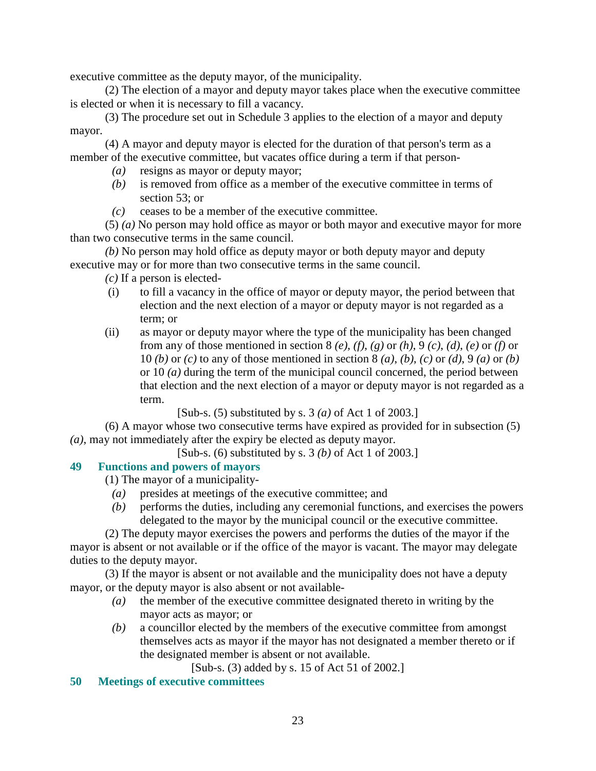executive committee as the deputy mayor, of the municipality.

 (2) The election of a mayor and deputy mayor takes place when the executive committee is elected or when it is necessary to fill a vacancy.

 (3) The procedure set out in Schedule 3 applies to the election of a mayor and deputy mayor.

 (4) A mayor and deputy mayor is elected for the duration of that person's term as a member of the executive committee, but vacates office during a term if that person-

- *(a)* resigns as mayor or deputy mayor;
- *(b)* is removed from office as a member of the executive committee in terms of section 53; or
- *(c)* ceases to be a member of the executive committee.

 (5) *(a)* No person may hold office as mayor or both mayor and executive mayor for more than two consecutive terms in the same council.

*(b)* No person may hold office as deputy mayor or both deputy mayor and deputy executive may or for more than two consecutive terms in the same council.

- *(c)* If a person is elected-
- (i) to fill a vacancy in the office of mayor or deputy mayor, the period between that election and the next election of a mayor or deputy mayor is not regarded as a term; or
- (ii) as mayor or deputy mayor where the type of the municipality has been changed from any of those mentioned in section 8 *(e)*, *(f)*, *(g)* or *(h)*, 9 *(c)*, *(d)*, *(e)* or *(f)* or 10 *(b)* or *(c)* to any of those mentioned in section 8 *(a)*, *(b)*, *(c)* or *(d)*, 9 *(a)* or *(b)* or 10 *(a)* during the term of the municipal council concerned, the period between that election and the next election of a mayor or deputy mayor is not regarded as a term.

[Sub-s. (5) substituted by s. 3 *(a)* of Act 1 of 2003.]

 (6) A mayor whose two consecutive terms have expired as provided for in subsection (5) *(a)*, may not immediately after the expiry be elected as deputy mayor.

[Sub-s. (6) substituted by s. 3 *(b)* of Act 1 of 2003.]

## **49 Functions and powers of mayors**

(1) The mayor of a municipality-

- *(a)* presides at meetings of the executive committee; and
- *(b)* performs the duties, including any ceremonial functions, and exercises the powers delegated to the mayor by the municipal council or the executive committee.

 (2) The deputy mayor exercises the powers and performs the duties of the mayor if the mayor is absent or not available or if the office of the mayor is vacant. The mayor may delegate duties to the deputy mayor.

 (3) If the mayor is absent or not available and the municipality does not have a deputy mayor, or the deputy mayor is also absent or not available-

- *(a)* the member of the executive committee designated thereto in writing by the mayor acts as mayor; or
- *(b)* a councillor elected by the members of the executive committee from amongst themselves acts as mayor if the mayor has not designated a member thereto or if the designated member is absent or not available.

[Sub-s. (3) added by s. 15 of Act 51 of 2002.]

## **50 Meetings of executive committees**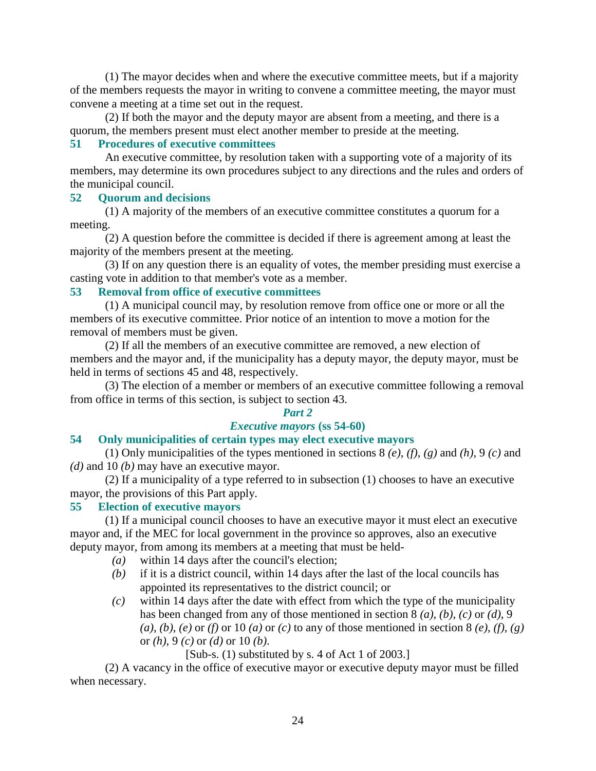(1) The mayor decides when and where the executive committee meets, but if a majority of the members requests the mayor in writing to convene a committee meeting, the mayor must convene a meeting at a time set out in the request.

 (2) If both the mayor and the deputy mayor are absent from a meeting, and there is a quorum, the members present must elect another member to preside at the meeting.

## **51 Procedures of executive committees**

 An executive committee, by resolution taken with a supporting vote of a majority of its members, may determine its own procedures subject to any directions and the rules and orders of the municipal council.

## **52 Quorum and decisions**

 (1) A majority of the members of an executive committee constitutes a quorum for a meeting.

 (2) A question before the committee is decided if there is agreement among at least the majority of the members present at the meeting.

 (3) If on any question there is an equality of votes, the member presiding must exercise a casting vote in addition to that member's vote as a member.

## **53 Removal from office of executive committees**

 (1) A municipal council may, by resolution remove from office one or more or all the members of its executive committee. Prior notice of an intention to move a motion for the removal of members must be given.

 (2) If all the members of an executive committee are removed, a new election of members and the mayor and, if the municipality has a deputy mayor, the deputy mayor, must be held in terms of sections 45 and 48, respectively.

 (3) The election of a member or members of an executive committee following a removal from office in terms of this section, is subject to section 43.

#### *Part 2*

## *Executive mayors* **(ss 54-60)**

## **54 Only municipalities of certain types may elect executive mayors**

 (1) Only municipalities of the types mentioned in sections 8 *(e)*, *(f)*, *(g)* and *(h)*, 9 *(c)* and *(d)* and 10 *(b)* may have an executive mayor.

 (2) If a municipality of a type referred to in subsection (1) chooses to have an executive mayor, the provisions of this Part apply.

#### **55 Election of executive mayors**

 (1) If a municipal council chooses to have an executive mayor it must elect an executive mayor and, if the MEC for local government in the province so approves, also an executive deputy mayor, from among its members at a meeting that must be held-

- *(a)* within 14 days after the council's election;
- *(b)* if it is a district council, within 14 days after the last of the local councils has appointed its representatives to the district council; or
- *(c)* within 14 days after the date with effect from which the type of the municipality has been changed from any of those mentioned in section 8 *(a)*, *(b)*, *(c)* or *(d)*, 9  $(a)$ ,  $(b)$ ,  $(e)$  or  $(f)$  or  $10$   $(a)$  or  $(c)$  to any of those mentioned in section 8  $(e)$ ,  $(f)$ ,  $(g)$ or *(h)*, 9 *(c)* or *(d)* or 10 *(b)*.
	- [Sub-s. (1) substituted by s. 4 of Act 1 of 2003.]

 (2) A vacancy in the office of executive mayor or executive deputy mayor must be filled when necessary.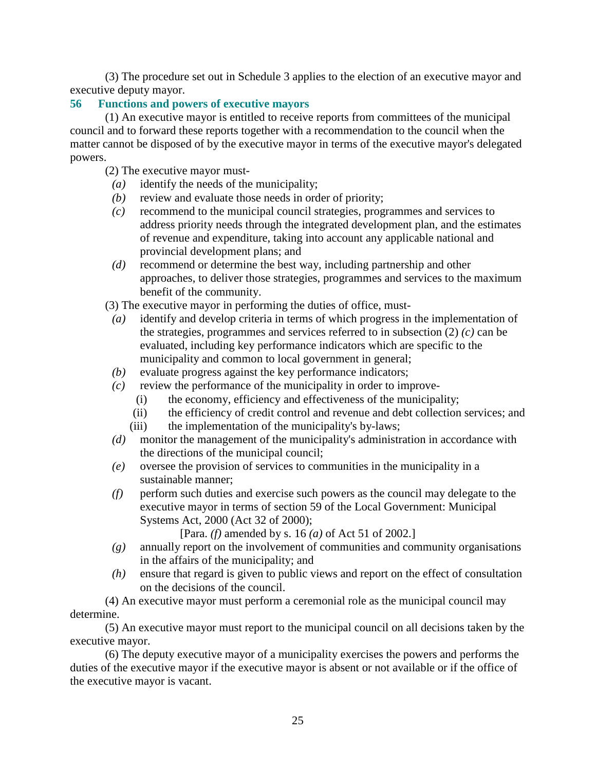(3) The procedure set out in Schedule 3 applies to the election of an executive mayor and executive deputy mayor.

## **56 Functions and powers of executive mayors**

 (1) An executive mayor is entitled to receive reports from committees of the municipal council and to forward these reports together with a recommendation to the council when the matter cannot be disposed of by the executive mayor in terms of the executive mayor's delegated powers.

(2) The executive mayor must-

- *(a)* identify the needs of the municipality;
- *(b)* review and evaluate those needs in order of priority;
- *(c)* recommend to the municipal council strategies, programmes and services to address priority needs through the integrated development plan, and the estimates of revenue and expenditure, taking into account any applicable national and provincial development plans; and
- *(d)* recommend or determine the best way, including partnership and other approaches, to deliver those strategies, programmes and services to the maximum benefit of the community.

(3) The executive mayor in performing the duties of office, must-

- *(a)* identify and develop criteria in terms of which progress in the implementation of the strategies, programmes and services referred to in subsection (2) *(c)* can be evaluated, including key performance indicators which are specific to the municipality and common to local government in general;
- *(b)* evaluate progress against the key performance indicators;
- *(c)* review the performance of the municipality in order to improve-
	- (i) the economy, efficiency and effectiveness of the municipality;
	- (ii) the efficiency of credit control and revenue and debt collection services; and
	- (iii) the implementation of the municipality's by-laws;
- *(d)* monitor the management of the municipality's administration in accordance with the directions of the municipal council;
- *(e)* oversee the provision of services to communities in the municipality in a sustainable manner;
- *(f)* perform such duties and exercise such powers as the council may delegate to the executive mayor in terms of section 59 of the Local Government: Municipal Systems Act, 2000 (Act 32 of 2000);

[Para. *(f)* amended by s. 16 *(a)* of Act 51 of 2002.]

- *(g)* annually report on the involvement of communities and community organisations in the affairs of the municipality; and
- *(h)* ensure that regard is given to public views and report on the effect of consultation on the decisions of the council.

 (4) An executive mayor must perform a ceremonial role as the municipal council may determine.

 (5) An executive mayor must report to the municipal council on all decisions taken by the executive mayor.

 (6) The deputy executive mayor of a municipality exercises the powers and performs the duties of the executive mayor if the executive mayor is absent or not available or if the office of the executive mayor is vacant.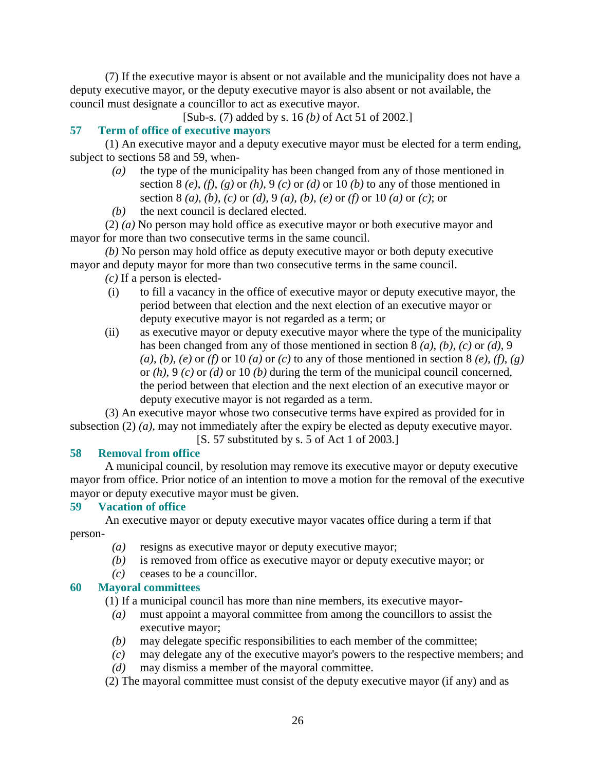(7) If the executive mayor is absent or not available and the municipality does not have a deputy executive mayor, or the deputy executive mayor is also absent or not available, the council must designate a councillor to act as executive mayor.

[Sub-s. (7) added by s. 16 *(b)* of Act 51 of 2002.]

## **57 Term of office of executive mayors**

 (1) An executive mayor and a deputy executive mayor must be elected for a term ending, subject to sections 58 and 59, when-

- *(a)* the type of the municipality has been changed from any of those mentioned in section 8  $(e)$ ,  $(f)$ ,  $(g)$  or  $(h)$ ,  $9$   $(c)$  or  $(d)$  or 10  $(b)$  to any of those mentioned in section 8 *(a)*, *(b)*, *(c)* or *(d)*, 9 *(a)*, *(b)*, *(e)* or *(f)* or 10 *(a)* or *(c)*; or
- *(b)* the next council is declared elected.

 (2) *(a)* No person may hold office as executive mayor or both executive mayor and mayor for more than two consecutive terms in the same council.

*(b)* No person may hold office as deputy executive mayor or both deputy executive mayor and deputy mayor for more than two consecutive terms in the same council.

- *(c)* If a person is elected-
- (i) to fill a vacancy in the office of executive mayor or deputy executive mayor, the period between that election and the next election of an executive mayor or deputy executive mayor is not regarded as a term; or
- (ii) as executive mayor or deputy executive mayor where the type of the municipality has been changed from any of those mentioned in section 8 *(a)*, *(b)*, *(c)* or *(d)*, 9  $(a)$ ,  $(b)$ ,  $(e)$  or  $(f)$  or  $10$   $(a)$  or  $(c)$  to any of those mentioned in section 8  $(e)$ ,  $(f)$ ,  $(g)$ or *(h)*, 9 *(c)* or *(d)* or 10 *(b)* during the term of the municipal council concerned, the period between that election and the next election of an executive mayor or deputy executive mayor is not regarded as a term.

 (3) An executive mayor whose two consecutive terms have expired as provided for in subsection (2) *(a)*, may not immediately after the expiry be elected as deputy executive mayor. [S. 57 substituted by s. 5 of Act 1 of 2003.]

## **58 Removal from office**

 A municipal council, by resolution may remove its executive mayor or deputy executive mayor from office. Prior notice of an intention to move a motion for the removal of the executive mayor or deputy executive mayor must be given.

## **59 Vacation of office**

 An executive mayor or deputy executive mayor vacates office during a term if that person-

- *(a)* resigns as executive mayor or deputy executive mayor;
- *(b)* is removed from office as executive mayor or deputy executive mayor; or
- *(c)* ceases to be a councillor.

## **60 Mayoral committees**

(1) If a municipal council has more than nine members, its executive mayor-

- *(a)* must appoint a mayoral committee from among the councillors to assist the executive mayor;
- *(b)* may delegate specific responsibilities to each member of the committee;
- *(c)* may delegate any of the executive mayor's powers to the respective members; and
- *(d)* may dismiss a member of the mayoral committee.
- (2) The mayoral committee must consist of the deputy executive mayor (if any) and as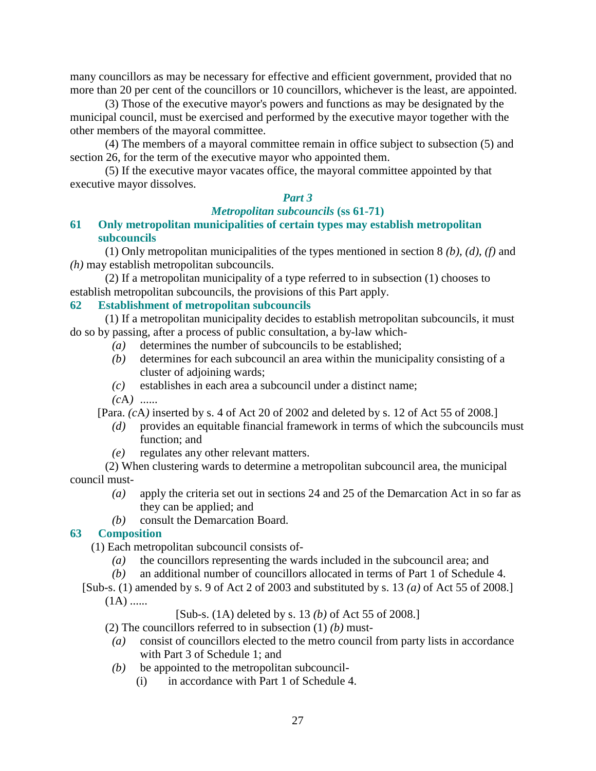many councillors as may be necessary for effective and efficient government, provided that no more than 20 per cent of the councillors or 10 councillors, whichever is the least, are appointed.

 (3) Those of the executive mayor's powers and functions as may be designated by the municipal council, must be exercised and performed by the executive mayor together with the other members of the mayoral committee.

 (4) The members of a mayoral committee remain in office subject to subsection (5) and section 26, for the term of the executive mayor who appointed them.

 (5) If the executive mayor vacates office, the mayoral committee appointed by that executive mayor dissolves.

#### *Part 3*

## *Metropolitan subcouncils* **(ss 61-71)**

**61 Only metropolitan municipalities of certain types may establish metropolitan subcouncils** 

 (1) Only metropolitan municipalities of the types mentioned in section 8 *(b)*, *(d)*, *(f)* and *(h)* may establish metropolitan subcouncils.

 (2) If a metropolitan municipality of a type referred to in subsection (1) chooses to establish metropolitan subcouncils, the provisions of this Part apply.

## **62 Establishment of metropolitan subcouncils**

 (1) If a metropolitan municipality decides to establish metropolitan subcouncils, it must do so by passing, after a process of public consultation, a by-law which-

- *(a)* determines the number of subcouncils to be established;
- *(b)* determines for each subcouncil an area within the municipality consisting of a cluster of adjoining wards;
- *(c)* establishes in each area a subcouncil under a distinct name;
- *(c*A*)* ......

[Para. *(c*A*)* inserted by s. 4 of Act 20 of 2002 and deleted by s. 12 of Act 55 of 2008.]

- *(d)* provides an equitable financial framework in terms of which the subcouncils must function; and
- *(e)* regulates any other relevant matters.

 (2) When clustering wards to determine a metropolitan subcouncil area, the municipal council must-

- *(a)* apply the criteria set out in sections 24 and 25 of the Demarcation Act in so far as they can be applied; and
- *(b)* consult the Demarcation Board.

#### **63 Composition**

(1) Each metropolitan subcouncil consists of-

- *(a)* the councillors representing the wards included in the subcouncil area; and
- *(b)* an additional number of councillors allocated in terms of Part 1 of Schedule 4.
- [Sub-s. (1) amended by s. 9 of Act 2 of 2003 and substituted by s. 13 *(a)* of Act 55 of 2008.]  $(1A)$  ......

[Sub-s. (1A) deleted by s. 13 *(b)* of Act 55 of 2008.]

(2) The councillors referred to in subsection (1) *(b)* must-

- *(a)* consist of councillors elected to the metro council from party lists in accordance with Part 3 of Schedule 1; and
- *(b)* be appointed to the metropolitan subcouncil-
	- (i) in accordance with Part 1 of Schedule 4.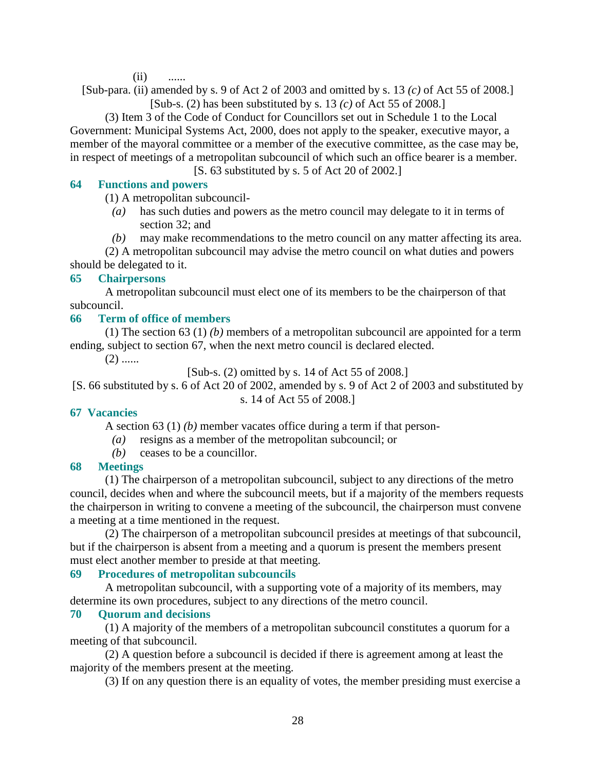$(ii)$ 

[Sub-para. (ii) amended by s. 9 of Act 2 of 2003 and omitted by s. 13 *(c)* of Act 55 of 2008.] [Sub-s. (2) has been substituted by s. 13 *(c)* of Act 55 of 2008.]

 (3) Item 3 of the Code of Conduct for Councillors set out in Schedule 1 to the Local Government: Municipal Systems Act, 2000, does not apply to the speaker, executive mayor, a member of the mayoral committee or a member of the executive committee, as the case may be, in respect of meetings of a metropolitan subcouncil of which such an office bearer is a member.

[S. 63 substituted by s. 5 of Act 20 of 2002.]

#### **64 Functions and powers**

(1) A metropolitan subcouncil-

- *(a)* has such duties and powers as the metro council may delegate to it in terms of section 32; and
- *(b)* may make recommendations to the metro council on any matter affecting its area.

 (2) A metropolitan subcouncil may advise the metro council on what duties and powers should be delegated to it.

#### **65 Chairpersons**

 A metropolitan subcouncil must elect one of its members to be the chairperson of that subcouncil.

#### **66 Term of office of members**

 (1) The section 63 (1) *(b)* members of a metropolitan subcouncil are appointed for a term ending, subject to section 67, when the next metro council is declared elected.

 $(2)$  ......

[Sub-s. (2) omitted by s. 14 of Act 55 of 2008.]

[S. 66 substituted by s. 6 of Act 20 of 2002, amended by s. 9 of Act 2 of 2003 and substituted by s. 14 of Act 55 of 2008.]

#### **67 Vacancies**

A section 63 (1) *(b)* member vacates office during a term if that person-

- *(a)* resigns as a member of the metropolitan subcouncil; or
- *(b)* ceases to be a councillor.

## **68 Meetings**

 (1) The chairperson of a metropolitan subcouncil, subject to any directions of the metro council, decides when and where the subcouncil meets, but if a majority of the members requests the chairperson in writing to convene a meeting of the subcouncil, the chairperson must convene a meeting at a time mentioned in the request.

 (2) The chairperson of a metropolitan subcouncil presides at meetings of that subcouncil, but if the chairperson is absent from a meeting and a quorum is present the members present must elect another member to preside at that meeting.

#### **69 Procedures of metropolitan subcouncils**

 A metropolitan subcouncil, with a supporting vote of a majority of its members, may determine its own procedures, subject to any directions of the metro council.

#### **70 Quorum and decisions**

 (1) A majority of the members of a metropolitan subcouncil constitutes a quorum for a meeting of that subcouncil.

 (2) A question before a subcouncil is decided if there is agreement among at least the majority of the members present at the meeting.

(3) If on any question there is an equality of votes, the member presiding must exercise a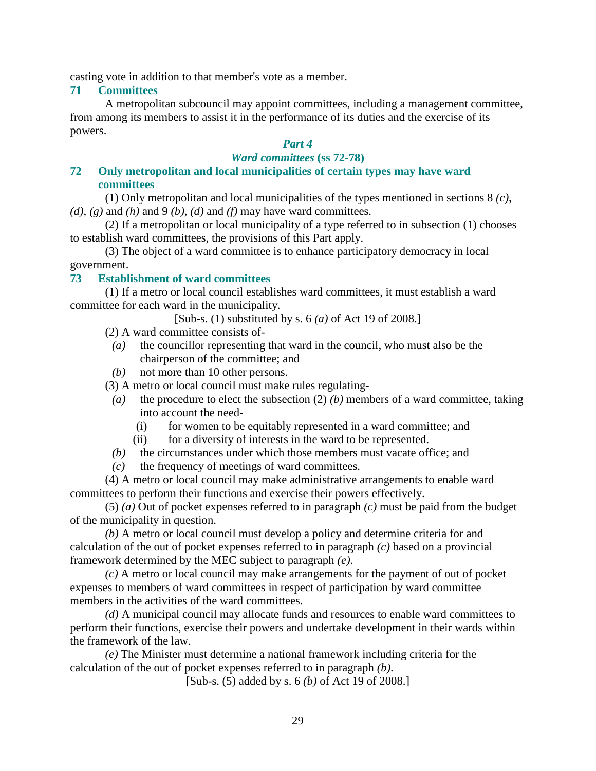casting vote in addition to that member's vote as a member.

## **71 Committees**

 A metropolitan subcouncil may appoint committees, including a management committee, from among its members to assist it in the performance of its duties and the exercise of its powers.

#### *Part 4 Ward committees* **(ss 72-78)**

## **72 Only metropolitan and local municipalities of certain types may have ward committees**

 (1) Only metropolitan and local municipalities of the types mentioned in sections 8 *(c)*,  $(d)$ ,  $(g)$  and  $(h)$  and  $9$   $(b)$ ,  $(d)$  and  $(f)$  may have ward committees.

 (2) If a metropolitan or local municipality of a type referred to in subsection (1) chooses to establish ward committees, the provisions of this Part apply.

 (3) The object of a ward committee is to enhance participatory democracy in local government.

## **73 Establishment of ward committees**

 (1) If a metro or local council establishes ward committees, it must establish a ward committee for each ward in the municipality.

[Sub-s. (1) substituted by s. 6 *(a)* of Act 19 of 2008.]

(2) A ward committee consists of-

- *(a)* the councillor representing that ward in the council, who must also be the chairperson of the committee; and
- *(b)* not more than 10 other persons.

(3) A metro or local council must make rules regulating-

- *(a)* the procedure to elect the subsection (2) *(b)* members of a ward committee, taking into account the need-
	- (i) for women to be equitably represented in a ward committee; and
	- (ii) for a diversity of interests in the ward to be represented.
- *(b)* the circumstances under which those members must vacate office; and
- *(c)* the frequency of meetings of ward committees.

 (4) A metro or local council may make administrative arrangements to enable ward committees to perform their functions and exercise their powers effectively.

 (5) *(a)* Out of pocket expenses referred to in paragraph *(c)* must be paid from the budget of the municipality in question.

*(b)* A metro or local council must develop a policy and determine criteria for and calculation of the out of pocket expenses referred to in paragraph *(c)* based on a provincial framework determined by the MEC subject to paragraph *(e)*.

*(c)* A metro or local council may make arrangements for the payment of out of pocket expenses to members of ward committees in respect of participation by ward committee members in the activities of the ward committees.

*(d)* A municipal council may allocate funds and resources to enable ward committees to perform their functions, exercise their powers and undertake development in their wards within the framework of the law.

*(e)* The Minister must determine a national framework including criteria for the calculation of the out of pocket expenses referred to in paragraph *(b)*.

[Sub-s. (5) added by s. 6 *(b)* of Act 19 of 2008.]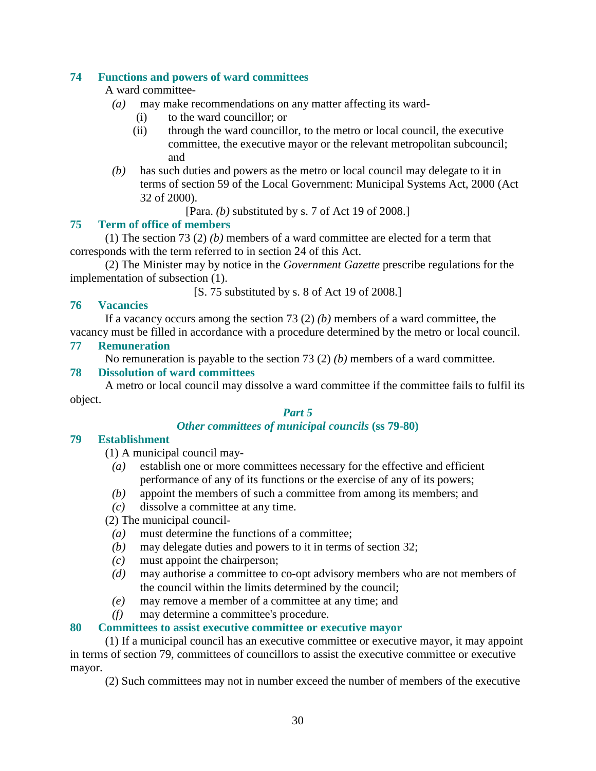## **74 Functions and powers of ward committees**

A ward committee-

- *(a)* may make recommendations on any matter affecting its ward-
	- (i) to the ward councillor; or
	- (ii) through the ward councillor, to the metro or local council, the executive committee, the executive mayor or the relevant metropolitan subcouncil; and
- *(b)* has such duties and powers as the metro or local council may delegate to it in terms of section 59 of the Local Government: Municipal Systems Act, 2000 (Act 32 of 2000).

```
[Para. (b) substituted by s. 7 of Act 19 of 2008.]
```
## **75 Term of office of members**

 (1) The section 73 (2) *(b)* members of a ward committee are elected for a term that corresponds with the term referred to in section 24 of this Act.

 (2) The Minister may by notice in the *Government Gazette* prescribe regulations for the implementation of subsection (1).

[S. 75 substituted by s. 8 of Act 19 of 2008.]

## **76 Vacancies**

 If a vacancy occurs among the section 73 (2) *(b)* members of a ward committee, the vacancy must be filled in accordance with a procedure determined by the metro or local council.

#### **77 Remuneration**

No remuneration is payable to the section 73 (2) *(b)* members of a ward committee.

#### **78 Dissolution of ward committees**

 A metro or local council may dissolve a ward committee if the committee fails to fulfil its object.

#### *Part 5*

## *Other committees of municipal councils* **(ss 79-80)**

#### **79 Establishment**

(1) A municipal council may-

- *(a)* establish one or more committees necessary for the effective and efficient performance of any of its functions or the exercise of any of its powers;
- *(b)* appoint the members of such a committee from among its members; and
- *(c)* dissolve a committee at any time.
- (2) The municipal council-
	- *(a)* must determine the functions of a committee;
	- *(b)* may delegate duties and powers to it in terms of section 32;
	- *(c)* must appoint the chairperson;
	- *(d)* may authorise a committee to co-opt advisory members who are not members of the council within the limits determined by the council;
	- *(e)* may remove a member of a committee at any time; and
	- *(f)* may determine a committee's procedure.

#### **80 Committees to assist executive committee or executive mayor**

 (1) If a municipal council has an executive committee or executive mayor, it may appoint in terms of section 79, committees of councillors to assist the executive committee or executive mayor.

(2) Such committees may not in number exceed the number of members of the executive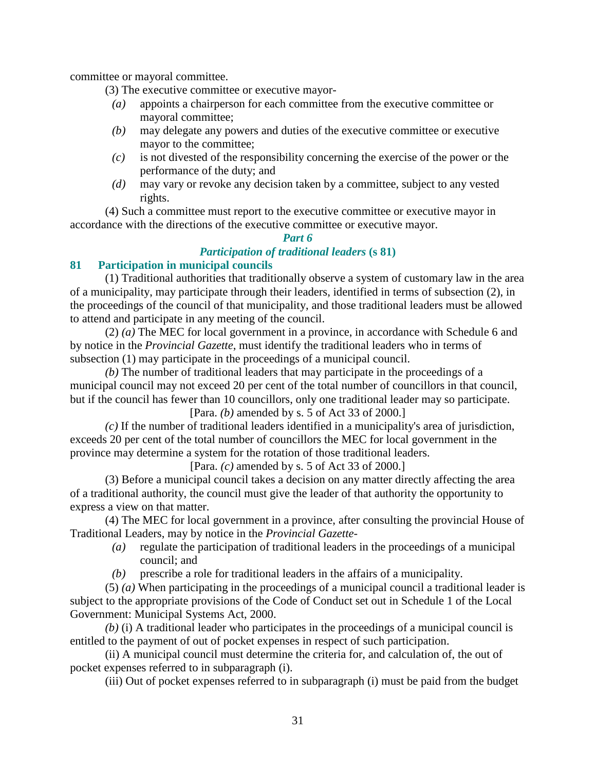committee or mayoral committee.

- (3) The executive committee or executive mayor-
- *(a)* appoints a chairperson for each committee from the executive committee or mayoral committee;
- *(b)* may delegate any powers and duties of the executive committee or executive mayor to the committee;
- *(c)* is not divested of the responsibility concerning the exercise of the power or the performance of the duty; and
- *(d)* may vary or revoke any decision taken by a committee, subject to any vested rights.

 (4) Such a committee must report to the executive committee or executive mayor in accordance with the directions of the executive committee or executive mayor.

## *Part 6 Participation of traditional leaders* **(s 81)**

## **81 Participation in municipal councils**

 (1) Traditional authorities that traditionally observe a system of customary law in the area of a municipality, may participate through their leaders, identified in terms of subsection (2), in the proceedings of the council of that municipality, and those traditional leaders must be allowed to attend and participate in any meeting of the council.

 (2) *(a)* The MEC for local government in a province, in accordance with Schedule 6 and by notice in the *Provincial Gazette*, must identify the traditional leaders who in terms of subsection (1) may participate in the proceedings of a municipal council.

*(b)* The number of traditional leaders that may participate in the proceedings of a municipal council may not exceed 20 per cent of the total number of councillors in that council, but if the council has fewer than 10 councillors, only one traditional leader may so participate. [Para. *(b)* amended by s. 5 of Act 33 of 2000.]

*(c)* If the number of traditional leaders identified in a municipality's area of jurisdiction, exceeds 20 per cent of the total number of councillors the MEC for local government in the province may determine a system for the rotation of those traditional leaders.

[Para. *(c)* amended by s. 5 of Act 33 of 2000.]

 (3) Before a municipal council takes a decision on any matter directly affecting the area of a traditional authority, the council must give the leader of that authority the opportunity to express a view on that matter.

 (4) The MEC for local government in a province, after consulting the provincial House of Traditional Leaders, may by notice in the *Provincial Gazette*-

- *(a)* regulate the participation of traditional leaders in the proceedings of a municipal council; and
- *(b)* prescribe a role for traditional leaders in the affairs of a municipality.

 (5) *(a)* When participating in the proceedings of a municipal council a traditional leader is subject to the appropriate provisions of the Code of Conduct set out in Schedule 1 of the Local Government: Municipal Systems Act, 2000.

*(b)* (i) A traditional leader who participates in the proceedings of a municipal council is entitled to the payment of out of pocket expenses in respect of such participation.

 (ii) A municipal council must determine the criteria for, and calculation of, the out of pocket expenses referred to in subparagraph (i).

(iii) Out of pocket expenses referred to in subparagraph (i) must be paid from the budget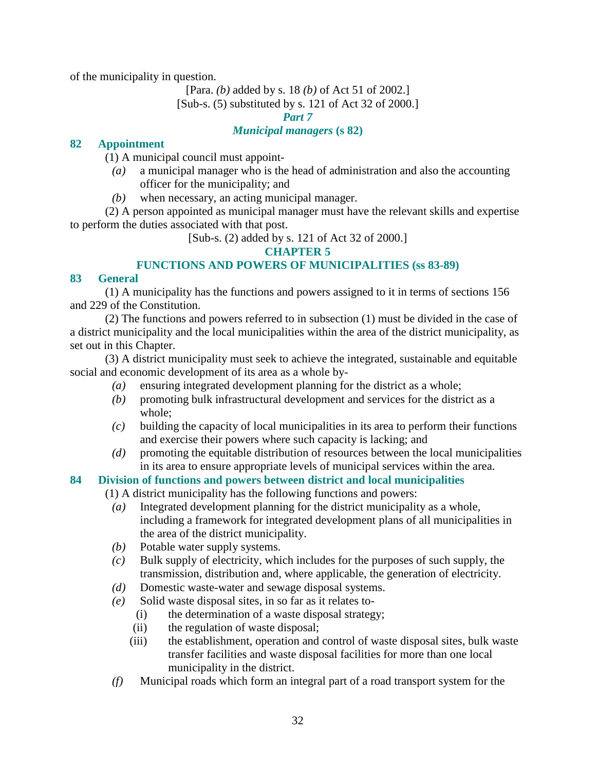of the municipality in question.

[Para. *(b)* added by s. 18 *(b)* of Act 51 of 2002.]

[Sub-s. (5) substituted by s. 121 of Act 32 of 2000.]

*Part 7* 

#### *Municipal managers* **(s 82)**

## **82 Appointment**

(1) A municipal council must appoint-

- *(a)* a municipal manager who is the head of administration and also the accounting officer for the municipality; and
- *(b)* when necessary, an acting municipal manager.

 (2) A person appointed as municipal manager must have the relevant skills and expertise to perform the duties associated with that post.

[Sub-s. (2) added by s. 121 of Act 32 of 2000.]

## **CHAPTER 5**

## **FUNCTIONS AND POWERS OF MUNICIPALITIES (ss 83-89)**

## **83 General**

 (1) A municipality has the functions and powers assigned to it in terms of sections 156 and 229 of the Constitution.

 (2) The functions and powers referred to in subsection (1) must be divided in the case of a district municipality and the local municipalities within the area of the district municipality, as set out in this Chapter.

 (3) A district municipality must seek to achieve the integrated, sustainable and equitable social and economic development of its area as a whole by-

- *(a)* ensuring integrated development planning for the district as a whole;
- *(b)* promoting bulk infrastructural development and services for the district as a whole;
- *(c)* building the capacity of local municipalities in its area to perform their functions and exercise their powers where such capacity is lacking; and
- *(d)* promoting the equitable distribution of resources between the local municipalities in its area to ensure appropriate levels of municipal services within the area.

## **84 Division of functions and powers between district and local municipalities**

(1) A district municipality has the following functions and powers:

- *(a)* Integrated development planning for the district municipality as a whole, including a framework for integrated development plans of all municipalities in the area of the district municipality.
- *(b)* Potable water supply systems.
- *(c)* Bulk supply of electricity, which includes for the purposes of such supply, the transmission, distribution and, where applicable, the generation of electricity.
- *(d)* Domestic waste-water and sewage disposal systems.
- *(e)* Solid waste disposal sites, in so far as it relates to-
	- (i) the determination of a waste disposal strategy;
	- (ii) the regulation of waste disposal;
	- (iii) the establishment, operation and control of waste disposal sites, bulk waste transfer facilities and waste disposal facilities for more than one local municipality in the district.
- *(f)* Municipal roads which form an integral part of a road transport system for the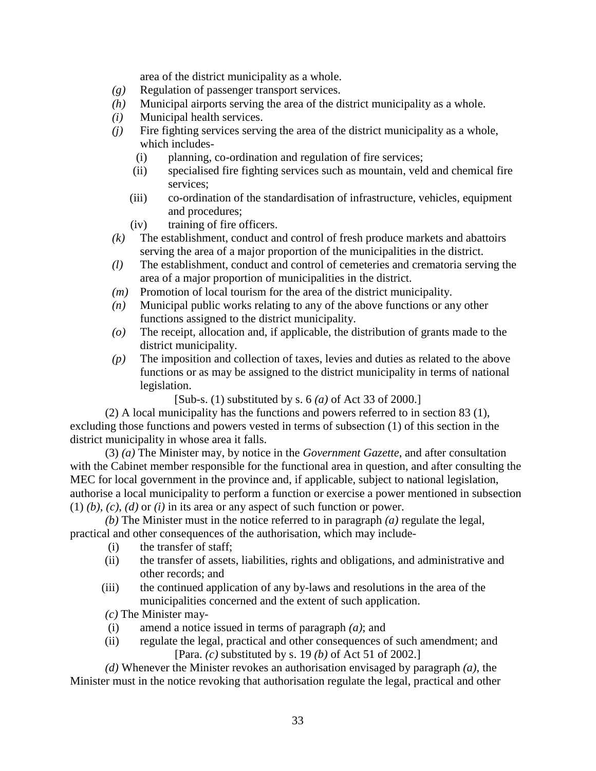area of the district municipality as a whole.

- *(g)* Regulation of passenger transport services.
- *(h)* Municipal airports serving the area of the district municipality as a whole.
- *(i)* Municipal health services.
- *(j)* Fire fighting services serving the area of the district municipality as a whole, which includes-
	- (i) planning, co-ordination and regulation of fire services;
	- (ii) specialised fire fighting services such as mountain, veld and chemical fire services;
	- (iii) co-ordination of the standardisation of infrastructure, vehicles, equipment and procedures;
	- (iv) training of fire officers.
- *(k)* The establishment, conduct and control of fresh produce markets and abattoirs serving the area of a major proportion of the municipalities in the district.
- *(l)* The establishment, conduct and control of cemeteries and crematoria serving the area of a major proportion of municipalities in the district.
- *(m)* Promotion of local tourism for the area of the district municipality.
- *(n)* Municipal public works relating to any of the above functions or any other functions assigned to the district municipality.
- *(o)* The receipt, allocation and, if applicable, the distribution of grants made to the district municipality.
- *(p)* The imposition and collection of taxes, levies and duties as related to the above functions or as may be assigned to the district municipality in terms of national legislation.

[Sub-s. (1) substituted by s. 6 *(a)* of Act 33 of 2000.]

 (2) A local municipality has the functions and powers referred to in section 83 (1), excluding those functions and powers vested in terms of subsection (1) of this section in the district municipality in whose area it falls.

 (3) *(a)* The Minister may, by notice in the *Government Gazette*, and after consultation with the Cabinet member responsible for the functional area in question, and after consulting the MEC for local government in the province and, if applicable, subject to national legislation, authorise a local municipality to perform a function or exercise a power mentioned in subsection (1) *(b)*, *(c)*, *(d)* or *(i)* in its area or any aspect of such function or power.

*(b)* The Minister must in the notice referred to in paragraph *(a)* regulate the legal, practical and other consequences of the authorisation, which may include-

- (i) the transfer of staff;
- (ii) the transfer of assets, liabilities, rights and obligations, and administrative and other records; and
- (iii) the continued application of any by-laws and resolutions in the area of the municipalities concerned and the extent of such application.

*(c)* The Minister may-

- (i) amend a notice issued in terms of paragraph *(a)*; and
- (ii) regulate the legal, practical and other consequences of such amendment; and [Para. *(c)* substituted by s. 19 *(b)* of Act 51 of 2002.]

*(d)* Whenever the Minister revokes an authorisation envisaged by paragraph *(a)*, the Minister must in the notice revoking that authorisation regulate the legal, practical and other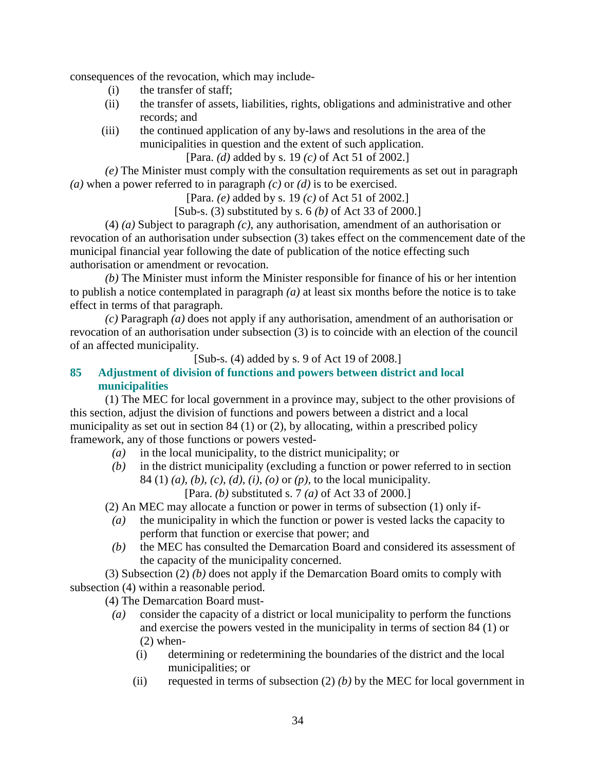consequences of the revocation, which may include-

- (i) the transfer of staff;
- (ii) the transfer of assets, liabilities, rights, obligations and administrative and other records; and
- (iii) the continued application of any by-laws and resolutions in the area of the municipalities in question and the extent of such application.

[Para. *(d)* added by s. 19 *(c)* of Act 51 of 2002.]

*(e)* The Minister must comply with the consultation requirements as set out in paragraph *(a)* when a power referred to in paragraph *(c)* or *(d)* is to be exercised.

[Para. *(e)* added by s. 19 *(c)* of Act 51 of 2002.]

[Sub-s. (3) substituted by s. 6 *(b)* of Act 33 of 2000.]

 (4) *(a)* Subject to paragraph *(c)*, any authorisation, amendment of an authorisation or revocation of an authorisation under subsection (3) takes effect on the commencement date of the municipal financial year following the date of publication of the notice effecting such authorisation or amendment or revocation.

*(b)* The Minister must inform the Minister responsible for finance of his or her intention to publish a notice contemplated in paragraph *(a)* at least six months before the notice is to take effect in terms of that paragraph.

*(c)* Paragraph *(a)* does not apply if any authorisation, amendment of an authorisation or revocation of an authorisation under subsection (3) is to coincide with an election of the council of an affected municipality.

[Sub-s. (4) added by s. 9 of Act 19 of 2008.]

## **85 Adjustment of division of functions and powers between district and local municipalities**

 (1) The MEC for local government in a province may, subject to the other provisions of this section, adjust the division of functions and powers between a district and a local municipality as set out in section 84 (1) or (2), by allocating, within a prescribed policy framework, any of those functions or powers vested-

- *(a)* in the local municipality, to the district municipality; or
- *(b)* in the district municipality (excluding a function or power referred to in section 84 (1) *(a)*, *(b)*, *(c)*, *(d)*, *(i)*, *(o)* or *(p)*, to the local municipality.

[Para. *(b)* substituted s. 7 *(a)* of Act 33 of 2000.]

(2) An MEC may allocate a function or power in terms of subsection (1) only if-

- *(a)* the municipality in which the function or power is vested lacks the capacity to perform that function or exercise that power; and
- *(b)* the MEC has consulted the Demarcation Board and considered its assessment of the capacity of the municipality concerned.

 (3) Subsection (2) *(b)* does not apply if the Demarcation Board omits to comply with subsection (4) within a reasonable period.

(4) The Demarcation Board must-

- *(a)* consider the capacity of a district or local municipality to perform the functions and exercise the powers vested in the municipality in terms of section 84 (1) or (2) when-
	- (i) determining or redetermining the boundaries of the district and the local municipalities; or
	- (ii) requested in terms of subsection  $(2)$  *(b)* by the MEC for local government in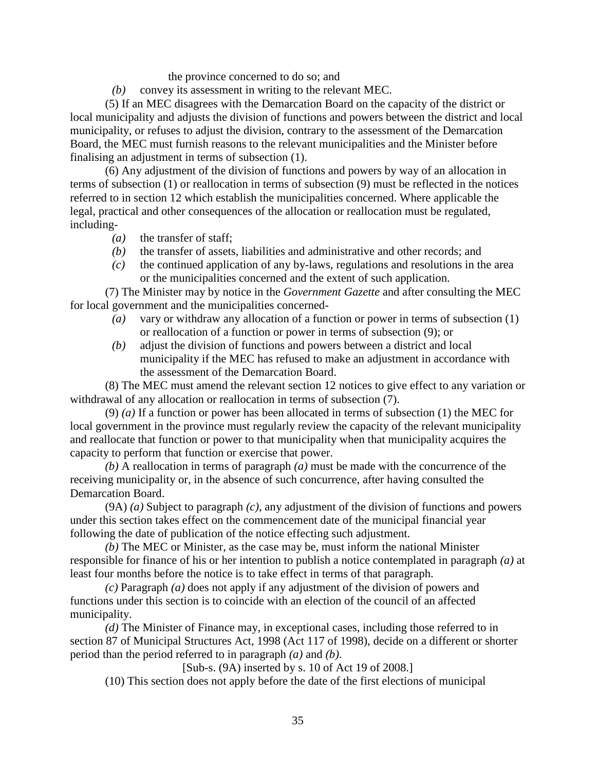the province concerned to do so; and

*(b)* convey its assessment in writing to the relevant MEC.

 (5) If an MEC disagrees with the Demarcation Board on the capacity of the district or local municipality and adjusts the division of functions and powers between the district and local municipality, or refuses to adjust the division, contrary to the assessment of the Demarcation Board, the MEC must furnish reasons to the relevant municipalities and the Minister before finalising an adjustment in terms of subsection (1).

 (6) Any adjustment of the division of functions and powers by way of an allocation in terms of subsection (1) or reallocation in terms of subsection (9) must be reflected in the notices referred to in section 12 which establish the municipalities concerned. Where applicable the legal, practical and other consequences of the allocation or reallocation must be regulated, including-

- *(a)* the transfer of staff;
- *(b)* the transfer of assets, liabilities and administrative and other records; and
- *(c)* the continued application of any by-laws, regulations and resolutions in the area or the municipalities concerned and the extent of such application.

 (7) The Minister may by notice in the *Government Gazette* and after consulting the MEC for local government and the municipalities concerned-

- *(a)* vary or withdraw any allocation of a function or power in terms of subsection (1) or reallocation of a function or power in terms of subsection (9); or
- *(b)* adjust the division of functions and powers between a district and local municipality if the MEC has refused to make an adjustment in accordance with the assessment of the Demarcation Board.

 (8) The MEC must amend the relevant section 12 notices to give effect to any variation or withdrawal of any allocation or reallocation in terms of subsection (7).

 (9) *(a)* If a function or power has been allocated in terms of subsection (1) the MEC for local government in the province must regularly review the capacity of the relevant municipality and reallocate that function or power to that municipality when that municipality acquires the capacity to perform that function or exercise that power.

*(b)* A reallocation in terms of paragraph *(a)* must be made with the concurrence of the receiving municipality or, in the absence of such concurrence, after having consulted the Demarcation Board.

 (9A) *(a)* Subject to paragraph *(c)*, any adjustment of the division of functions and powers under this section takes effect on the commencement date of the municipal financial year following the date of publication of the notice effecting such adjustment.

*(b)* The MEC or Minister, as the case may be, must inform the national Minister responsible for finance of his or her intention to publish a notice contemplated in paragraph *(a)* at least four months before the notice is to take effect in terms of that paragraph.

*(c)* Paragraph *(a)* does not apply if any adjustment of the division of powers and functions under this section is to coincide with an election of the council of an affected municipality.

*(d)* The Minister of Finance may, in exceptional cases, including those referred to in section 87 of Municipal Structures Act, 1998 (Act 117 of 1998), decide on a different or shorter period than the period referred to in paragraph *(a)* and *(b)*.

[Sub-s. (9A) inserted by s. 10 of Act 19 of 2008.]

(10) This section does not apply before the date of the first elections of municipal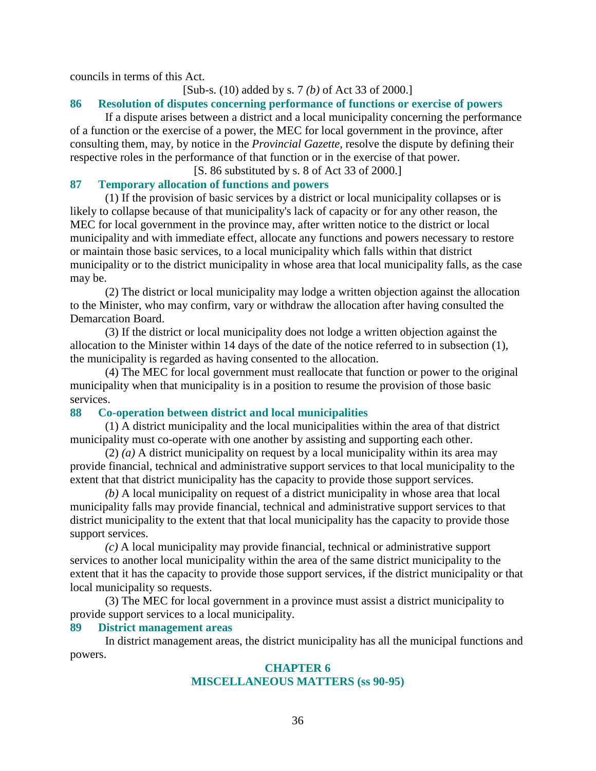councils in terms of this Act.

#### [Sub-s. (10) added by s. 7 *(b)* of Act 33 of 2000.]

#### **86 Resolution of disputes concerning performance of functions or exercise of powers**

 If a dispute arises between a district and a local municipality concerning the performance of a function or the exercise of a power, the MEC for local government in the province, after consulting them, may, by notice in the *Provincial Gazette*, resolve the dispute by defining their respective roles in the performance of that function or in the exercise of that power.

#### [S. 86 substituted by s. 8 of Act 33 of 2000.]

#### **87 Temporary allocation of functions and powers**

 (1) If the provision of basic services by a district or local municipality collapses or is likely to collapse because of that municipality's lack of capacity or for any other reason, the MEC for local government in the province may, after written notice to the district or local municipality and with immediate effect, allocate any functions and powers necessary to restore or maintain those basic services, to a local municipality which falls within that district municipality or to the district municipality in whose area that local municipality falls, as the case may be.

 (2) The district or local municipality may lodge a written objection against the allocation to the Minister, who may confirm, vary or withdraw the allocation after having consulted the Demarcation Board.

 (3) If the district or local municipality does not lodge a written objection against the allocation to the Minister within 14 days of the date of the notice referred to in subsection (1), the municipality is regarded as having consented to the allocation.

 (4) The MEC for local government must reallocate that function or power to the original municipality when that municipality is in a position to resume the provision of those basic services.

#### **88 Co-operation between district and local municipalities**

 (1) A district municipality and the local municipalities within the area of that district municipality must co-operate with one another by assisting and supporting each other.

 (2) *(a)* A district municipality on request by a local municipality within its area may provide financial, technical and administrative support services to that local municipality to the extent that that district municipality has the capacity to provide those support services.

*(b)* A local municipality on request of a district municipality in whose area that local municipality falls may provide financial, technical and administrative support services to that district municipality to the extent that that local municipality has the capacity to provide those support services.

*(c)* A local municipality may provide financial, technical or administrative support services to another local municipality within the area of the same district municipality to the extent that it has the capacity to provide those support services, if the district municipality or that local municipality so requests.

 (3) The MEC for local government in a province must assist a district municipality to provide support services to a local municipality.

#### **89 District management areas**

 In district management areas, the district municipality has all the municipal functions and powers.

## **CHAPTER 6 MISCELLANEOUS MATTERS (ss 90-95)**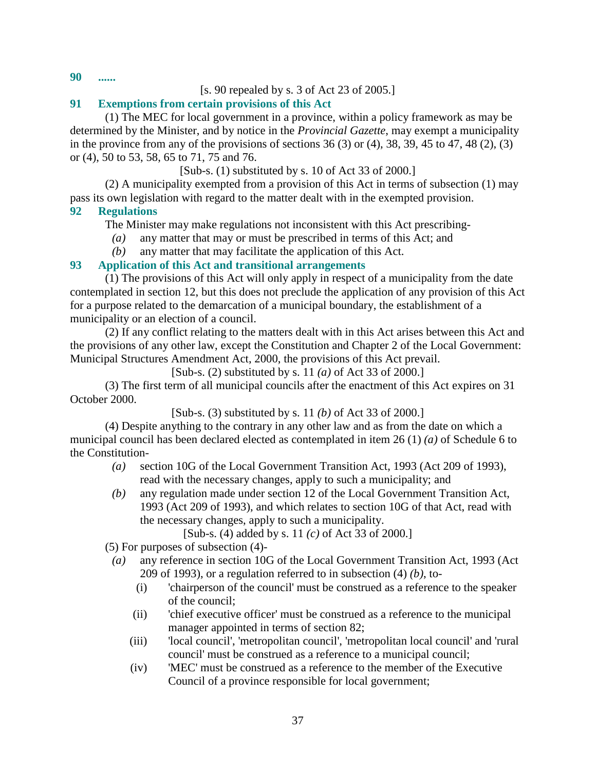**90 ......** 

# [s. 90 repealed by s. 3 of Act 23 of 2005.]

# **91 Exemptions from certain provisions of this Act**

 (1) The MEC for local government in a province, within a policy framework as may be determined by the Minister, and by notice in the *Provincial Gazette*, may exempt a municipality in the province from any of the provisions of sections  $36(3)$  or  $(4)$ ,  $38$ ,  $39$ ,  $45$  to  $47$ ,  $48(2)$ ,  $(3)$ or (4), 50 to 53, 58, 65 to 71, 75 and 76.

# [Sub-s. (1) substituted by s. 10 of Act 33 of 2000.]

 (2) A municipality exempted from a provision of this Act in terms of subsection (1) may pass its own legislation with regard to the matter dealt with in the exempted provision.

# **92 Regulations**

The Minister may make regulations not inconsistent with this Act prescribing-

- *(a)* any matter that may or must be prescribed in terms of this Act; and
- *(b)* any matter that may facilitate the application of this Act.

# **93 Application of this Act and transitional arrangements**

 (1) The provisions of this Act will only apply in respect of a municipality from the date contemplated in section 12, but this does not preclude the application of any provision of this Act for a purpose related to the demarcation of a municipal boundary, the establishment of a municipality or an election of a council.

 (2) If any conflict relating to the matters dealt with in this Act arises between this Act and the provisions of any other law, except the Constitution and Chapter 2 of the Local Government: Municipal Structures Amendment Act, 2000, the provisions of this Act prevail.

[Sub-s. (2) substituted by s. 11 *(a)* of Act 33 of 2000.]

 (3) The first term of all municipal councils after the enactment of this Act expires on 31 October 2000.

[Sub-s. (3) substituted by s. 11 *(b)* of Act 33 of 2000.]

 (4) Despite anything to the contrary in any other law and as from the date on which a municipal council has been declared elected as contemplated in item 26 (1) *(a)* of Schedule 6 to the Constitution-

- *(a)* section 10G of the Local Government Transition Act, 1993 (Act 209 of 1993), read with the necessary changes, apply to such a municipality; and
- *(b)* any regulation made under section 12 of the Local Government Transition Act, 1993 (Act 209 of 1993), and which relates to section 10G of that Act, read with the necessary changes, apply to such a municipality.

[Sub-s. (4) added by s. 11 *(c)* of Act 33 of 2000.]

(5) For purposes of subsection (4)-

- *(a)* any reference in section 10G of the Local Government Transition Act, 1993 (Act 209 of 1993), or a regulation referred to in subsection (4) *(b)*, to-
	- (i) 'chairperson of the council' must be construed as a reference to the speaker of the council;
	- (ii) 'chief executive officer' must be construed as a reference to the municipal manager appointed in terms of section 82;
	- (iii) 'local council', 'metropolitan council', 'metropolitan local council' and 'rural council' must be construed as a reference to a municipal council;
	- (iv) 'MEC' must be construed as a reference to the member of the Executive Council of a province responsible for local government;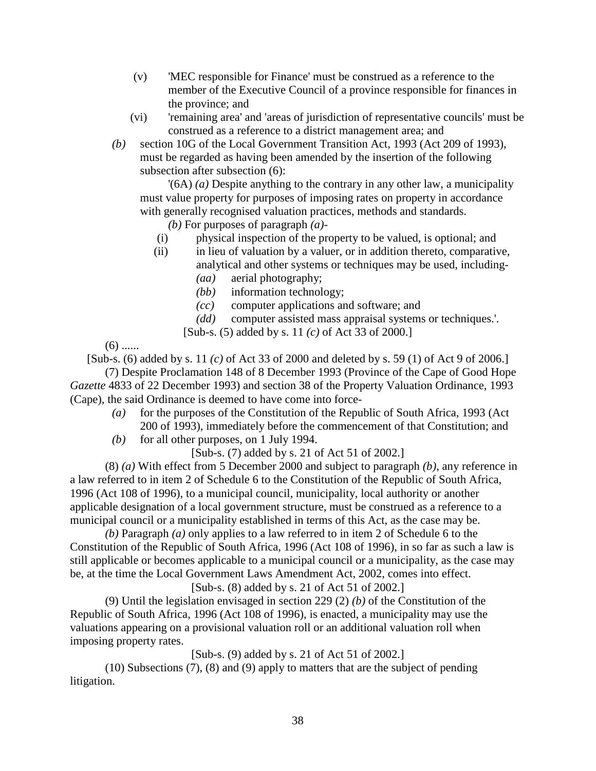- (v) 'MEC responsible for Finance' must be construed as a reference to the member of the Executive Council of a province responsible for finances in the province; and
- (vi) 'remaining area' and 'areas of jurisdiction of representative councils' must be construed as a reference to a district management area; and
- *(b)* section 10G of the Local Government Transition Act, 1993 (Act 209 of 1993), must be regarded as having been amended by the insertion of the following subsection after subsection (6):

 '(6A) *(a)* Despite anything to the contrary in any other law, a municipality must value property for purposes of imposing rates on property in accordance with generally recognised valuation practices, methods and standards.

*(b)* For purposes of paragraph *(a)*-

- (i) physical inspection of the property to be valued, is optional; and
- (ii) in lieu of valuation by a valuer, or in addition thereto, comparative, analytical and other systems or techniques may be used, including-
	- *(aa)* aerial photography;
	- *(bb)* information technology;
	- *(cc)* computer applications and software; and
	- *(dd)* computer assisted mass appraisal systems or techniques.'.
	- [Sub-s. (5) added by s. 11 *(c)* of Act 33 of 2000.]

 $(6)$  ......

[Sub-s. (6) added by s. 11 *(c)* of Act 33 of 2000 and deleted by s. 59 (1) of Act 9 of 2006.] (7) Despite Proclamation 148 of 8 December 1993 (Province of the Cape of Good Hope

*Gazette* 4833 of 22 December 1993) and section 38 of the Property Valuation Ordinance, 1993 (Cape), the said Ordinance is deemed to have come into force-

- *(a)* for the purposes of the Constitution of the Republic of South Africa, 1993 (Act 200 of 1993), immediately before the commencement of that Constitution; and
- *(b)* for all other purposes, on 1 July 1994.

[Sub-s. (7) added by s. 21 of Act 51 of 2002.]

 (8) *(a)* With effect from 5 December 2000 and subject to paragraph *(b)*, any reference in a law referred to in item 2 of Schedule 6 to the Constitution of the Republic of South Africa, 1996 (Act 108 of 1996), to a municipal council, municipality, local authority or another applicable designation of a local government structure, must be construed as a reference to a municipal council or a municipality established in terms of this Act, as the case may be.

*(b)* Paragraph *(a)* only applies to a law referred to in item 2 of Schedule 6 to the Constitution of the Republic of South Africa, 1996 (Act 108 of 1996), in so far as such a law is still applicable or becomes applicable to a municipal council or a municipality, as the case may be, at the time the Local Government Laws Amendment Act, 2002, comes into effect.

### [Sub-s. (8) added by s. 21 of Act 51 of 2002.]

 (9) Until the legislation envisaged in section 229 (2) *(b)* of the Constitution of the Republic of South Africa, 1996 (Act 108 of 1996), is enacted, a municipality may use the valuations appearing on a provisional valuation roll or an additional valuation roll when imposing property rates.

[Sub-s. (9) added by s. 21 of Act 51 of 2002.]

 (10) Subsections (7), (8) and (9) apply to matters that are the subject of pending litigation.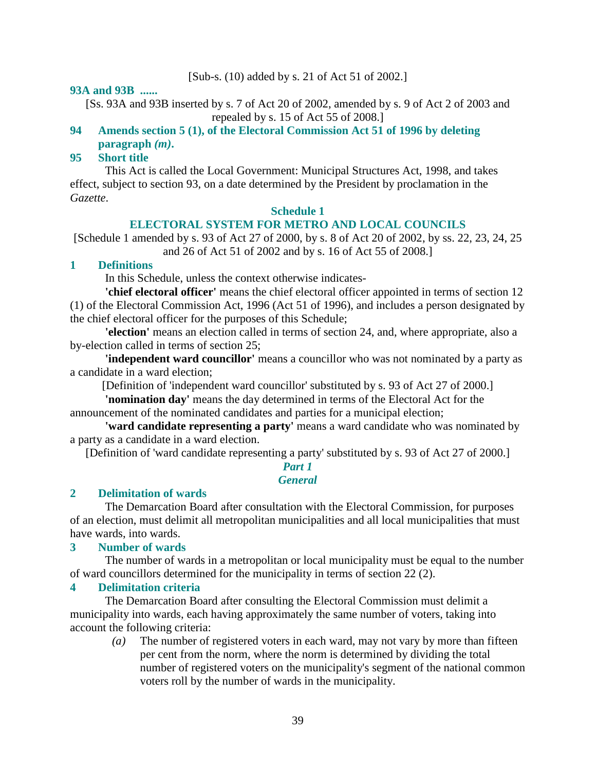# [Sub-s. (10) added by s. 21 of Act 51 of 2002.]

#### **93A and 93B ......**

[Ss. 93A and 93B inserted by s. 7 of Act 20 of 2002, amended by s. 9 of Act 2 of 2003 and repealed by s. 15 of Act 55 of 2008.]

# **94 Amends section 5 (1), of the Electoral Commission Act 51 of 1996 by deleting paragraph** *(m)***.**

# **95 Short title**

 This Act is called the Local Government: Municipal Structures Act, 1998, and takes effect, subject to section 93, on a date determined by the President by proclamation in the *Gazette*.

#### **Schedule 1**

### **ELECTORAL SYSTEM FOR METRO AND LOCAL COUNCILS**

[Schedule 1 amended by s. 93 of Act 27 of 2000, by s. 8 of Act 20 of 2002, by ss. 22, 23, 24, 25 and 26 of Act 51 of 2002 and by s. 16 of Act 55 of 2008.]

### **1 Definitions**

In this Schedule, unless the context otherwise indicates-

**'chief electoral officer'** means the chief electoral officer appointed in terms of section 12 (1) of the Electoral Commission Act, 1996 (Act 51 of 1996), and includes a person designated by the chief electoral officer for the purposes of this Schedule;

**'election'** means an election called in terms of section 24, and, where appropriate, also a by-election called in terms of section 25;

**'independent ward councillor'** means a councillor who was not nominated by a party as a candidate in a ward election;

[Definition of 'independent ward councillor' substituted by s. 93 of Act 27 of 2000.]

**'nomination day'** means the day determined in terms of the Electoral Act for the announcement of the nominated candidates and parties for a municipal election;

**'ward candidate representing a party'** means a ward candidate who was nominated by a party as a candidate in a ward election.

[Definition of 'ward candidate representing a party' substituted by s. 93 of Act 27 of 2000.]

#### *Part 1 General*

#### **2 Delimitation of wards**

 The Demarcation Board after consultation with the Electoral Commission, for purposes of an election, must delimit all metropolitan municipalities and all local municipalities that must have wards, into wards.

#### **3 Number of wards**

 The number of wards in a metropolitan or local municipality must be equal to the number of ward councillors determined for the municipality in terms of section 22 (2).

#### **4 Delimitation criteria**

 The Demarcation Board after consulting the Electoral Commission must delimit a municipality into wards, each having approximately the same number of voters, taking into account the following criteria:

 *(a)* The number of registered voters in each ward, may not vary by more than fifteen per cent from the norm, where the norm is determined by dividing the total number of registered voters on the municipality's segment of the national common voters roll by the number of wards in the municipality.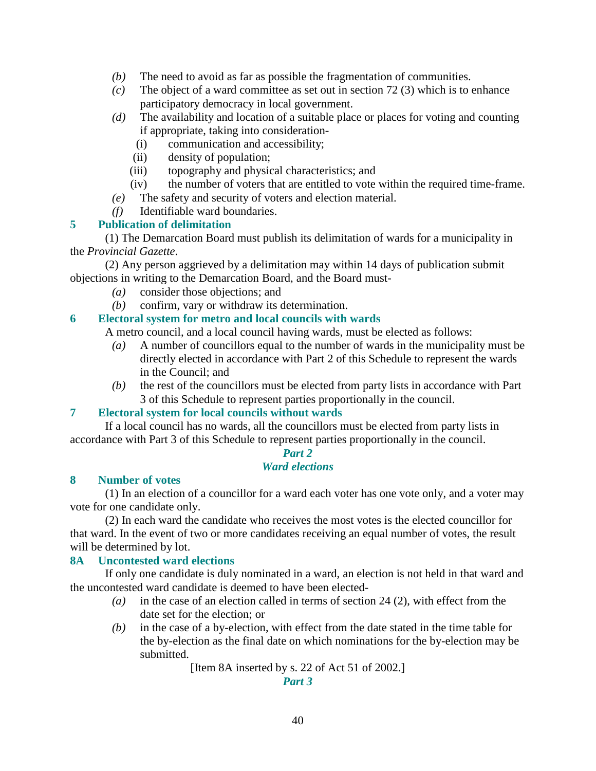- *(b)* The need to avoid as far as possible the fragmentation of communities.
- *(c)* The object of a ward committee as set out in section 72 (3) which is to enhance participatory democracy in local government.
- *(d)* The availability and location of a suitable place or places for voting and counting if appropriate, taking into consideration-
	- (i) communication and accessibility;
	- (ii) density of population;
	- (iii) topography and physical characteristics; and
	- (iv) the number of voters that are entitled to vote within the required time-frame.
- *(e)* The safety and security of voters and election material.
- *(f)* Identifiable ward boundaries.

# **5 Publication of delimitation**

 (1) The Demarcation Board must publish its delimitation of wards for a municipality in the *Provincial Gazette*.

 (2) Any person aggrieved by a delimitation may within 14 days of publication submit objections in writing to the Demarcation Board, and the Board must-

- *(a)* consider those objections; and
- *(b)* confirm, vary or withdraw its determination.

# **6 Electoral system for metro and local councils with wards**

A metro council, and a local council having wards, must be elected as follows:

- *(a)* A number of councillors equal to the number of wards in the municipality must be directly elected in accordance with Part 2 of this Schedule to represent the wards in the Council; and
- *(b)* the rest of the councillors must be elected from party lists in accordance with Part 3 of this Schedule to represent parties proportionally in the council.

# **7 Electoral system for local councils without wards**

 If a local council has no wards, all the councillors must be elected from party lists in accordance with Part 3 of this Schedule to represent parties proportionally in the council.

# *Part 2*

# *Ward elections*

### **8 Number of votes**

 (1) In an election of a councillor for a ward each voter has one vote only, and a voter may vote for one candidate only.

 (2) In each ward the candidate who receives the most votes is the elected councillor for that ward. In the event of two or more candidates receiving an equal number of votes, the result will be determined by lot.

# **8A Uncontested ward elections**

 If only one candidate is duly nominated in a ward, an election is not held in that ward and the uncontested ward candidate is deemed to have been elected-

- *(a)* in the case of an election called in terms of section 24 (2), with effect from the date set for the election; or
- *(b)* in the case of a by-election, with effect from the date stated in the time table for the by-election as the final date on which nominations for the by-election may be submitted.

[Item 8A inserted by s. 22 of Act 51 of 2002.]

*Part 3*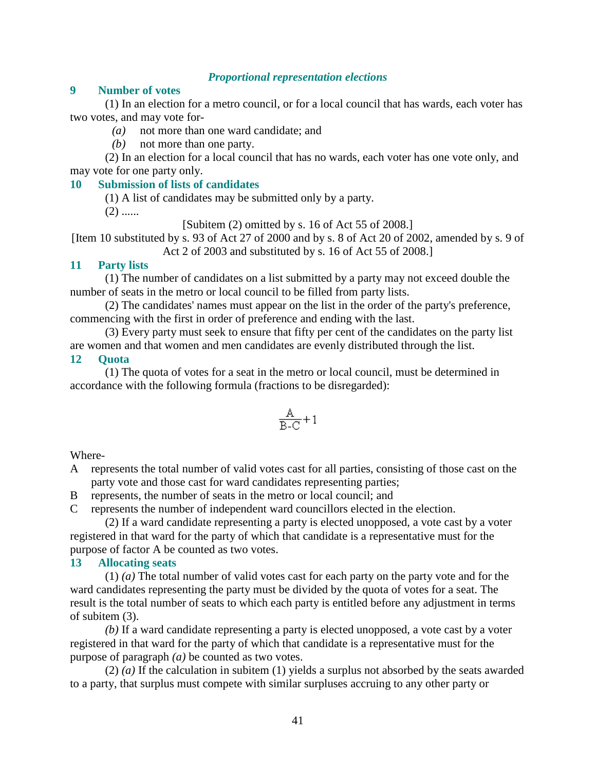### *Proportional representation elections*

#### **9 Number of votes**

 (1) In an election for a metro council, or for a local council that has wards, each voter has two votes, and may vote for-

- *(a)* not more than one ward candidate; and
- *(b)* not more than one party.

 (2) In an election for a local council that has no wards, each voter has one vote only, and may vote for one party only.

### **10 Submission of lists of candidates**

(1) A list of candidates may be submitted only by a party.

 $(2)$  ......

[Subitem (2) omitted by s. 16 of Act 55 of 2008.]

[Item 10 substituted by s. 93 of Act 27 of 2000 and by s. 8 of Act 20 of 2002, amended by s. 9 of Act 2 of 2003 and substituted by s. 16 of Act 55 of 2008.]

#### **11 Party lists**

 (1) The number of candidates on a list submitted by a party may not exceed double the number of seats in the metro or local council to be filled from party lists.

 (2) The candidates' names must appear on the list in the order of the party's preference, commencing with the first in order of preference and ending with the last.

 (3) Every party must seek to ensure that fifty per cent of the candidates on the party list are women and that women and men candidates are evenly distributed through the list.

#### **12 Quota**

 (1) The quota of votes for a seat in the metro or local council, must be determined in accordance with the following formula (fractions to be disregarded):

$$
\frac{A}{B-C} + 1
$$

Where-

A represents the total number of valid votes cast for all parties, consisting of those cast on the party vote and those cast for ward candidates representing parties;

B represents, the number of seats in the metro or local council; and

C represents the number of independent ward councillors elected in the election.

 (2) If a ward candidate representing a party is elected unopposed, a vote cast by a voter registered in that ward for the party of which that candidate is a representative must for the purpose of factor A be counted as two votes.

### **13 Allocating seats**

 (1) *(a)* The total number of valid votes cast for each party on the party vote and for the ward candidates representing the party must be divided by the quota of votes for a seat. The result is the total number of seats to which each party is entitled before any adjustment in terms of subitem (3).

*(b)* If a ward candidate representing a party is elected unopposed, a vote cast by a voter registered in that ward for the party of which that candidate is a representative must for the purpose of paragraph *(a)* be counted as two votes.

 (2) *(a)* If the calculation in subitem (1) yields a surplus not absorbed by the seats awarded to a party, that surplus must compete with similar surpluses accruing to any other party or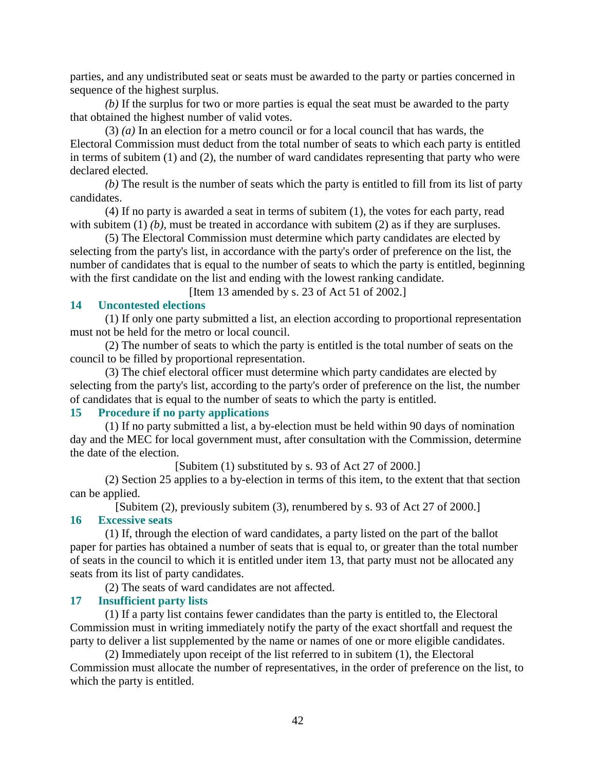parties, and any undistributed seat or seats must be awarded to the party or parties concerned in sequence of the highest surplus.

*(b)* If the surplus for two or more parties is equal the seat must be awarded to the party that obtained the highest number of valid votes.

 (3) *(a)* In an election for a metro council or for a local council that has wards, the Electoral Commission must deduct from the total number of seats to which each party is entitled in terms of subitem (1) and (2), the number of ward candidates representing that party who were declared elected.

*(b)* The result is the number of seats which the party is entitled to fill from its list of party candidates.

 (4) If no party is awarded a seat in terms of subitem (1), the votes for each party, read with subitem (1) *(b)*, must be treated in accordance with subitem (2) as if they are surpluses.

 (5) The Electoral Commission must determine which party candidates are elected by selecting from the party's list, in accordance with the party's order of preference on the list, the number of candidates that is equal to the number of seats to which the party is entitled, beginning with the first candidate on the list and ending with the lowest ranking candidate.

[Item 13 amended by s. 23 of Act 51 of 2002.]

### **14 Uncontested elections**

 (1) If only one party submitted a list, an election according to proportional representation must not be held for the metro or local council.

 (2) The number of seats to which the party is entitled is the total number of seats on the council to be filled by proportional representation.

 (3) The chief electoral officer must determine which party candidates are elected by selecting from the party's list, according to the party's order of preference on the list, the number of candidates that is equal to the number of seats to which the party is entitled.

# **15 Procedure if no party applications**

 (1) If no party submitted a list, a by-election must be held within 90 days of nomination day and the MEC for local government must, after consultation with the Commission, determine the date of the election.

[Subitem (1) substituted by s. 93 of Act 27 of 2000.]

 (2) Section 25 applies to a by-election in terms of this item, to the extent that that section can be applied.

[Subitem (2), previously subitem (3), renumbered by s. 93 of Act 27 of 2000.]

### **16 Excessive seats**

 (1) If, through the election of ward candidates, a party listed on the part of the ballot paper for parties has obtained a number of seats that is equal to, or greater than the total number of seats in the council to which it is entitled under item 13, that party must not be allocated any seats from its list of party candidates.

(2) The seats of ward candidates are not affected.

### **17 Insufficient party lists**

 (1) If a party list contains fewer candidates than the party is entitled to, the Electoral Commission must in writing immediately notify the party of the exact shortfall and request the party to deliver a list supplemented by the name or names of one or more eligible candidates.

 (2) Immediately upon receipt of the list referred to in subitem (1), the Electoral Commission must allocate the number of representatives, in the order of preference on the list, to which the party is entitled.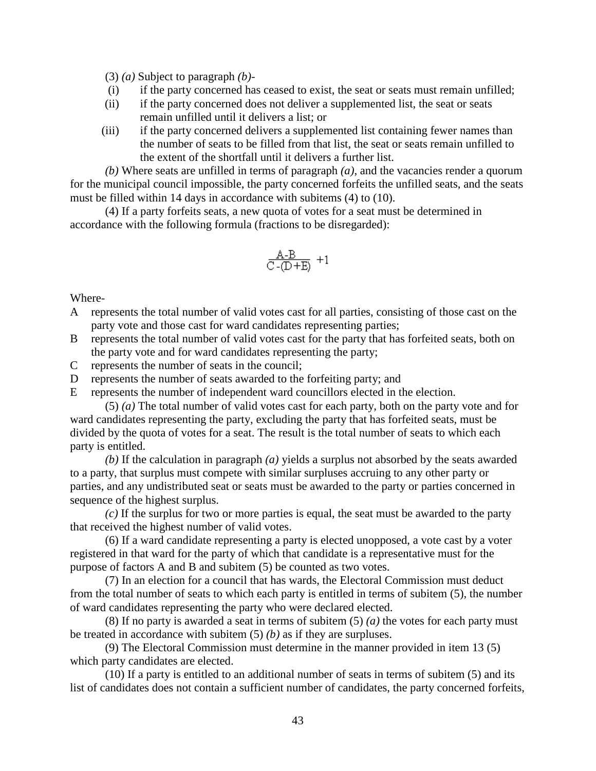(3) *(a)* Subject to paragraph *(b)*-

- (i) if the party concerned has ceased to exist, the seat or seats must remain unfilled;
- (ii) if the party concerned does not deliver a supplemented list, the seat or seats remain unfilled until it delivers a list; or
- (iii) if the party concerned delivers a supplemented list containing fewer names than the number of seats to be filled from that list, the seat or seats remain unfilled to the extent of the shortfall until it delivers a further list.

*(b)* Where seats are unfilled in terms of paragraph *(a)*, and the vacancies render a quorum for the municipal council impossible, the party concerned forfeits the unfilled seats, and the seats must be filled within 14 days in accordance with subitems (4) to (10).

 (4) If a party forfeits seats, a new quota of votes for a seat must be determined in accordance with the following formula (fractions to be disregarded):

$$
\tfrac{A-B}{C-(D+E)}\ +1
$$

Where-

- A represents the total number of valid votes cast for all parties, consisting of those cast on the party vote and those cast for ward candidates representing parties;
- B represents the total number of valid votes cast for the party that has forfeited seats, both on the party vote and for ward candidates representing the party;
- C represents the number of seats in the council;
- D represents the number of seats awarded to the forfeiting party; and
- E represents the number of independent ward councillors elected in the election.

 (5) *(a)* The total number of valid votes cast for each party, both on the party vote and for ward candidates representing the party, excluding the party that has forfeited seats, must be divided by the quota of votes for a seat. The result is the total number of seats to which each party is entitled.

*(b)* If the calculation in paragraph *(a)* yields a surplus not absorbed by the seats awarded to a party, that surplus must compete with similar surpluses accruing to any other party or parties, and any undistributed seat or seats must be awarded to the party or parties concerned in sequence of the highest surplus.

*(c)* If the surplus for two or more parties is equal, the seat must be awarded to the party that received the highest number of valid votes.

 (6) If a ward candidate representing a party is elected unopposed, a vote cast by a voter registered in that ward for the party of which that candidate is a representative must for the purpose of factors A and B and subitem (5) be counted as two votes.

 (7) In an election for a council that has wards, the Electoral Commission must deduct from the total number of seats to which each party is entitled in terms of subitem (5), the number of ward candidates representing the party who were declared elected.

 (8) If no party is awarded a seat in terms of subitem (5) *(a)* the votes for each party must be treated in accordance with subitem (5) *(b)* as if they are surpluses.

 (9) The Electoral Commission must determine in the manner provided in item 13 (5) which party candidates are elected.

 (10) If a party is entitled to an additional number of seats in terms of subitem (5) and its list of candidates does not contain a sufficient number of candidates, the party concerned forfeits,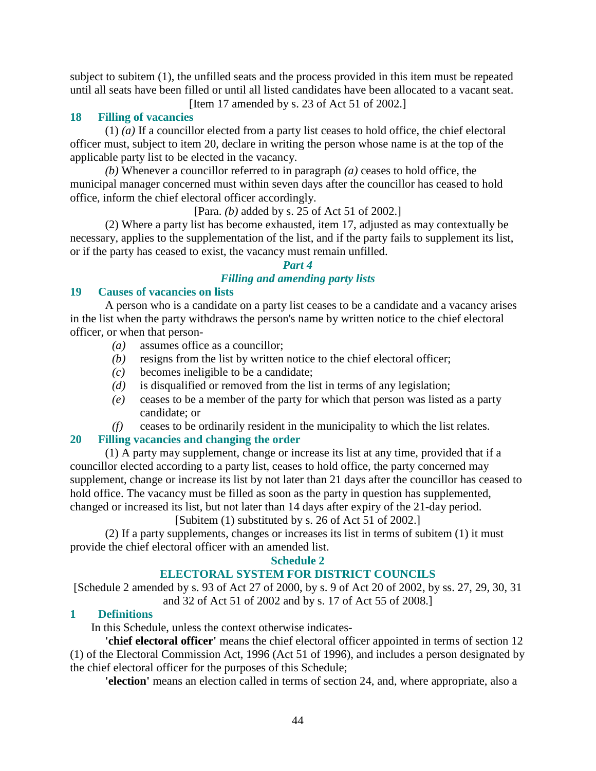subject to subitem (1), the unfilled seats and the process provided in this item must be repeated until all seats have been filled or until all listed candidates have been allocated to a vacant seat.

[Item 17 amended by s. 23 of Act 51 of 2002.]

# **18 Filling of vacancies**

 (1) *(a)* If a councillor elected from a party list ceases to hold office, the chief electoral officer must, subject to item 20, declare in writing the person whose name is at the top of the applicable party list to be elected in the vacancy.

*(b)* Whenever a councillor referred to in paragraph *(a)* ceases to hold office, the municipal manager concerned must within seven days after the councillor has ceased to hold office, inform the chief electoral officer accordingly.

[Para. *(b)* added by s. 25 of Act 51 of 2002.]

 (2) Where a party list has become exhausted, item 17, adjusted as may contextually be necessary, applies to the supplementation of the list, and if the party fails to supplement its list, or if the party has ceased to exist, the vacancy must remain unfilled.

### *Part 4*

# *Filling and amending party lists*

# **19 Causes of vacancies on lists**

 A person who is a candidate on a party list ceases to be a candidate and a vacancy arises in the list when the party withdraws the person's name by written notice to the chief electoral officer, or when that person-

- *(a)* assumes office as a councillor;
- *(b)* resigns from the list by written notice to the chief electoral officer;
- *(c)* becomes ineligible to be a candidate;
- *(d)* is disqualified or removed from the list in terms of any legislation;
- *(e)* ceases to be a member of the party for which that person was listed as a party candidate; or
- *(f)* ceases to be ordinarily resident in the municipality to which the list relates.

# **20 Filling vacancies and changing the order**

 (1) A party may supplement, change or increase its list at any time, provided that if a councillor elected according to a party list, ceases to hold office, the party concerned may supplement, change or increase its list by not later than 21 days after the councillor has ceased to hold office. The vacancy must be filled as soon as the party in question has supplemented, changed or increased its list, but not later than 14 days after expiry of the 21-day period.

# [Subitem (1) substituted by s. 26 of Act 51 of 2002.]

 (2) If a party supplements, changes or increases its list in terms of subitem (1) it must provide the chief electoral officer with an amended list.

### **Schedule 2**

# **ELECTORAL SYSTEM FOR DISTRICT COUNCILS**

[Schedule 2 amended by s. 93 of Act 27 of 2000, by s. 9 of Act 20 of 2002, by ss. 27, 29, 30, 31 and 32 of Act 51 of 2002 and by s. 17 of Act 55 of 2008.]

# **1 Definitions**

In this Schedule, unless the context otherwise indicates-

**'chief electoral officer'** means the chief electoral officer appointed in terms of section 12 (1) of the Electoral Commission Act, 1996 (Act 51 of 1996), and includes a person designated by the chief electoral officer for the purposes of this Schedule;

**'election'** means an election called in terms of section 24, and, where appropriate, also a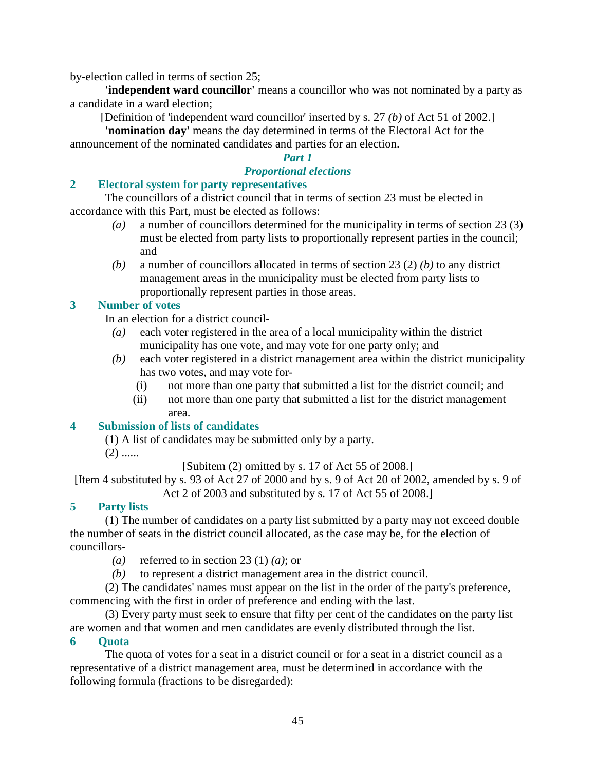by-election called in terms of section 25;

**'independent ward councillor'** means a councillor who was not nominated by a party as a candidate in a ward election;

[Definition of 'independent ward councillor' inserted by s. 27 *(b)* of Act 51 of 2002.]

**'nomination day'** means the day determined in terms of the Electoral Act for the announcement of the nominated candidates and parties for an election.

### *Part 1*

# *Proportional elections*

# **2 Electoral system for party representatives**

 The councillors of a district council that in terms of section 23 must be elected in accordance with this Part, must be elected as follows:

- *(a)* a number of councillors determined for the municipality in terms of section 23 (3) must be elected from party lists to proportionally represent parties in the council; and
- *(b)* a number of councillors allocated in terms of section 23 (2) *(b)* to any district management areas in the municipality must be elected from party lists to proportionally represent parties in those areas.

# **3 Number of votes**

In an election for a district council-

- *(a)* each voter registered in the area of a local municipality within the district municipality has one vote, and may vote for one party only; and
- *(b)* each voter registered in a district management area within the district municipality has two votes, and may vote for-
	- (i) not more than one party that submitted a list for the district council; and
	- (ii) not more than one party that submitted a list for the district management area.

# **4 Submission of lists of candidates**

(1) A list of candidates may be submitted only by a party.

 $(2)$  ......

[Subitem (2) omitted by s. 17 of Act 55 of 2008.]

[Item 4 substituted by s. 93 of Act 27 of 2000 and by s. 9 of Act 20 of 2002, amended by s. 9 of Act 2 of 2003 and substituted by s. 17 of Act 55 of 2008.]

# **5 Party lists**

 (1) The number of candidates on a party list submitted by a party may not exceed double the number of seats in the district council allocated, as the case may be, for the election of councillors-

- *(a)* referred to in section 23 (1) *(a)*; or
- *(b)* to represent a district management area in the district council.

 (2) The candidates' names must appear on the list in the order of the party's preference, commencing with the first in order of preference and ending with the last.

 (3) Every party must seek to ensure that fifty per cent of the candidates on the party list are women and that women and men candidates are evenly distributed through the list.

### **6 Quota**

 The quota of votes for a seat in a district council or for a seat in a district council as a representative of a district management area, must be determined in accordance with the following formula (fractions to be disregarded):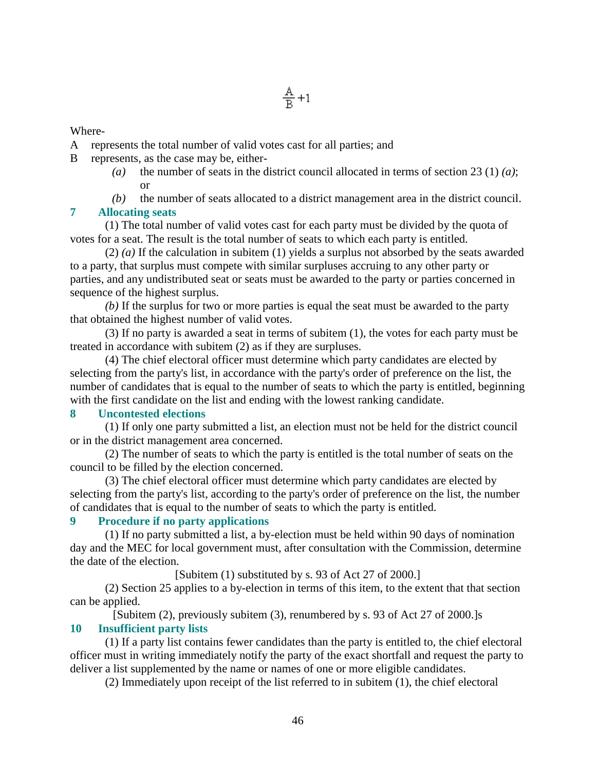Where-

- A represents the total number of valid votes cast for all parties; and
- B represents, as the case may be, either-
	- *(a)* the number of seats in the district council allocated in terms of section 23 (1) *(a)*; or
	- *(b)* the number of seats allocated to a district management area in the district council.

### **7 Allocating seats**

 (1) The total number of valid votes cast for each party must be divided by the quota of votes for a seat. The result is the total number of seats to which each party is entitled.

 (2) *(a)* If the calculation in subitem (1) yields a surplus not absorbed by the seats awarded to a party, that surplus must compete with similar surpluses accruing to any other party or parties, and any undistributed seat or seats must be awarded to the party or parties concerned in sequence of the highest surplus.

*(b)* If the surplus for two or more parties is equal the seat must be awarded to the party that obtained the highest number of valid votes.

 (3) If no party is awarded a seat in terms of subitem (1), the votes for each party must be treated in accordance with subitem (2) as if they are surpluses.

 (4) The chief electoral officer must determine which party candidates are elected by selecting from the party's list, in accordance with the party's order of preference on the list, the number of candidates that is equal to the number of seats to which the party is entitled, beginning with the first candidate on the list and ending with the lowest ranking candidate.

### **8 Uncontested elections**

 (1) If only one party submitted a list, an election must not be held for the district council or in the district management area concerned.

 (2) The number of seats to which the party is entitled is the total number of seats on the council to be filled by the election concerned.

 (3) The chief electoral officer must determine which party candidates are elected by selecting from the party's list, according to the party's order of preference on the list, the number of candidates that is equal to the number of seats to which the party is entitled.

### **9 Procedure if no party applications**

 (1) If no party submitted a list, a by-election must be held within 90 days of nomination day and the MEC for local government must, after consultation with the Commission, determine the date of the election.

[Subitem (1) substituted by s. 93 of Act 27 of 2000.]

 (2) Section 25 applies to a by-election in terms of this item, to the extent that that section can be applied.

[Subitem (2), previously subitem (3), renumbered by s. 93 of Act 27 of 2000.]s **10 Insufficient party lists** 

 (1) If a party list contains fewer candidates than the party is entitled to, the chief electoral officer must in writing immediately notify the party of the exact shortfall and request the party to deliver a list supplemented by the name or names of one or more eligible candidates.

(2) Immediately upon receipt of the list referred to in subitem (1), the chief electoral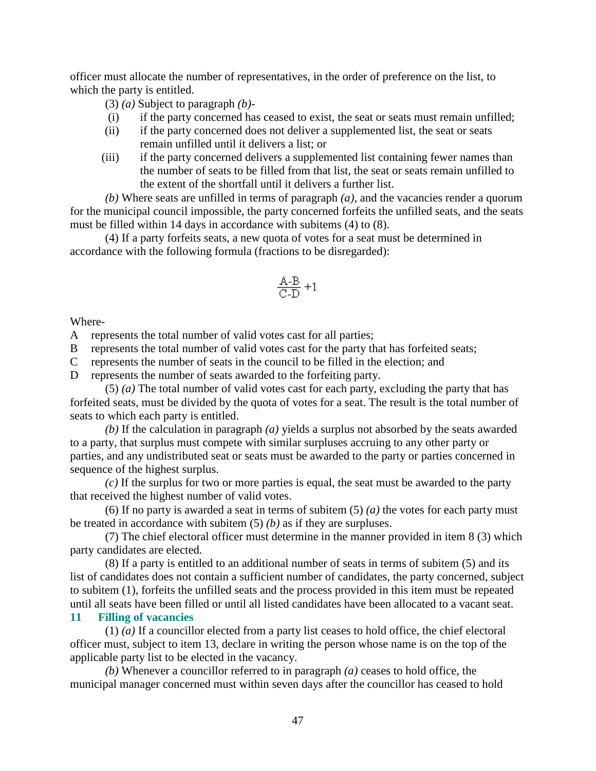officer must allocate the number of representatives, in the order of preference on the list, to which the party is entitled.

(3) *(a)* Subject to paragraph *(b)*-

- (i) if the party concerned has ceased to exist, the seat or seats must remain unfilled;
- (ii) if the party concerned does not deliver a supplemented list, the seat or seats remain unfilled until it delivers a list; or
- (iii) if the party concerned delivers a supplemented list containing fewer names than the number of seats to be filled from that list, the seat or seats remain unfilled to the extent of the shortfall until it delivers a further list.

*(b)* Where seats are unfilled in terms of paragraph *(a)*, and the vacancies render a quorum for the municipal council impossible, the party concerned forfeits the unfilled seats, and the seats must be filled within 14 days in accordance with subitems (4) to (8).

 (4) If a party forfeits seats, a new quota of votes for a seat must be determined in accordance with the following formula (fractions to be disregarded):

$$
\frac{\text{A-B}}{\text{C-D}}+1
$$

#### Where-

A represents the total number of valid votes cast for all parties;

B represents the total number of valid votes cast for the party that has forfeited seats;

C represents the number of seats in the council to be filled in the election; and

D represents the number of seats awarded to the forfeiting party.

 (5) *(a)* The total number of valid votes cast for each party, excluding the party that has forfeited seats, must be divided by the quota of votes for a seat. The result is the total number of seats to which each party is entitled.

*(b)* If the calculation in paragraph *(a)* yields a surplus not absorbed by the seats awarded to a party, that surplus must compete with similar surpluses accruing to any other party or parties, and any undistributed seat or seats must be awarded to the party or parties concerned in sequence of the highest surplus.

*(c)* If the surplus for two or more parties is equal, the seat must be awarded to the party that received the highest number of valid votes.

(6) If no party is awarded a seat in terms of subitem  $(5)$   $(a)$  the votes for each party must be treated in accordance with subitem (5) *(b)* as if they are surpluses.

 (7) The chief electoral officer must determine in the manner provided in item 8 (3) which party candidates are elected.

 (8) If a party is entitled to an additional number of seats in terms of subitem (5) and its list of candidates does not contain a sufficient number of candidates, the party concerned, subject to subitem (1), forfeits the unfilled seats and the process provided in this item must be repeated until all seats have been filled or until all listed candidates have been allocated to a vacant seat.

# **11 Filling of vacancies**

 (1) *(a)* If a councillor elected from a party list ceases to hold office, the chief electoral officer must, subject to item 13, declare in writing the person whose name is on the top of the applicable party list to be elected in the vacancy.

*(b)* Whenever a councillor referred to in paragraph *(a)* ceases to hold office, the municipal manager concerned must within seven days after the councillor has ceased to hold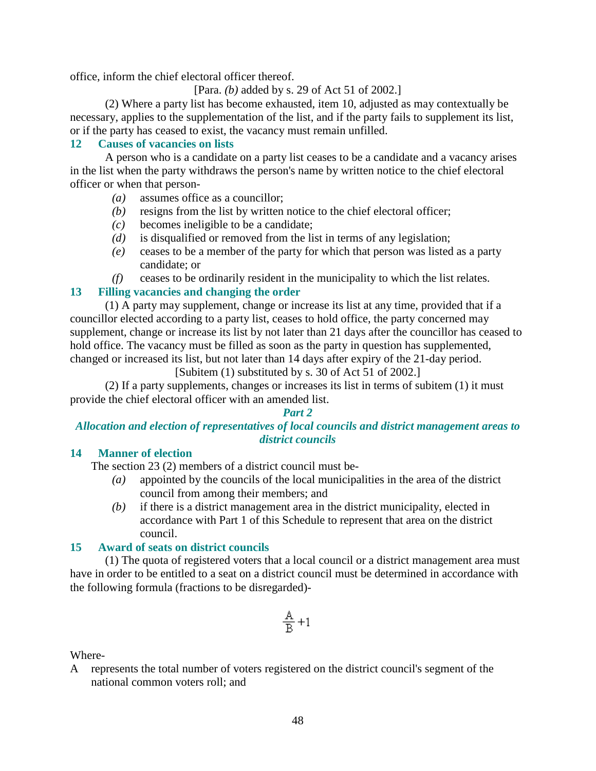office, inform the chief electoral officer thereof.

[Para. *(b)* added by s. 29 of Act 51 of 2002.]

 (2) Where a party list has become exhausted, item 10, adjusted as may contextually be necessary, applies to the supplementation of the list, and if the party fails to supplement its list, or if the party has ceased to exist, the vacancy must remain unfilled.

# **12 Causes of vacancies on lists**

 A person who is a candidate on a party list ceases to be a candidate and a vacancy arises in the list when the party withdraws the person's name by written notice to the chief electoral officer or when that person-

- *(a)* assumes office as a councillor;
- *(b)* resigns from the list by written notice to the chief electoral officer;
- *(c)* becomes ineligible to be a candidate;
- *(d)* is disqualified or removed from the list in terms of any legislation;
- *(e)* ceases to be a member of the party for which that person was listed as a party candidate; or
- *(f)* ceases to be ordinarily resident in the municipality to which the list relates.

# **13 Filling vacancies and changing the order**

 (1) A party may supplement, change or increase its list at any time, provided that if a councillor elected according to a party list, ceases to hold office, the party concerned may supplement, change or increase its list by not later than 21 days after the councillor has ceased to hold office. The vacancy must be filled as soon as the party in question has supplemented, changed or increased its list, but not later than 14 days after expiry of the 21-day period.

[Subitem (1) substituted by s. 30 of Act 51 of 2002.]

 (2) If a party supplements, changes or increases its list in terms of subitem (1) it must provide the chief electoral officer with an amended list.

### *Part 2*

# *Allocation and election of representatives of local councils and district management areas to district councils*

### **14 Manner of election**

The section 23 (2) members of a district council must be-

- *(a)* appointed by the councils of the local municipalities in the area of the district council from among their members; and
- *(b)* if there is a district management area in the district municipality, elected in accordance with Part 1 of this Schedule to represent that area on the district council.

### **15 Award of seats on district councils**

 (1) The quota of registered voters that a local council or a district management area must have in order to be entitled to a seat on a district council must be determined in accordance with the following formula (fractions to be disregarded)-

$$
\frac{\mathbb{A}}{\mathbb{B}}\!+\!1
$$

Where-

A represents the total number of voters registered on the district council's segment of the national common voters roll; and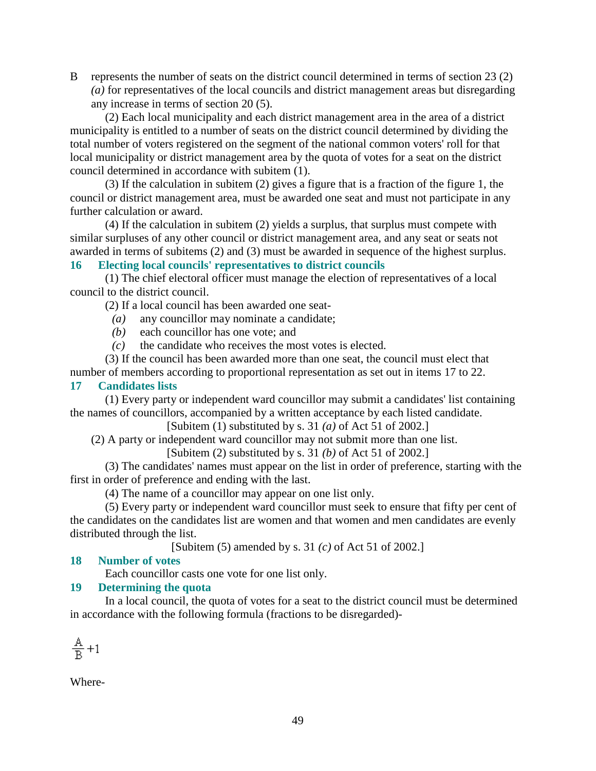B represents the number of seats on the district council determined in terms of section 23 (2) *(a)* for representatives of the local councils and district management areas but disregarding any increase in terms of section 20 (5).

 (2) Each local municipality and each district management area in the area of a district municipality is entitled to a number of seats on the district council determined by dividing the total number of voters registered on the segment of the national common voters' roll for that local municipality or district management area by the quota of votes for a seat on the district council determined in accordance with subitem (1).

 (3) If the calculation in subitem (2) gives a figure that is a fraction of the figure 1, the council or district management area, must be awarded one seat and must not participate in any further calculation or award.

 (4) If the calculation in subitem (2) yields a surplus, that surplus must compete with similar surpluses of any other council or district management area, and any seat or seats not awarded in terms of subitems (2) and (3) must be awarded in sequence of the highest surplus.

# **16 Electing local councils' representatives to district councils**

 (1) The chief electoral officer must manage the election of representatives of a local council to the district council.

(2) If a local council has been awarded one seat-

- *(a)* any councillor may nominate a candidate;
- *(b)* each councillor has one vote; and
- *(c)* the candidate who receives the most votes is elected.

 (3) If the council has been awarded more than one seat, the council must elect that number of members according to proportional representation as set out in items 17 to 22.

# **17 Candidates lists**

 (1) Every party or independent ward councillor may submit a candidates' list containing the names of councillors, accompanied by a written acceptance by each listed candidate.

[Subitem (1) substituted by s. 31 *(a)* of Act 51 of 2002.]

(2) A party or independent ward councillor may not submit more than one list.

[Subitem (2) substituted by s. 31 *(b)* of Act 51 of 2002.]

 (3) The candidates' names must appear on the list in order of preference, starting with the first in order of preference and ending with the last.

(4) The name of a councillor may appear on one list only.

 (5) Every party or independent ward councillor must seek to ensure that fifty per cent of the candidates on the candidates list are women and that women and men candidates are evenly distributed through the list.

[Subitem (5) amended by s. 31 *(c)* of Act 51 of 2002.]

# **18 Number of votes**

Each councillor casts one vote for one list only.

### **19 Determining the quota**

 In a local council, the quota of votes for a seat to the district council must be determined in accordance with the following formula (fractions to be disregarded)-

$$
\frac{\mathbb{A}}{\mathbb{B}}\!+\!1
$$

Where-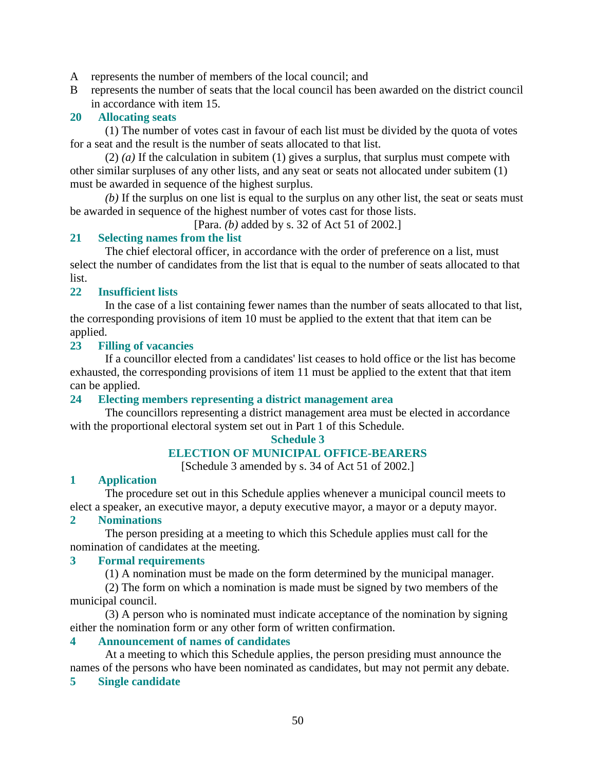A represents the number of members of the local council; and

B represents the number of seats that the local council has been awarded on the district council in accordance with item 15.

# **20 Allocating seats**

 (1) The number of votes cast in favour of each list must be divided by the quota of votes for a seat and the result is the number of seats allocated to that list.

 (2) *(a)* If the calculation in subitem (1) gives a surplus, that surplus must compete with other similar surpluses of any other lists, and any seat or seats not allocated under subitem (1) must be awarded in sequence of the highest surplus.

*(b)* If the surplus on one list is equal to the surplus on any other list, the seat or seats must be awarded in sequence of the highest number of votes cast for those lists.

[Para. *(b)* added by s. 32 of Act 51 of 2002.]

# **21 Selecting names from the list**

 The chief electoral officer, in accordance with the order of preference on a list, must select the number of candidates from the list that is equal to the number of seats allocated to that list.

### **22 Insufficient lists**

 In the case of a list containing fewer names than the number of seats allocated to that list, the corresponding provisions of item 10 must be applied to the extent that that item can be applied.

### **23 Filling of vacancies**

 If a councillor elected from a candidates' list ceases to hold office or the list has become exhausted, the corresponding provisions of item 11 must be applied to the extent that that item can be applied.

### **24 Electing members representing a district management area**

 The councillors representing a district management area must be elected in accordance with the proportional electoral system set out in Part 1 of this Schedule.

### **Schedule 3**

# **ELECTION OF MUNICIPAL OFFICE-BEARERS**

[Schedule 3 amended by s. 34 of Act 51 of 2002.]

### **1 Application**

 The procedure set out in this Schedule applies whenever a municipal council meets to elect a speaker, an executive mayor, a deputy executive mayor, a mayor or a deputy mayor.

### **2 Nominations**

 The person presiding at a meeting to which this Schedule applies must call for the nomination of candidates at the meeting.

### **3 Formal requirements**

(1) A nomination must be made on the form determined by the municipal manager.

 (2) The form on which a nomination is made must be signed by two members of the municipal council.

 (3) A person who is nominated must indicate acceptance of the nomination by signing either the nomination form or any other form of written confirmation.

### **4 Announcement of names of candidates**

 At a meeting to which this Schedule applies, the person presiding must announce the names of the persons who have been nominated as candidates, but may not permit any debate.

### **5 Single candidate**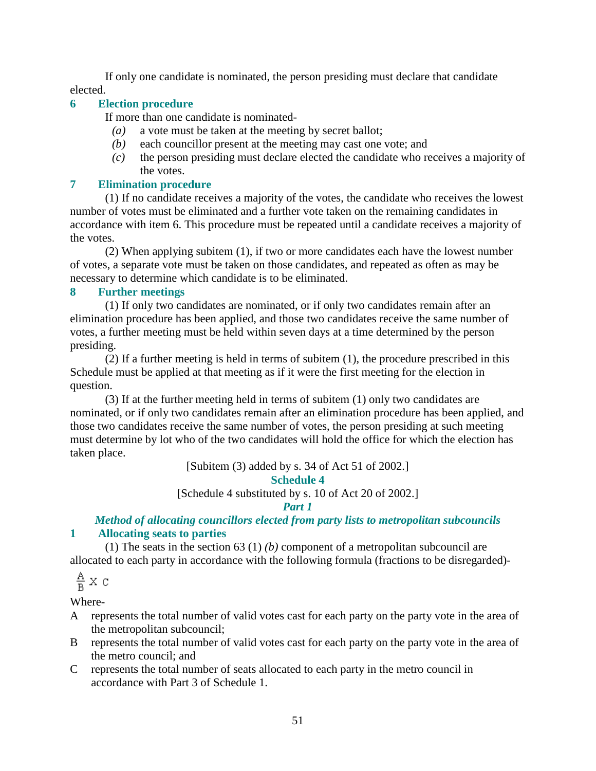If only one candidate is nominated, the person presiding must declare that candidate elected.

# **6 Election procedure**

If more than one candidate is nominated-

- *(a)* a vote must be taken at the meeting by secret ballot;
- *(b)* each councillor present at the meeting may cast one vote; and
- *(c)* the person presiding must declare elected the candidate who receives a majority of the votes.

# **7 Elimination procedure**

 (1) If no candidate receives a majority of the votes, the candidate who receives the lowest number of votes must be eliminated and a further vote taken on the remaining candidates in accordance with item 6. This procedure must be repeated until a candidate receives a majority of the votes.

 (2) When applying subitem (1), if two or more candidates each have the lowest number of votes, a separate vote must be taken on those candidates, and repeated as often as may be necessary to determine which candidate is to be eliminated.

# **8 Further meetings**

 (1) If only two candidates are nominated, or if only two candidates remain after an elimination procedure has been applied, and those two candidates receive the same number of votes, a further meeting must be held within seven days at a time determined by the person presiding.

 (2) If a further meeting is held in terms of subitem (1), the procedure prescribed in this Schedule must be applied at that meeting as if it were the first meeting for the election in question.

 (3) If at the further meeting held in terms of subitem (1) only two candidates are nominated, or if only two candidates remain after an elimination procedure has been applied, and those two candidates receive the same number of votes, the person presiding at such meeting must determine by lot who of the two candidates will hold the office for which the election has taken place.

[Subitem (3) added by s. 34 of Act 51 of 2002.]

### **Schedule 4**

[Schedule 4 substituted by s. 10 of Act 20 of 2002.]

# *Part 1*

# *Method of allocating councillors elected from party lists to metropolitan subcouncils*  **1 Allocating seats to parties**

 (1) The seats in the section 63 (1) *(b)* component of a metropolitan subcouncil are allocated to each party in accordance with the following formula (fractions to be disregarded)-

$$
\frac{A}{B} \times C
$$

Where-

- A represents the total number of valid votes cast for each party on the party vote in the area of the metropolitan subcouncil;
- B represents the total number of valid votes cast for each party on the party vote in the area of the metro council; and
- C represents the total number of seats allocated to each party in the metro council in accordance with Part 3 of Schedule 1.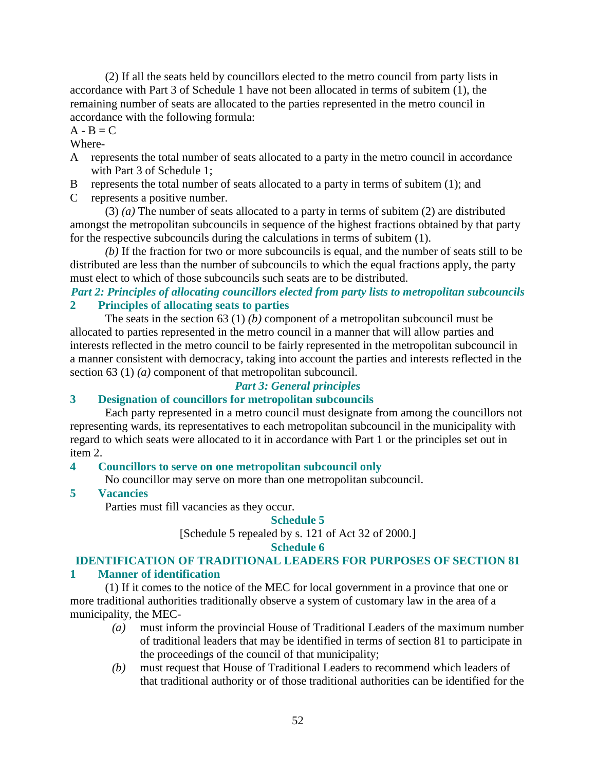(2) If all the seats held by councillors elected to the metro council from party lists in accordance with Part 3 of Schedule 1 have not been allocated in terms of subitem (1), the remaining number of seats are allocated to the parties represented in the metro council in accordance with the following formula:

# $A - B = C$

### Where-

- A represents the total number of seats allocated to a party in the metro council in accordance with Part 3 of Schedule 1;
- B represents the total number of seats allocated to a party in terms of subitem (1); and
- C represents a positive number.

 (3) *(a)* The number of seats allocated to a party in terms of subitem (2) are distributed amongst the metropolitan subcouncils in sequence of the highest fractions obtained by that party for the respective subcouncils during the calculations in terms of subitem (1).

*(b)* If the fraction for two or more subcouncils is equal, and the number of seats still to be distributed are less than the number of subcouncils to which the equal fractions apply, the party must elect to which of those subcouncils such seats are to be distributed.

# *Part 2: Principles of allocating councillors elected from party lists to metropolitan subcouncils*  **2 Principles of allocating seats to parties**

 The seats in the section 63 (1) *(b)* component of a metropolitan subcouncil must be allocated to parties represented in the metro council in a manner that will allow parties and interests reflected in the metro council to be fairly represented in the metropolitan subcouncil in a manner consistent with democracy, taking into account the parties and interests reflected in the section 63 (1) *(a)* component of that metropolitan subcouncil.

# *Part 3: General principles*

# **3 Designation of councillors for metropolitan subcouncils**

 Each party represented in a metro council must designate from among the councillors not representing wards, its representatives to each metropolitan subcouncil in the municipality with regard to which seats were allocated to it in accordance with Part 1 or the principles set out in item 2.

# **4 Councillors to serve on one metropolitan subcouncil only**

No councillor may serve on more than one metropolitan subcouncil.

# **5 Vacancies**

Parties must fill vacancies as they occur.

# **Schedule 5**

[Schedule 5 repealed by s. 121 of Act 32 of 2000.]

### **Schedule 6**

# **IDENTIFICATION OF TRADITIONAL LEADERS FOR PURPOSES OF SECTION 81**

# **1 Manner of identification**

 (1) If it comes to the notice of the MEC for local government in a province that one or more traditional authorities traditionally observe a system of customary law in the area of a municipality, the MEC-

- *(a)* must inform the provincial House of Traditional Leaders of the maximum number of traditional leaders that may be identified in terms of section 81 to participate in the proceedings of the council of that municipality;
- *(b)* must request that House of Traditional Leaders to recommend which leaders of that traditional authority or of those traditional authorities can be identified for the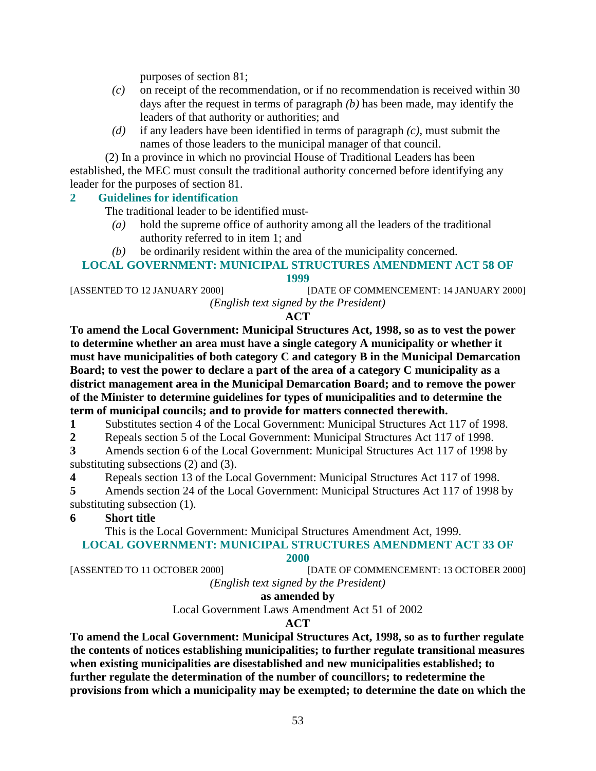purposes of section 81;

- *(c)* on receipt of the recommendation, or if no recommendation is received within 30 days after the request in terms of paragraph *(b)* has been made, may identify the leaders of that authority or authorities; and
- *(d)* if any leaders have been identified in terms of paragraph *(c)*, must submit the names of those leaders to the municipal manager of that council.

 (2) In a province in which no provincial House of Traditional Leaders has been established, the MEC must consult the traditional authority concerned before identifying any leader for the purposes of section 81.

# **2 Guidelines for identification**

The traditional leader to be identified must-

- *(a)* hold the supreme office of authority among all the leaders of the traditional authority referred to in item 1; and
- *(b)* be ordinarily resident within the area of the municipality concerned.

### **LOCAL GOVERNMENT: MUNICIPAL STRUCTURES AMENDMENT ACT 58 OF 1999**

[ASSENTED TO 12 JANUARY 2000] [DATE OF COMMENCEMENT: 14 JANUARY 2000] *(English text signed by the President)* 

# **ACT**

**To amend the Local Government: Municipal Structures Act, 1998, so as to vest the power to determine whether an area must have a single category A municipality or whether it must have municipalities of both category C and category B in the Municipal Demarcation Board; to vest the power to declare a part of the area of a category C municipality as a district management area in the Municipal Demarcation Board; and to remove the power of the Minister to determine guidelines for types of municipalities and to determine the term of municipal councils; and to provide for matters connected therewith.** 

**1** Substitutes section 4 of the Local Government: Municipal Structures Act 117 of 1998.

**2** Repeals section 5 of the Local Government: Municipal Structures Act 117 of 1998.

**3** Amends section 6 of the Local Government: Municipal Structures Act 117 of 1998 by substituting subsections (2) and (3).

**4** Repeals section 13 of the Local Government: Municipal Structures Act 117 of 1998.

**5** Amends section 24 of the Local Government: Municipal Structures Act 117 of 1998 by substituting subsection (1).

# **6 Short title**

 This is the Local Government: Municipal Structures Amendment Act, 1999. **LOCAL GOVERNMENT: MUNICIPAL STRUCTURES AMENDMENT ACT 33 OF** 

### **2000**

[ASSENTED TO 11 OCTOBER 2000] [DATE OF COMMENCEMENT: 13 OCTOBER 2000]

*(English text signed by the President)* 

**as amended by** 

Local Government Laws Amendment Act 51 of 2002

# **ACT**

**To amend the Local Government: Municipal Structures Act, 1998, so as to further regulate the contents of notices establishing municipalities; to further regulate transitional measures when existing municipalities are disestablished and new municipalities established; to further regulate the determination of the number of councillors; to redetermine the provisions from which a municipality may be exempted; to determine the date on which the**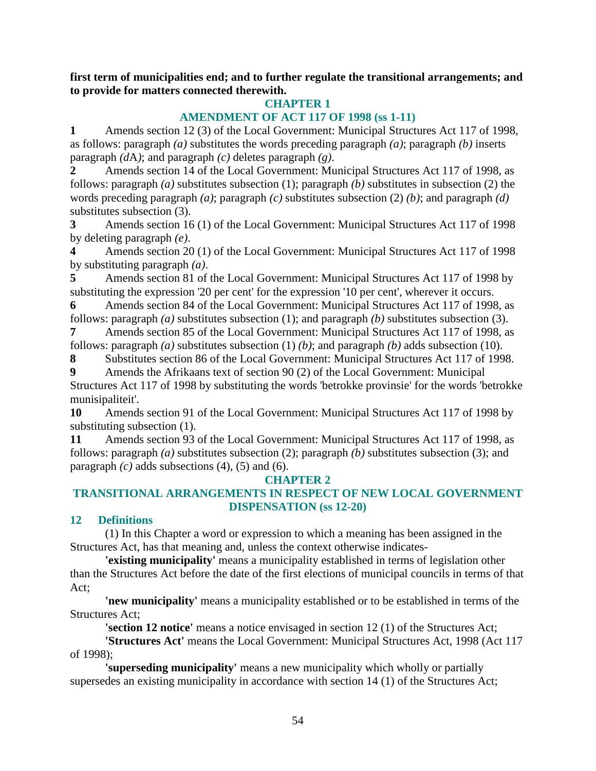**first term of municipalities end; and to further regulate the transitional arrangements; and to provide for matters connected therewith.** 

# **CHAPTER 1**

# **AMENDMENT OF ACT 117 OF 1998 (ss 1-11)**

**1** Amends section 12 (3) of the Local Government: Municipal Structures Act 117 of 1998, as follows: paragraph *(a)* substitutes the words preceding paragraph *(a)*; paragraph *(b)* inserts paragraph *(d*A*)*; and paragraph *(c)* deletes paragraph *(g)*.

**2** Amends section 14 of the Local Government: Municipal Structures Act 117 of 1998, as follows: paragraph *(a)* substitutes subsection (1); paragraph *(b)* substitutes in subsection (2) the words preceding paragraph *(a)*; paragraph *(c)* substitutes subsection (2) *(b)*; and paragraph *(d)* substitutes subsection (3).

**3** Amends section 16 (1) of the Local Government: Municipal Structures Act 117 of 1998 by deleting paragraph *(e)*.

**4** Amends section 20 (1) of the Local Government: Municipal Structures Act 117 of 1998 by substituting paragraph *(a)*.

**5** Amends section 81 of the Local Government: Municipal Structures Act 117 of 1998 by substituting the expression '20 per cent' for the expression '10 per cent', wherever it occurs.

**6** Amends section 84 of the Local Government: Municipal Structures Act 117 of 1998, as follows: paragraph *(a)* substitutes subsection (1); and paragraph *(b)* substitutes subsection (3).

**7** Amends section 85 of the Local Government: Municipal Structures Act 117 of 1998, as follows: paragraph  $(a)$  substitutes subsection  $(1)$   $(b)$ ; and paragraph  $(b)$  adds subsection  $(10)$ .

**8** Substitutes section 86 of the Local Government: Municipal Structures Act 117 of 1998.

**9** Amends the Afrikaans text of section 90 (2) of the Local Government: Municipal Structures Act 117 of 1998 by substituting the words 'betrokke provinsie' for the words 'betrokke munisipaliteit'.

**10** Amends section 91 of the Local Government: Municipal Structures Act 117 of 1998 by substituting subsection (1).

**11** Amends section 93 of the Local Government: Municipal Structures Act 117 of 1998, as follows: paragraph *(a)* substitutes subsection (2); paragraph *(b)* substitutes subsection (3); and paragraph  $(c)$  adds subsections  $(4)$ ,  $(5)$  and  $(6)$ .

# **CHAPTER 2**

# **TRANSITIONAL ARRANGEMENTS IN RESPECT OF NEW LOCAL GOVERNMENT DISPENSATION (ss 12-20)**

# **12 Definitions**

 (1) In this Chapter a word or expression to which a meaning has been assigned in the Structures Act, has that meaning and, unless the context otherwise indicates-

**'existing municipality'** means a municipality established in terms of legislation other than the Structures Act before the date of the first elections of municipal councils in terms of that Act;

**'new municipality'** means a municipality established or to be established in terms of the Structures Act;

**'section 12 notice'** means a notice envisaged in section 12 (1) of the Structures Act;

 **'Structures Act'** means the Local Government: Municipal Structures Act, 1998 (Act 117 of 1998);

 **'superseding municipality'** means a new municipality which wholly or partially supersedes an existing municipality in accordance with section 14 (1) of the Structures Act;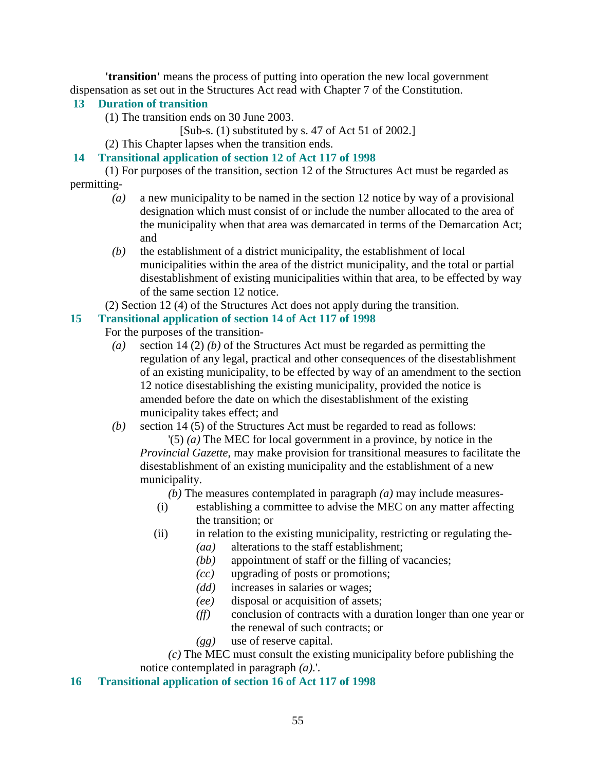**'transition'** means the process of putting into operation the new local government dispensation as set out in the Structures Act read with Chapter 7 of the Constitution.

# **13 Duration of transition**

(1) The transition ends on 30 June 2003.

[Sub-s. (1) substituted by s. 47 of Act 51 of 2002.]

(2) This Chapter lapses when the transition ends.

# **14 Transitional application of section 12 of Act 117 of 1998**

 (1) For purposes of the transition, section 12 of the Structures Act must be regarded as permitting-

- *(a)* a new municipality to be named in the section 12 notice by way of a provisional designation which must consist of or include the number allocated to the area of the municipality when that area was demarcated in terms of the Demarcation Act; and
- *(b)* the establishment of a district municipality, the establishment of local municipalities within the area of the district municipality, and the total or partial disestablishment of existing municipalities within that area, to be effected by way of the same section 12 notice.
- (2) Section 12 (4) of the Structures Act does not apply during the transition.

# **15 Transitional application of section 14 of Act 117 of 1998**

- For the purposes of the transition-
	- *(a)* section 14 (2) *(b)* of the Structures Act must be regarded as permitting the regulation of any legal, practical and other consequences of the disestablishment of an existing municipality, to be effected by way of an amendment to the section 12 notice disestablishing the existing municipality, provided the notice is amended before the date on which the disestablishment of the existing municipality takes effect; and

*(b)* section 14 (5) of the Structures Act must be regarded to read as follows:

 '(5) *(a)* The MEC for local government in a province, by notice in the *Provincial Gazette*, may make provision for transitional measures to facilitate the disestablishment of an existing municipality and the establishment of a new municipality.

*(b)* The measures contemplated in paragraph *(a)* may include measures-

- (i) establishing a committee to advise the MEC on any matter affecting the transition; or
- (ii) in relation to the existing municipality, restricting or regulating the-
	- *(aa)* alterations to the staff establishment;
	- *(bb)* appointment of staff or the filling of vacancies;
	- *(cc)* upgrading of posts or promotions;
	- *(dd)* increases in salaries or wages;
	- *(ee)* disposal or acquisition of assets;
	- *(ff)* conclusion of contracts with a duration longer than one year or the renewal of such contracts; or
	- *(gg)* use of reserve capital.

 *(c)* The MEC must consult the existing municipality before publishing the notice contemplated in paragraph *(a)*.'.

# **16 Transitional application of section 16 of Act 117 of 1998**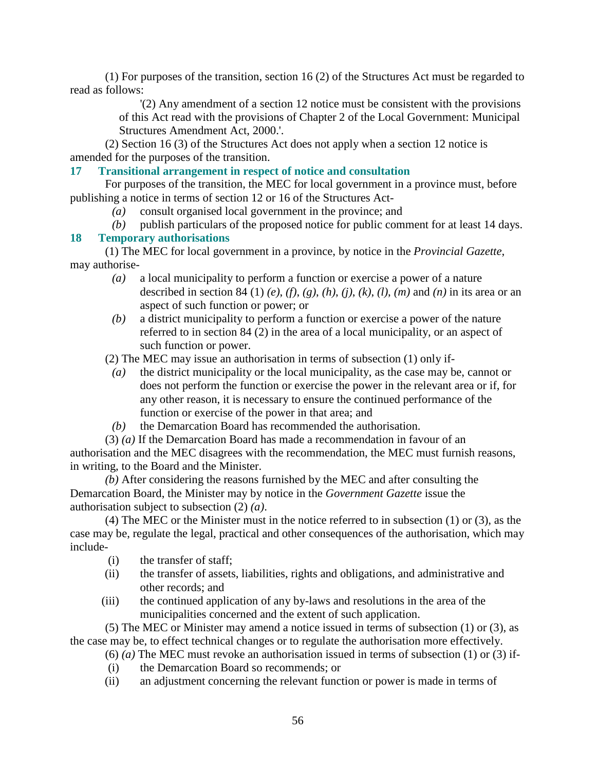(1) For purposes of the transition, section 16 (2) of the Structures Act must be regarded to read as follows:

> '(2) Any amendment of a section 12 notice must be consistent with the provisions of this Act read with the provisions of Chapter 2 of the Local Government: Municipal Structures Amendment Act, 2000.'.

 (2) Section 16 (3) of the Structures Act does not apply when a section 12 notice is amended for the purposes of the transition.

# **17 Transitional arrangement in respect of notice and consultation**

 For purposes of the transition, the MEC for local government in a province must, before publishing a notice in terms of section 12 or 16 of the Structures Act-

- *(a)* consult organised local government in the province; and
- *(b)* publish particulars of the proposed notice for public comment for at least 14 days.

# **18 Temporary authorisations**

 (1) The MEC for local government in a province, by notice in the *Provincial Gazette*, may authorise-

- *(a)* a local municipality to perform a function or exercise a power of a nature described in section 84 (1) *(e)*, *(f)*, *(g)*, *(h)*, *(j)*, *(k)*, *(l)*, *(m)* and *(n)* in its area or an aspect of such function or power; or
- *(b)* a district municipality to perform a function or exercise a power of the nature referred to in section 84 (2) in the area of a local municipality, or an aspect of such function or power.

(2) The MEC may issue an authorisation in terms of subsection (1) only if-

- *(a)* the district municipality or the local municipality, as the case may be, cannot or does not perform the function or exercise the power in the relevant area or if, for any other reason, it is necessary to ensure the continued performance of the function or exercise of the power in that area; and
- *(b)* the Demarcation Board has recommended the authorisation.

(3) *(a)* If the Demarcation Board has made a recommendation in favour of an

authorisation and the MEC disagrees with the recommendation, the MEC must furnish reasons, in writing, to the Board and the Minister.

*(b)* After considering the reasons furnished by the MEC and after consulting the Demarcation Board, the Minister may by notice in the *Government Gazette* issue the authorisation subject to subsection (2) *(a)*.

 (4) The MEC or the Minister must in the notice referred to in subsection (1) or (3), as the case may be, regulate the legal, practical and other consequences of the authorisation, which may include-

- (i) the transfer of staff;
- (ii) the transfer of assets, liabilities, rights and obligations, and administrative and other records; and
- (iii) the continued application of any by-laws and resolutions in the area of the municipalities concerned and the extent of such application.

 (5) The MEC or Minister may amend a notice issued in terms of subsection (1) or (3), as the case may be, to effect technical changes or to regulate the authorisation more effectively.

- (6) *(a)* The MEC must revoke an authorisation issued in terms of subsection (1) or (3) if-
	- (i) the Demarcation Board so recommends; or
- (ii) an adjustment concerning the relevant function or power is made in terms of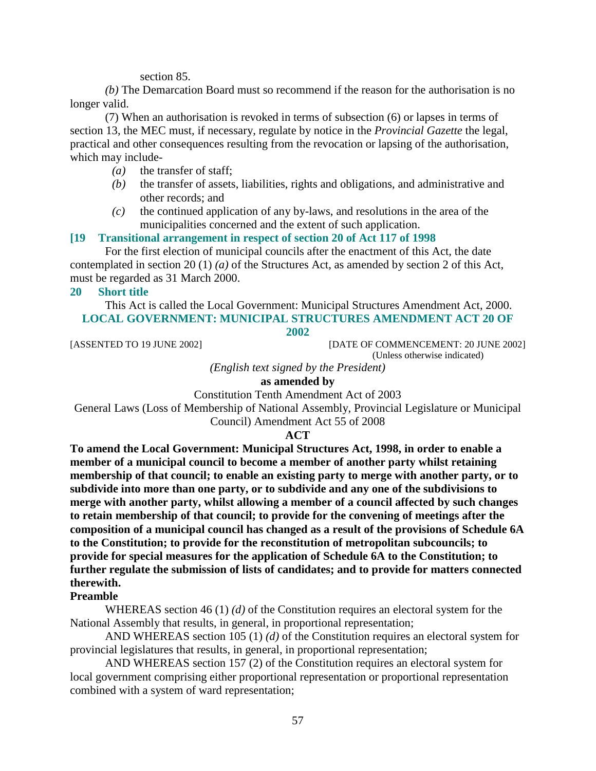section 85.

*(b)* The Demarcation Board must so recommend if the reason for the authorisation is no longer valid.

 (7) When an authorisation is revoked in terms of subsection (6) or lapses in terms of section 13, the MEC must, if necessary, regulate by notice in the *Provincial Gazette* the legal, practical and other consequences resulting from the revocation or lapsing of the authorisation, which may include-

- *(a)* the transfer of staff;
- *(b)* the transfer of assets, liabilities, rights and obligations, and administrative and other records; and
- *(c)* the continued application of any by-laws, and resolutions in the area of the municipalities concerned and the extent of such application.

### **[19 Transitional arrangement in respect of section 20 of Act 117 of 1998**

 For the first election of municipal councils after the enactment of this Act, the date contemplated in section 20 (1) *(a)* of the Structures Act, as amended by section 2 of this Act, must be regarded as 31 March 2000.

### **20 Short title**

 This Act is called the Local Government: Municipal Structures Amendment Act, 2000. **LOCAL GOVERNMENT: MUNICIPAL STRUCTURES AMENDMENT ACT 20 OF** 

#### **2002**

[ASSENTED TO 19 JUNE 2002] [DATE OF COMMENCEMENT: 20 JUNE 2002] (Unless otherwise indicated)

*(English text signed by the President)* 

# **as amended by**

Constitution Tenth Amendment Act of 2003

General Laws (Loss of Membership of National Assembly, Provincial Legislature or Municipal

Council) Amendment Act 55 of 2008

#### **ACT**

**To amend the Local Government: Municipal Structures Act, 1998, in order to enable a member of a municipal council to become a member of another party whilst retaining membership of that council; to enable an existing party to merge with another party, or to subdivide into more than one party, or to subdivide and any one of the subdivisions to merge with another party, whilst allowing a member of a council affected by such changes to retain membership of that council; to provide for the convening of meetings after the composition of a municipal council has changed as a result of the provisions of Schedule 6A to the Constitution; to provide for the reconstitution of metropolitan subcouncils; to provide for special measures for the application of Schedule 6A to the Constitution; to further regulate the submission of lists of candidates; and to provide for matters connected therewith.** 

### **Preamble**

 WHEREAS section 46 (1) *(d)* of the Constitution requires an electoral system for the National Assembly that results, in general, in proportional representation;

 AND WHEREAS section 105 (1) *(d)* of the Constitution requires an electoral system for provincial legislatures that results, in general, in proportional representation;

 AND WHEREAS section 157 (2) of the Constitution requires an electoral system for local government comprising either proportional representation or proportional representation combined with a system of ward representation;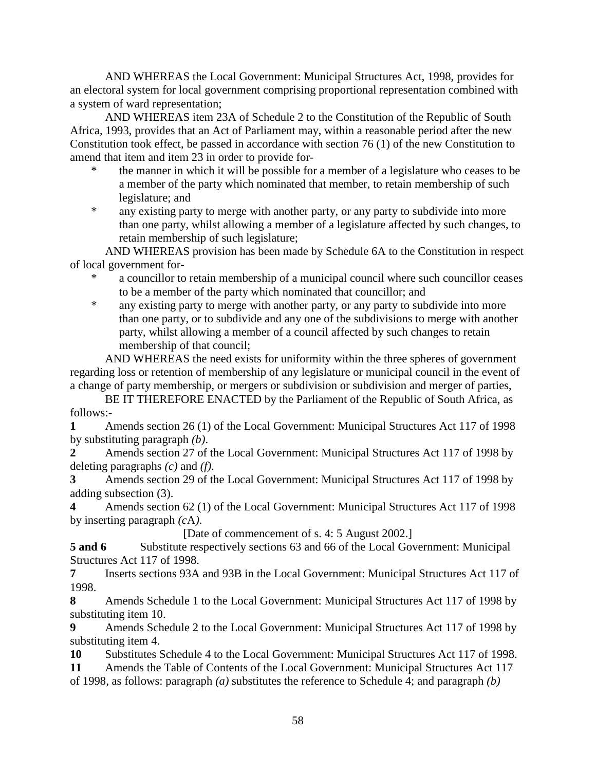AND WHEREAS the Local Government: Municipal Structures Act, 1998, provides for an electoral system for local government comprising proportional representation combined with a system of ward representation;

 AND WHEREAS item 23A of Schedule 2 to the Constitution of the Republic of South Africa, 1993, provides that an Act of Parliament may, within a reasonable period after the new Constitution took effect, be passed in accordance with section 76 (1) of the new Constitution to amend that item and item 23 in order to provide for-

- the manner in which it will be possible for a member of a legislature who ceases to be a member of the party which nominated that member, to retain membership of such legislature; and
- \* any existing party to merge with another party, or any party to subdivide into more than one party, whilst allowing a member of a legislature affected by such changes, to retain membership of such legislature;

 AND WHEREAS provision has been made by Schedule 6A to the Constitution in respect of local government for-

- a councillor to retain membership of a municipal council where such councillor ceases to be a member of the party which nominated that councillor; and
- \* any existing party to merge with another party, or any party to subdivide into more than one party, or to subdivide and any one of the subdivisions to merge with another party, whilst allowing a member of a council affected by such changes to retain membership of that council;

 AND WHEREAS the need exists for uniformity within the three spheres of government regarding loss or retention of membership of any legislature or municipal council in the event of a change of party membership, or mergers or subdivision or subdivision and merger of parties,

 BE IT THEREFORE ENACTED by the Parliament of the Republic of South Africa, as follows:-

**1** Amends section 26 (1) of the Local Government: Municipal Structures Act 117 of 1998 by substituting paragraph *(b)*.

**2** Amends section 27 of the Local Government: Municipal Structures Act 117 of 1998 by deleting paragraphs *(c)* and *(f)*.

**3** Amends section 29 of the Local Government: Municipal Structures Act 117 of 1998 by adding subsection (3).

**4** Amends section 62 (1) of the Local Government: Municipal Structures Act 117 of 1998 by inserting paragraph *(c*A*)*.

[Date of commencement of s. 4: 5 August 2002.]

**5 and 6** Substitute respectively sections 63 and 66 of the Local Government: Municipal Structures Act 117 of 1998.

**7** Inserts sections 93A and 93B in the Local Government: Municipal Structures Act 117 of 1998.

**8** Amends Schedule 1 to the Local Government: Municipal Structures Act 117 of 1998 by substituting item 10.

**9** Amends Schedule 2 to the Local Government: Municipal Structures Act 117 of 1998 by substituting item 4.

**10** Substitutes Schedule 4 to the Local Government: Municipal Structures Act 117 of 1998.

**11** Amends the Table of Contents of the Local Government: Municipal Structures Act 117 of 1998, as follows: paragraph *(a)* substitutes the reference to Schedule 4; and paragraph *(b)*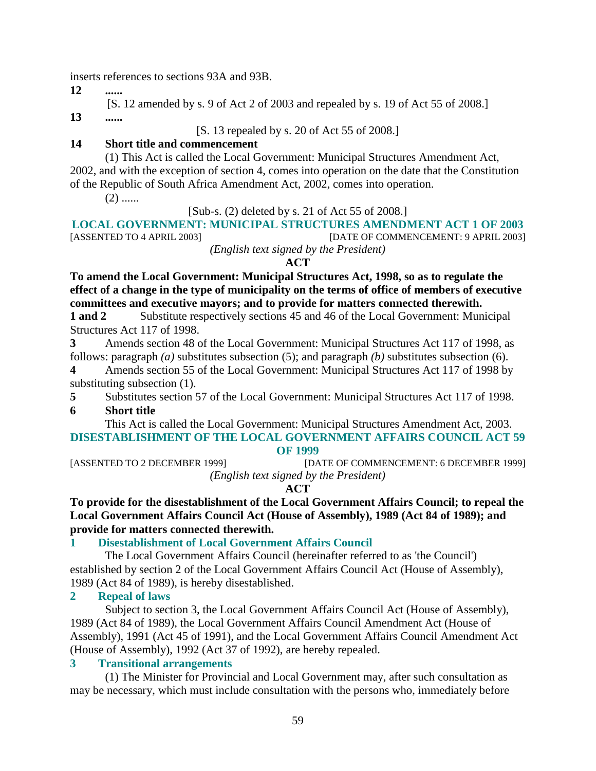inserts references to sections 93A and 93B.

**12** 

[S. 12 amended by s. 9 of Act 2 of 2003 and repealed by s. 19 of Act 55 of 2008.]

**13 ......** 

[S. 13 repealed by s. 20 of Act 55 of 2008.]

# **14 Short title and commencement**

 (1) This Act is called the Local Government: Municipal Structures Amendment Act, 2002, and with the exception of section 4, comes into operation on the date that the Constitution of the Republic of South Africa Amendment Act, 2002, comes into operation.

 $(2)$  ......

[Sub-s. (2) deleted by s. 21 of Act 55 of 2008.]

# **LOCAL GOVERNMENT: MUNICIPAL STRUCTURES AMENDMENT ACT 1 OF 2003**

[ASSENTED TO 4 APRIL 2003] [DATE OF COMMENCEMENT: 9 APRIL 2003] *(English text signed by the President)* 

# **ACT**

**To amend the Local Government: Municipal Structures Act, 1998, so as to regulate the effect of a change in the type of municipality on the terms of office of members of executive committees and executive mayors; and to provide for matters connected therewith.** 

**1 and 2** Substitute respectively sections 45 and 46 of the Local Government: Municipal Structures Act 117 of 1998.

**3** Amends section 48 of the Local Government: Municipal Structures Act 117 of 1998, as follows: paragraph *(a)* substitutes subsection (5); and paragraph *(b)* substitutes subsection (6).

**4** Amends section 55 of the Local Government: Municipal Structures Act 117 of 1998 by substituting subsection (1).

**5** Substitutes section 57 of the Local Government: Municipal Structures Act 117 of 1998.

**6 Short title** 

 This Act is called the Local Government: Municipal Structures Amendment Act, 2003. **DISESTABLISHMENT OF THE LOCAL GOVERNMENT AFFAIRS COUNCIL ACT 59** 

### **OF 1999**

[ASSENTED TO 2 DECEMBER 1999] [DATE OF COMMENCEMENT: 6 DECEMBER 1999] *(English text signed by the President)* 

**ACT** 

**To provide for the disestablishment of the Local Government Affairs Council; to repeal the Local Government Affairs Council Act (House of Assembly), 1989 (Act 84 of 1989); and provide for matters connected therewith.** 

# **1 Disestablishment of Local Government Affairs Council**

 The Local Government Affairs Council (hereinafter referred to as 'the Council') established by section 2 of the Local Government Affairs Council Act (House of Assembly), 1989 (Act 84 of 1989), is hereby disestablished.

# **2 Repeal of laws**

 Subject to section 3, the Local Government Affairs Council Act (House of Assembly), 1989 (Act 84 of 1989), the Local Government Affairs Council Amendment Act (House of Assembly), 1991 (Act 45 of 1991), and the Local Government Affairs Council Amendment Act (House of Assembly), 1992 (Act 37 of 1992), are hereby repealed.

# **3 Transitional arrangements**

 (1) The Minister for Provincial and Local Government may, after such consultation as may be necessary, which must include consultation with the persons who, immediately before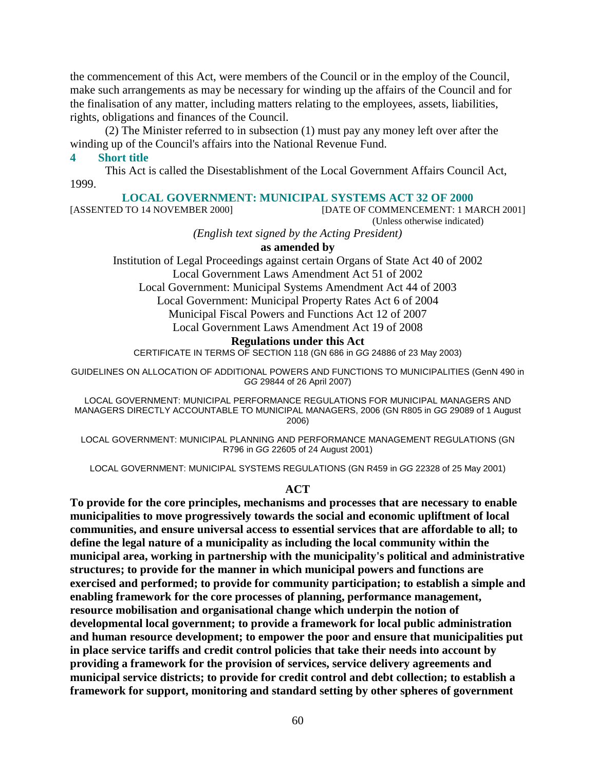the commencement of this Act, were members of the Council or in the employ of the Council, make such arrangements as may be necessary for winding up the affairs of the Council and for the finalisation of any matter, including matters relating to the employees, assets, liabilities, rights, obligations and finances of the Council.

 (2) The Minister referred to in subsection (1) must pay any money left over after the winding up of the Council's affairs into the National Revenue Fund.

#### **4 Short title**

 This Act is called the Disestablishment of the Local Government Affairs Council Act, 1999.

# **LOCAL GOVERNMENT: MUNICIPAL SYSTEMS ACT 32 OF 2000**<br>[DATE OF COMMENCEMENT: 1 M.

[DATE OF COMMENCEMENT: 1 MARCH 2001]

(Unless otherwise indicated)

*(English text signed by the Acting President)* 

#### **as amended by**

Institution of Legal Proceedings against certain Organs of State Act 40 of 2002 Local Government Laws Amendment Act 51 of 2002

Local Government: Municipal Systems Amendment Act 44 of 2003

Local Government: Municipal Property Rates Act 6 of 2004

Municipal Fiscal Powers and Functions Act 12 of 2007

Local Government Laws Amendment Act 19 of 2008

#### **Regulations under this Act**

CERTIFICATE IN TERMS OF SECTION 118 (GN 686 in GG 24886 of 23 May 2003)

GUIDELINES ON ALLOCATION OF ADDITIONAL POWERS AND FUNCTIONS TO MUNICIPALITIES (GenN 490 in GG 29844 of 26 April 2007)

LOCAL GOVERNMENT: MUNICIPAL PERFORMANCE REGULATIONS FOR MUNICIPAL MANAGERS AND MANAGERS DIRECTLY ACCOUNTABLE TO MUNICIPAL MANAGERS, 2006 (GN R805 in GG 29089 of 1 August 2006)

LOCAL GOVERNMENT: MUNICIPAL PLANNING AND PERFORMANCE MANAGEMENT REGULATIONS (GN R796 in GG 22605 of 24 August 2001)

LOCAL GOVERNMENT: MUNICIPAL SYSTEMS REGULATIONS (GN R459 in GG 22328 of 25 May 2001)

#### **ACT**

**To provide for the core principles, mechanisms and processes that are necessary to enable municipalities to move progressively towards the social and economic upliftment of local communities, and ensure universal access to essential services that are affordable to all; to define the legal nature of a municipality as including the local community within the municipal area, working in partnership with the municipality's political and administrative structures; to provide for the manner in which municipal powers and functions are exercised and performed; to provide for community participation; to establish a simple and enabling framework for the core processes of planning, performance management, resource mobilisation and organisational change which underpin the notion of developmental local government; to provide a framework for local public administration and human resource development; to empower the poor and ensure that municipalities put in place service tariffs and credit control policies that take their needs into account by providing a framework for the provision of services, service delivery agreements and municipal service districts; to provide for credit control and debt collection; to establish a framework for support, monitoring and standard setting by other spheres of government**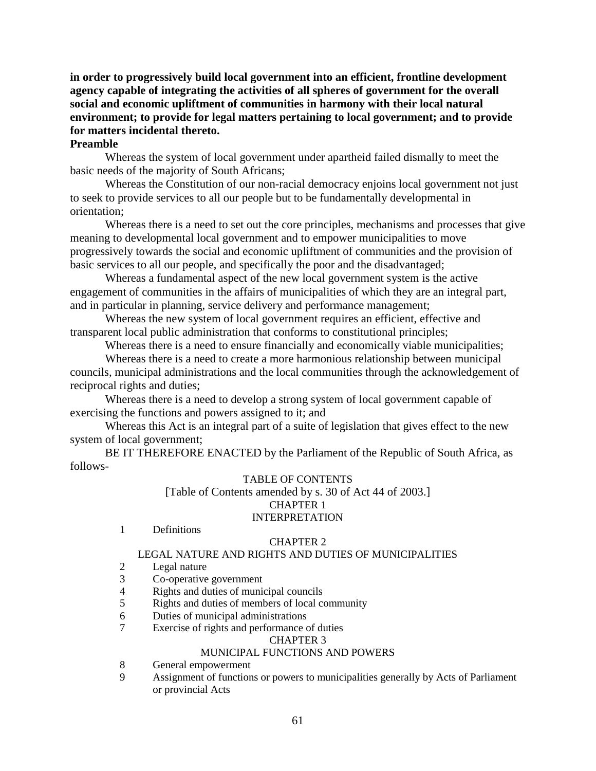**in order to progressively build local government into an efficient, frontline development agency capable of integrating the activities of all spheres of government for the overall social and economic upliftment of communities in harmony with their local natural environment; to provide for legal matters pertaining to local government; and to provide for matters incidental thereto.** 

# **Preamble**

 Whereas the system of local government under apartheid failed dismally to meet the basic needs of the majority of South Africans;

 Whereas the Constitution of our non-racial democracy enjoins local government not just to seek to provide services to all our people but to be fundamentally developmental in orientation;

 Whereas there is a need to set out the core principles, mechanisms and processes that give meaning to developmental local government and to empower municipalities to move progressively towards the social and economic upliftment of communities and the provision of basic services to all our people, and specifically the poor and the disadvantaged;

 Whereas a fundamental aspect of the new local government system is the active engagement of communities in the affairs of municipalities of which they are an integral part, and in particular in planning, service delivery and performance management;

 Whereas the new system of local government requires an efficient, effective and transparent local public administration that conforms to constitutional principles;

Whereas there is a need to ensure financially and economically viable municipalities;

 Whereas there is a need to create a more harmonious relationship between municipal councils, municipal administrations and the local communities through the acknowledgement of reciprocal rights and duties;

 Whereas there is a need to develop a strong system of local government capable of exercising the functions and powers assigned to it; and

 Whereas this Act is an integral part of a suite of legislation that gives effect to the new system of local government;

 BE IT THEREFORE ENACTED by the Parliament of the Republic of South Africa, as follows-

#### TABLE OF CONTENTS

[Table of Contents amended by s. 30 of Act 44 of 2003.] CHAPTER 1 INTERPRETATION

1 Definitions

#### CHAPTER 2

#### LEGAL NATURE AND RIGHTS AND DUTIES OF MUNICIPALITIES

- 2 Legal nature
- 3 Co-operative government
- 4 Rights and duties of municipal councils
- 5 Rights and duties of members of local community
- 6 Duties of municipal administrations
- 7 Exercise of rights and performance of duties

#### CHAPTER 3

#### MUNICIPAL FUNCTIONS AND POWERS

- 8 General empowerment
- 9 Assignment of functions or powers to municipalities generally by Acts of Parliament or provincial Acts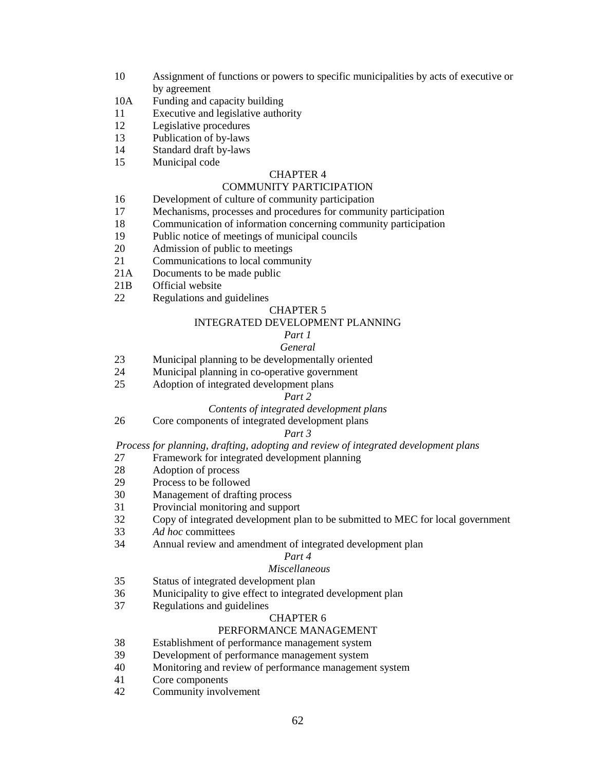- 10 Assignment of functions or powers to specific municipalities by acts of executive or by agreement
- 10A Funding and capacity building
- 11 Executive and legislative authority
- 12 Legislative procedures
- 13 Publication of by-laws
- 14 Standard draft by-laws
- 15 Municipal code

#### CHAPTER 4

#### COMMUNITY PARTICIPATION

- 16 Development of culture of community participation
- 17 Mechanisms, processes and procedures for community participation
- 18 Communication of information concerning community participation
- 19 Public notice of meetings of municipal councils
- 20 Admission of public to meetings
- 21 Communications to local community
- 21A Documents to be made public
- 21B Official website
- 22 Regulations and guidelines

#### CHAPTER 5

#### INTEGRATED DEVELOPMENT PLANNING

#### *Part 1 General*

- 23 Municipal planning to be developmentally oriented
- 24 Municipal planning in co-operative government
- 25 Adoption of integrated development plans

### *Part 2*

### *Contents of integrated development plans*

26 Core components of integrated development plans

### *Part 3*

*Process for planning, drafting, adopting and review of integrated development plans* 

- 27 Framework for integrated development planning
- 28 Adoption of process<br>29 Process to be followe
- Process to be followed
- 30 Management of drafting process
- 31 Provincial monitoring and support
- 32 Copy of integrated development plan to be submitted to MEC for local government
- 33 *Ad hoc* committees
- 34 Annual review and amendment of integrated development plan

#### *Part 4*

#### *Miscellaneous*

- 35 Status of integrated development plan
- 36 Municipality to give effect to integrated development plan
- 37 Regulations and guidelines

### CHAPTER 6

#### PERFORMANCE MANAGEMENT

- 38 Establishment of performance management system
- 39 Development of performance management system<br>40 Monitoring and review of performance management
- Monitoring and review of performance management system
- 41 Core components
- 42 Community involvement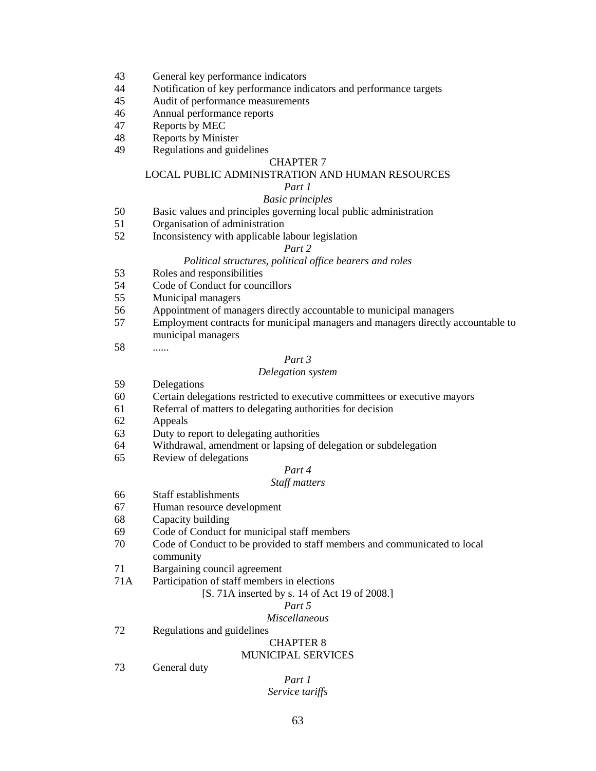- 43 General key performance indicators
- 44 Notification of key performance indicators and performance targets
- 45 Audit of performance measurements
- 46 Annual performance reports
- 47 Reports by MEC
- 48 Reports by Minister
- 49 Regulations and guidelines

#### CHAPTER 7

#### LOCAL PUBLIC ADMINISTRATION AND HUMAN RESOURCES

#### *Part 1*

#### *Basic principles*

- 50 Basic values and principles governing local public administration
- 51 Organisation of administration<br>52 Inconsistency with applicable 1
- Inconsistency with applicable labour legislation

#### *Part 2*

#### *Political structures, political office bearers and roles*

- 53 Roles and responsibilities
- 54 Code of Conduct for councillors
- 55 Municipal managers
- 56 Appointment of managers directly accountable to municipal managers
- 57 Employment contracts for municipal managers and managers directly accountable to municipal managers
- 58 ......

### *Part 3*

#### *Delegation system*

- 59 Delegations
- 60 Certain delegations restricted to executive committees or executive mayors
- 61 Referral of matters to delegating authorities for decision
- 62 Appeals
- 63 Duty to report to delegating authorities
- 64 Withdrawal, amendment or lapsing of delegation or subdelegation
- 65 Review of delegations

# *Part 4*

# *Staff matters*

- 66 Staff establishments
- 67 Human resource development
- 68 Capacity building
- 69 Code of Conduct for municipal staff members
- 70 Code of Conduct to be provided to staff members and communicated to local community
- 71 Bargaining council agreement
- 71A Participation of staff members in elections

#### [S. 71A inserted by s. 14 of Act 19 of 2008.]

# *Part 5*

# *Miscellaneous*

72 Regulations and guidelines

#### CHAPTER 8 MUNICIPAL SERVICES

73 General duty

### *Part 1 Service tariffs*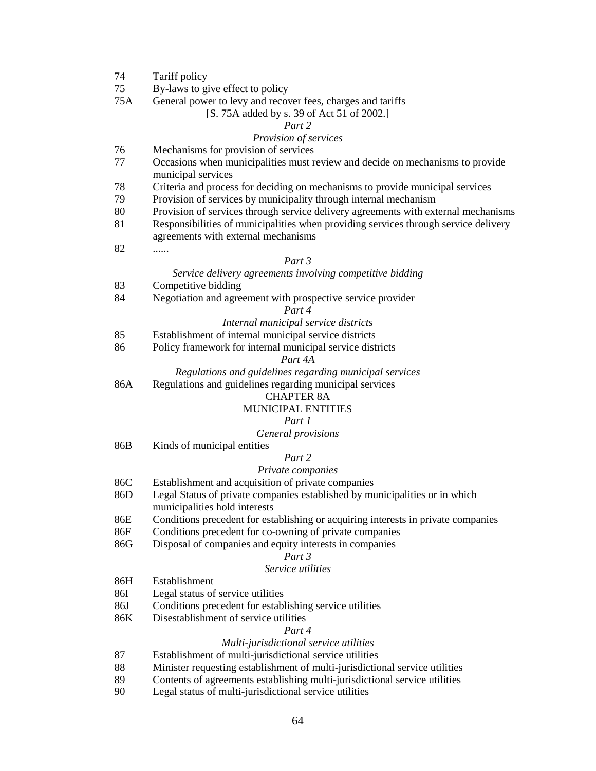| 74  | Tariff policy                                                                       |
|-----|-------------------------------------------------------------------------------------|
| 75  | By-laws to give effect to policy                                                    |
| 75A | General power to levy and recover fees, charges and tariffs                         |
|     | [S. 75A added by s. 39 of Act 51 of 2002.]                                          |
|     | Part 2                                                                              |
|     | Provision of services                                                               |
| 76  | Mechanisms for provision of services                                                |
| 77  | Occasions when municipalities must review and decide on mechanisms to provide       |
|     | municipal services                                                                  |
| 78  | Criteria and process for deciding on mechanisms to provide municipal services       |
| 79  | Provision of services by municipality through internal mechanism                    |
| 80  | Provision of services through service delivery agreements with external mechanisms  |
| 81  | Responsibilities of municipalities when providing services through service delivery |
|     | agreements with external mechanisms                                                 |
| 82  |                                                                                     |
|     | Part 3                                                                              |
|     | Service delivery agreements involving competitive bidding                           |
| 83  | Competitive bidding                                                                 |
| 84  | Negotiation and agreement with prospective service provider                         |
|     | Part 4                                                                              |
|     | Internal municipal service districts                                                |
| 85  | Establishment of internal municipal service districts                               |
| 86  | Policy framework for internal municipal service districts                           |
|     | Part 4A                                                                             |
|     | Regulations and guidelines regarding municipal services                             |
| 86A | Regulations and guidelines regarding municipal services                             |
|     | <b>CHAPTER 8A</b>                                                                   |
|     | <b>MUNICIPAL ENTITIES</b>                                                           |
|     | Part 1                                                                              |
|     | General provisions                                                                  |
| 86B | Kinds of municipal entities                                                         |
|     | Part 2                                                                              |
|     | Private companies                                                                   |
| 86C | Establishment and acquisition of private companies                                  |
| 86D | Legal Status of private companies established by municipalities or in which         |
|     | municipalities hold interests                                                       |
| 86E | Conditions precedent for establishing or acquiring interests in private companies   |
| 86F | Conditions precedent for co-owning of private companies                             |
| 86G | Disposal of companies and equity interests in companies                             |
|     | Part 3                                                                              |
|     | Service utilities                                                                   |
| 86H | Establishment                                                                       |
| 86I | Legal status of service utilities                                                   |
| 86J | Conditions precedent for establishing service utilities                             |
| 86K | Disestablishment of service utilities                                               |
|     | Part 4                                                                              |
|     | Multi-jurisdictional service utilities                                              |
| 87  | Establishment of multi-jurisdictional service utilities                             |
| 88  | Minister requesting establishment of multi-jurisdictional service utilities         |
| 89  | Contents of agreements establishing multi-jurisdictional service utilities          |
| 90  | Legal status of multi-jurisdictional service utilities                              |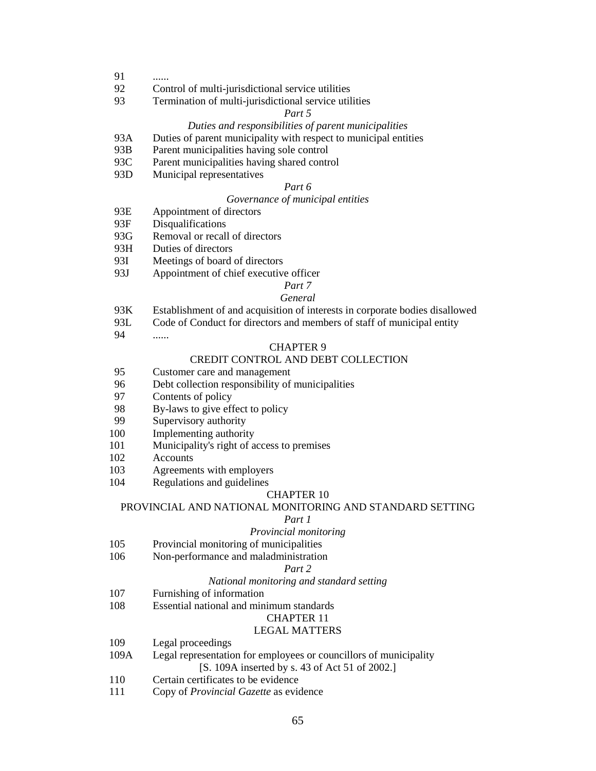- 91
- 92 Control of multi-jurisdictional service utilities
- 93 Termination of multi-jurisdictional service utilities

### *Part 5*

### *Duties and responsibilities of parent municipalities*

- 93A Duties of parent municipality with respect to municipal entities
- 93B Parent municipalities having sole control
- 93C Parent municipalities having shared control
- 93D Municipal representatives

#### *Part 6*

### *Governance of municipal entities*

- 93E Appointment of directors
- 93F Disqualifications
- 93G Removal or recall of directors
- 93H Duties of directors
- 93I Meetings of board of directors
- 93J Appointment of chief executive officer

#### *Part 7 General*

- 93K Establishment of and acquisition of interests in corporate bodies disallowed
- 93L Code of Conduct for directors and members of staff of municipal entity
- 94 ......

#### CHAPTER 9

# CREDIT CONTROL AND DEBT COLLECTION

- 95 Customer care and management
- 96 Debt collection responsibility of municipalities<br>97 Contents of policy
- Contents of policy
- 98 By-laws to give effect to policy
- 99 Supervisory authority
- 100 Implementing authority
- 101 Municipality's right of access to premises
- 102 Accounts
- 103 Agreements with employers
- 104 Regulations and guidelines

#### CHAPTER 10

#### PROVINCIAL AND NATIONAL MONITORING AND STANDARD SETTING

#### *Part 1*

### *Provincial monitoring*

- 105 Provincial monitoring of municipalities
- 106 Non-performance and maladministration

#### *Part 2*

#### *National monitoring and standard setting*

- 107 Furnishing of information
- 108 Essential national and minimum standards

#### CHAPTER 11

#### LEGAL MATTERS

- 109 Legal proceedings
- 109A Legal representation for employees or councillors of municipality [S. 109A inserted by s. 43 of Act 51 of 2002.]
- 110 Certain certificates to be evidence
- 111 Copy of *Provincial Gazette* as evidence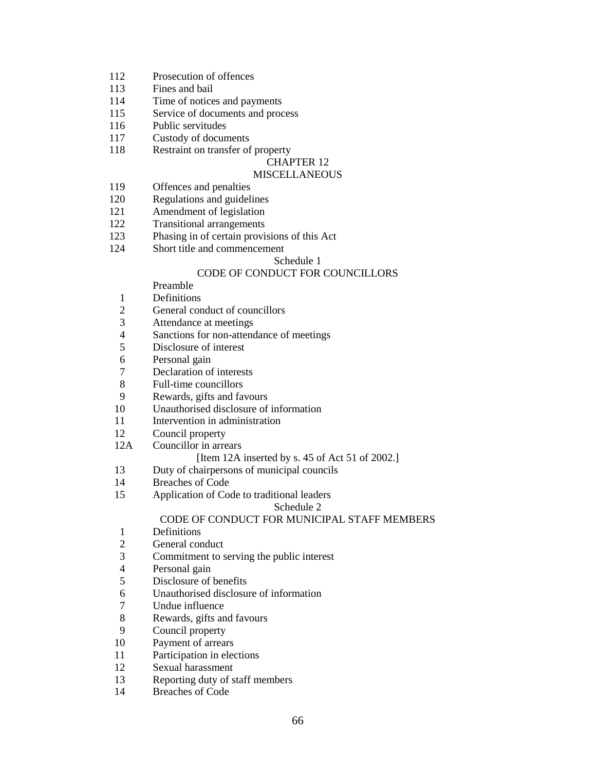- 112 Prosecution of offences
- 113 Fines and bail
- 114 Time of notices and payments
- 115 Service of documents and process
- 116 Public servitudes
- 117 Custody of documents
- 118 Restraint on transfer of property

# CHAPTER 12

### **MISCELLANEOUS**

- 119 Offences and penalties
- 120 Regulations and guidelines
- 121 Amendment of legislation
- 122 Transitional arrangements
- 123 Phasing in of certain provisions of this Act
- 124 Short title and commencement

### Schedule 1

## CODE OF CONDUCT FOR COUNCILLORS

- Preamble
- 1 Definitions
- 2 General conduct of councillors
- 3 Attendance at meetings
- 4 Sanctions for non-attendance of meetings
- 5 Disclosure of interest<br>6 Personal gain
- Personal gain
- 7 Declaration of interests
- 8 Full-time councillors<br>9 Rewards, gifts and fa
- Rewards, gifts and favours
- 10 Unauthorised disclosure of information
- 11 Intervention in administration
- 12 Council property
- 12A Councillor in arrears

#### [Item 12A inserted by s. 45 of Act 51 of 2002.]

- 13 Duty of chairpersons of municipal councils
- 14 Breaches of Code
- 15 Application of Code to traditional leaders

#### Schedule 2

### CODE OF CONDUCT FOR MUNICIPAL STAFF MEMBERS

- 1 Definitions
- 2 General conduct
- 3 Commitment to serving the public interest
- 4 Personal gain
- 5 Disclosure of benefits
- 6 Unauthorised disclosure of information
- 7 Undue influence
- 8 Rewards, gifts and favours
- 9 Council property
- 10 Payment of arrears
- 11 Participation in elections<br>12 Sexual harassment
- Sexual harassment
- 13 Reporting duty of staff members
- 14 Breaches of Code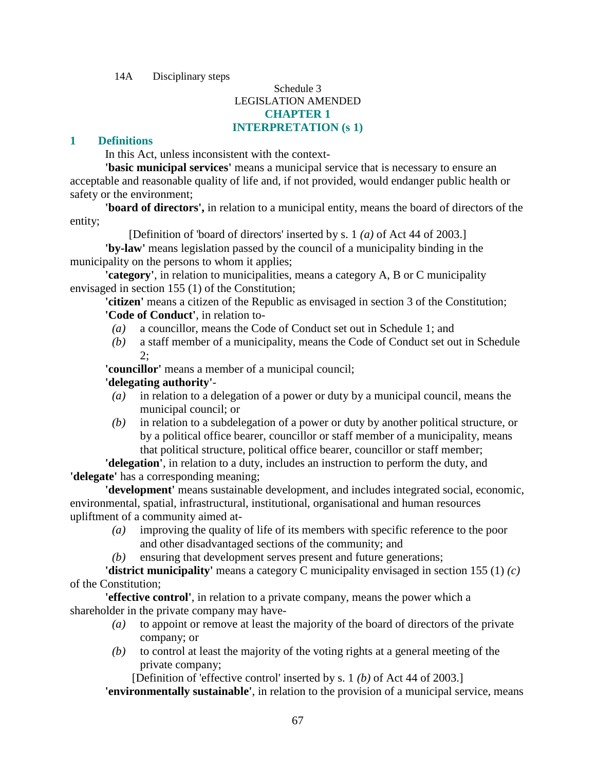14A Disciplinary steps

# Schedule 3 LEGISLATION AMENDED **CHAPTER 1 INTERPRETATION (s 1)**

# **1 Definitions**

In this Act, unless inconsistent with the context-

**'basic municipal services'** means a municipal service that is necessary to ensure an acceptable and reasonable quality of life and, if not provided, would endanger public health or safety or the environment;

**'board of directors',** in relation to a municipal entity, means the board of directors of the entity;

[Definition of 'board of directors' inserted by s. 1 *(a)* of Act 44 of 2003.]

**'by-law'** means legislation passed by the council of a municipality binding in the municipality on the persons to whom it applies;

**'category'**, in relation to municipalities, means a category A, B or C municipality envisaged in section 155 (1) of the Constitution;

**'citizen'** means a citizen of the Republic as envisaged in section 3 of the Constitution; **'Code of Conduct'**, in relation to-

- *(a)* a councillor, means the Code of Conduct set out in Schedule 1; and
- *(b)* a staff member of a municipality, means the Code of Conduct set out in Schedule 2;

**'councillor'** means a member of a municipal council;

# **'delegating authority'**-

- *(a)* in relation to a delegation of a power or duty by a municipal council, means the municipal council; or
- *(b)* in relation to a subdelegation of a power or duty by another political structure, or by a political office bearer, councillor or staff member of a municipality, means that political structure, political office bearer, councillor or staff member;

**'delegation'**, in relation to a duty, includes an instruction to perform the duty, and **'delegate'** has a corresponding meaning;

**'development'** means sustainable development, and includes integrated social, economic, environmental, spatial, infrastructural, institutional, organisational and human resources upliftment of a community aimed at-

- *(a)* improving the quality of life of its members with specific reference to the poor and other disadvantaged sections of the community; and
- *(b)* ensuring that development serves present and future generations;

**'district municipality'** means a category C municipality envisaged in section 155 (1) *(c)* of the Constitution;

**'effective control'**, in relation to a private company, means the power which a shareholder in the private company may have-

- *(a)* to appoint or remove at least the majority of the board of directors of the private company; or
- *(b)* to control at least the majority of the voting rights at a general meeting of the private company;

[Definition of 'effective control' inserted by s. 1 *(b)* of Act 44 of 2003.]

**'environmentally sustainable'**, in relation to the provision of a municipal service, means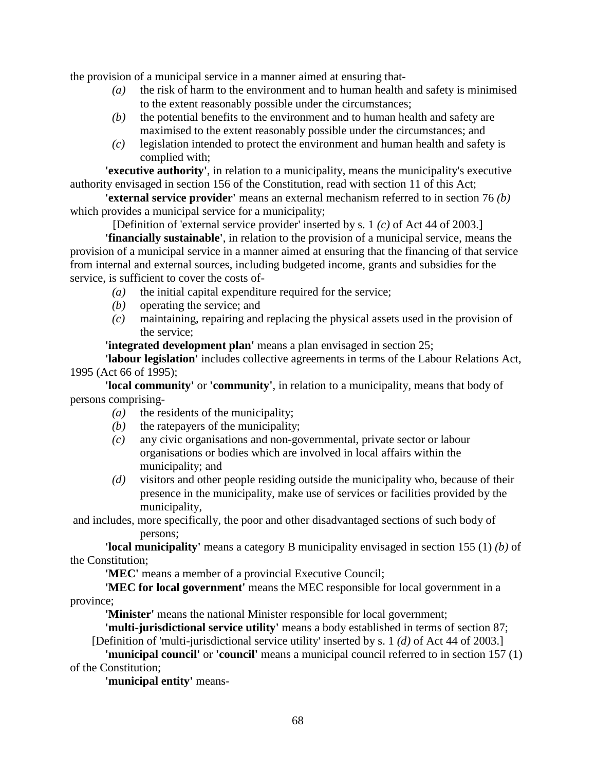the provision of a municipal service in a manner aimed at ensuring that-

- *(a)* the risk of harm to the environment and to human health and safety is minimised to the extent reasonably possible under the circumstances;
- *(b)* the potential benefits to the environment and to human health and safety are maximised to the extent reasonably possible under the circumstances; and
- *(c)* legislation intended to protect the environment and human health and safety is complied with;

**'executive authority'**, in relation to a municipality, means the municipality's executive authority envisaged in section 156 of the Constitution, read with section 11 of this Act;

**'external service provider'** means an external mechanism referred to in section 76 *(b)* which provides a municipal service for a municipality;

[Definition of 'external service provider' inserted by s. 1 *(c)* of Act 44 of 2003.]

**'financially sustainable'**, in relation to the provision of a municipal service, means the provision of a municipal service in a manner aimed at ensuring that the financing of that service from internal and external sources, including budgeted income, grants and subsidies for the service, is sufficient to cover the costs of-

- *(a)* the initial capital expenditure required for the service;
- *(b)* operating the service; and
- *(c)* maintaining, repairing and replacing the physical assets used in the provision of the service;

**'integrated development plan'** means a plan envisaged in section 25;

**'labour legislation'** includes collective agreements in terms of the Labour Relations Act, 1995 (Act 66 of 1995);

**'local community'** or **'community'**, in relation to a municipality, means that body of persons comprising-

- *(a)* the residents of the municipality;
- *(b)* the ratepayers of the municipality;
- *(c)* any civic organisations and non-governmental, private sector or labour organisations or bodies which are involved in local affairs within the municipality; and
- *(d)* visitors and other people residing outside the municipality who, because of their presence in the municipality, make use of services or facilities provided by the municipality,

 and includes, more specifically, the poor and other disadvantaged sections of such body of persons;

**'local municipality'** means a category B municipality envisaged in section 155 (1) *(b)* of the Constitution;

**'MEC'** means a member of a provincial Executive Council;

**'MEC for local government'** means the MEC responsible for local government in a province;

**'Minister'** means the national Minister responsible for local government;

**'multi-jurisdictional service utility'** means a body established in terms of section 87; [Definition of 'multi-jurisdictional service utility' inserted by s. 1 *(d)* of Act 44 of 2003.]

**'municipal council'** or **'council'** means a municipal council referred to in section 157 (1) of the Constitution;

**'municipal entity'** means-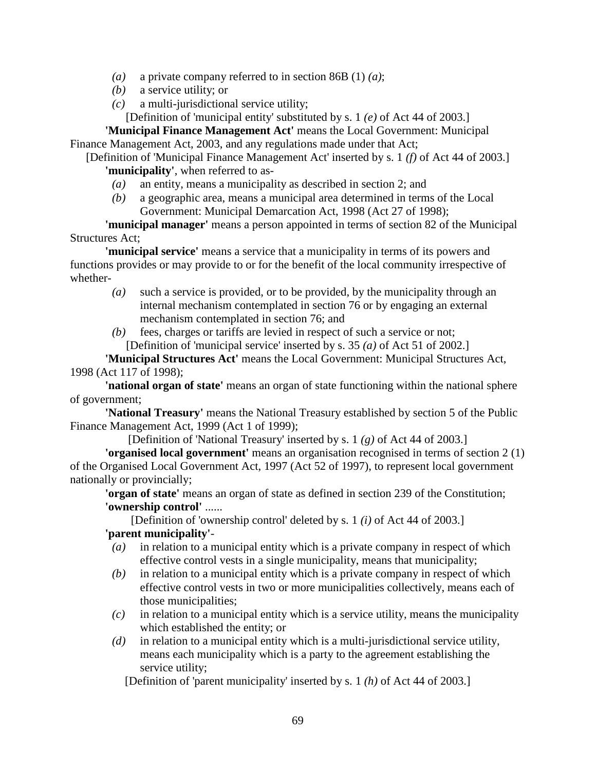- *(a)* a private company referred to in section 86B (1) *(a)*;
- *(b)* a service utility; or
- *(c)* a multi-jurisdictional service utility;

[Definition of 'municipal entity' substituted by s. 1 *(e)* of Act 44 of 2003.]

**'Municipal Finance Management Act'** means the Local Government: Municipal Finance Management Act, 2003, and any regulations made under that Act;

[Definition of 'Municipal Finance Management Act' inserted by s. 1 *(f)* of Act 44 of 2003.] **'municipality'**, when referred to as-

- *(a)* an entity, means a municipality as described in section 2; and
- *(b)* a geographic area, means a municipal area determined in terms of the Local Government: Municipal Demarcation Act, 1998 (Act 27 of 1998);

**'municipal manager'** means a person appointed in terms of section 82 of the Municipal Structures Act;

**'municipal service'** means a service that a municipality in terms of its powers and functions provides or may provide to or for the benefit of the local community irrespective of whether-

- *(a)* such a service is provided, or to be provided, by the municipality through an internal mechanism contemplated in section 76 or by engaging an external mechanism contemplated in section 76; and
- *(b)* fees, charges or tariffs are levied in respect of such a service or not; [Definition of 'municipal service' inserted by s. 35 *(a)* of Act 51 of 2002.]

**'Municipal Structures Act'** means the Local Government: Municipal Structures Act, 1998 (Act 117 of 1998);

**'national organ of state'** means an organ of state functioning within the national sphere of government;

**'National Treasury'** means the National Treasury established by section 5 of the Public Finance Management Act, 1999 (Act 1 of 1999);

[Definition of 'National Treasury' inserted by s. 1 *(g)* of Act 44 of 2003.]

**'organised local government'** means an organisation recognised in terms of section 2 (1) of the Organised Local Government Act, 1997 (Act 52 of 1997), to represent local government nationally or provincially;

**'organ of state'** means an organ of state as defined in section 239 of the Constitution; **'ownership control'** ......

[Definition of 'ownership control' deleted by s. 1 *(i)* of Act 44 of 2003.] **'parent municipality'**-

- *(a)* in relation to a municipal entity which is a private company in respect of which effective control vests in a single municipality, means that municipality;
- *(b)* in relation to a municipal entity which is a private company in respect of which effective control vests in two or more municipalities collectively, means each of those municipalities;
- *(c)* in relation to a municipal entity which is a service utility, means the municipality which established the entity; or
- *(d)* in relation to a municipal entity which is a multi-jurisdictional service utility, means each municipality which is a party to the agreement establishing the service utility;

[Definition of 'parent municipality' inserted by s. 1 *(h)* of Act 44 of 2003.]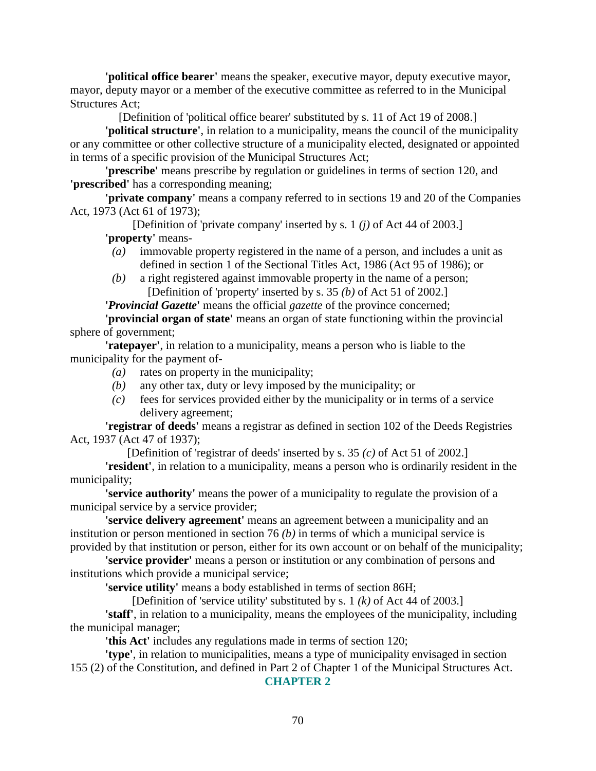**'political office bearer'** means the speaker, executive mayor, deputy executive mayor, mayor, deputy mayor or a member of the executive committee as referred to in the Municipal Structures Act;

[Definition of 'political office bearer' substituted by s. 11 of Act 19 of 2008.]

**'political structure'**, in relation to a municipality, means the council of the municipality or any committee or other collective structure of a municipality elected, designated or appointed in terms of a specific provision of the Municipal Structures Act;

**'prescribe'** means prescribe by regulation or guidelines in terms of section 120, and **'prescribed'** has a corresponding meaning;

**'private company'** means a company referred to in sections 19 and 20 of the Companies Act, 1973 (Act 61 of 1973);

[Definition of 'private company' inserted by s. 1 *(j)* of Act 44 of 2003.] **'property'** means-

- *(a)* immovable property registered in the name of a person, and includes a unit as defined in section 1 of the Sectional Titles Act, 1986 (Act 95 of 1986); or
- *(b)* a right registered against immovable property in the name of a person; [Definition of 'property' inserted by s. 35 *(b)* of Act 51 of 2002.]

**'***Provincial Gazette***'** means the official *gazette* of the province concerned;

**'provincial organ of state'** means an organ of state functioning within the provincial sphere of government;

**'ratepayer'**, in relation to a municipality, means a person who is liable to the municipality for the payment of-

- *(a)* rates on property in the municipality;
- *(b)* any other tax, duty or levy imposed by the municipality; or
- *(c)* fees for services provided either by the municipality or in terms of a service delivery agreement;

**'registrar of deeds'** means a registrar as defined in section 102 of the Deeds Registries Act, 1937 (Act 47 of 1937);

[Definition of 'registrar of deeds' inserted by s. 35 *(c)* of Act 51 of 2002.]

**'resident'**, in relation to a municipality, means a person who is ordinarily resident in the municipality;

**'service authority'** means the power of a municipality to regulate the provision of a municipal service by a service provider;

**'service delivery agreement'** means an agreement between a municipality and an institution or person mentioned in section 76 *(b)* in terms of which a municipal service is provided by that institution or person, either for its own account or on behalf of the municipality;

**'service provider'** means a person or institution or any combination of persons and institutions which provide a municipal service;

**'service utility'** means a body established in terms of section 86H;

[Definition of 'service utility' substituted by s. 1 *(k)* of Act 44 of 2003.]

**'staff'**, in relation to a municipality, means the employees of the municipality, including the municipal manager;

**'this Act'** includes any regulations made in terms of section 120;

**'type'**, in relation to municipalities, means a type of municipality envisaged in section 155 (2) of the Constitution, and defined in Part 2 of Chapter 1 of the Municipal Structures Act.

### **CHAPTER 2**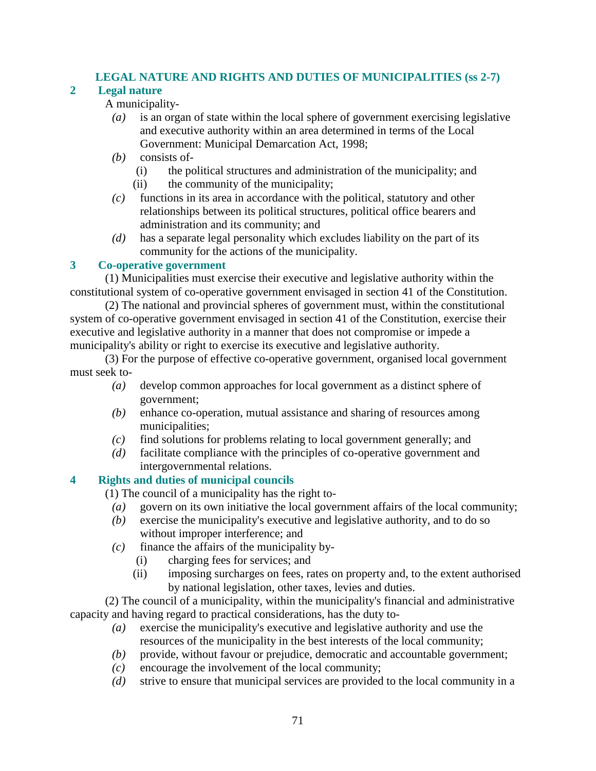# **LEGAL NATURE AND RIGHTS AND DUTIES OF MUNICIPALITIES (ss 2-7)**

# **2 Legal nature**

# A municipality-

- *(a)* is an organ of state within the local sphere of government exercising legislative and executive authority within an area determined in terms of the Local Government: Municipal Demarcation Act, 1998;
- *(b)* consists of-
	- (i) the political structures and administration of the municipality; and
	- (ii) the community of the municipality;
- *(c)* functions in its area in accordance with the political, statutory and other relationships between its political structures, political office bearers and administration and its community; and
- *(d)* has a separate legal personality which excludes liability on the part of its community for the actions of the municipality.

# **3 Co-operative government**

 (1) Municipalities must exercise their executive and legislative authority within the constitutional system of co-operative government envisaged in section 41 of the Constitution.

 (2) The national and provincial spheres of government must, within the constitutional system of co-operative government envisaged in section 41 of the Constitution, exercise their executive and legislative authority in a manner that does not compromise or impede a municipality's ability or right to exercise its executive and legislative authority.

 (3) For the purpose of effective co-operative government, organised local government must seek to-

- *(a)* develop common approaches for local government as a distinct sphere of government;
- *(b)* enhance co-operation, mutual assistance and sharing of resources among municipalities;
- *(c)* find solutions for problems relating to local government generally; and
- *(d)* facilitate compliance with the principles of co-operative government and intergovernmental relations.

# **4 Rights and duties of municipal councils**

(1) The council of a municipality has the right to-

- *(a)* govern on its own initiative the local government affairs of the local community;
- *(b)* exercise the municipality's executive and legislative authority, and to do so without improper interference; and
- $(c)$  finance the affairs of the municipality by-
	- (i) charging fees for services; and
	- (ii) imposing surcharges on fees, rates on property and, to the extent authorised by national legislation, other taxes, levies and duties.

 (2) The council of a municipality, within the municipality's financial and administrative capacity and having regard to practical considerations, has the duty to-

- *(a)* exercise the municipality's executive and legislative authority and use the resources of the municipality in the best interests of the local community;
- *(b)* provide, without favour or prejudice, democratic and accountable government;
- *(c)* encourage the involvement of the local community;
- *(d)* strive to ensure that municipal services are provided to the local community in a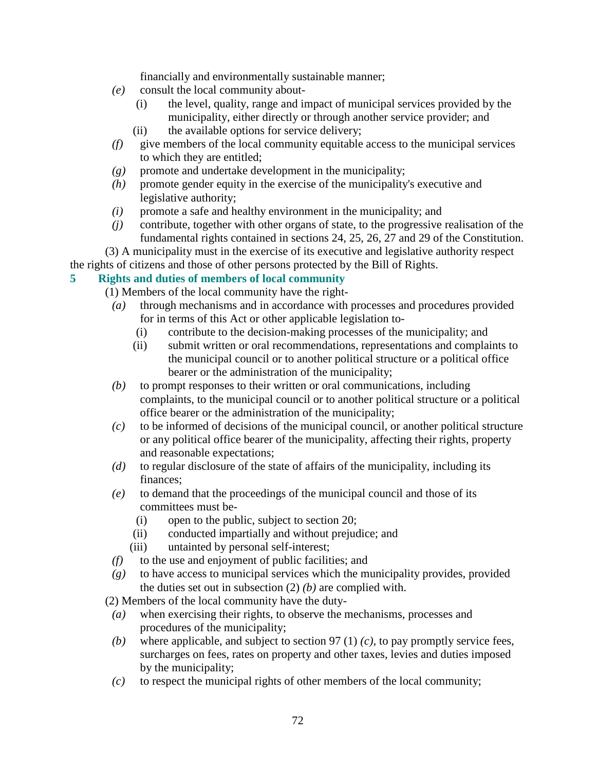financially and environmentally sustainable manner;

- *(e)* consult the local community about-
	- (i) the level, quality, range and impact of municipal services provided by the municipality, either directly or through another service provider; and
	- (ii) the available options for service delivery;
- *(f)* give members of the local community equitable access to the municipal services to which they are entitled;
- *(g)* promote and undertake development in the municipality;
- *(h)* promote gender equity in the exercise of the municipality's executive and legislative authority;
- *(i)* promote a safe and healthy environment in the municipality; and
- *(j)* contribute, together with other organs of state, to the progressive realisation of the fundamental rights contained in sections 24, 25, 26, 27 and 29 of the Constitution.

(3) A municipality must in the exercise of its executive and legislative authority respect

the rights of citizens and those of other persons protected by the Bill of Rights.

# **5 Rights and duties of members of local community**

(1) Members of the local community have the right-

- *(a)* through mechanisms and in accordance with processes and procedures provided for in terms of this Act or other applicable legislation to-
	- (i) contribute to the decision-making processes of the municipality; and
	- (ii) submit written or oral recommendations, representations and complaints to the municipal council or to another political structure or a political office bearer or the administration of the municipality;
- *(b)* to prompt responses to their written or oral communications, including complaints, to the municipal council or to another political structure or a political office bearer or the administration of the municipality;
- *(c)* to be informed of decisions of the municipal council, or another political structure or any political office bearer of the municipality, affecting their rights, property and reasonable expectations;
- *(d)* to regular disclosure of the state of affairs of the municipality, including its finances;
- *(e)* to demand that the proceedings of the municipal council and those of its committees must be-
	- (i) open to the public, subject to section 20;
	- (ii) conducted impartially and without prejudice; and
	- (iii) untainted by personal self-interest;
- *(f)* to the use and enjoyment of public facilities; and
- *(g)* to have access to municipal services which the municipality provides, provided the duties set out in subsection (2) *(b)* are complied with.
- (2) Members of the local community have the duty-
- *(a)* when exercising their rights, to observe the mechanisms, processes and procedures of the municipality;
- *(b)* where applicable, and subject to section 97 (1) *(c)*, to pay promptly service fees, surcharges on fees, rates on property and other taxes, levies and duties imposed by the municipality;
- *(c)* to respect the municipal rights of other members of the local community;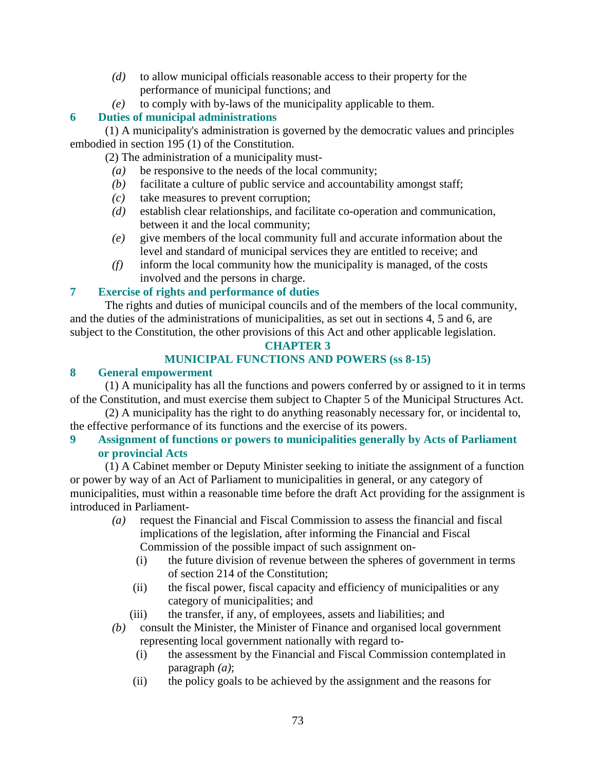- *(d)* to allow municipal officials reasonable access to their property for the performance of municipal functions; and
- *(e)* to comply with by-laws of the municipality applicable to them.

# **6 Duties of municipal administrations**

 (1) A municipality's administration is governed by the democratic values and principles embodied in section 195 (1) of the Constitution.

(2) The administration of a municipality must-

- *(a)* be responsive to the needs of the local community;
- *(b)* facilitate a culture of public service and accountability amongst staff;
- *(c)* take measures to prevent corruption;
- *(d)* establish clear relationships, and facilitate co-operation and communication, between it and the local community;
- *(e)* give members of the local community full and accurate information about the level and standard of municipal services they are entitled to receive; and
- *(f)* inform the local community how the municipality is managed, of the costs involved and the persons in charge.

# **7 Exercise of rights and performance of duties**

 The rights and duties of municipal councils and of the members of the local community, and the duties of the administrations of municipalities, as set out in sections 4, 5 and 6, are subject to the Constitution, the other provisions of this Act and other applicable legislation.

# **CHAPTER 3**

# **MUNICIPAL FUNCTIONS AND POWERS (ss 8-15)**

# **8 General empowerment**

 (1) A municipality has all the functions and powers conferred by or assigned to it in terms of the Constitution, and must exercise them subject to Chapter 5 of the Municipal Structures Act.

 (2) A municipality has the right to do anything reasonably necessary for, or incidental to, the effective performance of its functions and the exercise of its powers.

# **9 Assignment of functions or powers to municipalities generally by Acts of Parliament or provincial Acts**

 (1) A Cabinet member or Deputy Minister seeking to initiate the assignment of a function or power by way of an Act of Parliament to municipalities in general, or any category of municipalities, must within a reasonable time before the draft Act providing for the assignment is introduced in Parliament-

- *(a)* request the Financial and Fiscal Commission to assess the financial and fiscal implications of the legislation, after informing the Financial and Fiscal Commission of the possible impact of such assignment on-
	- (i) the future division of revenue between the spheres of government in terms of section 214 of the Constitution;
	- (ii) the fiscal power, fiscal capacity and efficiency of municipalities or any category of municipalities; and
	- (iii) the transfer, if any, of employees, assets and liabilities; and
- *(b)* consult the Minister, the Minister of Finance and organised local government representing local government nationally with regard to-
	- (i) the assessment by the Financial and Fiscal Commission contemplated in paragraph *(a)*;
	- (ii) the policy goals to be achieved by the assignment and the reasons for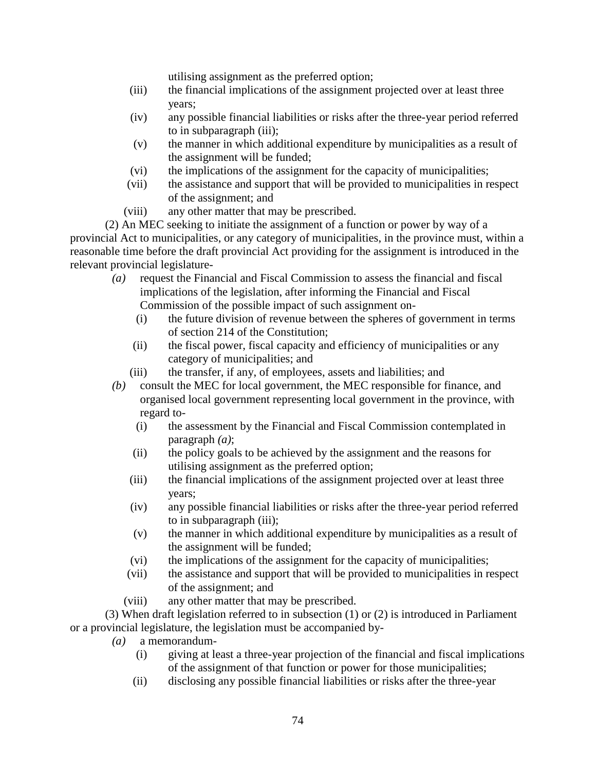utilising assignment as the preferred option;

- (iii) the financial implications of the assignment projected over at least three years;
- (iv) any possible financial liabilities or risks after the three-year period referred to in subparagraph (iii);
- (v) the manner in which additional expenditure by municipalities as a result of the assignment will be funded;
- (vi) the implications of the assignment for the capacity of municipalities;
- (vii) the assistance and support that will be provided to municipalities in respect of the assignment; and
- (viii) any other matter that may be prescribed.

 (2) An MEC seeking to initiate the assignment of a function or power by way of a provincial Act to municipalities, or any category of municipalities, in the province must, within a reasonable time before the draft provincial Act providing for the assignment is introduced in the relevant provincial legislature-

- *(a)* request the Financial and Fiscal Commission to assess the financial and fiscal implications of the legislation, after informing the Financial and Fiscal Commission of the possible impact of such assignment on-
	- (i) the future division of revenue between the spheres of government in terms of section 214 of the Constitution;
	- (ii) the fiscal power, fiscal capacity and efficiency of municipalities or any category of municipalities; and
	- (iii) the transfer, if any, of employees, assets and liabilities; and
- *(b)* consult the MEC for local government, the MEC responsible for finance, and organised local government representing local government in the province, with regard to-
	- (i) the assessment by the Financial and Fiscal Commission contemplated in paragraph *(a)*;
	- (ii) the policy goals to be achieved by the assignment and the reasons for utilising assignment as the preferred option;
	- (iii) the financial implications of the assignment projected over at least three years;
	- (iv) any possible financial liabilities or risks after the three-year period referred to in subparagraph (iii);
	- (v) the manner in which additional expenditure by municipalities as a result of the assignment will be funded;
	- (vi) the implications of the assignment for the capacity of municipalities;
	- (vii) the assistance and support that will be provided to municipalities in respect of the assignment; and
	- (viii) any other matter that may be prescribed.

 (3) When draft legislation referred to in subsection (1) or (2) is introduced in Parliament or a provincial legislature, the legislation must be accompanied by-

- *(a)* a memorandum-
	- (i) giving at least a three-year projection of the financial and fiscal implications of the assignment of that function or power for those municipalities;
	- (ii) disclosing any possible financial liabilities or risks after the three-year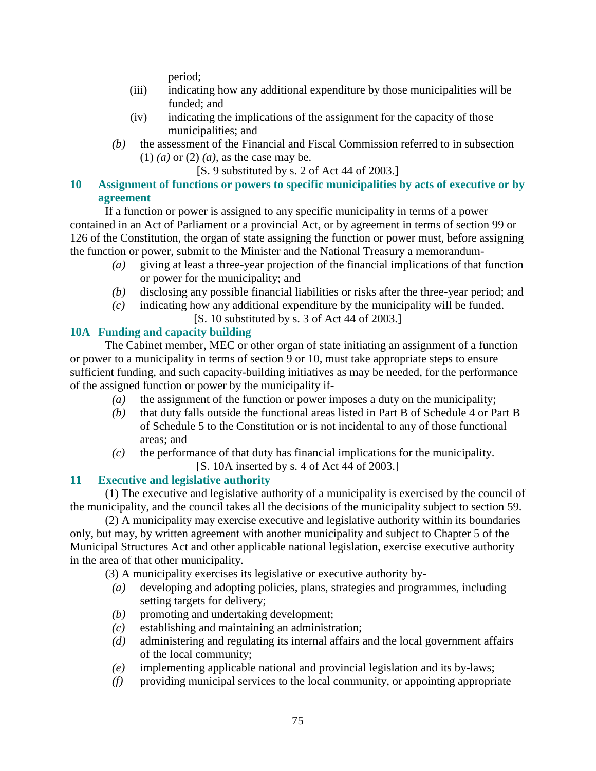period;

- (iii) indicating how any additional expenditure by those municipalities will be funded; and
- (iv) indicating the implications of the assignment for the capacity of those municipalities; and
- *(b)* the assessment of the Financial and Fiscal Commission referred to in subsection (1) *(a)* or (2) *(a)*, as the case may be.
	- [S. 9 substituted by s. 2 of Act 44 of 2003.]

# **10 Assignment of functions or powers to specific municipalities by acts of executive or by agreement**

 If a function or power is assigned to any specific municipality in terms of a power contained in an Act of Parliament or a provincial Act, or by agreement in terms of section 99 or 126 of the Constitution, the organ of state assigning the function or power must, before assigning the function or power, submit to the Minister and the National Treasury a memorandum-

- *(a)* giving at least a three-year projection of the financial implications of that function or power for the municipality; and
- *(b)* disclosing any possible financial liabilities or risks after the three-year period; and
- *(c)* indicating how any additional expenditure by the municipality will be funded.
	- [S. 10 substituted by s. 3 of Act 44 of 2003.]

# **10A Funding and capacity building**

 The Cabinet member, MEC or other organ of state initiating an assignment of a function or power to a municipality in terms of section 9 or 10, must take appropriate steps to ensure sufficient funding, and such capacity-building initiatives as may be needed, for the performance of the assigned function or power by the municipality if-

- *(a)* the assignment of the function or power imposes a duty on the municipality;
- *(b)* that duty falls outside the functional areas listed in Part B of Schedule 4 or Part B of Schedule 5 to the Constitution or is not incidental to any of those functional areas; and
- *(c)* the performance of that duty has financial implications for the municipality. [S. 10A inserted by s. 4 of Act 44 of 2003.]

# **11 Executive and legislative authority**

 (1) The executive and legislative authority of a municipality is exercised by the council of the municipality, and the council takes all the decisions of the municipality subject to section 59.

 (2) A municipality may exercise executive and legislative authority within its boundaries only, but may, by written agreement with another municipality and subject to Chapter 5 of the Municipal Structures Act and other applicable national legislation, exercise executive authority in the area of that other municipality.

(3) A municipality exercises its legislative or executive authority by-

- *(a)* developing and adopting policies, plans, strategies and programmes, including setting targets for delivery;
- *(b)* promoting and undertaking development;
- *(c)* establishing and maintaining an administration;
- *(d)* administering and regulating its internal affairs and the local government affairs of the local community;
- *(e)* implementing applicable national and provincial legislation and its by-laws;
- *(f)* providing municipal services to the local community, or appointing appropriate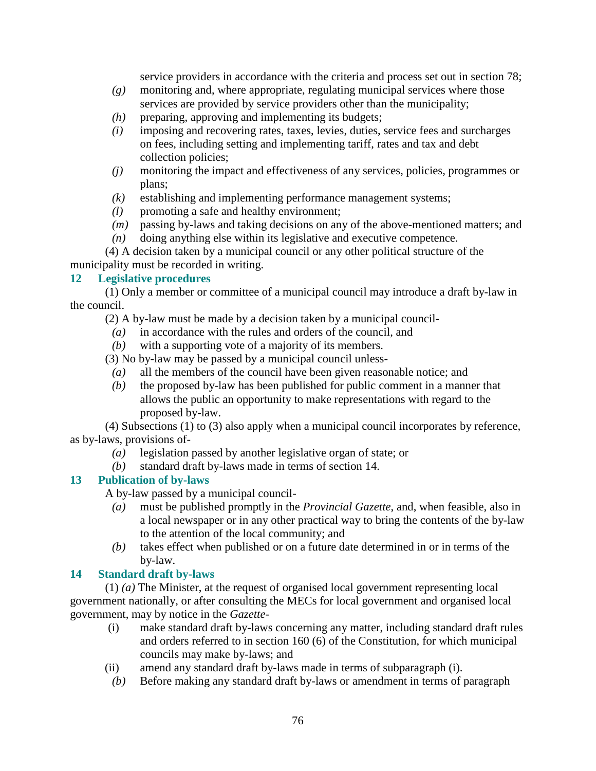service providers in accordance with the criteria and process set out in section 78;

- *(g)* monitoring and, where appropriate, regulating municipal services where those services are provided by service providers other than the municipality;
- *(h)* preparing, approving and implementing its budgets;
- *(i)* imposing and recovering rates, taxes, levies, duties, service fees and surcharges on fees, including setting and implementing tariff, rates and tax and debt collection policies;
- *(j)* monitoring the impact and effectiveness of any services, policies, programmes or plans;
- *(k)* establishing and implementing performance management systems;
- *(l)* promoting a safe and healthy environment;
- *(m)* passing by-laws and taking decisions on any of the above-mentioned matters; and
- *(n)* doing anything else within its legislative and executive competence.

 (4) A decision taken by a municipal council or any other political structure of the municipality must be recorded in writing.

#### **12 Legislative procedures**

 (1) Only a member or committee of a municipal council may introduce a draft by-law in the council.

(2) A by-law must be made by a decision taken by a municipal council-

- *(a)* in accordance with the rules and orders of the council, and
- *(b)* with a supporting vote of a majority of its members.

(3) No by-law may be passed by a municipal council unless-

- *(a)* all the members of the council have been given reasonable notice; and
- *(b)* the proposed by-law has been published for public comment in a manner that allows the public an opportunity to make representations with regard to the proposed by-law.

 (4) Subsections (1) to (3) also apply when a municipal council incorporates by reference, as by-laws, provisions of-

- *(a)* legislation passed by another legislative organ of state; or
- *(b)* standard draft by-laws made in terms of section 14.

# **13 Publication of by-laws**

A by-law passed by a municipal council-

- *(a)* must be published promptly in the *Provincial Gazette*, and, when feasible, also in a local newspaper or in any other practical way to bring the contents of the by-law to the attention of the local community; and
- *(b)* takes effect when published or on a future date determined in or in terms of the by-law.

# **14 Standard draft by-laws**

 (1) *(a)* The Minister, at the request of organised local government representing local government nationally, or after consulting the MECs for local government and organised local government, may by notice in the *Gazette*-

- (i) make standard draft by-laws concerning any matter, including standard draft rules and orders referred to in section 160 (6) of the Constitution, for which municipal councils may make by-laws; and
- (ii) amend any standard draft by-laws made in terms of subparagraph (i).
- *(b)* Before making any standard draft by-laws or amendment in terms of paragraph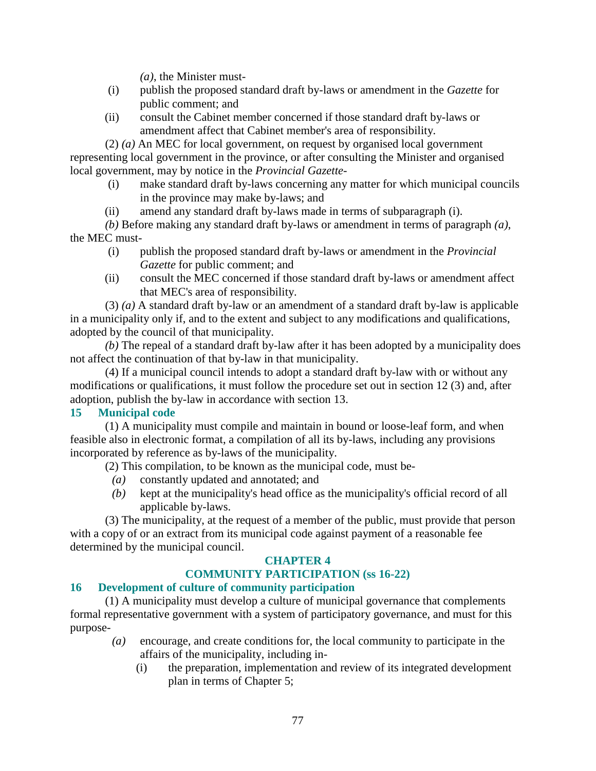*(a)*, the Minister must-

- (i) publish the proposed standard draft by-laws or amendment in the *Gazette* for public comment; and
- (ii) consult the Cabinet member concerned if those standard draft by-laws or amendment affect that Cabinet member's area of responsibility.

 (2) *(a)* An MEC for local government, on request by organised local government representing local government in the province, or after consulting the Minister and organised local government, may by notice in the *Provincial Gazette*-

- (i) make standard draft by-laws concerning any matter for which municipal councils in the province may make by-laws; and
- (ii) amend any standard draft by-laws made in terms of subparagraph (i).

*(b)* Before making any standard draft by-laws or amendment in terms of paragraph *(a)*, the MEC must-

- (i) publish the proposed standard draft by-laws or amendment in the *Provincial Gazette* for public comment; and
- (ii) consult the MEC concerned if those standard draft by-laws or amendment affect that MEC's area of responsibility.

 (3) *(a)* A standard draft by-law or an amendment of a standard draft by-law is applicable in a municipality only if, and to the extent and subject to any modifications and qualifications, adopted by the council of that municipality.

*(b)* The repeal of a standard draft by-law after it has been adopted by a municipality does not affect the continuation of that by-law in that municipality.

 (4) If a municipal council intends to adopt a standard draft by-law with or without any modifications or qualifications, it must follow the procedure set out in section 12 (3) and, after adoption, publish the by-law in accordance with section 13.

# **15 Municipal code**

 (1) A municipality must compile and maintain in bound or loose-leaf form, and when feasible also in electronic format, a compilation of all its by-laws, including any provisions incorporated by reference as by-laws of the municipality.

(2) This compilation, to be known as the municipal code, must be-

- *(a)* constantly updated and annotated; and
- *(b)* kept at the municipality's head office as the municipality's official record of all applicable by-laws.

 (3) The municipality, at the request of a member of the public, must provide that person with a copy of or an extract from its municipal code against payment of a reasonable fee determined by the municipal council.

# **CHAPTER 4**

# **COMMUNITY PARTICIPATION (ss 16-22)**

# **16 Development of culture of community participation**

 (1) A municipality must develop a culture of municipal governance that complements formal representative government with a system of participatory governance, and must for this purpose-

- *(a)* encourage, and create conditions for, the local community to participate in the affairs of the municipality, including in-
	- (i) the preparation, implementation and review of its integrated development plan in terms of Chapter 5;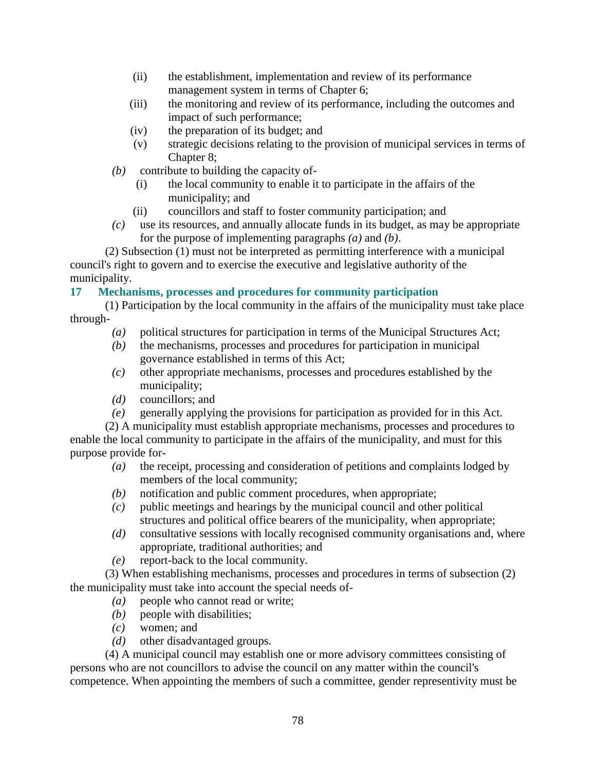- (ii) the establishment, implementation and review of its performance management system in terms of Chapter 6;
- (iii) the monitoring and review of its performance, including the outcomes and impact of such performance;
- (iv) the preparation of its budget; and
- (v) strategic decisions relating to the provision of municipal services in terms of Chapter 8:
- *(b)* contribute to building the capacity of-
	- (i) the local community to enable it to participate in the affairs of the municipality; and
	- (ii) councillors and staff to foster community participation; and
- *(c)* use its resources, and annually allocate funds in its budget, as may be appropriate for the purpose of implementing paragraphs *(a)* and *(b)*.

 (2) Subsection (1) must not be interpreted as permitting interference with a municipal council's right to govern and to exercise the executive and legislative authority of the municipality.

**17 Mechanisms, processes and procedures for community participation** 

 (1) Participation by the local community in the affairs of the municipality must take place through-

- *(a)* political structures for participation in terms of the Municipal Structures Act;
- *(b)* the mechanisms, processes and procedures for participation in municipal governance established in terms of this Act;
- *(c)* other appropriate mechanisms, processes and procedures established by the municipality;
- *(d)* councillors; and
- *(e)* generally applying the provisions for participation as provided for in this Act.

 (2) A municipality must establish appropriate mechanisms, processes and procedures to enable the local community to participate in the affairs of the municipality, and must for this purpose provide for-

- *(a)* the receipt, processing and consideration of petitions and complaints lodged by members of the local community;
- *(b)* notification and public comment procedures, when appropriate;
- *(c)* public meetings and hearings by the municipal council and other political structures and political office bearers of the municipality, when appropriate;
- *(d)* consultative sessions with locally recognised community organisations and, where appropriate, traditional authorities; and
- *(e)* report-back to the local community.

 (3) When establishing mechanisms, processes and procedures in terms of subsection (2) the municipality must take into account the special needs of-

- *(a)* people who cannot read or write;
- *(b)* people with disabilities;
- *(c)* women; and
- *(d)* other disadvantaged groups.

 (4) A municipal council may establish one or more advisory committees consisting of persons who are not councillors to advise the council on any matter within the council's competence. When appointing the members of such a committee, gender representivity must be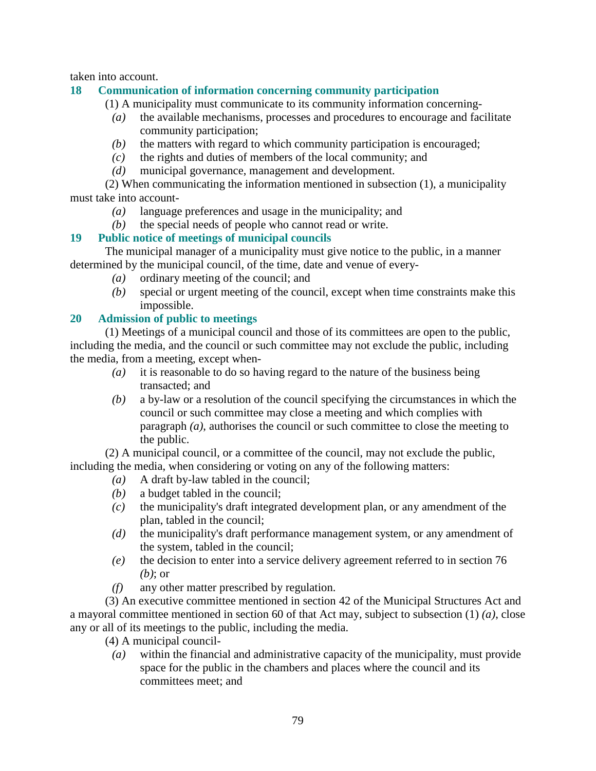taken into account.

## **18 Communication of information concerning community participation**

(1) A municipality must communicate to its community information concerning-

- *(a)* the available mechanisms, processes and procedures to encourage and facilitate community participation;
- *(b)* the matters with regard to which community participation is encouraged;
- *(c)* the rights and duties of members of the local community; and
- *(d)* municipal governance, management and development.

 (2) When communicating the information mentioned in subsection (1), a municipality must take into account-

- *(a)* language preferences and usage in the municipality; and
- *(b)* the special needs of people who cannot read or write.

# **19 Public notice of meetings of municipal councils**

 The municipal manager of a municipality must give notice to the public, in a manner determined by the municipal council, of the time, date and venue of every-

- *(a)* ordinary meeting of the council; and
- *(b)* special or urgent meeting of the council, except when time constraints make this impossible.

## **20 Admission of public to meetings**

 (1) Meetings of a municipal council and those of its committees are open to the public, including the media, and the council or such committee may not exclude the public, including the media, from a meeting, except when-

- *(a)* it is reasonable to do so having regard to the nature of the business being transacted; and
- *(b)* a by-law or a resolution of the council specifying the circumstances in which the council or such committee may close a meeting and which complies with paragraph *(a)*, authorises the council or such committee to close the meeting to the public.

 (2) A municipal council, or a committee of the council, may not exclude the public, including the media, when considering or voting on any of the following matters:

- *(a)* A draft by-law tabled in the council;
- *(b)* a budget tabled in the council;
- *(c)* the municipality's draft integrated development plan, or any amendment of the plan, tabled in the council;
- *(d)* the municipality's draft performance management system, or any amendment of the system, tabled in the council;
- *(e)* the decision to enter into a service delivery agreement referred to in section 76 *(b)*; or
- *(f)* any other matter prescribed by regulation.

 (3) An executive committee mentioned in section 42 of the Municipal Structures Act and a mayoral committee mentioned in section 60 of that Act may, subject to subsection (1) *(a)*, close any or all of its meetings to the public, including the media.

- (4) A municipal council-
	- *(a)* within the financial and administrative capacity of the municipality, must provide space for the public in the chambers and places where the council and its committees meet; and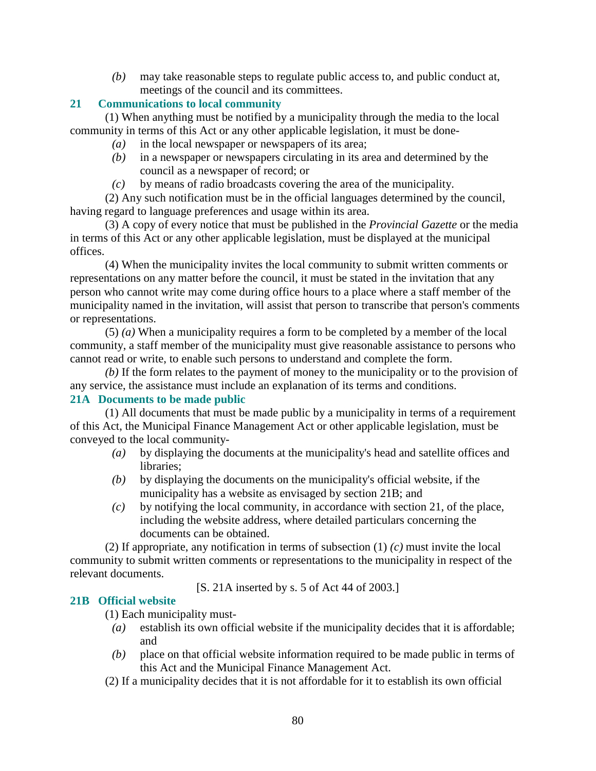*(b)* may take reasonable steps to regulate public access to, and public conduct at, meetings of the council and its committees.

# **21 Communications to local community**

 (1) When anything must be notified by a municipality through the media to the local community in terms of this Act or any other applicable legislation, it must be done-

- *(a)* in the local newspaper or newspapers of its area;
- *(b)* in a newspaper or newspapers circulating in its area and determined by the council as a newspaper of record; or
- *(c)* by means of radio broadcasts covering the area of the municipality.

 (2) Any such notification must be in the official languages determined by the council, having regard to language preferences and usage within its area.

 (3) A copy of every notice that must be published in the *Provincial Gazette* or the media in terms of this Act or any other applicable legislation, must be displayed at the municipal offices.

 (4) When the municipality invites the local community to submit written comments or representations on any matter before the council, it must be stated in the invitation that any person who cannot write may come during office hours to a place where a staff member of the municipality named in the invitation, will assist that person to transcribe that person's comments or representations.

 (5) *(a)* When a municipality requires a form to be completed by a member of the local community, a staff member of the municipality must give reasonable assistance to persons who cannot read or write, to enable such persons to understand and complete the form.

*(b)* If the form relates to the payment of money to the municipality or to the provision of any service, the assistance must include an explanation of its terms and conditions.

# **21A Documents to be made public**

 (1) All documents that must be made public by a municipality in terms of a requirement of this Act, the Municipal Finance Management Act or other applicable legislation, must be conveyed to the local community-

- *(a)* by displaying the documents at the municipality's head and satellite offices and libraries;
- *(b)* by displaying the documents on the municipality's official website, if the municipality has a website as envisaged by section 21B; and
- *(c)* by notifying the local community, in accordance with section 21, of the place, including the website address, where detailed particulars concerning the documents can be obtained.

 (2) If appropriate, any notification in terms of subsection (1) *(c)* must invite the local community to submit written comments or representations to the municipality in respect of the relevant documents.

[S. 21A inserted by s. 5 of Act 44 of 2003.]

# **21B Official website**

(1) Each municipality must-

- *(a)* establish its own official website if the municipality decides that it is affordable; and
- *(b)* place on that official website information required to be made public in terms of this Act and the Municipal Finance Management Act.
- (2) If a municipality decides that it is not affordable for it to establish its own official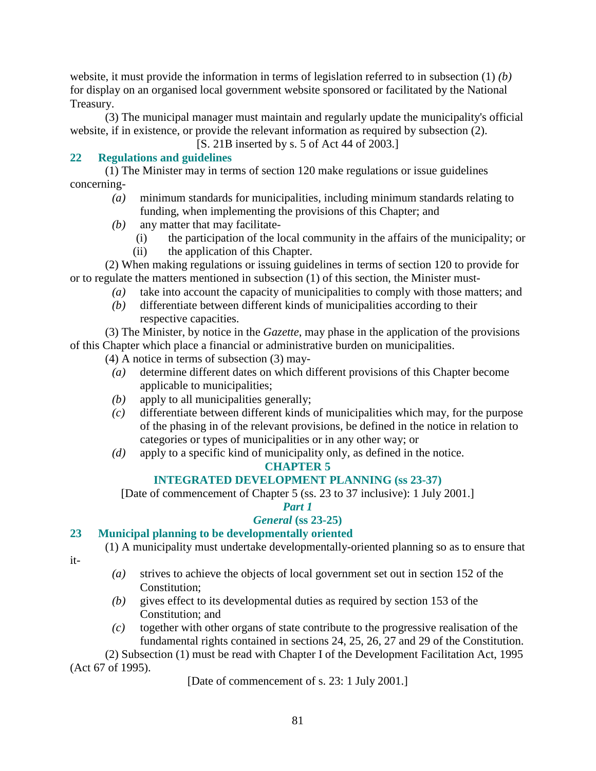website, it must provide the information in terms of legislation referred to in subsection (1) *(b)* for display on an organised local government website sponsored or facilitated by the National Treasury.

 (3) The municipal manager must maintain and regularly update the municipality's official website, if in existence, or provide the relevant information as required by subsection (2).

[S. 21B inserted by s. 5 of Act 44 of 2003.]

# **22 Regulations and guidelines**

 (1) The Minister may in terms of section 120 make regulations or issue guidelines concerning-

- *(a)* minimum standards for municipalities, including minimum standards relating to funding, when implementing the provisions of this Chapter; and
- *(b)* any matter that may facilitate-
	- (i) the participation of the local community in the affairs of the municipality; or
	- (ii) the application of this Chapter.

 (2) When making regulations or issuing guidelines in terms of section 120 to provide for or to regulate the matters mentioned in subsection (1) of this section, the Minister must-

- *(a)* take into account the capacity of municipalities to comply with those matters; and
- *(b)* differentiate between different kinds of municipalities according to their respective capacities.

 (3) The Minister, by notice in the *Gazette*, may phase in the application of the provisions of this Chapter which place a financial or administrative burden on municipalities.

(4) A notice in terms of subsection (3) may-

- *(a)* determine different dates on which different provisions of this Chapter become applicable to municipalities;
- *(b)* apply to all municipalities generally;
- *(c)* differentiate between different kinds of municipalities which may, for the purpose of the phasing in of the relevant provisions, be defined in the notice in relation to categories or types of municipalities or in any other way; or
- *(d)* apply to a specific kind of municipality only, as defined in the notice.

# **CHAPTER 5**

# **INTEGRATED DEVELOPMENT PLANNING (ss 23-37)**

[Date of commencement of Chapter 5 (ss. 23 to 37 inclusive): 1 July 2001.]

# *Part 1*

# *General* **(ss 23-25)**

# **23 Municipal planning to be developmentally oriented**

(1) A municipality must undertake developmentally-oriented planning so as to ensure that

- it-
- *(a)* strives to achieve the objects of local government set out in section 152 of the Constitution;
- *(b)* gives effect to its developmental duties as required by section 153 of the Constitution; and
- *(c)* together with other organs of state contribute to the progressive realisation of the fundamental rights contained in sections 24, 25, 26, 27 and 29 of the Constitution.

 (2) Subsection (1) must be read with Chapter I of the Development Facilitation Act, 1995 (Act 67 of 1995).

[Date of commencement of s. 23: 1 July 2001.]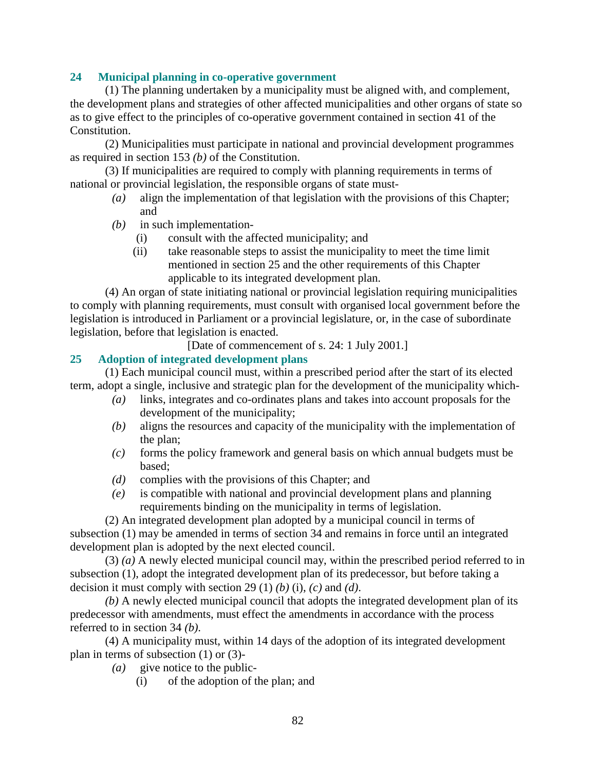## **24 Municipal planning in co-operative government**

 (1) The planning undertaken by a municipality must be aligned with, and complement, the development plans and strategies of other affected municipalities and other organs of state so as to give effect to the principles of co-operative government contained in section 41 of the Constitution.

 (2) Municipalities must participate in national and provincial development programmes as required in section 153 *(b)* of the Constitution.

 (3) If municipalities are required to comply with planning requirements in terms of national or provincial legislation, the responsible organs of state must-

- *(a)* align the implementation of that legislation with the provisions of this Chapter; and
- *(b)* in such implementation-
	- (i) consult with the affected municipality; and
	- (ii) take reasonable steps to assist the municipality to meet the time limit mentioned in section 25 and the other requirements of this Chapter applicable to its integrated development plan.

 (4) An organ of state initiating national or provincial legislation requiring municipalities to comply with planning requirements, must consult with organised local government before the legislation is introduced in Parliament or a provincial legislature, or, in the case of subordinate legislation, before that legislation is enacted.

[Date of commencement of s. 24: 1 July 2001.]

## **25 Adoption of integrated development plans**

 (1) Each municipal council must, within a prescribed period after the start of its elected term, adopt a single, inclusive and strategic plan for the development of the municipality which-

- *(a)* links, integrates and co-ordinates plans and takes into account proposals for the development of the municipality;
- *(b)* aligns the resources and capacity of the municipality with the implementation of the plan;
- *(c)* forms the policy framework and general basis on which annual budgets must be based;
- *(d)* complies with the provisions of this Chapter; and
- *(e)* is compatible with national and provincial development plans and planning requirements binding on the municipality in terms of legislation.

 (2) An integrated development plan adopted by a municipal council in terms of subsection (1) may be amended in terms of section 34 and remains in force until an integrated development plan is adopted by the next elected council.

 (3) *(a)* A newly elected municipal council may, within the prescribed period referred to in subsection (1), adopt the integrated development plan of its predecessor, but before taking a decision it must comply with section 29 (1) *(b)* (i), *(c)* and *(d)*.

*(b)* A newly elected municipal council that adopts the integrated development plan of its predecessor with amendments, must effect the amendments in accordance with the process referred to in section 34 *(b)*.

 (4) A municipality must, within 14 days of the adoption of its integrated development plan in terms of subsection (1) or (3)-

- $(a)$  give notice to the public-
	- (i) of the adoption of the plan; and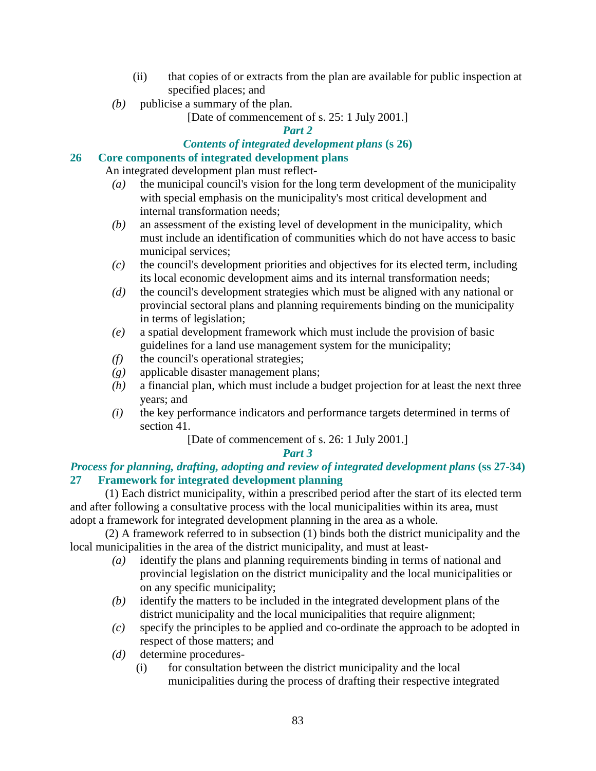- (ii) that copies of or extracts from the plan are available for public inspection at specified places; and
- *(b)* publicise a summary of the plan.

[Date of commencement of s. 25: 1 July 2001.]

*Part 2* 

## *Contents of integrated development plans* **(s 26)**

## **26 Core components of integrated development plans**

An integrated development plan must reflect-

- *(a)* the municipal council's vision for the long term development of the municipality with special emphasis on the municipality's most critical development and internal transformation needs;
- *(b)* an assessment of the existing level of development in the municipality, which must include an identification of communities which do not have access to basic municipal services;
- *(c)* the council's development priorities and objectives for its elected term, including its local economic development aims and its internal transformation needs;
- *(d)* the council's development strategies which must be aligned with any national or provincial sectoral plans and planning requirements binding on the municipality in terms of legislation;
- *(e)* a spatial development framework which must include the provision of basic guidelines for a land use management system for the municipality;
- *(f)* the council's operational strategies;
- *(g)* applicable disaster management plans;
- *(h)* a financial plan, which must include a budget projection for at least the next three years; and
- *(i)* the key performance indicators and performance targets determined in terms of section 41.

[Date of commencement of s. 26: 1 July 2001.]

# *Part 3*

# *Process for planning, drafting, adopting and review of integrated development plans* **(ss 27-34) 27 Framework for integrated development planning**

 (1) Each district municipality, within a prescribed period after the start of its elected term and after following a consultative process with the local municipalities within its area, must adopt a framework for integrated development planning in the area as a whole.

 (2) A framework referred to in subsection (1) binds both the district municipality and the local municipalities in the area of the district municipality, and must at least-

- *(a)* identify the plans and planning requirements binding in terms of national and provincial legislation on the district municipality and the local municipalities or on any specific municipality;
- *(b)* identify the matters to be included in the integrated development plans of the district municipality and the local municipalities that require alignment;
- *(c)* specify the principles to be applied and co-ordinate the approach to be adopted in respect of those matters; and
- *(d)* determine procedures-
	- (i) for consultation between the district municipality and the local municipalities during the process of drafting their respective integrated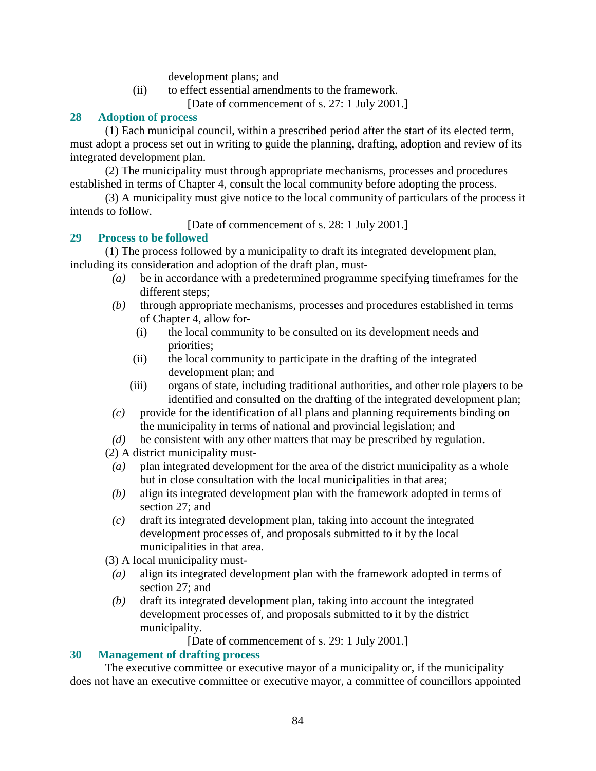development plans; and

(ii) to effect essential amendments to the framework.

[Date of commencement of s. 27: 1 July 2001.]

#### **28 Adoption of process**

 (1) Each municipal council, within a prescribed period after the start of its elected term, must adopt a process set out in writing to guide the planning, drafting, adoption and review of its integrated development plan.

 (2) The municipality must through appropriate mechanisms, processes and procedures established in terms of Chapter 4, consult the local community before adopting the process.

 (3) A municipality must give notice to the local community of particulars of the process it intends to follow.

[Date of commencement of s. 28: 1 July 2001.]

## **29 Process to be followed**

 (1) The process followed by a municipality to draft its integrated development plan, including its consideration and adoption of the draft plan, must-

- *(a)* be in accordance with a predetermined programme specifying timeframes for the different steps;
- *(b)* through appropriate mechanisms, processes and procedures established in terms of Chapter 4, allow for-
	- (i) the local community to be consulted on its development needs and priorities;
	- (ii) the local community to participate in the drafting of the integrated development plan; and
	- (iii) organs of state, including traditional authorities, and other role players to be identified and consulted on the drafting of the integrated development plan;
- *(c)* provide for the identification of all plans and planning requirements binding on the municipality in terms of national and provincial legislation; and
- *(d)* be consistent with any other matters that may be prescribed by regulation.

(2) A district municipality must-

- *(a)* plan integrated development for the area of the district municipality as a whole but in close consultation with the local municipalities in that area;
- *(b)* align its integrated development plan with the framework adopted in terms of section 27; and
- *(c)* draft its integrated development plan, taking into account the integrated development processes of, and proposals submitted to it by the local municipalities in that area.
- (3) A local municipality must-
- *(a)* align its integrated development plan with the framework adopted in terms of section 27; and
- *(b)* draft its integrated development plan, taking into account the integrated development processes of, and proposals submitted to it by the district municipality.

[Date of commencement of s. 29: 1 July 2001.]

#### **30 Management of drafting process**

 The executive committee or executive mayor of a municipality or, if the municipality does not have an executive committee or executive mayor, a committee of councillors appointed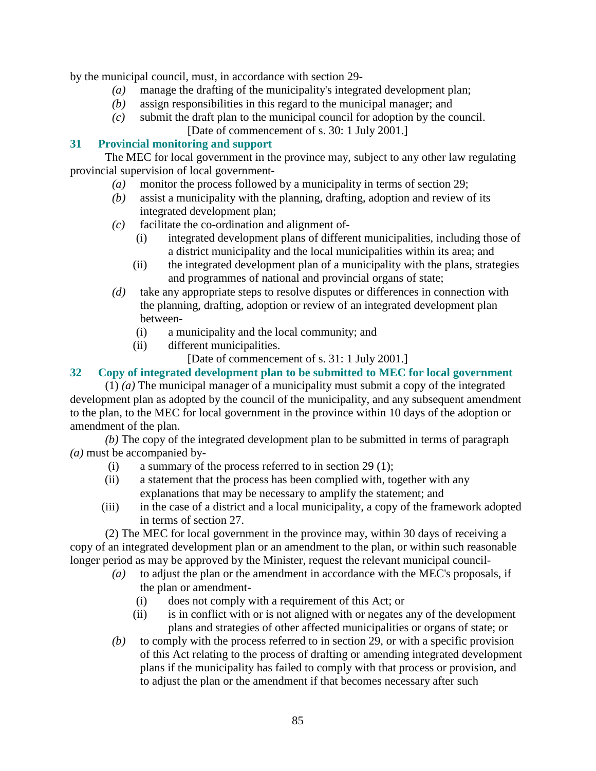by the municipal council, must, in accordance with section 29-

- *(a)* manage the drafting of the municipality's integrated development plan;
- *(b)* assign responsibilities in this regard to the municipal manager; and
- *(c)* submit the draft plan to the municipal council for adoption by the council. [Date of commencement of s. 30: 1 July 2001.]

# **31 Provincial monitoring and support**

 The MEC for local government in the province may, subject to any other law regulating provincial supervision of local government-

- *(a)* monitor the process followed by a municipality in terms of section 29;
- *(b)* assist a municipality with the planning, drafting, adoption and review of its integrated development plan;
- *(c)* facilitate the co-ordination and alignment of-
	- (i) integrated development plans of different municipalities, including those of a district municipality and the local municipalities within its area; and
	- (ii) the integrated development plan of a municipality with the plans, strategies and programmes of national and provincial organs of state;
- *(d)* take any appropriate steps to resolve disputes or differences in connection with the planning, drafting, adoption or review of an integrated development plan between-
	- (i) a municipality and the local community; and
	- (ii) different municipalities.

[Date of commencement of s. 31: 1 July 2001.]

# **32 Copy of integrated development plan to be submitted to MEC for local government**

 (1) *(a)* The municipal manager of a municipality must submit a copy of the integrated development plan as adopted by the council of the municipality, and any subsequent amendment to the plan, to the MEC for local government in the province within 10 days of the adoption or amendment of the plan.

*(b)* The copy of the integrated development plan to be submitted in terms of paragraph *(a)* must be accompanied by-

- (i) a summary of the process referred to in section 29 (1);
- (ii) a statement that the process has been complied with, together with any explanations that may be necessary to amplify the statement; and
- (iii) in the case of a district and a local municipality, a copy of the framework adopted in terms of section 27.

 (2) The MEC for local government in the province may, within 30 days of receiving a copy of an integrated development plan or an amendment to the plan, or within such reasonable longer period as may be approved by the Minister, request the relevant municipal council-

- *(a)* to adjust the plan or the amendment in accordance with the MEC's proposals, if the plan or amendment-
	- (i) does not comply with a requirement of this Act; or
	- (ii) is in conflict with or is not aligned with or negates any of the development plans and strategies of other affected municipalities or organs of state; or
- *(b)* to comply with the process referred to in section 29, or with a specific provision of this Act relating to the process of drafting or amending integrated development plans if the municipality has failed to comply with that process or provision, and to adjust the plan or the amendment if that becomes necessary after such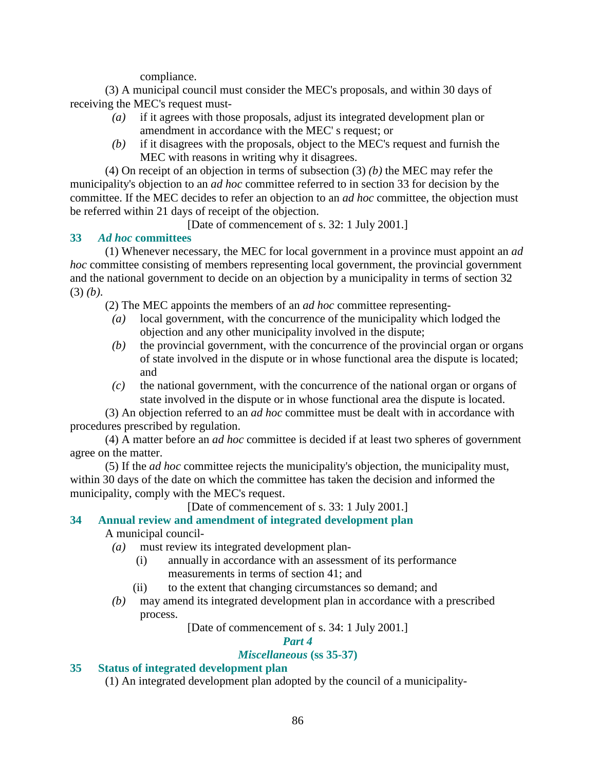compliance.

 (3) A municipal council must consider the MEC's proposals, and within 30 days of receiving the MEC's request must-

- *(a)* if it agrees with those proposals, adjust its integrated development plan or amendment in accordance with the MEC' s request; or
- *(b)* if it disagrees with the proposals, object to the MEC's request and furnish the MEC with reasons in writing why it disagrees.

 (4) On receipt of an objection in terms of subsection (3) *(b)* the MEC may refer the municipality's objection to an *ad hoc* committee referred to in section 33 for decision by the committee. If the MEC decides to refer an objection to an *ad hoc* committee, the objection must be referred within 21 days of receipt of the objection.

[Date of commencement of s. 32: 1 July 2001.]

# **33** *Ad hoc* **committees**

 (1) Whenever necessary, the MEC for local government in a province must appoint an *ad hoc* committee consisting of members representing local government, the provincial government and the national government to decide on an objection by a municipality in terms of section 32 (3) *(b)*.

(2) The MEC appoints the members of an *ad hoc* committee representing-

- *(a)* local government, with the concurrence of the municipality which lodged the objection and any other municipality involved in the dispute;
- *(b)* the provincial government, with the concurrence of the provincial organ or organs of state involved in the dispute or in whose functional area the dispute is located; and
- *(c)* the national government, with the concurrence of the national organ or organs of state involved in the dispute or in whose functional area the dispute is located.

 (3) An objection referred to an *ad hoc* committee must be dealt with in accordance with procedures prescribed by regulation.

 (4) A matter before an *ad hoc* committee is decided if at least two spheres of government agree on the matter.

 (5) If the *ad hoc* committee rejects the municipality's objection, the municipality must, within 30 days of the date on which the committee has taken the decision and informed the municipality, comply with the MEC's request.

[Date of commencement of s. 33: 1 July 2001.]

# **34 Annual review and amendment of integrated development plan**

A municipal council-

- *(a)* must review its integrated development plan-
	- (i) annually in accordance with an assessment of its performance measurements in terms of section 41; and
	- (ii) to the extent that changing circumstances so demand; and
- *(b)* may amend its integrated development plan in accordance with a prescribed process.

[Date of commencement of s. 34: 1 July 2001.]

# *Part 4*

# *Miscellaneous* **(ss 35-37)**

# **35 Status of integrated development plan**

(1) An integrated development plan adopted by the council of a municipality-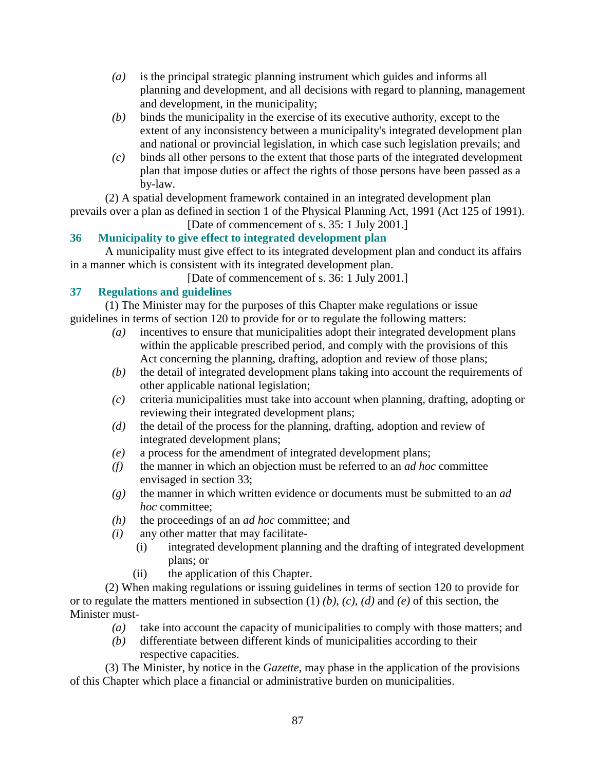- *(a)* is the principal strategic planning instrument which guides and informs all planning and development, and all decisions with regard to planning, management and development, in the municipality;
- *(b)* binds the municipality in the exercise of its executive authority, except to the extent of any inconsistency between a municipality's integrated development plan and national or provincial legislation, in which case such legislation prevails; and
- *(c)* binds all other persons to the extent that those parts of the integrated development plan that impose duties or affect the rights of those persons have been passed as a by-law.

 (2) A spatial development framework contained in an integrated development plan prevails over a plan as defined in section 1 of the Physical Planning Act, 1991 (Act 125 of 1991). [Date of commencement of s. 35: 1 July 2001.]

# **36 Municipality to give effect to integrated development plan**

 A municipality must give effect to its integrated development plan and conduct its affairs in a manner which is consistent with its integrated development plan.

[Date of commencement of s. 36: 1 July 2001.]

# **37 Regulations and guidelines**

 (1) The Minister may for the purposes of this Chapter make regulations or issue guidelines in terms of section 120 to provide for or to regulate the following matters:

- *(a)* incentives to ensure that municipalities adopt their integrated development plans within the applicable prescribed period, and comply with the provisions of this Act concerning the planning, drafting, adoption and review of those plans;
- *(b)* the detail of integrated development plans taking into account the requirements of other applicable national legislation;
- *(c)* criteria municipalities must take into account when planning, drafting, adopting or reviewing their integrated development plans;
- *(d)* the detail of the process for the planning, drafting, adoption and review of integrated development plans;
- *(e)* a process for the amendment of integrated development plans;
- *(f)* the manner in which an objection must be referred to an *ad hoc* committee envisaged in section 33;
- *(g)* the manner in which written evidence or documents must be submitted to an *ad hoc* committee;
- *(h)* the proceedings of an *ad hoc* committee; and
- *(i)* any other matter that may facilitate-
	- (i) integrated development planning and the drafting of integrated development plans; or
	- (ii) the application of this Chapter.

 (2) When making regulations or issuing guidelines in terms of section 120 to provide for or to regulate the matters mentioned in subsection (1) *(b)*, *(c)*, *(d)* and *(e)* of this section, the Minister must-

- *(a)* take into account the capacity of municipalities to comply with those matters; and
- *(b)* differentiate between different kinds of municipalities according to their respective capacities.

 (3) The Minister, by notice in the *Gazette*, may phase in the application of the provisions of this Chapter which place a financial or administrative burden on municipalities.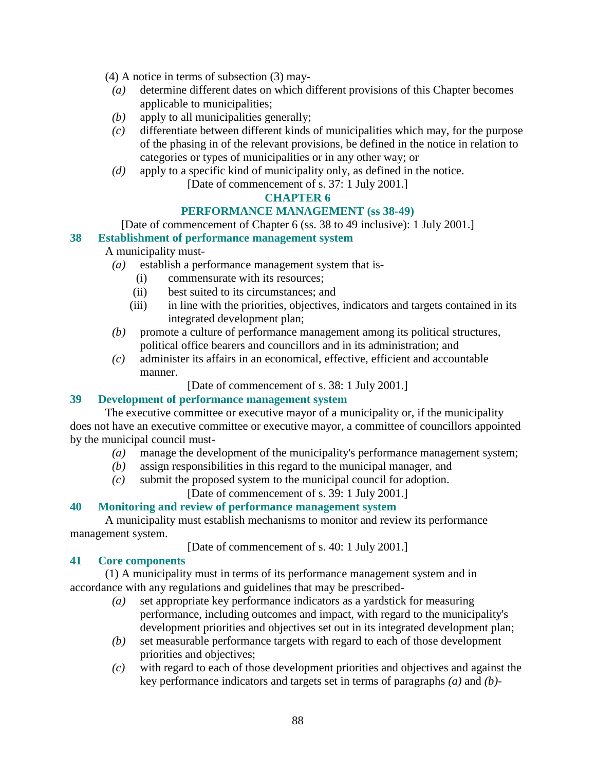(4) A notice in terms of subsection (3) may-

- *(a)* determine different dates on which different provisions of this Chapter becomes applicable to municipalities;
- *(b)* apply to all municipalities generally;
- *(c)* differentiate between different kinds of municipalities which may, for the purpose of the phasing in of the relevant provisions, be defined in the notice in relation to categories or types of municipalities or in any other way; or
- *(d)* apply to a specific kind of municipality only, as defined in the notice.

[Date of commencement of s. 37: 1 July 2001.]

## **CHAPTER 6**

# **PERFORMANCE MANAGEMENT (ss 38-49)**

[Date of commencement of Chapter 6 (ss. 38 to 49 inclusive): 1 July 2001.]

## **38 Establishment of performance management system**

# A municipality must-

- *(a)* establish a performance management system that is-
	- (i) commensurate with its resources;
	- (ii) best suited to its circumstances; and
	- (iii) in line with the priorities, objectives, indicators and targets contained in its integrated development plan;
- *(b)* promote a culture of performance management among its political structures, political office bearers and councillors and in its administration; and
- *(c)* administer its affairs in an economical, effective, efficient and accountable manner.
	- [Date of commencement of s. 38: 1 July 2001.]

# **39 Development of performance management system**

 The executive committee or executive mayor of a municipality or, if the municipality does not have an executive committee or executive mayor, a committee of councillors appointed by the municipal council must-

- *(a)* manage the development of the municipality's performance management system;
- *(b)* assign responsibilities in this regard to the municipal manager, and
- *(c)* submit the proposed system to the municipal council for adoption.

[Date of commencement of s. 39: 1 July 2001.]

# **40 Monitoring and review of performance management system**

 A municipality must establish mechanisms to monitor and review its performance management system.

[Date of commencement of s. 40: 1 July 2001.]

# **41 Core components**

 (1) A municipality must in terms of its performance management system and in accordance with any regulations and guidelines that may be prescribed-

- *(a)* set appropriate key performance indicators as a yardstick for measuring performance, including outcomes and impact, with regard to the municipality's development priorities and objectives set out in its integrated development plan;
- *(b)* set measurable performance targets with regard to each of those development priorities and objectives;
- *(c)* with regard to each of those development priorities and objectives and against the key performance indicators and targets set in terms of paragraphs *(a)* and *(b)*-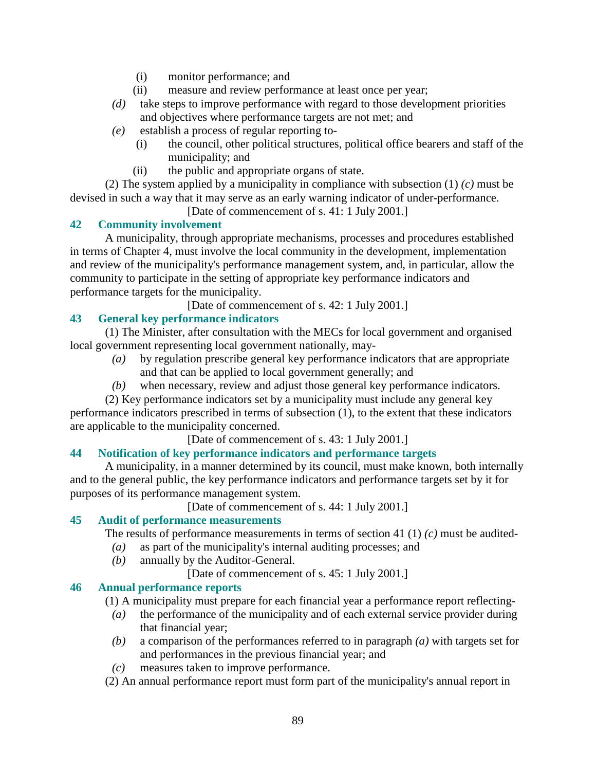- (i) monitor performance; and
- (ii) measure and review performance at least once per year;
- *(d)* take steps to improve performance with regard to those development priorities and objectives where performance targets are not met; and
- *(e)* establish a process of regular reporting to-
	- (i) the council, other political structures, political office bearers and staff of the municipality; and
	- (ii) the public and appropriate organs of state.

 (2) The system applied by a municipality in compliance with subsection (1) *(c)* must be devised in such a way that it may serve as an early warning indicator of under-performance.

[Date of commencement of s. 41: 1 July 2001.]

# **42 Community involvement**

 A municipality, through appropriate mechanisms, processes and procedures established in terms of Chapter 4, must involve the local community in the development, implementation and review of the municipality's performance management system, and, in particular, allow the community to participate in the setting of appropriate key performance indicators and performance targets for the municipality.

[Date of commencement of s. 42: 1 July 2001.]

# **43 General key performance indicators**

 (1) The Minister, after consultation with the MECs for local government and organised local government representing local government nationally, may-

- *(a)* by regulation prescribe general key performance indicators that are appropriate and that can be applied to local government generally; and
- *(b)* when necessary, review and adjust those general key performance indicators.

 (2) Key performance indicators set by a municipality must include any general key performance indicators prescribed in terms of subsection (1), to the extent that these indicators are applicable to the municipality concerned.

[Date of commencement of s. 43: 1 July 2001.]

#### **44 Notification of key performance indicators and performance targets**

 A municipality, in a manner determined by its council, must make known, both internally and to the general public, the key performance indicators and performance targets set by it for purposes of its performance management system.

[Date of commencement of s. 44: 1 July 2001.]

#### **45 Audit of performance measurements**

The results of performance measurements in terms of section 41 (1) *(c)* must be audited-

- *(a)* as part of the municipality's internal auditing processes; and
- *(b)* annually by the Auditor-General.
	- [Date of commencement of s. 45: 1 July 2001.]

#### **46 Annual performance reports**

(1) A municipality must prepare for each financial year a performance report reflecting-

- *(a)* the performance of the municipality and of each external service provider during that financial year;
- *(b)* a comparison of the performances referred to in paragraph *(a)* with targets set for and performances in the previous financial year; and
- *(c)* measures taken to improve performance.
- (2) An annual performance report must form part of the municipality's annual report in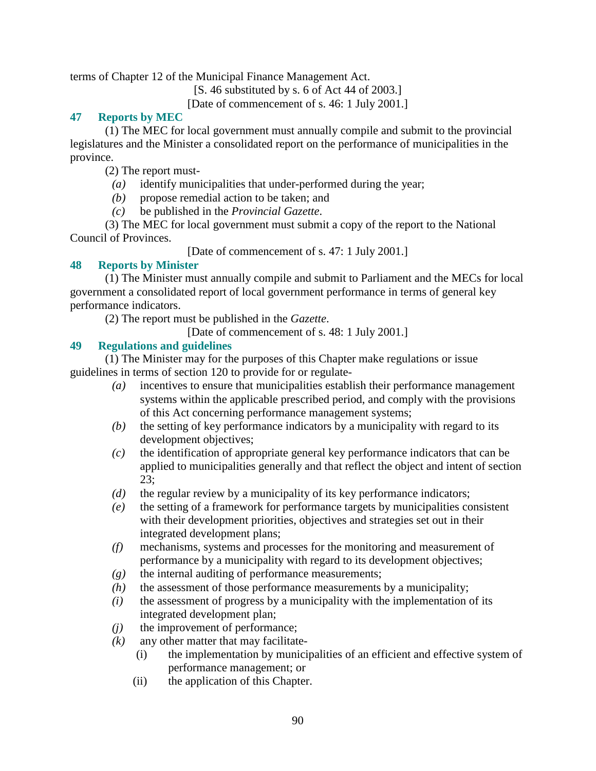terms of Chapter 12 of the Municipal Finance Management Act.

[S. 46 substituted by s. 6 of Act 44 of 2003.]

[Date of commencement of s. 46: 1 July 2001.]

# **47 Reports by MEC**

 (1) The MEC for local government must annually compile and submit to the provincial legislatures and the Minister a consolidated report on the performance of municipalities in the province.

(2) The report must-

- *(a)* identify municipalities that under-performed during the year;
- *(b)* propose remedial action to be taken; and
- *(c)* be published in the *Provincial Gazette*.

 (3) The MEC for local government must submit a copy of the report to the National Council of Provinces.

[Date of commencement of s. 47: 1 July 2001.]

## **48 Reports by Minister**

 (1) The Minister must annually compile and submit to Parliament and the MECs for local government a consolidated report of local government performance in terms of general key performance indicators.

(2) The report must be published in the *Gazette*.

[Date of commencement of s. 48: 1 July 2001.]

## **49 Regulations and guidelines**

 (1) The Minister may for the purposes of this Chapter make regulations or issue guidelines in terms of section 120 to provide for or regulate-

- *(a)* incentives to ensure that municipalities establish their performance management systems within the applicable prescribed period, and comply with the provisions of this Act concerning performance management systems;
- *(b)* the setting of key performance indicators by a municipality with regard to its development objectives;
- *(c)* the identification of appropriate general key performance indicators that can be applied to municipalities generally and that reflect the object and intent of section 23;
- *(d)* the regular review by a municipality of its key performance indicators;
- *(e)* the setting of a framework for performance targets by municipalities consistent with their development priorities, objectives and strategies set out in their integrated development plans;
- *(f)* mechanisms, systems and processes for the monitoring and measurement of performance by a municipality with regard to its development objectives;
- *(g)* the internal auditing of performance measurements;
- *(h)* the assessment of those performance measurements by a municipality;
- *(i)* the assessment of progress by a municipality with the implementation of its integrated development plan;
- *(j)* the improvement of performance;
- $(k)$  any other matter that may facilitate-
	- (i) the implementation by municipalities of an efficient and effective system of performance management; or
	- (ii) the application of this Chapter.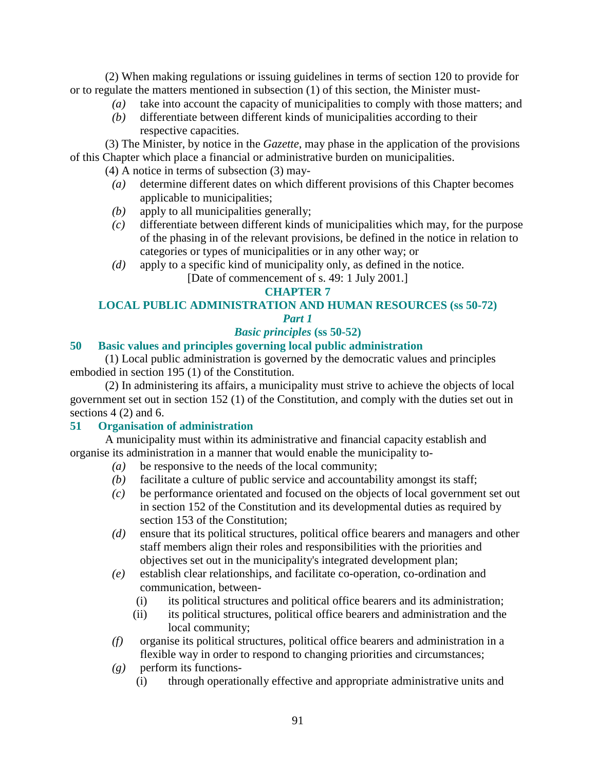(2) When making regulations or issuing guidelines in terms of section 120 to provide for or to regulate the matters mentioned in subsection (1) of this section, the Minister must-

- *(a)* take into account the capacity of municipalities to comply with those matters; and
- *(b)* differentiate between different kinds of municipalities according to their respective capacities.

 (3) The Minister, by notice in the *Gazette*, may phase in the application of the provisions of this Chapter which place a financial or administrative burden on municipalities.

- (4) A notice in terms of subsection (3) may-
	- *(a)* determine different dates on which different provisions of this Chapter becomes applicable to municipalities;
	- *(b)* apply to all municipalities generally;
	- *(c)* differentiate between different kinds of municipalities which may, for the purpose of the phasing in of the relevant provisions, be defined in the notice in relation to categories or types of municipalities or in any other way; or
	- *(d)* apply to a specific kind of municipality only, as defined in the notice.
		- [Date of commencement of s. 49: 1 July 2001.]

## **CHAPTER 7**

# **LOCAL PUBLIC ADMINISTRATION AND HUMAN RESOURCES (ss 50-72)**

# *Part 1*

# *Basic principles* **(ss 50-52)**

## **50 Basic values and principles governing local public administration**

 (1) Local public administration is governed by the democratic values and principles embodied in section 195 (1) of the Constitution.

 (2) In administering its affairs, a municipality must strive to achieve the objects of local government set out in section 152 (1) of the Constitution, and comply with the duties set out in sections 4 (2) and 6.

#### **51 Organisation of administration**

 A municipality must within its administrative and financial capacity establish and organise its administration in a manner that would enable the municipality to-

- *(a)* be responsive to the needs of the local community;
- *(b)* facilitate a culture of public service and accountability amongst its staff;
- *(c)* be performance orientated and focused on the objects of local government set out in section 152 of the Constitution and its developmental duties as required by section 153 of the Constitution;
- *(d)* ensure that its political structures, political office bearers and managers and other staff members align their roles and responsibilities with the priorities and objectives set out in the municipality's integrated development plan;
- *(e)* establish clear relationships, and facilitate co-operation, co-ordination and communication, between-
	- (i) its political structures and political office bearers and its administration;
	- (ii) its political structures, political office bearers and administration and the local community;
- *(f)* organise its political structures, political office bearers and administration in a flexible way in order to respond to changing priorities and circumstances;
- *(g)* perform its functions-
	- (i) through operationally effective and appropriate administrative units and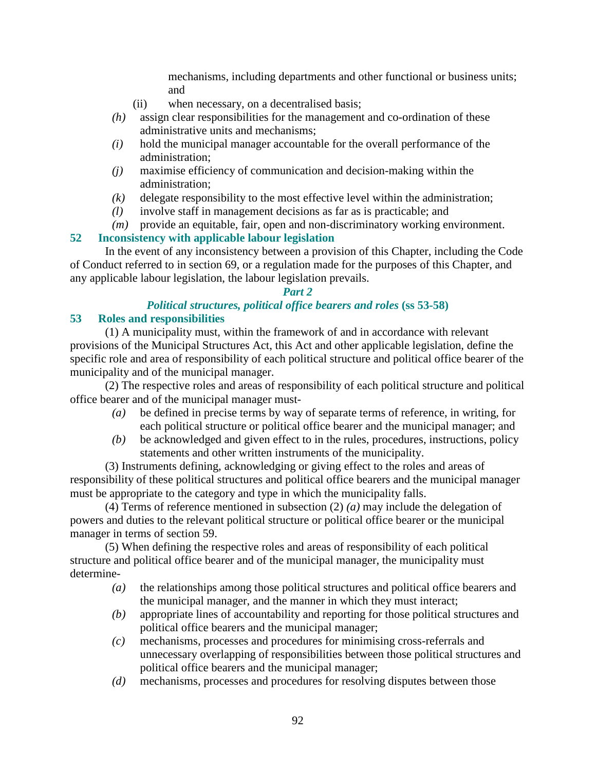mechanisms, including departments and other functional or business units; and

- (ii) when necessary, on a decentralised basis;
- *(h)* assign clear responsibilities for the management and co-ordination of these administrative units and mechanisms;
- *(i)* hold the municipal manager accountable for the overall performance of the administration;
- *(j)* maximise efficiency of communication and decision-making within the administration;
- *(k)* delegate responsibility to the most effective level within the administration;
- *(l)* involve staff in management decisions as far as is practicable; and
- *(m)* provide an equitable, fair, open and non-discriminatory working environment.

# **52 Inconsistency with applicable labour legislation**

 In the event of any inconsistency between a provision of this Chapter, including the Code of Conduct referred to in section 69, or a regulation made for the purposes of this Chapter, and any applicable labour legislation, the labour legislation prevails.

# *Part 2*

# *Political structures, political office bearers and roles* **(ss 53-58)**

# **53 Roles and responsibilities**

 (1) A municipality must, within the framework of and in accordance with relevant provisions of the Municipal Structures Act, this Act and other applicable legislation, define the specific role and area of responsibility of each political structure and political office bearer of the municipality and of the municipal manager.

 (2) The respective roles and areas of responsibility of each political structure and political office bearer and of the municipal manager must-

- *(a)* be defined in precise terms by way of separate terms of reference, in writing, for each political structure or political office bearer and the municipal manager; and
- *(b)* be acknowledged and given effect to in the rules, procedures, instructions, policy statements and other written instruments of the municipality.

 (3) Instruments defining, acknowledging or giving effect to the roles and areas of responsibility of these political structures and political office bearers and the municipal manager must be appropriate to the category and type in which the municipality falls.

 (4) Terms of reference mentioned in subsection (2) *(a)* may include the delegation of powers and duties to the relevant political structure or political office bearer or the municipal manager in terms of section 59.

 (5) When defining the respective roles and areas of responsibility of each political structure and political office bearer and of the municipal manager, the municipality must determine-

- *(a)* the relationships among those political structures and political office bearers and the municipal manager, and the manner in which they must interact;
- *(b)* appropriate lines of accountability and reporting for those political structures and political office bearers and the municipal manager;
- *(c)* mechanisms, processes and procedures for minimising cross-referrals and unnecessary overlapping of responsibilities between those political structures and political office bearers and the municipal manager;
- *(d)* mechanisms, processes and procedures for resolving disputes between those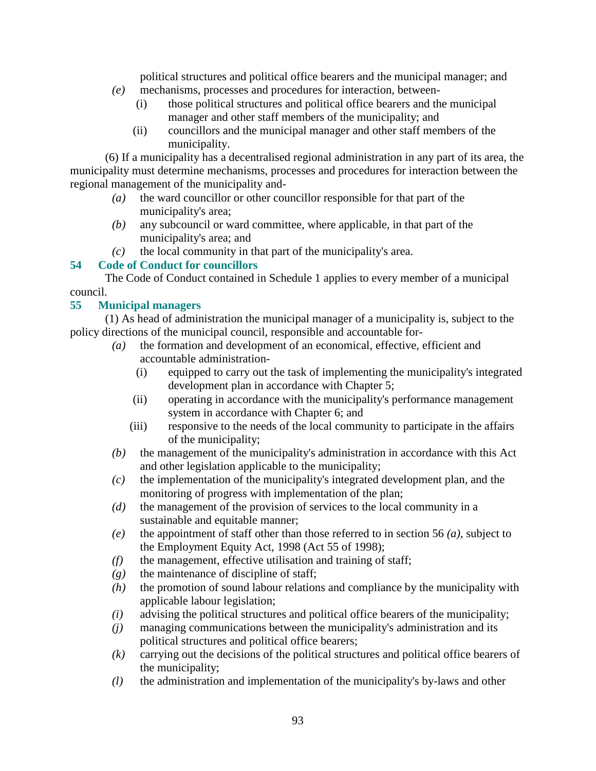political structures and political office bearers and the municipal manager; and

- *(e)* mechanisms, processes and procedures for interaction, between-
	- (i) those political structures and political office bearers and the municipal manager and other staff members of the municipality; and
	- (ii) councillors and the municipal manager and other staff members of the municipality.

 (6) If a municipality has a decentralised regional administration in any part of its area, the municipality must determine mechanisms, processes and procedures for interaction between the regional management of the municipality and-

- *(a)* the ward councillor or other councillor responsible for that part of the municipality's area;
- *(b)* any subcouncil or ward committee, where applicable, in that part of the municipality's area; and
- *(c)* the local community in that part of the municipality's area.<br>54 Code of Conduct for councillors

# **54 Code of Conduct for councillors**

 The Code of Conduct contained in Schedule 1 applies to every member of a municipal council.

## **55 Municipal managers**

 (1) As head of administration the municipal manager of a municipality is, subject to the policy directions of the municipal council, responsible and accountable for-

- *(a)* the formation and development of an economical, effective, efficient and accountable administration-
	- (i) equipped to carry out the task of implementing the municipality's integrated development plan in accordance with Chapter 5;
	- (ii) operating in accordance with the municipality's performance management system in accordance with Chapter 6; and
	- (iii) responsive to the needs of the local community to participate in the affairs of the municipality;
- *(b)* the management of the municipality's administration in accordance with this Act and other legislation applicable to the municipality;
- *(c)* the implementation of the municipality's integrated development plan, and the monitoring of progress with implementation of the plan;
- *(d)* the management of the provision of services to the local community in a sustainable and equitable manner;
- *(e)* the appointment of staff other than those referred to in section 56 *(a)*, subject to the Employment Equity Act, 1998 (Act 55 of 1998);
- *(f)* the management, effective utilisation and training of staff;
- *(g)* the maintenance of discipline of staff;
- *(h)* the promotion of sound labour relations and compliance by the municipality with applicable labour legislation;
- *(i)* advising the political structures and political office bearers of the municipality;
- *(j)* managing communications between the municipality's administration and its political structures and political office bearers;
- *(k)* carrying out the decisions of the political structures and political office bearers of the municipality;
- *(l)* the administration and implementation of the municipality's by-laws and other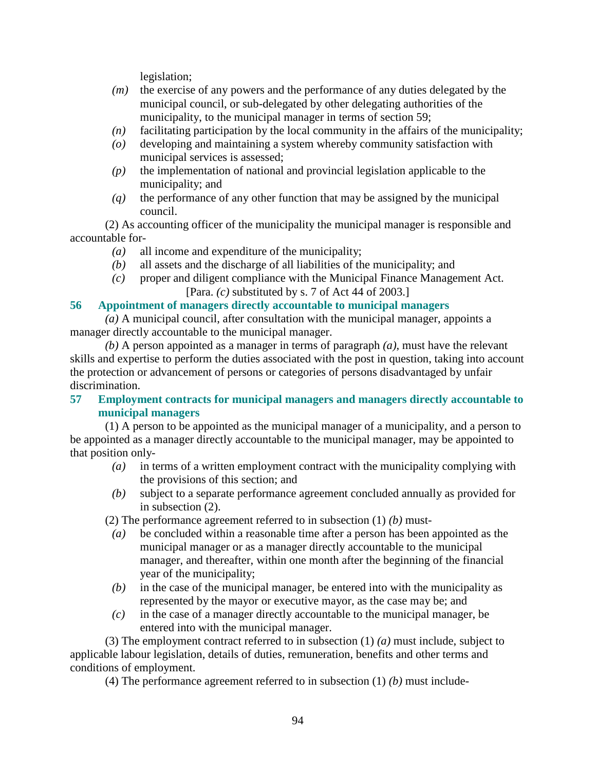legislation;

- *(m)* the exercise of any powers and the performance of any duties delegated by the municipal council, or sub-delegated by other delegating authorities of the municipality, to the municipal manager in terms of section 59;
- *(n)* facilitating participation by the local community in the affairs of the municipality;
- *(o)* developing and maintaining a system whereby community satisfaction with municipal services is assessed;
- *(p)* the implementation of national and provincial legislation applicable to the municipality; and
- *(q)* the performance of any other function that may be assigned by the municipal council.

 (2) As accounting officer of the municipality the municipal manager is responsible and accountable for-

- *(a)* all income and expenditure of the municipality;
- *(b)* all assets and the discharge of all liabilities of the municipality; and
- *(c)* proper and diligent compliance with the Municipal Finance Management Act. [Para. *(c)* substituted by s. 7 of Act 44 of 2003.]

#### **56 Appointment of managers directly accountable to municipal managers**

*(a)* A municipal council, after consultation with the municipal manager, appoints a manager directly accountable to the municipal manager.

*(b)* A person appointed as a manager in terms of paragraph *(a)*, must have the relevant skills and expertise to perform the duties associated with the post in question, taking into account the protection or advancement of persons or categories of persons disadvantaged by unfair discrimination.

**57 Employment contracts for municipal managers and managers directly accountable to municipal managers** 

 (1) A person to be appointed as the municipal manager of a municipality, and a person to be appointed as a manager directly accountable to the municipal manager, may be appointed to that position only-

- *(a)* in terms of a written employment contract with the municipality complying with the provisions of this section; and
- *(b)* subject to a separate performance agreement concluded annually as provided for in subsection (2).

(2) The performance agreement referred to in subsection (1) *(b)* must-

- *(a)* be concluded within a reasonable time after a person has been appointed as the municipal manager or as a manager directly accountable to the municipal manager, and thereafter, within one month after the beginning of the financial year of the municipality;
- *(b)* in the case of the municipal manager, be entered into with the municipality as represented by the mayor or executive mayor, as the case may be; and
- *(c)* in the case of a manager directly accountable to the municipal manager, be entered into with the municipal manager.

 (3) The employment contract referred to in subsection (1) *(a)* must include, subject to applicable labour legislation, details of duties, remuneration, benefits and other terms and conditions of employment.

(4) The performance agreement referred to in subsection (1) *(b)* must include-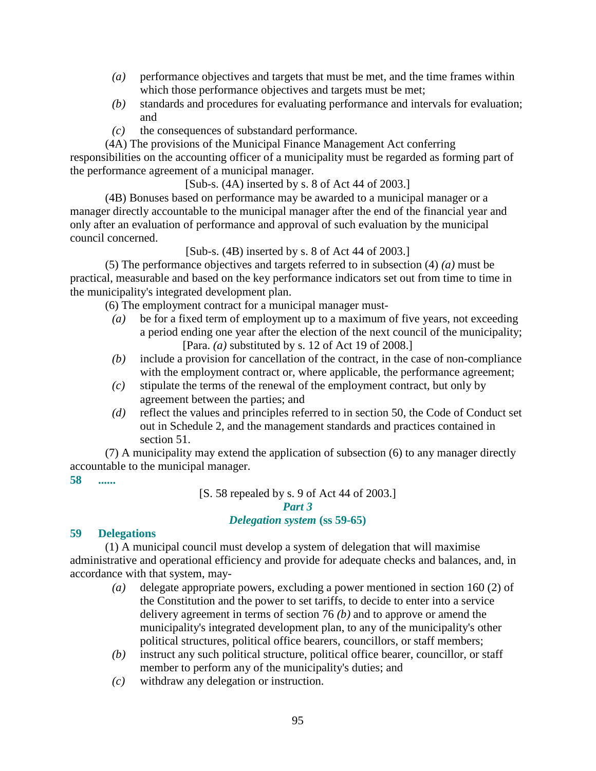- *(a)* performance objectives and targets that must be met, and the time frames within which those performance objectives and targets must be met;
- *(b)* standards and procedures for evaluating performance and intervals for evaluation; and
- *(c)* the consequences of substandard performance.

 (4A) The provisions of the Municipal Finance Management Act conferring responsibilities on the accounting officer of a municipality must be regarded as forming part of the performance agreement of a municipal manager.

[Sub-s. (4A) inserted by s. 8 of Act 44 of 2003.]

 (4B) Bonuses based on performance may be awarded to a municipal manager or a manager directly accountable to the municipal manager after the end of the financial year and only after an evaluation of performance and approval of such evaluation by the municipal council concerned.

[Sub-s. (4B) inserted by s. 8 of Act 44 of 2003.]

 (5) The performance objectives and targets referred to in subsection (4) *(a)* must be practical, measurable and based on the key performance indicators set out from time to time in the municipality's integrated development plan.

(6) The employment contract for a municipal manager must-

- *(a)* be for a fixed term of employment up to a maximum of five years, not exceeding a period ending one year after the election of the next council of the municipality; [Para. *(a)* substituted by s. 12 of Act 19 of 2008.]
- *(b)* include a provision for cancellation of the contract, in the case of non-compliance with the employment contract or, where applicable, the performance agreement;
- *(c)* stipulate the terms of the renewal of the employment contract, but only by agreement between the parties; and
- *(d)* reflect the values and principles referred to in section 50, the Code of Conduct set out in Schedule 2, and the management standards and practices contained in section 51.

 (7) A municipality may extend the application of subsection (6) to any manager directly accountable to the municipal manager.

#### **58 ......**

[S. 58 repealed by s. 9 of Act 44 of 2003.]

#### *Part 3*

# *Delegation system* **(ss 59-65)**

# **59 Delegations**

 (1) A municipal council must develop a system of delegation that will maximise administrative and operational efficiency and provide for adequate checks and balances, and, in accordance with that system, may-

- *(a)* delegate appropriate powers, excluding a power mentioned in section 160 (2) of the Constitution and the power to set tariffs, to decide to enter into a service delivery agreement in terms of section 76 *(b)* and to approve or amend the municipality's integrated development plan, to any of the municipality's other political structures, political office bearers, councillors, or staff members;
- *(b)* instruct any such political structure, political office bearer, councillor, or staff member to perform any of the municipality's duties; and
- *(c)* withdraw any delegation or instruction.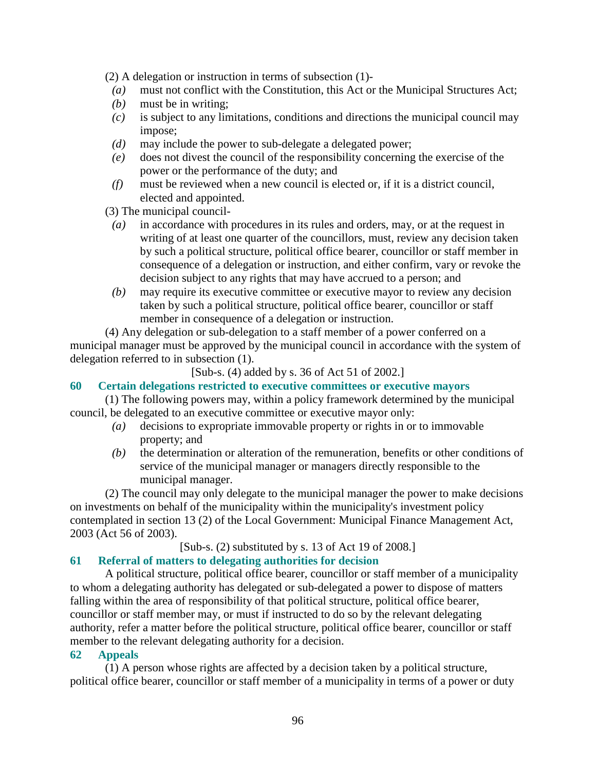(2) A delegation or instruction in terms of subsection (1)-

- *(a)* must not conflict with the Constitution, this Act or the Municipal Structures Act;
- *(b)* must be in writing;
- *(c)* is subject to any limitations, conditions and directions the municipal council may impose;
- *(d)* may include the power to sub-delegate a delegated power;
- *(e)* does not divest the council of the responsibility concerning the exercise of the power or the performance of the duty; and
- *(f)* must be reviewed when a new council is elected or, if it is a district council, elected and appointed.

(3) The municipal council-

- *(a)* in accordance with procedures in its rules and orders, may, or at the request in writing of at least one quarter of the councillors, must, review any decision taken by such a political structure, political office bearer, councillor or staff member in consequence of a delegation or instruction, and either confirm, vary or revoke the decision subject to any rights that may have accrued to a person; and
- *(b)* may require its executive committee or executive mayor to review any decision taken by such a political structure, political office bearer, councillor or staff member in consequence of a delegation or instruction.

 (4) Any delegation or sub-delegation to a staff member of a power conferred on a municipal manager must be approved by the municipal council in accordance with the system of delegation referred to in subsection (1).

[Sub-s. (4) added by s. 36 of Act 51 of 2002.]

#### **60 Certain delegations restricted to executive committees or executive mayors**

 (1) The following powers may, within a policy framework determined by the municipal council, be delegated to an executive committee or executive mayor only:

- *(a)* decisions to expropriate immovable property or rights in or to immovable property; and
- *(b)* the determination or alteration of the remuneration, benefits or other conditions of service of the municipal manager or managers directly responsible to the municipal manager.

 (2) The council may only delegate to the municipal manager the power to make decisions on investments on behalf of the municipality within the municipality's investment policy contemplated in section 13 (2) of the Local Government: Municipal Finance Management Act, 2003 (Act 56 of 2003).

#### [Sub-s. (2) substituted by s. 13 of Act 19 of 2008.]

# **61 Referral of matters to delegating authorities for decision**

 A political structure, political office bearer, councillor or staff member of a municipality to whom a delegating authority has delegated or sub-delegated a power to dispose of matters falling within the area of responsibility of that political structure, political office bearer, councillor or staff member may, or must if instructed to do so by the relevant delegating authority, refer a matter before the political structure, political office bearer, councillor or staff member to the relevant delegating authority for a decision.

#### **62 Appeals**

 (1) A person whose rights are affected by a decision taken by a political structure, political office bearer, councillor or staff member of a municipality in terms of a power or duty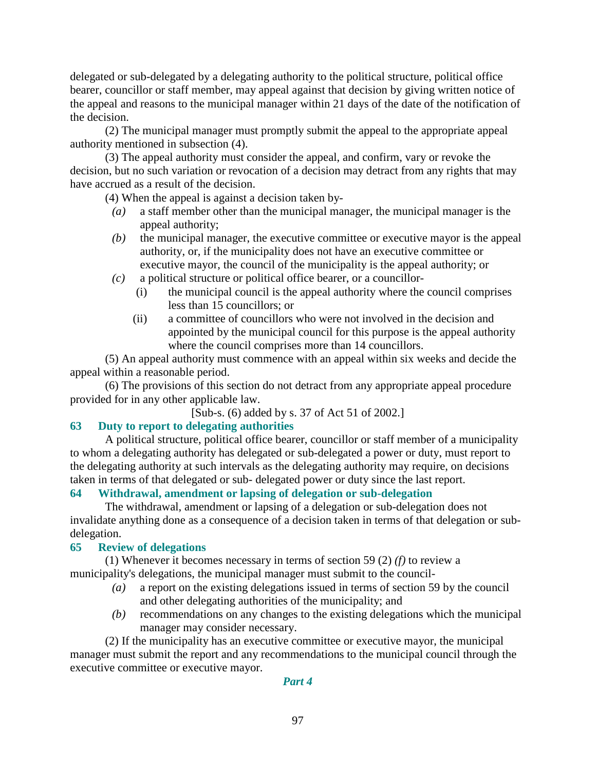delegated or sub-delegated by a delegating authority to the political structure, political office bearer, councillor or staff member, may appeal against that decision by giving written notice of the appeal and reasons to the municipal manager within 21 days of the date of the notification of the decision.

 (2) The municipal manager must promptly submit the appeal to the appropriate appeal authority mentioned in subsection (4).

 (3) The appeal authority must consider the appeal, and confirm, vary or revoke the decision, but no such variation or revocation of a decision may detract from any rights that may have accrued as a result of the decision.

(4) When the appeal is against a decision taken by-

- *(a)* a staff member other than the municipal manager, the municipal manager is the appeal authority;
- *(b)* the municipal manager, the executive committee or executive mayor is the appeal authority, or, if the municipality does not have an executive committee or executive mayor, the council of the municipality is the appeal authority; or
- *(c)* a political structure or political office bearer, or a councillor-
	- (i) the municipal council is the appeal authority where the council comprises less than 15 councillors; or
	- (ii) a committee of councillors who were not involved in the decision and appointed by the municipal council for this purpose is the appeal authority where the council comprises more than 14 councillors.

 (5) An appeal authority must commence with an appeal within six weeks and decide the appeal within a reasonable period.

 (6) The provisions of this section do not detract from any appropriate appeal procedure provided for in any other applicable law.

[Sub-s. (6) added by s. 37 of Act 51 of 2002.]

# **63 Duty to report to delegating authorities**

 A political structure, political office bearer, councillor or staff member of a municipality to whom a delegating authority has delegated or sub-delegated a power or duty, must report to the delegating authority at such intervals as the delegating authority may require, on decisions taken in terms of that delegated or sub- delegated power or duty since the last report.

# **64 Withdrawal, amendment or lapsing of delegation or sub-delegation**

 The withdrawal, amendment or lapsing of a delegation or sub-delegation does not invalidate anything done as a consequence of a decision taken in terms of that delegation or subdelegation.

#### **65 Review of delegations**

 (1) Whenever it becomes necessary in terms of section 59 (2) *(f)* to review a municipality's delegations, the municipal manager must submit to the council-

- *(a)* a report on the existing delegations issued in terms of section 59 by the council and other delegating authorities of the municipality; and
- *(b)* recommendations on any changes to the existing delegations which the municipal manager may consider necessary.

 (2) If the municipality has an executive committee or executive mayor, the municipal manager must submit the report and any recommendations to the municipal council through the executive committee or executive mayor.

*Part 4*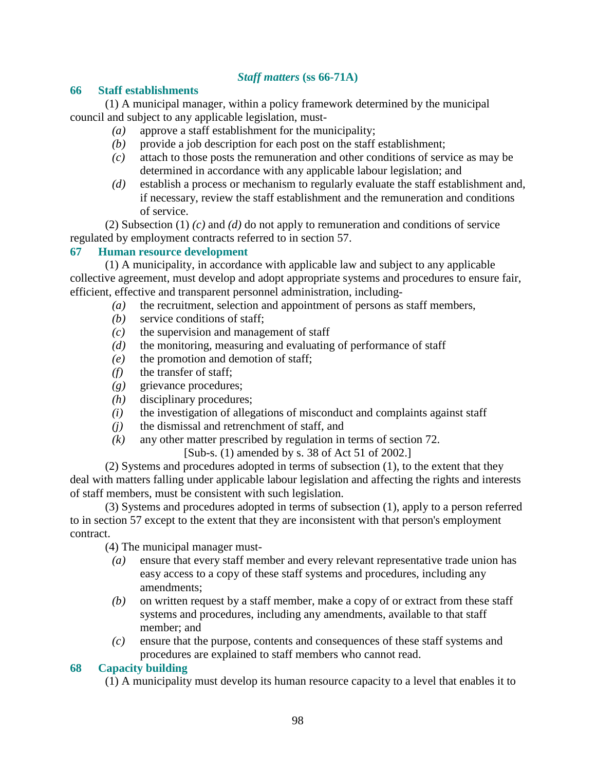# *Staff matters* **(ss 66-71A)**

#### **66 Staff establishments**

 (1) A municipal manager, within a policy framework determined by the municipal council and subject to any applicable legislation, must-

- *(a)* approve a staff establishment for the municipality;
- *(b)* provide a job description for each post on the staff establishment;
- *(c)* attach to those posts the remuneration and other conditions of service as may be determined in accordance with any applicable labour legislation; and
- *(d)* establish a process or mechanism to regularly evaluate the staff establishment and, if necessary, review the staff establishment and the remuneration and conditions of service.

 (2) Subsection (1) *(c)* and *(d)* do not apply to remuneration and conditions of service regulated by employment contracts referred to in section 57.

## **67 Human resource development**

 (1) A municipality, in accordance with applicable law and subject to any applicable collective agreement, must develop and adopt appropriate systems and procedures to ensure fair, efficient, effective and transparent personnel administration, including-

- *(a)* the recruitment, selection and appointment of persons as staff members,
- *(b)* service conditions of staff;
- *(c)* the supervision and management of staff
- *(d)* the monitoring, measuring and evaluating of performance of staff
- *(e)* the promotion and demotion of staff;
- *(f)* the transfer of staff;
- *(g)* grievance procedures;
- *(h)* disciplinary procedures;
- *(i)* the investigation of allegations of misconduct and complaints against staff
- *(j)* the dismissal and retrenchment of staff, and
- *(k)* any other matter prescribed by regulation in terms of section 72.

[Sub-s. (1) amended by s. 38 of Act 51 of 2002.]

 (2) Systems and procedures adopted in terms of subsection (1), to the extent that they deal with matters falling under applicable labour legislation and affecting the rights and interests of staff members, must be consistent with such legislation.

 (3) Systems and procedures adopted in terms of subsection (1), apply to a person referred to in section 57 except to the extent that they are inconsistent with that person's employment contract.

(4) The municipal manager must-

- *(a)* ensure that every staff member and every relevant representative trade union has easy access to a copy of these staff systems and procedures, including any amendments;
- *(b)* on written request by a staff member, make a copy of or extract from these staff systems and procedures, including any amendments, available to that staff member; and
- *(c)* ensure that the purpose, contents and consequences of these staff systems and procedures are explained to staff members who cannot read.

#### **68 Capacity building**

(1) A municipality must develop its human resource capacity to a level that enables it to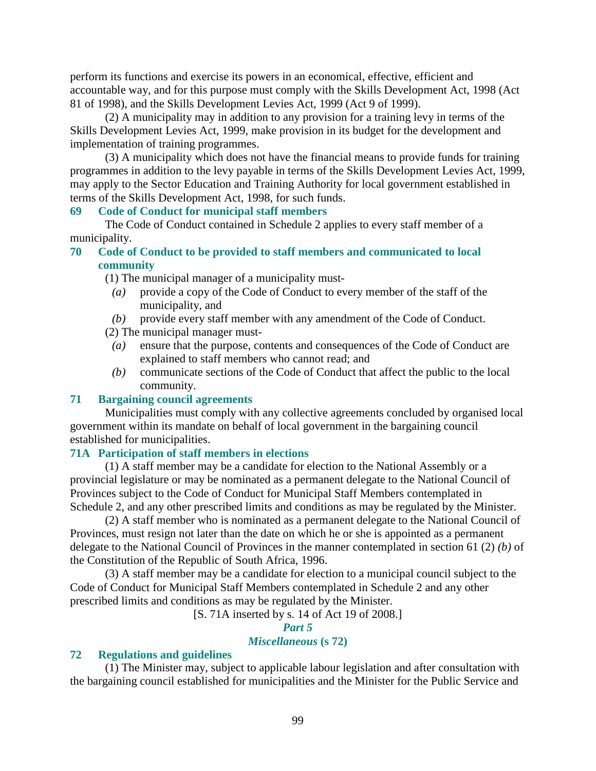perform its functions and exercise its powers in an economical, effective, efficient and accountable way, and for this purpose must comply with the Skills Development Act, 1998 (Act 81 of 1998), and the Skills Development Levies Act, 1999 (Act 9 of 1999).

 (2) A municipality may in addition to any provision for a training levy in terms of the Skills Development Levies Act, 1999, make provision in its budget for the development and implementation of training programmes.

 (3) A municipality which does not have the financial means to provide funds for training programmes in addition to the levy payable in terms of the Skills Development Levies Act, 1999, may apply to the Sector Education and Training Authority for local government established in terms of the Skills Development Act, 1998, for such funds.

#### **69 Code of Conduct for municipal staff members**

 The Code of Conduct contained in Schedule 2 applies to every staff member of a municipality.

#### **70 Code of Conduct to be provided to staff members and communicated to local community**

(1) The municipal manager of a municipality must-

- *(a)* provide a copy of the Code of Conduct to every member of the staff of the municipality, and
- *(b)* provide every staff member with any amendment of the Code of Conduct.
- (2) The municipal manager must-
	- *(a)* ensure that the purpose, contents and consequences of the Code of Conduct are explained to staff members who cannot read; and
	- *(b)* communicate sections of the Code of Conduct that affect the public to the local community.

#### **71 Bargaining council agreements**

 Municipalities must comply with any collective agreements concluded by organised local government within its mandate on behalf of local government in the bargaining council established for municipalities.

#### **71A Participation of staff members in elections**

 (1) A staff member may be a candidate for election to the National Assembly or a provincial legislature or may be nominated as a permanent delegate to the National Council of Provinces subject to the Code of Conduct for Municipal Staff Members contemplated in Schedule 2, and any other prescribed limits and conditions as may be regulated by the Minister.

 (2) A staff member who is nominated as a permanent delegate to the National Council of Provinces, must resign not later than the date on which he or she is appointed as a permanent delegate to the National Council of Provinces in the manner contemplated in section 61 (2) *(b)* of the Constitution of the Republic of South Africa, 1996.

 (3) A staff member may be a candidate for election to a municipal council subject to the Code of Conduct for Municipal Staff Members contemplated in Schedule 2 and any other prescribed limits and conditions as may be regulated by the Minister.

[S. 71A inserted by s. 14 of Act 19 of 2008.]

#### *Part 5*

#### *Miscellaneous* **(s 72)**

#### **72 Regulations and guidelines**

 (1) The Minister may, subject to applicable labour legislation and after consultation with the bargaining council established for municipalities and the Minister for the Public Service and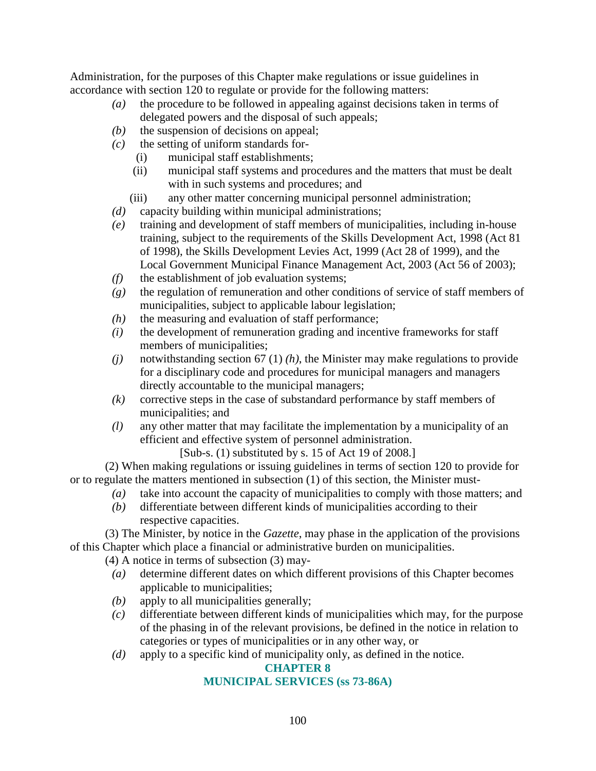Administration, for the purposes of this Chapter make regulations or issue guidelines in accordance with section 120 to regulate or provide for the following matters:

- *(a)* the procedure to be followed in appealing against decisions taken in terms of delegated powers and the disposal of such appeals;
- *(b)* the suspension of decisions on appeal;
- *(c)* the setting of uniform standards for-
	- (i) municipal staff establishments;
	- (ii) municipal staff systems and procedures and the matters that must be dealt with in such systems and procedures; and
	- (iii) any other matter concerning municipal personnel administration;
- *(d)* capacity building within municipal administrations;
- *(e)* training and development of staff members of municipalities, including in-house training, subject to the requirements of the Skills Development Act, 1998 (Act 81 of 1998), the Skills Development Levies Act, 1999 (Act 28 of 1999), and the Local Government Municipal Finance Management Act, 2003 (Act 56 of 2003);
- *(f)* the establishment of job evaluation systems;
- *(g)* the regulation of remuneration and other conditions of service of staff members of municipalities, subject to applicable labour legislation;
- *(h)* the measuring and evaluation of staff performance;
- *(i)* the development of remuneration grading and incentive frameworks for staff members of municipalities;
- *(j)* notwithstanding section 67 (1) *(h)*, the Minister may make regulations to provide for a disciplinary code and procedures for municipal managers and managers directly accountable to the municipal managers;
- *(k)* corrective steps in the case of substandard performance by staff members of municipalities; and
- *(l)* any other matter that may facilitate the implementation by a municipality of an efficient and effective system of personnel administration.

[Sub-s. (1) substituted by s. 15 of Act 19 of 2008.]

 (2) When making regulations or issuing guidelines in terms of section 120 to provide for or to regulate the matters mentioned in subsection (1) of this section, the Minister must-

- *(a)* take into account the capacity of municipalities to comply with those matters; and
- *(b)* differentiate between different kinds of municipalities according to their respective capacities.

 (3) The Minister, by notice in the *Gazette*, may phase in the application of the provisions of this Chapter which place a financial or administrative burden on municipalities.

(4) A notice in terms of subsection (3) may-

- *(a)* determine different dates on which different provisions of this Chapter becomes applicable to municipalities;
- *(b)* apply to all municipalities generally;
- *(c)* differentiate between different kinds of municipalities which may, for the purpose of the phasing in of the relevant provisions, be defined in the notice in relation to categories or types of municipalities or in any other way, or
- *(d)* apply to a specific kind of municipality only, as defined in the notice.

# **CHAPTER 8**

# **MUNICIPAL SERVICES (ss 73-86A)**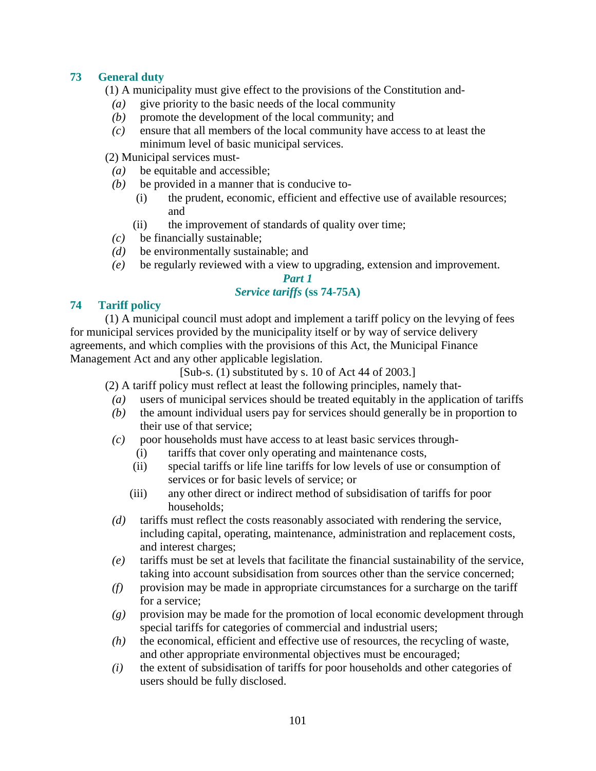# **73 General duty**

(1) A municipality must give effect to the provisions of the Constitution and-

- *(a)* give priority to the basic needs of the local community
- *(b)* promote the development of the local community; and
- *(c)* ensure that all members of the local community have access to at least the minimum level of basic municipal services.

(2) Municipal services must-

- *(a)* be equitable and accessible;
- *(b)* be provided in a manner that is conducive to-
	- (i) the prudent, economic, efficient and effective use of available resources; and
	- (ii) the improvement of standards of quality over time;
- *(c)* be financially sustainable;
- *(d)* be environmentally sustainable; and
- *(e)* be regularly reviewed with a view to upgrading, extension and improvement.

#### *Part 1*

## *Service tariffs* **(ss 74-75A)**

## **74 Tariff policy**

 (1) A municipal council must adopt and implement a tariff policy on the levying of fees for municipal services provided by the municipality itself or by way of service delivery agreements, and which complies with the provisions of this Act, the Municipal Finance Management Act and any other applicable legislation.

[Sub-s. (1) substituted by s. 10 of Act 44 of 2003.]

(2) A tariff policy must reflect at least the following principles, namely that-

- *(a)* users of municipal services should be treated equitably in the application of tariffs
- *(b)* the amount individual users pay for services should generally be in proportion to their use of that service;
- *(c)* poor households must have access to at least basic services through-
	- (i) tariffs that cover only operating and maintenance costs,
	- (ii) special tariffs or life line tariffs for low levels of use or consumption of services or for basic levels of service; or
	- (iii) any other direct or indirect method of subsidisation of tariffs for poor households;
- *(d)* tariffs must reflect the costs reasonably associated with rendering the service, including capital, operating, maintenance, administration and replacement costs, and interest charges;
- *(e)* tariffs must be set at levels that facilitate the financial sustainability of the service, taking into account subsidisation from sources other than the service concerned;
- *(f)* provision may be made in appropriate circumstances for a surcharge on the tariff for a service;
- *(g)* provision may be made for the promotion of local economic development through special tariffs for categories of commercial and industrial users;
- *(h)* the economical, efficient and effective use of resources, the recycling of waste, and other appropriate environmental objectives must be encouraged;
- *(i)* the extent of subsidisation of tariffs for poor households and other categories of users should be fully disclosed.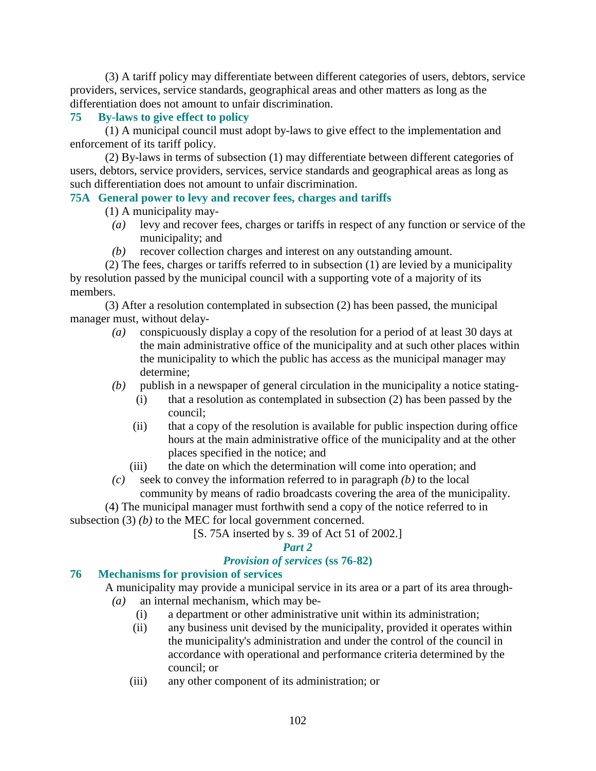(3) A tariff policy may differentiate between different categories of users, debtors, service providers, services, service standards, geographical areas and other matters as long as the differentiation does not amount to unfair discrimination.

## **75 By-laws to give effect to policy**

 (1) A municipal council must adopt by-laws to give effect to the implementation and enforcement of its tariff policy.

 (2) By-laws in terms of subsection (1) may differentiate between different categories of users, debtors, service providers, services, service standards and geographical areas as long as such differentiation does not amount to unfair discrimination.

## **75A General power to levy and recover fees, charges and tariffs**

(1) A municipality may-

- *(a)* levy and recover fees, charges or tariffs in respect of any function or service of the municipality; and
- *(b)* recover collection charges and interest on any outstanding amount.

 (2) The fees, charges or tariffs referred to in subsection (1) are levied by a municipality by resolution passed by the municipal council with a supporting vote of a majority of its members.

 (3) After a resolution contemplated in subsection (2) has been passed, the municipal manager must, without delay-

- *(a)* conspicuously display a copy of the resolution for a period of at least 30 days at the main administrative office of the municipality and at such other places within the municipality to which the public has access as the municipal manager may determine;
- *(b)* publish in a newspaper of general circulation in the municipality a notice stating-
	- (i) that a resolution as contemplated in subsection (2) has been passed by the council;
	- (ii) that a copy of the resolution is available for public inspection during office hours at the main administrative office of the municipality and at the other places specified in the notice; and

(iii) the date on which the determination will come into operation; and

 *(c)* seek to convey the information referred to in paragraph *(b)* to the local community by means of radio broadcasts covering the area of the municipality.

 (4) The municipal manager must forthwith send a copy of the notice referred to in subsection (3) *(b)* to the MEC for local government concerned.

[S. 75A inserted by s. 39 of Act 51 of 2002.]

#### *Part 2*

# *Provision of services* **(ss 76-82)**

# **76 Mechanisms for provision of services**

 A municipality may provide a municipal service in its area or a part of its area through- *(a)* an internal mechanism, which may be-

- (i) a department or other administrative unit within its administration;
- (ii) any business unit devised by the municipality, provided it operates within the municipality's administration and under the control of the council in accordance with operational and performance criteria determined by the council; or
- (iii) any other component of its administration; or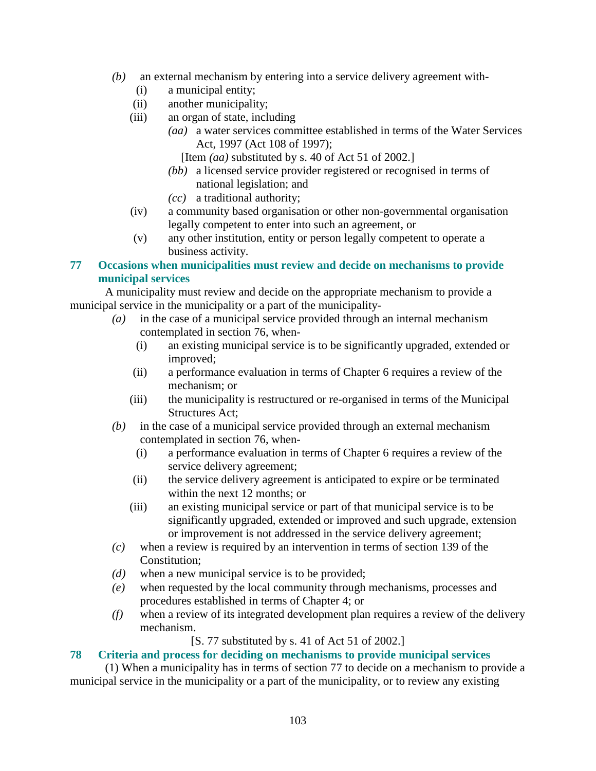- *(b)* an external mechanism by entering into a service delivery agreement with-
	- (i) a municipal entity;
	- (ii) another municipality;
	- (iii) an organ of state, including
		- *(aa)* a water services committee established in terms of the Water Services Act, 1997 (Act 108 of 1997);
			- [Item *(aa)* substituted by s. 40 of Act 51 of 2002.]
		- *(bb)* a licensed service provider registered or recognised in terms of national legislation; and
		- *(cc)* a traditional authority;
	- (iv) a community based organisation or other non-governmental organisation legally competent to enter into such an agreement, or
	- (v) any other institution, entity or person legally competent to operate a business activity.

# **77 Occasions when municipalities must review and decide on mechanisms to provide municipal services**

 A municipality must review and decide on the appropriate mechanism to provide a municipal service in the municipality or a part of the municipality-

- *(a)* in the case of a municipal service provided through an internal mechanism contemplated in section 76, when-
	- (i) an existing municipal service is to be significantly upgraded, extended or improved;
	- (ii) a performance evaluation in terms of Chapter 6 requires a review of the mechanism; or
	- (iii) the municipality is restructured or re-organised in terms of the Municipal Structures Act;
- *(b)* in the case of a municipal service provided through an external mechanism contemplated in section 76, when-
	- (i) a performance evaluation in terms of Chapter 6 requires a review of the service delivery agreement;
	- (ii) the service delivery agreement is anticipated to expire or be terminated within the next 12 months; or
	- (iii) an existing municipal service or part of that municipal service is to be significantly upgraded, extended or improved and such upgrade, extension or improvement is not addressed in the service delivery agreement;
- *(c)* when a review is required by an intervention in terms of section 139 of the Constitution;
- *(d)* when a new municipal service is to be provided;
- *(e)* when requested by the local community through mechanisms, processes and procedures established in terms of Chapter 4; or
- *(f)* when a review of its integrated development plan requires a review of the delivery mechanism.

[S. 77 substituted by s. 41 of Act 51 of 2002.]

# **78 Criteria and process for deciding on mechanisms to provide municipal services**

 (1) When a municipality has in terms of section 77 to decide on a mechanism to provide a municipal service in the municipality or a part of the municipality, or to review any existing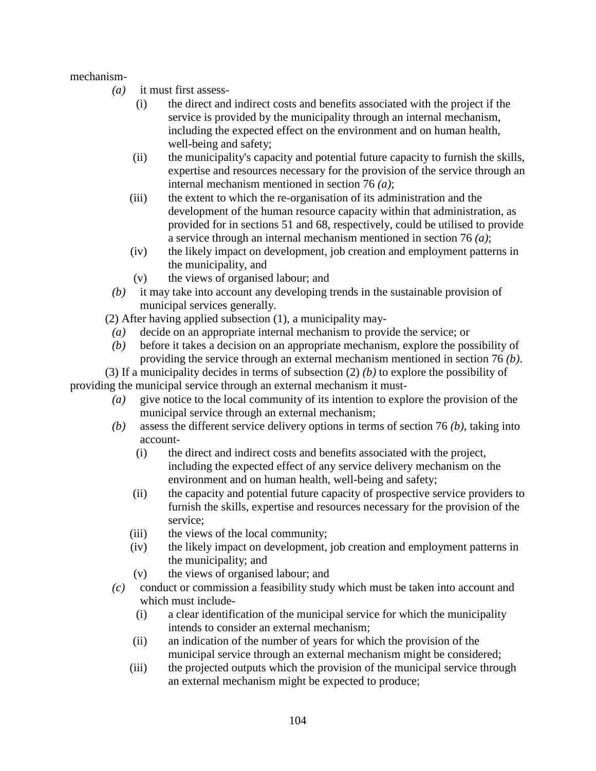mechanism-

- *(a)* it must first assess-
	- (i) the direct and indirect costs and benefits associated with the project if the service is provided by the municipality through an internal mechanism, including the expected effect on the environment and on human health, well-being and safety;
	- (ii) the municipality's capacity and potential future capacity to furnish the skills, expertise and resources necessary for the provision of the service through an internal mechanism mentioned in section 76 *(a)*;
	- (iii) the extent to which the re-organisation of its administration and the development of the human resource capacity within that administration, as provided for in sections 51 and 68, respectively, could be utilised to provide a service through an internal mechanism mentioned in section 76 *(a)*;
	- (iv) the likely impact on development, job creation and employment patterns in the municipality, and
	- (v) the views of organised labour; and
- *(b)* it may take into account any developing trends in the sustainable provision of municipal services generally.

(2) After having applied subsection (1), a municipality may-

- *(a)* decide on an appropriate internal mechanism to provide the service; or
- *(b)* before it takes a decision on an appropriate mechanism, explore the possibility of providing the service through an external mechanism mentioned in section 76 *(b)*.

 (3) If a municipality decides in terms of subsection (2) *(b)* to explore the possibility of providing the municipal service through an external mechanism it must-

- *(a)* give notice to the local community of its intention to explore the provision of the municipal service through an external mechanism;
- *(b)* assess the different service delivery options in terms of section 76 *(b)*, taking into account-
	- (i) the direct and indirect costs and benefits associated with the project, including the expected effect of any service delivery mechanism on the environment and on human health, well-being and safety;
	- (ii) the capacity and potential future capacity of prospective service providers to furnish the skills, expertise and resources necessary for the provision of the service;
	- (iii) the views of the local community;
	- (iv) the likely impact on development, job creation and employment patterns in the municipality; and
	- (v) the views of organised labour; and
- *(c)* conduct or commission a feasibility study which must be taken into account and which must include-
	- (i) a clear identification of the municipal service for which the municipality intends to consider an external mechanism;
	- (ii) an indication of the number of years for which the provision of the municipal service through an external mechanism might be considered;
	- (iii) the projected outputs which the provision of the municipal service through an external mechanism might be expected to produce;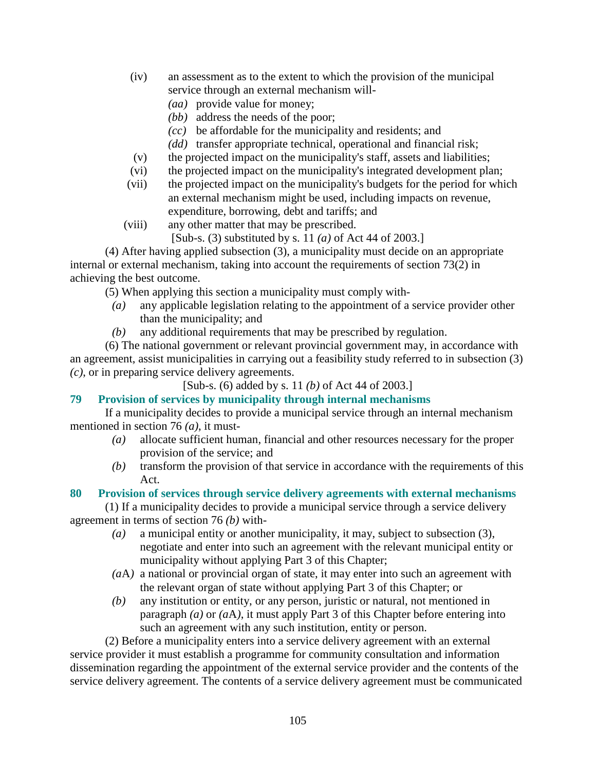- (iv) an assessment as to the extent to which the provision of the municipal service through an external mechanism will-
	- *(aa)* provide value for money;
	- *(bb)* address the needs of the poor;
	- *(cc)* be affordable for the municipality and residents; and
	- *(dd)* transfer appropriate technical, operational and financial risk;
- (v) the projected impact on the municipality's staff, assets and liabilities;
- (vi) the projected impact on the municipality's integrated development plan;
- (vii) the projected impact on the municipality's budgets for the period for which an external mechanism might be used, including impacts on revenue, expenditure, borrowing, debt and tariffs; and
- (viii) any other matter that may be prescribed.
	- [Sub-s. (3) substituted by s. 11 *(a)* of Act 44 of 2003.]

 (4) After having applied subsection (3), a municipality must decide on an appropriate internal or external mechanism, taking into account the requirements of section 73(2) in achieving the best outcome.

(5) When applying this section a municipality must comply with-

- *(a)* any applicable legislation relating to the appointment of a service provider other than the municipality; and
- *(b)* any additional requirements that may be prescribed by regulation.

 (6) The national government or relevant provincial government may, in accordance with an agreement, assist municipalities in carrying out a feasibility study referred to in subsection (3) *(c)*, or in preparing service delivery agreements.

# [Sub-s. (6) added by s. 11 *(b)* of Act 44 of 2003.]

# **79 Provision of services by municipality through internal mechanisms**

 If a municipality decides to provide a municipal service through an internal mechanism mentioned in section 76 *(a)*, it must-

- *(a)* allocate sufficient human, financial and other resources necessary for the proper provision of the service; and
- *(b)* transform the provision of that service in accordance with the requirements of this Act.

# **80 Provision of services through service delivery agreements with external mechanisms**

 (1) If a municipality decides to provide a municipal service through a service delivery agreement in terms of section 76 *(b)* with-

- *(a)* a municipal entity or another municipality, it may, subject to subsection (3), negotiate and enter into such an agreement with the relevant municipal entity or municipality without applying Part 3 of this Chapter;
- *(a*A*)* a national or provincial organ of state, it may enter into such an agreement with the relevant organ of state without applying Part 3 of this Chapter; or
- *(b)* any institution or entity, or any person, juristic or natural, not mentioned in paragraph *(a)* or *(a*A*)*, it must apply Part 3 of this Chapter before entering into such an agreement with any such institution, entity or person.

 (2) Before a municipality enters into a service delivery agreement with an external service provider it must establish a programme for community consultation and information dissemination regarding the appointment of the external service provider and the contents of the service delivery agreement. The contents of a service delivery agreement must be communicated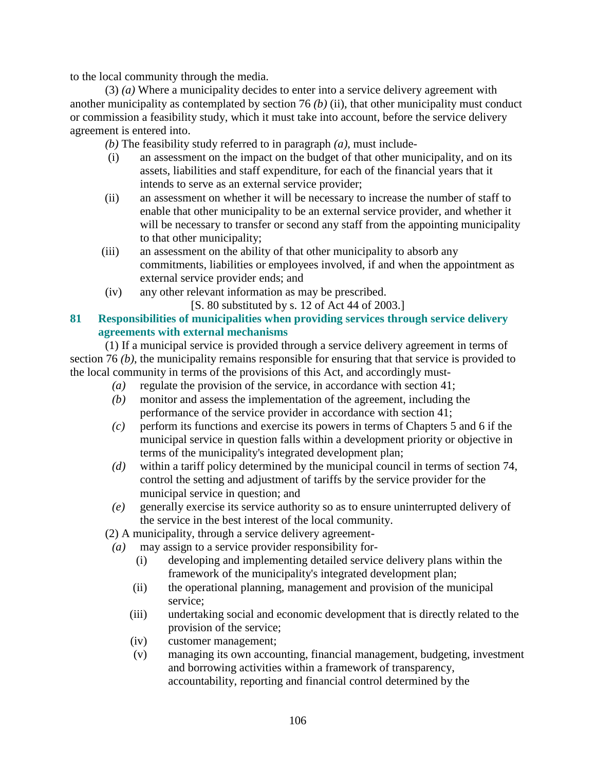to the local community through the media.

 (3) *(a)* Where a municipality decides to enter into a service delivery agreement with another municipality as contemplated by section 76 *(b)* (ii), that other municipality must conduct or commission a feasibility study, which it must take into account, before the service delivery agreement is entered into.

*(b)* The feasibility study referred to in paragraph *(a)*, must include-

- (i) an assessment on the impact on the budget of that other municipality, and on its assets, liabilities and staff expenditure, for each of the financial years that it intends to serve as an external service provider;
- (ii) an assessment on whether it will be necessary to increase the number of staff to enable that other municipality to be an external service provider, and whether it will be necessary to transfer or second any staff from the appointing municipality to that other municipality;
- (iii) an assessment on the ability of that other municipality to absorb any commitments, liabilities or employees involved, if and when the appointment as external service provider ends; and
- (iv) any other relevant information as may be prescribed.

[S. 80 substituted by s. 12 of Act 44 of 2003.]

## **81 Responsibilities of municipalities when providing services through service delivery agreements with external mechanisms**

 (1) If a municipal service is provided through a service delivery agreement in terms of section 76 *(b)*, the municipality remains responsible for ensuring that that service is provided to the local community in terms of the provisions of this Act, and accordingly must-

- *(a)* regulate the provision of the service, in accordance with section 41;
- *(b)* monitor and assess the implementation of the agreement, including the performance of the service provider in accordance with section 41;
- *(c)* perform its functions and exercise its powers in terms of Chapters 5 and 6 if the municipal service in question falls within a development priority or objective in terms of the municipality's integrated development plan;
- *(d)* within a tariff policy determined by the municipal council in terms of section 74, control the setting and adjustment of tariffs by the service provider for the municipal service in question; and
- *(e)* generally exercise its service authority so as to ensure uninterrupted delivery of the service in the best interest of the local community.

(2) A municipality, through a service delivery agreement-

- *(a)* may assign to a service provider responsibility for-
	- (i) developing and implementing detailed service delivery plans within the framework of the municipality's integrated development plan;
	- (ii) the operational planning, management and provision of the municipal service;
	- (iii) undertaking social and economic development that is directly related to the provision of the service;
	- (iv) customer management;
	- (v) managing its own accounting, financial management, budgeting, investment and borrowing activities within a framework of transparency, accountability, reporting and financial control determined by the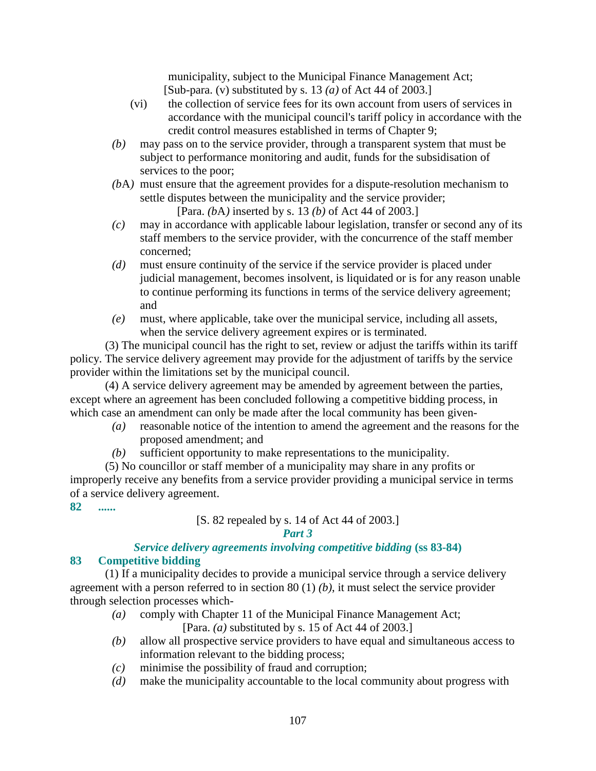municipality, subject to the Municipal Finance Management Act; [Sub-para. (v) substituted by s. 13 *(a)* of Act 44 of 2003.]

- (vi) the collection of service fees for its own account from users of services in accordance with the municipal council's tariff policy in accordance with the credit control measures established in terms of Chapter 9;
- *(b)* may pass on to the service provider, through a transparent system that must be subject to performance monitoring and audit, funds for the subsidisation of services to the poor;
- *(b*A*)* must ensure that the agreement provides for a dispute-resolution mechanism to settle disputes between the municipality and the service provider; [Para. *(b*A*)* inserted by s. 13 *(b)* of Act 44 of 2003.]
- *(c)* may in accordance with applicable labour legislation, transfer or second any of its staff members to the service provider, with the concurrence of the staff member concerned;
- *(d)* must ensure continuity of the service if the service provider is placed under judicial management, becomes insolvent, is liquidated or is for any reason unable to continue performing its functions in terms of the service delivery agreement; and
- *(e)* must, where applicable, take over the municipal service, including all assets, when the service delivery agreement expires or is terminated.

 (3) The municipal council has the right to set, review or adjust the tariffs within its tariff policy. The service delivery agreement may provide for the adjustment of tariffs by the service provider within the limitations set by the municipal council.

 (4) A service delivery agreement may be amended by agreement between the parties, except where an agreement has been concluded following a competitive bidding process, in which case an amendment can only be made after the local community has been given-

- *(a)* reasonable notice of the intention to amend the agreement and the reasons for the proposed amendment; and
- *(b)* sufficient opportunity to make representations to the municipality.

 (5) No councillor or staff member of a municipality may share in any profits or improperly receive any benefits from a service provider providing a municipal service in terms of a service delivery agreement.

**82 ......** 

## [S. 82 repealed by s. 14 of Act 44 of 2003.] *Part 3*

#### *Service delivery agreements involving competitive bidding* **(ss 83-84) 83 Competitive bidding**

 (1) If a municipality decides to provide a municipal service through a service delivery agreement with a person referred to in section 80 (1) *(b)*, it must select the service provider through selection processes which-

*(a)* comply with Chapter 11 of the Municipal Finance Management Act;

[Para. *(a)* substituted by s. 15 of Act 44 of 2003.]

- *(b)* allow all prospective service providers to have equal and simultaneous access to information relevant to the bidding process;
- *(c)* minimise the possibility of fraud and corruption;
- *(d)* make the municipality accountable to the local community about progress with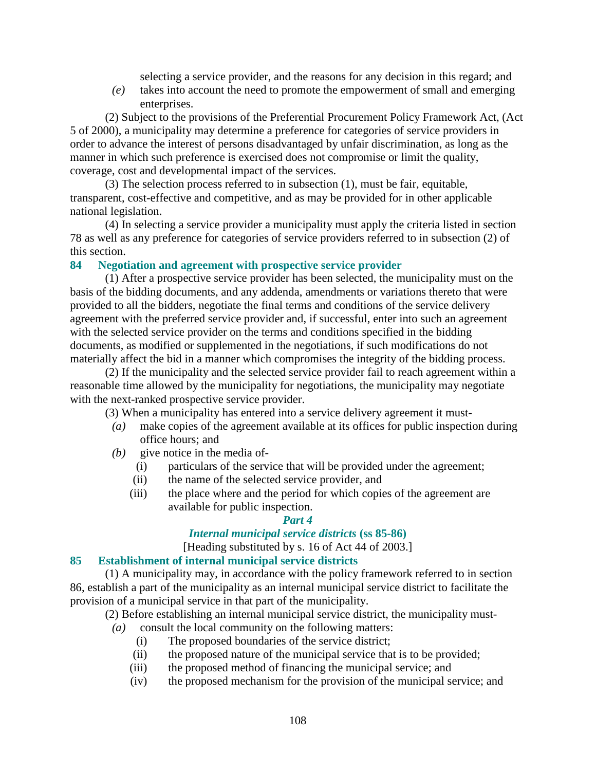selecting a service provider, and the reasons for any decision in this regard; and

 *(e)* takes into account the need to promote the empowerment of small and emerging enterprises.

 (2) Subject to the provisions of the Preferential Procurement Policy Framework Act, (Act 5 of 2000), a municipality may determine a preference for categories of service providers in order to advance the interest of persons disadvantaged by unfair discrimination, as long as the manner in which such preference is exercised does not compromise or limit the quality, coverage, cost and developmental impact of the services.

 (3) The selection process referred to in subsection (1), must be fair, equitable, transparent, cost-effective and competitive, and as may be provided for in other applicable national legislation.

 (4) In selecting a service provider a municipality must apply the criteria listed in section 78 as well as any preference for categories of service providers referred to in subsection (2) of this section.

#### **84 Negotiation and agreement with prospective service provider**

 (1) After a prospective service provider has been selected, the municipality must on the basis of the bidding documents, and any addenda, amendments or variations thereto that were provided to all the bidders, negotiate the final terms and conditions of the service delivery agreement with the preferred service provider and, if successful, enter into such an agreement with the selected service provider on the terms and conditions specified in the bidding documents, as modified or supplemented in the negotiations, if such modifications do not materially affect the bid in a manner which compromises the integrity of the bidding process.

 (2) If the municipality and the selected service provider fail to reach agreement within a reasonable time allowed by the municipality for negotiations, the municipality may negotiate with the next-ranked prospective service provider.

(3) When a municipality has entered into a service delivery agreement it must-

- *(a)* make copies of the agreement available at its offices for public inspection during office hours; and
- *(b)* give notice in the media of-
	- (i) particulars of the service that will be provided under the agreement;
	- (ii) the name of the selected service provider, and
	- (iii) the place where and the period for which copies of the agreement are available for public inspection.

#### *Part 4*

#### *Internal municipal service districts* **(ss 85-86)**

[Heading substituted by s. 16 of Act 44 of 2003.]

#### **85 Establishment of internal municipal service districts**

 (1) A municipality may, in accordance with the policy framework referred to in section 86, establish a part of the municipality as an internal municipal service district to facilitate the provision of a municipal service in that part of the municipality.

(2) Before establishing an internal municipal service district, the municipality must-

- *(a)* consult the local community on the following matters:
	- (i) The proposed boundaries of the service district;
	- (ii) the proposed nature of the municipal service that is to be provided;
	- (iii) the proposed method of financing the municipal service; and
	- (iv) the proposed mechanism for the provision of the municipal service; and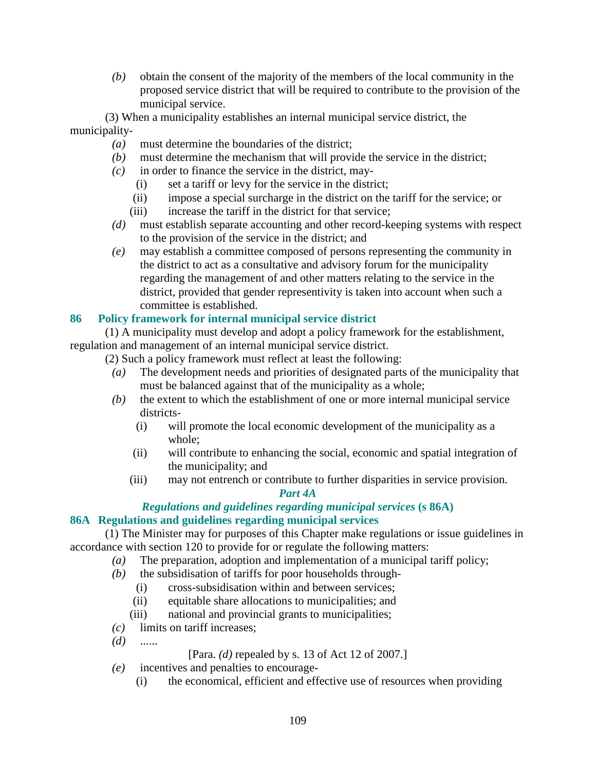*(b)* obtain the consent of the majority of the members of the local community in the proposed service district that will be required to contribute to the provision of the municipal service.

 (3) When a municipality establishes an internal municipal service district, the municipality-

- *(a)* must determine the boundaries of the district;
- *(b)* must determine the mechanism that will provide the service in the district;
- *(c)* in order to finance the service in the district, may-
	- (i) set a tariff or levy for the service in the district;
	- (ii) impose a special surcharge in the district on the tariff for the service; or
	- (iii) increase the tariff in the district for that service:
- *(d)* must establish separate accounting and other record-keeping systems with respect to the provision of the service in the district; and
- *(e)* may establish a committee composed of persons representing the community in the district to act as a consultative and advisory forum for the municipality regarding the management of and other matters relating to the service in the district, provided that gender representivity is taken into account when such a committee is established.

#### **86 Policy framework for internal municipal service district**

 (1) A municipality must develop and adopt a policy framework for the establishment, regulation and management of an internal municipal service district.

(2) Such a policy framework must reflect at least the following:

- *(a)* The development needs and priorities of designated parts of the municipality that must be balanced against that of the municipality as a whole;
- *(b)* the extent to which the establishment of one or more internal municipal service districts-
	- (i) will promote the local economic development of the municipality as a whole;
	- (ii) will contribute to enhancing the social, economic and spatial integration of the municipality; and
	- (iii) may not entrench or contribute to further disparities in service provision.

#### *Part 4A*

#### *Regulations and guidelines regarding municipal services* **(s 86A) 86A Regulations and guidelines regarding municipal services**

## (1) The Minister may for purposes of this Chapter make regulations or issue guidelines in

accordance with section 120 to provide for or regulate the following matters:

- *(a)* The preparation, adoption and implementation of a municipal tariff policy;
- *(b)* the subsidisation of tariffs for poor households through-
	- (i) cross-subsidisation within and between services;
	- (ii) equitable share allocations to municipalities; and
	- (iii) national and provincial grants to municipalities;
- *(c)* limits on tariff increases;
- *(d)* ......

[Para. *(d)* repealed by s. 13 of Act 12 of 2007.]

- *(e)* incentives and penalties to encourage-
	- (i) the economical, efficient and effective use of resources when providing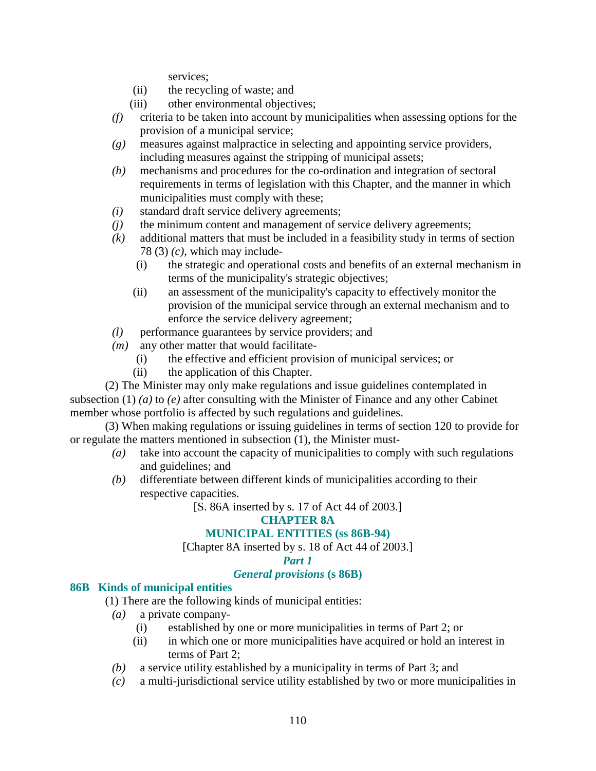services;

- (ii) the recycling of waste; and
- (iii) other environmental objectives;
- *(f)* criteria to be taken into account by municipalities when assessing options for the provision of a municipal service;
- *(g)* measures against malpractice in selecting and appointing service providers, including measures against the stripping of municipal assets;
- *(h)* mechanisms and procedures for the co-ordination and integration of sectoral requirements in terms of legislation with this Chapter, and the manner in which municipalities must comply with these;
- *(i)* standard draft service delivery agreements;
- *(j)* the minimum content and management of service delivery agreements;
- *(k)* additional matters that must be included in a feasibility study in terms of section 78 (3) *(c)*, which may include-
	- (i) the strategic and operational costs and benefits of an external mechanism in terms of the municipality's strategic objectives;
	- (ii) an assessment of the municipality's capacity to effectively monitor the provision of the municipal service through an external mechanism and to enforce the service delivery agreement;
- *(l)* performance guarantees by service providers; and
- *(m)* any other matter that would facilitate-
	- (i) the effective and efficient provision of municipal services; or
	- (ii) the application of this Chapter.

 (2) The Minister may only make regulations and issue guidelines contemplated in subsection (1) (*a*) to (*e*) after consulting with the Minister of Finance and any other Cabinet member whose portfolio is affected by such regulations and guidelines.

 (3) When making regulations or issuing guidelines in terms of section 120 to provide for or regulate the matters mentioned in subsection (1), the Minister must-

- *(a)* take into account the capacity of municipalities to comply with such regulations and guidelines; and
- *(b)* differentiate between different kinds of municipalities according to their respective capacities.

[S. 86A inserted by s. 17 of Act 44 of 2003.]

#### **CHAPTER 8A**

#### **MUNICIPAL ENTITIES (ss 86B-94)**

[Chapter 8A inserted by s. 18 of Act 44 of 2003.]

#### *Part 1*

#### *General provisions* **(s 86B)**

#### **86B Kinds of municipal entities**

(1) There are the following kinds of municipal entities:

- *(a)* a private company-
	- (i) established by one or more municipalities in terms of Part 2; or
	- (ii) in which one or more municipalities have acquired or hold an interest in terms of Part 2;
- *(b)* a service utility established by a municipality in terms of Part 3; and
- *(c)* a multi-jurisdictional service utility established by two or more municipalities in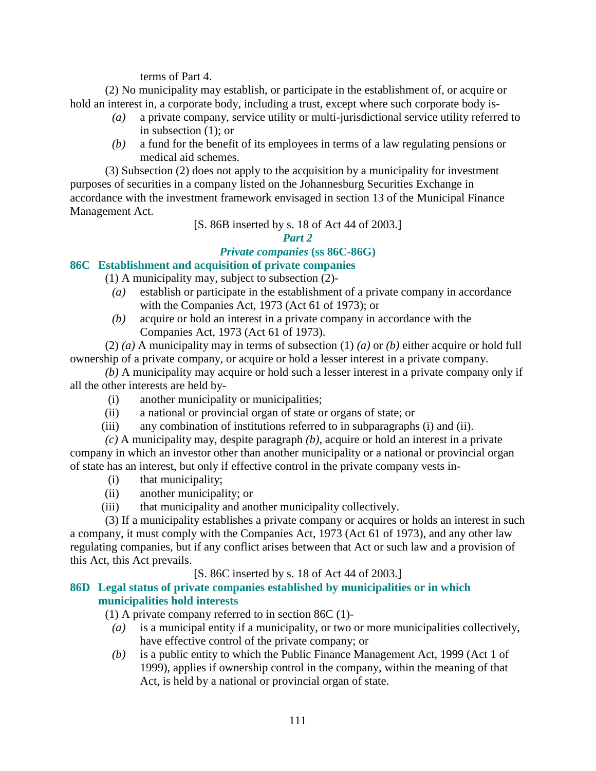terms of Part 4.

 (2) No municipality may establish, or participate in the establishment of, or acquire or hold an interest in, a corporate body, including a trust, except where such corporate body is-

- *(a)* a private company, service utility or multi-jurisdictional service utility referred to in subsection (1); or
- *(b)* a fund for the benefit of its employees in terms of a law regulating pensions or medical aid schemes.

 (3) Subsection (2) does not apply to the acquisition by a municipality for investment purposes of securities in a company listed on the Johannesburg Securities Exchange in accordance with the investment framework envisaged in section 13 of the Municipal Finance Management Act.

#### [S. 86B inserted by s. 18 of Act 44 of 2003.]

#### *Part 2*

#### *Private companies* **(ss 86C-86G)**

#### **86C Establishment and acquisition of private companies**

- (1) A municipality may, subject to subsection (2)-
- *(a)* establish or participate in the establishment of a private company in accordance with the Companies Act, 1973 (Act 61 of 1973); or
- *(b)* acquire or hold an interest in a private company in accordance with the Companies Act, 1973 (Act 61 of 1973).

 (2) *(a)* A municipality may in terms of subsection (1) *(a)* or *(b)* either acquire or hold full ownership of a private company, or acquire or hold a lesser interest in a private company.

*(b)* A municipality may acquire or hold such a lesser interest in a private company only if all the other interests are held by-

- (i) another municipality or municipalities;
- (ii) a national or provincial organ of state or organs of state; or
- (iii) any combination of institutions referred to in subparagraphs (i) and (ii).

*(c)* A municipality may, despite paragraph *(b)*, acquire or hold an interest in a private company in which an investor other than another municipality or a national or provincial organ of state has an interest, but only if effective control in the private company vests in-

- (i) that municipality;
- (ii) another municipality; or
- (iii) that municipality and another municipality collectively.

 (3) If a municipality establishes a private company or acquires or holds an interest in such a company, it must comply with the Companies Act, 1973 (Act 61 of 1973), and any other law regulating companies, but if any conflict arises between that Act or such law and a provision of this Act, this Act prevails.

[S. 86C inserted by s. 18 of Act 44 of 2003.]

#### **86D Legal status of private companies established by municipalities or in which municipalities hold interests**

(1) A private company referred to in section 86C (1)-

- *(a)* is a municipal entity if a municipality, or two or more municipalities collectively, have effective control of the private company; or
- *(b)* is a public entity to which the Public Finance Management Act, 1999 (Act 1 of 1999), applies if ownership control in the company, within the meaning of that Act, is held by a national or provincial organ of state.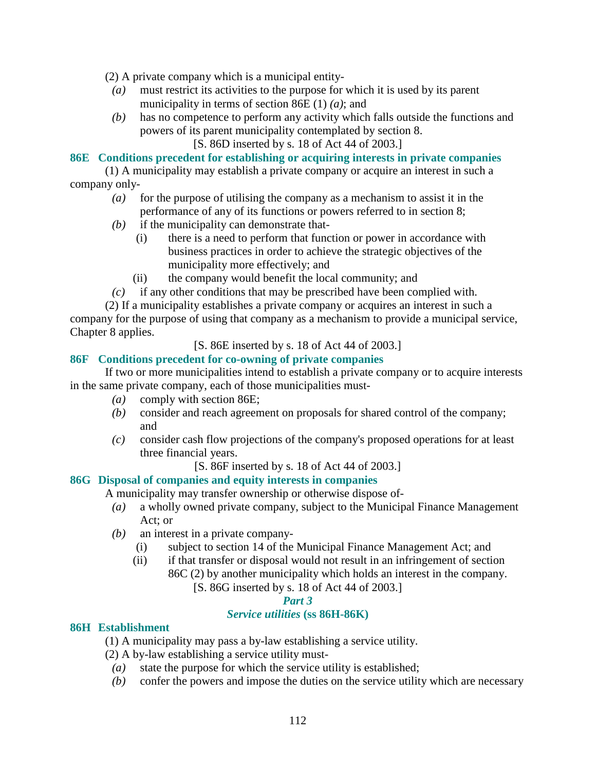(2) A private company which is a municipal entity-

- *(a)* must restrict its activities to the purpose for which it is used by its parent municipality in terms of section 86E (1) *(a)*; and
- *(b)* has no competence to perform any activity which falls outside the functions and powers of its parent municipality contemplated by section 8.
	- [S. 86D inserted by s. 18 of Act 44 of 2003.]

#### **86E Conditions precedent for establishing or acquiring interests in private companies**

 (1) A municipality may establish a private company or acquire an interest in such a company only-

- *(a)* for the purpose of utilising the company as a mechanism to assist it in the performance of any of its functions or powers referred to in section 8;
- *(b)* if the municipality can demonstrate that-
	- (i) there is a need to perform that function or power in accordance with business practices in order to achieve the strategic objectives of the municipality more effectively; and
	- (ii) the company would benefit the local community; and
- *(c)* if any other conditions that may be prescribed have been complied with.

 (2) If a municipality establishes a private company or acquires an interest in such a company for the purpose of using that company as a mechanism to provide a municipal service, Chapter 8 applies.

[S. 86E inserted by s. 18 of Act 44 of 2003.]

#### **86F Conditions precedent for co-owning of private companies**

 If two or more municipalities intend to establish a private company or to acquire interests in the same private company, each of those municipalities must-

- *(a)* comply with section 86E;
- *(b)* consider and reach agreement on proposals for shared control of the company; and
- *(c)* consider cash flow projections of the company's proposed operations for at least three financial years.
	- [S. 86F inserted by s. 18 of Act 44 of 2003.]

#### **86G Disposal of companies and equity interests in companies**

A municipality may transfer ownership or otherwise dispose of-

- *(a)* a wholly owned private company, subject to the Municipal Finance Management Act; or
- *(b)* an interest in a private company-
	- (i) subject to section 14 of the Municipal Finance Management Act; and
	- (ii) if that transfer or disposal would not result in an infringement of section 86C (2) by another municipality which holds an interest in the company.
		- [S. 86G inserted by s. 18 of Act 44 of 2003.]

#### *Part 3*

#### *Service utilities* **(ss 86H-86K)**

#### **86H Establishment**

- (1) A municipality may pass a by-law establishing a service utility.
- (2) A by-law establishing a service utility must-
	- *(a)* state the purpose for which the service utility is established;
	- *(b)* confer the powers and impose the duties on the service utility which are necessary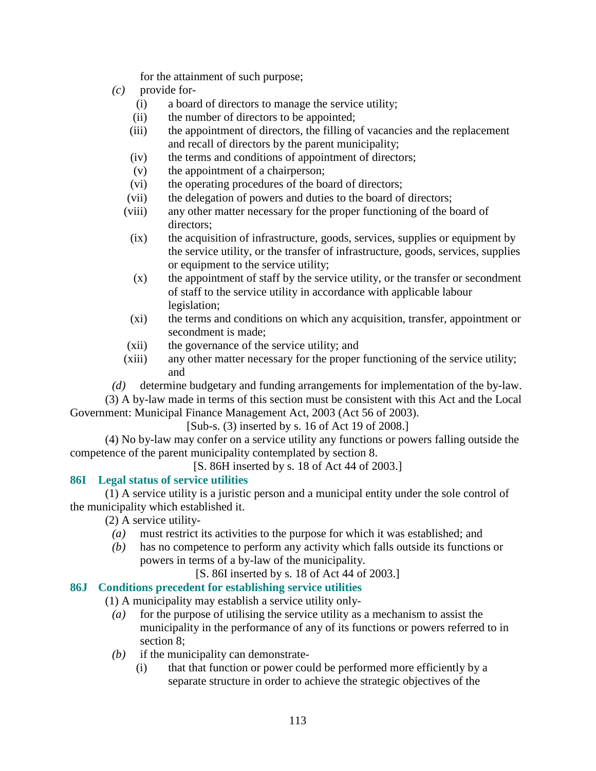for the attainment of such purpose;

- *(c)* provide for-
	- (i) a board of directors to manage the service utility;
	- (ii) the number of directors to be appointed;
	- (iii) the appointment of directors, the filling of vacancies and the replacement and recall of directors by the parent municipality;
	- (iv) the terms and conditions of appointment of directors;
	- (v) the appointment of a chairperson;
	- (vi) the operating procedures of the board of directors;
	- (vii) the delegation of powers and duties to the board of directors;
	- (viii) any other matter necessary for the proper functioning of the board of directors;
		- (ix) the acquisition of infrastructure, goods, services, supplies or equipment by the service utility, or the transfer of infrastructure, goods, services, supplies or equipment to the service utility;
		- $(x)$  the appointment of staff by the service utility, or the transfer or secondment of staff to the service utility in accordance with applicable labour legislation;
		- (xi) the terms and conditions on which any acquisition, transfer, appointment or secondment is made;
	- (xii) the governance of the service utility; and
	- (xiii) any other matter necessary for the proper functioning of the service utility; and

*(d)* determine budgetary and funding arrangements for implementation of the by-law.

 (3) A by-law made in terms of this section must be consistent with this Act and the Local Government: Municipal Finance Management Act, 2003 (Act 56 of 2003).

[Sub-s. (3) inserted by s. 16 of Act 19 of 2008.]

 (4) No by-law may confer on a service utility any functions or powers falling outside the competence of the parent municipality contemplated by section 8.

[S. 86H inserted by s. 18 of Act 44 of 2003.]

#### **86I Legal status of service utilities**

 (1) A service utility is a juristic person and a municipal entity under the sole control of the municipality which established it.

(2) A service utility-

- *(a)* must restrict its activities to the purpose for which it was established; and
- *(b)* has no competence to perform any activity which falls outside its functions or powers in terms of a by-law of the municipality.

[S. 86I inserted by s. 18 of Act 44 of 2003.]

#### **86J Conditions precedent for establishing service utilities**

- (1) A municipality may establish a service utility only-
	- *(a)* for the purpose of utilising the service utility as a mechanism to assist the municipality in the performance of any of its functions or powers referred to in section 8;
	- *(b)* if the municipality can demonstrate-
		- (i) that that function or power could be performed more efficiently by a separate structure in order to achieve the strategic objectives of the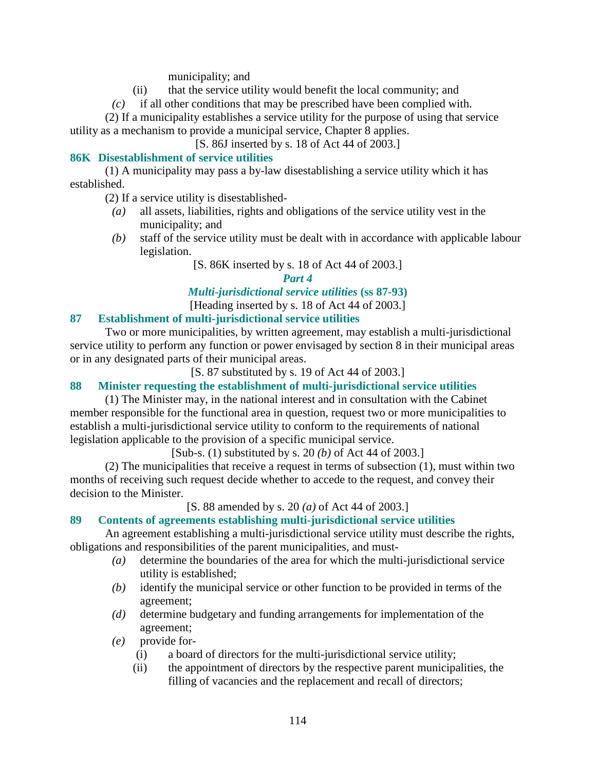municipality; and

- (ii) that the service utility would benefit the local community; and
- *(c)* if all other conditions that may be prescribed have been complied with.

 (2) If a municipality establishes a service utility for the purpose of using that service utility as a mechanism to provide a municipal service, Chapter 8 applies.

[S. 86J inserted by s. 18 of Act 44 of 2003.]

#### **86K Disestablishment of service utilities**

 (1) A municipality may pass a by-law disestablishing a service utility which it has established.

(2) If a service utility is disestablished-

- *(a)* all assets, liabilities, rights and obligations of the service utility vest in the municipality; and
- *(b)* staff of the service utility must be dealt with in accordance with applicable labour legislation.

[S. 86K inserted by s. 18 of Act 44 of 2003.]

*Part 4* 

*Multi-jurisdictional service utilities* **(ss 87-93)** 

[Heading inserted by s. 18 of Act 44 of 2003.]

#### **87 Establishment of multi-jurisdictional service utilities**

 Two or more municipalities, by written agreement, may establish a multi-jurisdictional service utility to perform any function or power envisaged by section 8 in their municipal areas or in any designated parts of their municipal areas.

[S. 87 substituted by s. 19 of Act 44 of 2003.]

**88 Minister requesting the establishment of multi-jurisdictional service utilities** 

 (1) The Minister may, in the national interest and in consultation with the Cabinet member responsible for the functional area in question, request two or more municipalities to establish a multi-jurisdictional service utility to conform to the requirements of national legislation applicable to the provision of a specific municipal service.

[Sub-s. (1) substituted by s. 20 *(b)* of Act 44 of 2003.]

 (2) The municipalities that receive a request in terms of subsection (1), must within two months of receiving such request decide whether to accede to the request, and convey their decision to the Minister.

[S. 88 amended by s. 20 *(a)* of Act 44 of 2003.]

#### **89 Contents of agreements establishing multi-jurisdictional service utilities**

 An agreement establishing a multi-jurisdictional service utility must describe the rights, obligations and responsibilities of the parent municipalities, and must-

- *(a)* determine the boundaries of the area for which the multi-jurisdictional service utility is established;
- *(b)* identify the municipal service or other function to be provided in terms of the agreement;
- *(d)* determine budgetary and funding arrangements for implementation of the agreement;
- *(e)* provide for-
	- (i) a board of directors for the multi-jurisdictional service utility;
	- (ii) the appointment of directors by the respective parent municipalities, the filling of vacancies and the replacement and recall of directors;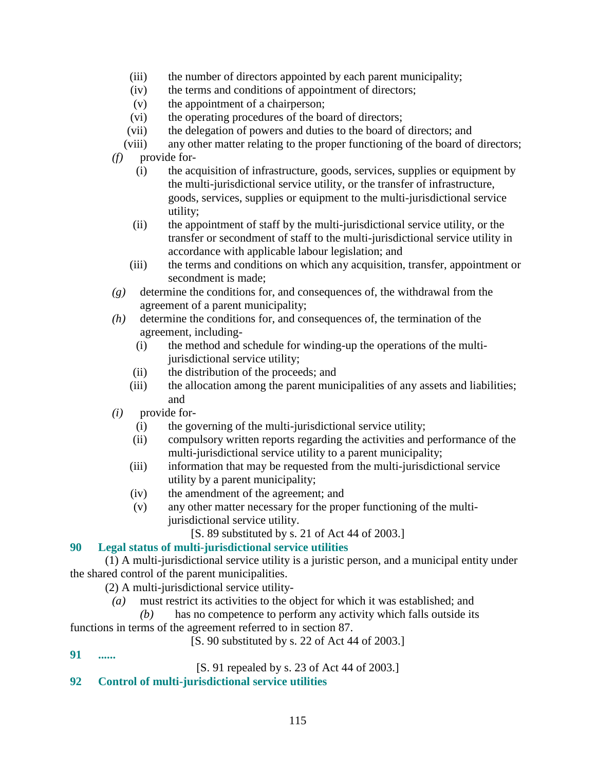- (iii) the number of directors appointed by each parent municipality;
- (iv) the terms and conditions of appointment of directors;
- (v) the appointment of a chairperson;
- (vi) the operating procedures of the board of directors;
- (vii) the delegation of powers and duties to the board of directors; and
- (viii) any other matter relating to the proper functioning of the board of directors;
- *(f)* provide for-
	- (i) the acquisition of infrastructure, goods, services, supplies or equipment by the multi-jurisdictional service utility, or the transfer of infrastructure, goods, services, supplies or equipment to the multi-jurisdictional service utility;
	- (ii) the appointment of staff by the multi-jurisdictional service utility, or the transfer or secondment of staff to the multi-jurisdictional service utility in accordance with applicable labour legislation; and
	- (iii) the terms and conditions on which any acquisition, transfer, appointment or secondment is made;
- *(g)* determine the conditions for, and consequences of, the withdrawal from the agreement of a parent municipality;
- *(h)* determine the conditions for, and consequences of, the termination of the agreement, including-
	- (i) the method and schedule for winding-up the operations of the multijurisdictional service utility;
	- (ii) the distribution of the proceeds; and
	- (iii) the allocation among the parent municipalities of any assets and liabilities; and
- *(i)* provide for-
	- (i) the governing of the multi-jurisdictional service utility;
	- (ii) compulsory written reports regarding the activities and performance of the multi-jurisdictional service utility to a parent municipality;
	- (iii) information that may be requested from the multi-jurisdictional service utility by a parent municipality;
	- (iv) the amendment of the agreement; and
	- (v) any other matter necessary for the proper functioning of the multijurisdictional service utility.
		- [S. 89 substituted by s. 21 of Act 44 of 2003.]

#### **90 Legal status of multi-jurisdictional service utilities**

 (1) A multi-jurisdictional service utility is a juristic person, and a municipal entity under the shared control of the parent municipalities.

(2) A multi-jurisdictional service utility-

*(a)* must restrict its activities to the object for which it was established; and

### *(b)* has no competence to perform any activity which falls outside its

- functions in terms of the agreement referred to in section 87.
	- [S. 90 substituted by s. 22 of Act 44 of 2003.]
- **91 ......**

[S. 91 repealed by s. 23 of Act 44 of 2003.]

#### **92 Control of multi-jurisdictional service utilities**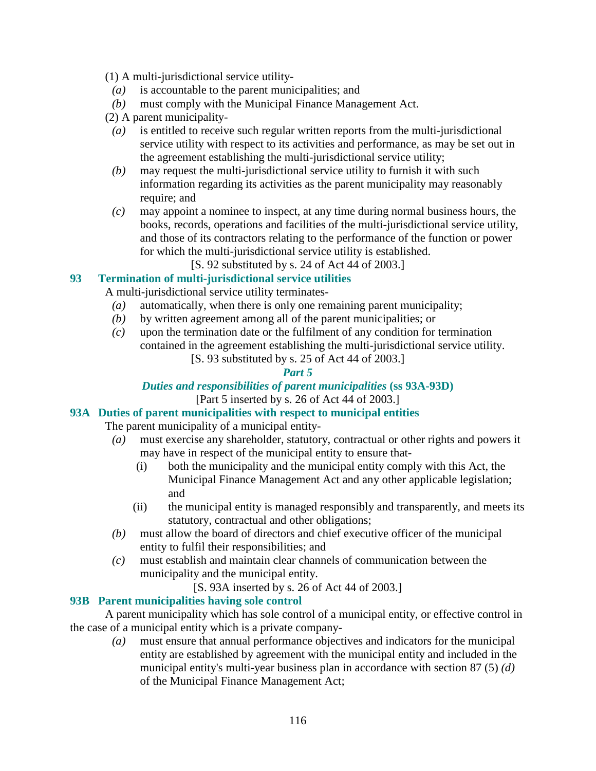(1) A multi-jurisdictional service utility-

- *(a)* is accountable to the parent municipalities; and
- *(b)* must comply with the Municipal Finance Management Act.
- (2) A parent municipality-
	- *(a)* is entitled to receive such regular written reports from the multi-jurisdictional service utility with respect to its activities and performance, as may be set out in the agreement establishing the multi-jurisdictional service utility;
	- *(b)* may request the multi-jurisdictional service utility to furnish it with such information regarding its activities as the parent municipality may reasonably require; and
	- *(c)* may appoint a nominee to inspect, at any time during normal business hours, the books, records, operations and facilities of the multi-jurisdictional service utility, and those of its contractors relating to the performance of the function or power for which the multi-jurisdictional service utility is established.
		- [S. 92 substituted by s. 24 of Act 44 of 2003.]

#### **93 Termination of multi-jurisdictional service utilities**

A multi-jurisdictional service utility terminates-

- *(a)* automatically, when there is only one remaining parent municipality;
- *(b)* by written agreement among all of the parent municipalities; or
- *(c)* upon the termination date or the fulfilment of any condition for termination contained in the agreement establishing the multi-jurisdictional service utility.
	- [S. 93 substituted by s. 25 of Act 44 of 2003.]

#### *Part 5*

#### *Duties and responsibilities of parent municipalities* **(ss 93A-93D)**  [Part 5 inserted by s. 26 of Act 44 of 2003.]

### **93A Duties of parent municipalities with respect to municipal entities**

The parent municipality of a municipal entity-

- *(a)* must exercise any shareholder, statutory, contractual or other rights and powers it may have in respect of the municipal entity to ensure that-
	- (i) both the municipality and the municipal entity comply with this Act, the Municipal Finance Management Act and any other applicable legislation; and
	- (ii) the municipal entity is managed responsibly and transparently, and meets its statutory, contractual and other obligations;
- *(b)* must allow the board of directors and chief executive officer of the municipal entity to fulfil their responsibilities; and
- *(c)* must establish and maintain clear channels of communication between the municipality and the municipal entity.

[S. 93A inserted by s. 26 of Act 44 of 2003.]

#### **93B Parent municipalities having sole control**

 A parent municipality which has sole control of a municipal entity, or effective control in the case of a municipal entity which is a private company-

 *(a)* must ensure that annual performance objectives and indicators for the municipal entity are established by agreement with the municipal entity and included in the municipal entity's multi-year business plan in accordance with section 87 (5) *(d)* of the Municipal Finance Management Act;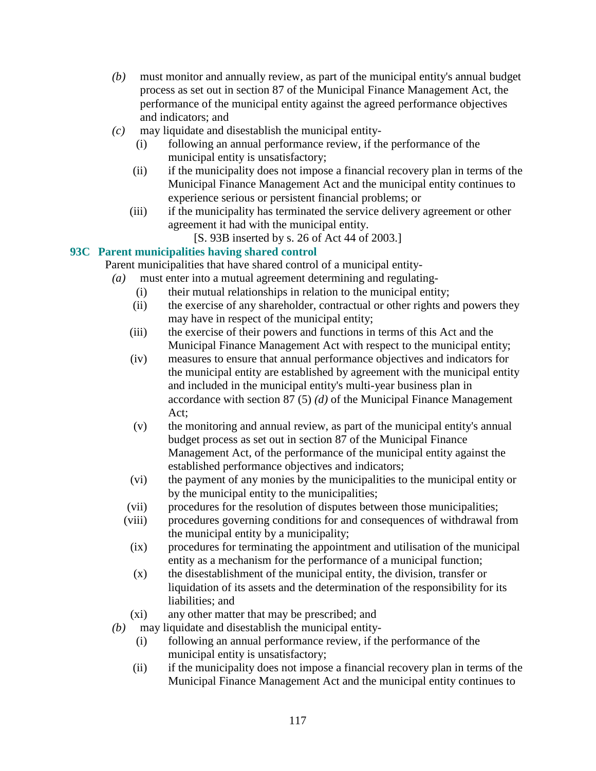- *(b)* must monitor and annually review, as part of the municipal entity's annual budget process as set out in section 87 of the Municipal Finance Management Act, the performance of the municipal entity against the agreed performance objectives and indicators; and
- *(c)* may liquidate and disestablish the municipal entity-
	- (i) following an annual performance review, if the performance of the municipal entity is unsatisfactory;
	- (ii) if the municipality does not impose a financial recovery plan in terms of the Municipal Finance Management Act and the municipal entity continues to experience serious or persistent financial problems; or
	- (iii) if the municipality has terminated the service delivery agreement or other agreement it had with the municipal entity.

[S. 93B inserted by s. 26 of Act 44 of 2003.]

#### **93C Parent municipalities having shared control**

Parent municipalities that have shared control of a municipal entity-

- *(a)* must enter into a mutual agreement determining and regulating-
	- (i) their mutual relationships in relation to the municipal entity;
	- (ii) the exercise of any shareholder, contractual or other rights and powers they may have in respect of the municipal entity;
	- (iii) the exercise of their powers and functions in terms of this Act and the Municipal Finance Management Act with respect to the municipal entity;
	- (iv) measures to ensure that annual performance objectives and indicators for the municipal entity are established by agreement with the municipal entity and included in the municipal entity's multi-year business plan in accordance with section 87 (5) *(d)* of the Municipal Finance Management Act;
	- (v) the monitoring and annual review, as part of the municipal entity's annual budget process as set out in section 87 of the Municipal Finance Management Act, of the performance of the municipal entity against the established performance objectives and indicators;
	- (vi) the payment of any monies by the municipalities to the municipal entity or by the municipal entity to the municipalities;
	- (vii) procedures for the resolution of disputes between those municipalities;
	- (viii) procedures governing conditions for and consequences of withdrawal from the municipal entity by a municipality;
		- (ix) procedures for terminating the appointment and utilisation of the municipal entity as a mechanism for the performance of a municipal function;
		- (x) the disestablishment of the municipal entity, the division, transfer or liquidation of its assets and the determination of the responsibility for its liabilities; and
	- (xi) any other matter that may be prescribed; and
- *(b)* may liquidate and disestablish the municipal entity-
	- (i) following an annual performance review, if the performance of the municipal entity is unsatisfactory;
	- (ii) if the municipality does not impose a financial recovery plan in terms of the Municipal Finance Management Act and the municipal entity continues to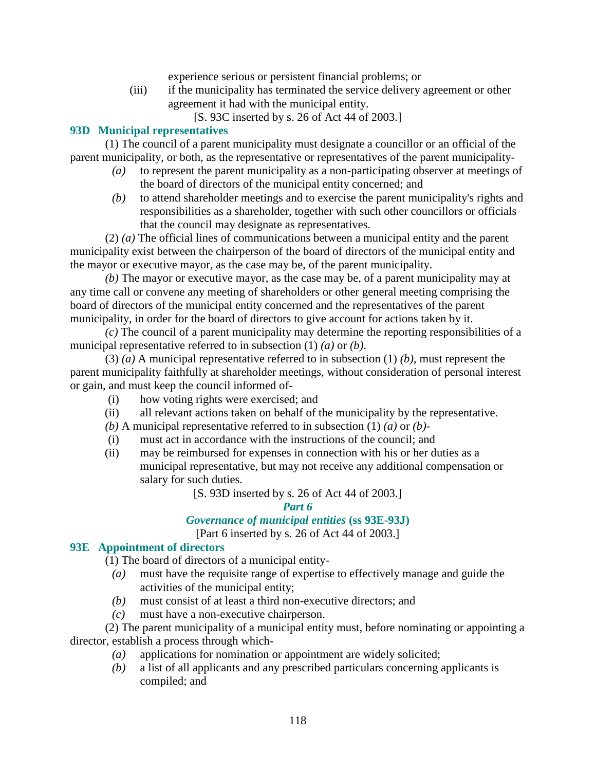experience serious or persistent financial problems; or

(iii) if the municipality has terminated the service delivery agreement or other agreement it had with the municipal entity.

[S. 93C inserted by s. 26 of Act 44 of 2003.]

#### **93D Municipal representatives**

 (1) The council of a parent municipality must designate a councillor or an official of the parent municipality, or both, as the representative or representatives of the parent municipality-

- *(a)* to represent the parent municipality as a non-participating observer at meetings of the board of directors of the municipal entity concerned; and
- *(b)* to attend shareholder meetings and to exercise the parent municipality's rights and responsibilities as a shareholder, together with such other councillors or officials that the council may designate as representatives.

 (2) *(a)* The official lines of communications between a municipal entity and the parent municipality exist between the chairperson of the board of directors of the municipal entity and the mayor or executive mayor, as the case may be, of the parent municipality.

*(b)* The mayor or executive mayor, as the case may be, of a parent municipality may at any time call or convene any meeting of shareholders or other general meeting comprising the board of directors of the municipal entity concerned and the representatives of the parent municipality, in order for the board of directors to give account for actions taken by it.

*(c)* The council of a parent municipality may determine the reporting responsibilities of a municipal representative referred to in subsection (1) *(a)* or *(b)*.

 (3) *(a)* A municipal representative referred to in subsection (1) *(b)*, must represent the parent municipality faithfully at shareholder meetings, without consideration of personal interest or gain, and must keep the council informed of-

- (i) how voting rights were exercised; and
- (ii) all relevant actions taken on behalf of the municipality by the representative.
- *(b)* A municipal representative referred to in subsection (1) *(a)* or *(b)*-
- (i) must act in accordance with the instructions of the council; and
- (ii) may be reimbursed for expenses in connection with his or her duties as a municipal representative, but may not receive any additional compensation or salary for such duties.
	- [S. 93D inserted by s. 26 of Act 44 of 2003.]

#### *Part 6*

#### *Governance of municipal entities* **(ss 93E-93J)**

[Part 6 inserted by s. 26 of Act 44 of 2003.]

#### **93E Appointment of directors**

(1) The board of directors of a municipal entity-

- *(a)* must have the requisite range of expertise to effectively manage and guide the activities of the municipal entity;
- *(b)* must consist of at least a third non-executive directors; and
- *(c)* must have a non-executive chairperson.

 (2) The parent municipality of a municipal entity must, before nominating or appointing a director, establish a process through which-

- *(a)* applications for nomination or appointment are widely solicited;
- *(b)* a list of all applicants and any prescribed particulars concerning applicants is compiled; and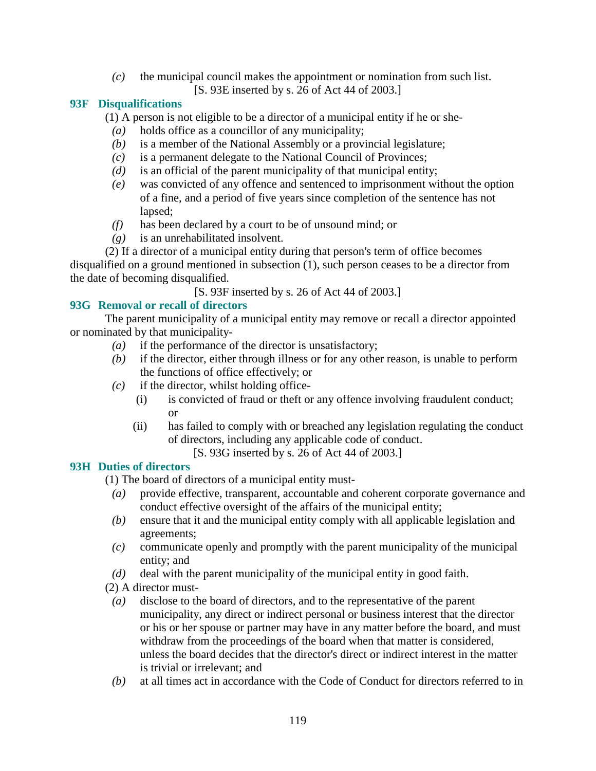*(c)* the municipal council makes the appointment or nomination from such list. [S. 93E inserted by s. 26 of Act 44 of 2003.]

#### **93F Disqualifications**

(1) A person is not eligible to be a director of a municipal entity if he or she-

- *(a)* holds office as a councillor of any municipality;
- *(b)* is a member of the National Assembly or a provincial legislature;
- *(c)* is a permanent delegate to the National Council of Provinces;
- *(d)* is an official of the parent municipality of that municipal entity;
- *(e)* was convicted of any offence and sentenced to imprisonment without the option of a fine, and a period of five years since completion of the sentence has not lapsed;
- *(f)* has been declared by a court to be of unsound mind; or
- *(g)* is an unrehabilitated insolvent.

 (2) If a director of a municipal entity during that person's term of office becomes disqualified on a ground mentioned in subsection (1), such person ceases to be a director from the date of becoming disqualified.

[S. 93F inserted by s. 26 of Act 44 of 2003.]

#### **93G Removal or recall of directors**

 The parent municipality of a municipal entity may remove or recall a director appointed or nominated by that municipality-

- *(a)* if the performance of the director is unsatisfactory;
- *(b)* if the director, either through illness or for any other reason, is unable to perform the functions of office effectively; or
- $(c)$  if the director, whilst holding office-
	- (i) is convicted of fraud or theft or any offence involving fraudulent conduct; or
	- (ii) has failed to comply with or breached any legislation regulating the conduct of directors, including any applicable code of conduct.
		- [S. 93G inserted by s. 26 of Act 44 of 2003.]

#### **93H Duties of directors**

(1) The board of directors of a municipal entity must-

- *(a)* provide effective, transparent, accountable and coherent corporate governance and conduct effective oversight of the affairs of the municipal entity;
- *(b)* ensure that it and the municipal entity comply with all applicable legislation and agreements;
- *(c)* communicate openly and promptly with the parent municipality of the municipal entity; and
- *(d)* deal with the parent municipality of the municipal entity in good faith.
- (2) A director must-
- *(a)* disclose to the board of directors, and to the representative of the parent municipality, any direct or indirect personal or business interest that the director or his or her spouse or partner may have in any matter before the board, and must withdraw from the proceedings of the board when that matter is considered, unless the board decides that the director's direct or indirect interest in the matter is trivial or irrelevant; and
- *(b)* at all times act in accordance with the Code of Conduct for directors referred to in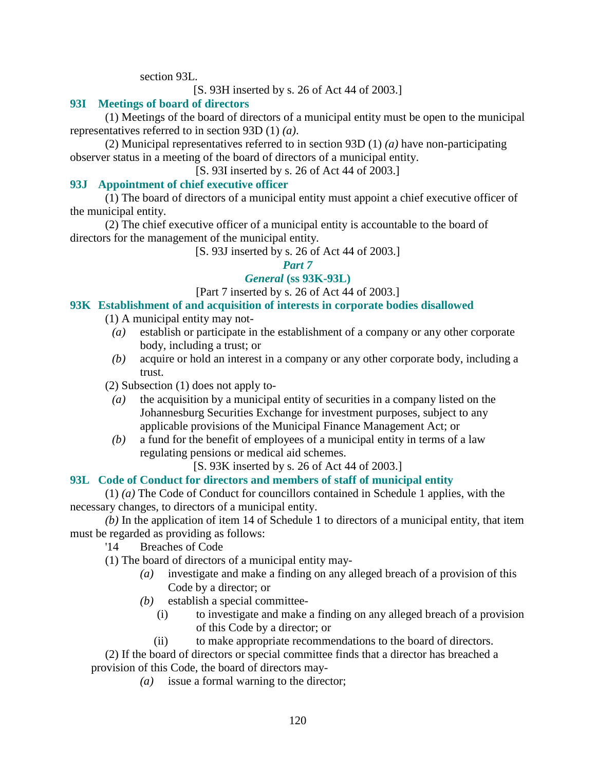section 93L.

[S. 93H inserted by s. 26 of Act 44 of 2003.]

#### **93I Meetings of board of directors**

 (1) Meetings of the board of directors of a municipal entity must be open to the municipal representatives referred to in section 93D (1) *(a)*.

 (2) Municipal representatives referred to in section 93D (1) *(a)* have non-participating observer status in a meeting of the board of directors of a municipal entity.

[S. 93I inserted by s. 26 of Act 44 of 2003.]

#### **93J Appointment of chief executive officer**

 (1) The board of directors of a municipal entity must appoint a chief executive officer of the municipal entity.

 (2) The chief executive officer of a municipal entity is accountable to the board of directors for the management of the municipal entity.

[S. 93J inserted by s. 26 of Act 44 of 2003.]

*Part 7* 

#### *General* **(ss 93K-93L)**

[Part 7 inserted by s. 26 of Act 44 of 2003.]

**93K Establishment of and acquisition of interests in corporate bodies disallowed** 

(1) A municipal entity may not-

- *(a)* establish or participate in the establishment of a company or any other corporate body, including a trust; or
- *(b)* acquire or hold an interest in a company or any other corporate body, including a trust.

(2) Subsection (1) does not apply to-

- *(a)* the acquisition by a municipal entity of securities in a company listed on the Johannesburg Securities Exchange for investment purposes, subject to any applicable provisions of the Municipal Finance Management Act; or
- *(b)* a fund for the benefit of employees of a municipal entity in terms of a law regulating pensions or medical aid schemes.

[S. 93K inserted by s. 26 of Act 44 of 2003.]

#### **93L Code of Conduct for directors and members of staff of municipal entity**

 (1) *(a)* The Code of Conduct for councillors contained in Schedule 1 applies, with the necessary changes, to directors of a municipal entity.

*(b)* In the application of item 14 of Schedule 1 to directors of a municipal entity, that item must be regarded as providing as follows:

'14 Breaches of Code

(1) The board of directors of a municipal entity may-

- *(a)* investigate and make a finding on any alleged breach of a provision of this Code by a director; or
- *(b)* establish a special committee-
	- (i) to investigate and make a finding on any alleged breach of a provision of this Code by a director; or
	- (ii) to make appropriate recommendations to the board of directors.

 (2) If the board of directors or special committee finds that a director has breached a provision of this Code, the board of directors may-

*(a)* issue a formal warning to the director;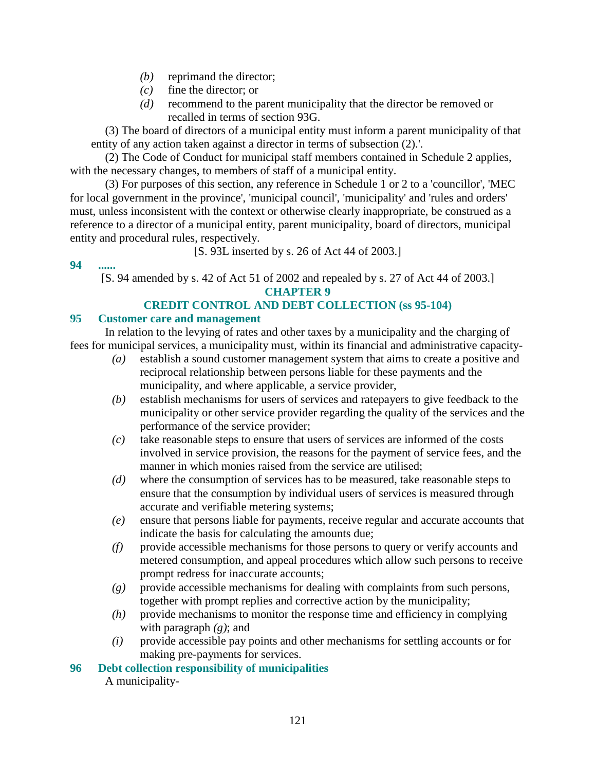- *(b)* reprimand the director;
- *(c)* fine the director; or
- *(d)* recommend to the parent municipality that the director be removed or recalled in terms of section 93G.

 (3) The board of directors of a municipal entity must inform a parent municipality of that entity of any action taken against a director in terms of subsection (2).'.

 (2) The Code of Conduct for municipal staff members contained in Schedule 2 applies, with the necessary changes, to members of staff of a municipal entity.

 (3) For purposes of this section, any reference in Schedule 1 or 2 to a 'councillor', 'MEC for local government in the province', 'municipal council', 'municipality' and 'rules and orders' must, unless inconsistent with the context or otherwise clearly inappropriate, be construed as a reference to a director of a municipal entity, parent municipality, board of directors, municipal entity and procedural rules, respectively.

[S. 93L inserted by s. 26 of Act 44 of 2003.]

**94 ......** 

[S. 94 amended by s. 42 of Act 51 of 2002 and repealed by s. 27 of Act 44 of 2003.] **CHAPTER 9** 

#### **CREDIT CONTROL AND DEBT COLLECTION (ss 95-104)**

#### **95 Customer care and management**

 In relation to the levying of rates and other taxes by a municipality and the charging of fees for municipal services, a municipality must, within its financial and administrative capacity-

- *(a)* establish a sound customer management system that aims to create a positive and reciprocal relationship between persons liable for these payments and the municipality, and where applicable, a service provider,
- *(b)* establish mechanisms for users of services and ratepayers to give feedback to the municipality or other service provider regarding the quality of the services and the performance of the service provider;
- *(c)* take reasonable steps to ensure that users of services are informed of the costs involved in service provision, the reasons for the payment of service fees, and the manner in which monies raised from the service are utilised;
- *(d)* where the consumption of services has to be measured, take reasonable steps to ensure that the consumption by individual users of services is measured through accurate and verifiable metering systems;
- *(e)* ensure that persons liable for payments, receive regular and accurate accounts that indicate the basis for calculating the amounts due;
- *(f)* provide accessible mechanisms for those persons to query or verify accounts and metered consumption, and appeal procedures which allow such persons to receive prompt redress for inaccurate accounts;
- *(g)* provide accessible mechanisms for dealing with complaints from such persons, together with prompt replies and corrective action by the municipality;
- *(h)* provide mechanisms to monitor the response time and efficiency in complying with paragraph *(g)*; and
- *(i)* provide accessible pay points and other mechanisms for settling accounts or for making pre-payments for services.
- **96 Debt collection responsibility of municipalities**

A municipality-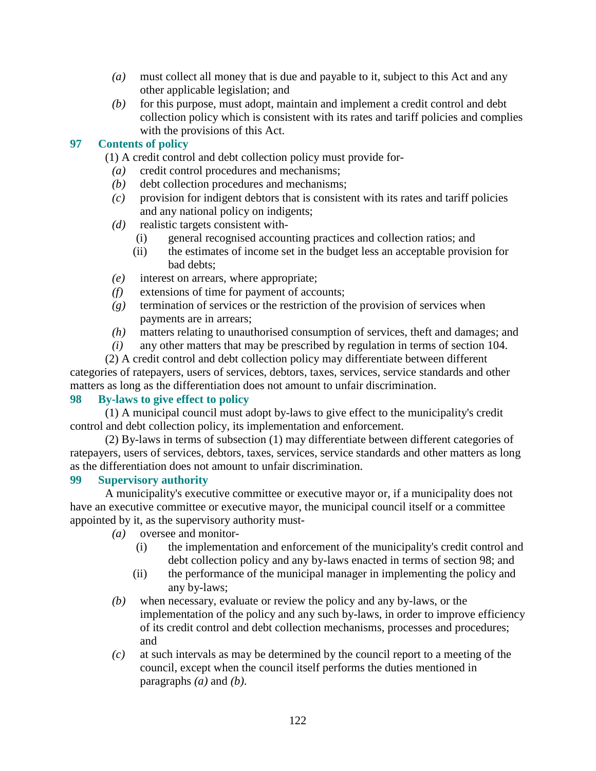- *(a)* must collect all money that is due and payable to it, subject to this Act and any other applicable legislation; and
- *(b)* for this purpose, must adopt, maintain and implement a credit control and debt collection policy which is consistent with its rates and tariff policies and complies with the provisions of this Act.

#### **97 Contents of policy**

(1) A credit control and debt collection policy must provide for-

- *(a)* credit control procedures and mechanisms;
- *(b)* debt collection procedures and mechanisms;
- *(c)* provision for indigent debtors that is consistent with its rates and tariff policies and any national policy on indigents;
- *(d)* realistic targets consistent with-
	- (i) general recognised accounting practices and collection ratios; and
	- (ii) the estimates of income set in the budget less an acceptable provision for bad debts;
- *(e)* interest on arrears, where appropriate;
- *(f)* extensions of time for payment of accounts;
- *(g)* termination of services or the restriction of the provision of services when payments are in arrears;
- *(h)* matters relating to unauthorised consumption of services, theft and damages; and
- *(i)* any other matters that may be prescribed by regulation in terms of section 104.

 (2) A credit control and debt collection policy may differentiate between different categories of ratepayers, users of services, debtors, taxes, services, service standards and other matters as long as the differentiation does not amount to unfair discrimination.

#### **98 By-laws to give effect to policy**

 (1) A municipal council must adopt by-laws to give effect to the municipality's credit control and debt collection policy, its implementation and enforcement.

 (2) By-laws in terms of subsection (1) may differentiate between different categories of ratepayers, users of services, debtors, taxes, services, service standards and other matters as long as the differentiation does not amount to unfair discrimination.

#### **99 Supervisory authority**

 A municipality's executive committee or executive mayor or, if a municipality does not have an executive committee or executive mayor, the municipal council itself or a committee appointed by it, as the supervisory authority must-

- *(a)* oversee and monitor-
	- (i) the implementation and enforcement of the municipality's credit control and debt collection policy and any by-laws enacted in terms of section 98; and
	- (ii) the performance of the municipal manager in implementing the policy and any by-laws;
- *(b)* when necessary, evaluate or review the policy and any by-laws, or the implementation of the policy and any such by-laws, in order to improve efficiency of its credit control and debt collection mechanisms, processes and procedures; and
- *(c)* at such intervals as may be determined by the council report to a meeting of the council, except when the council itself performs the duties mentioned in paragraphs *(a)* and *(b)*.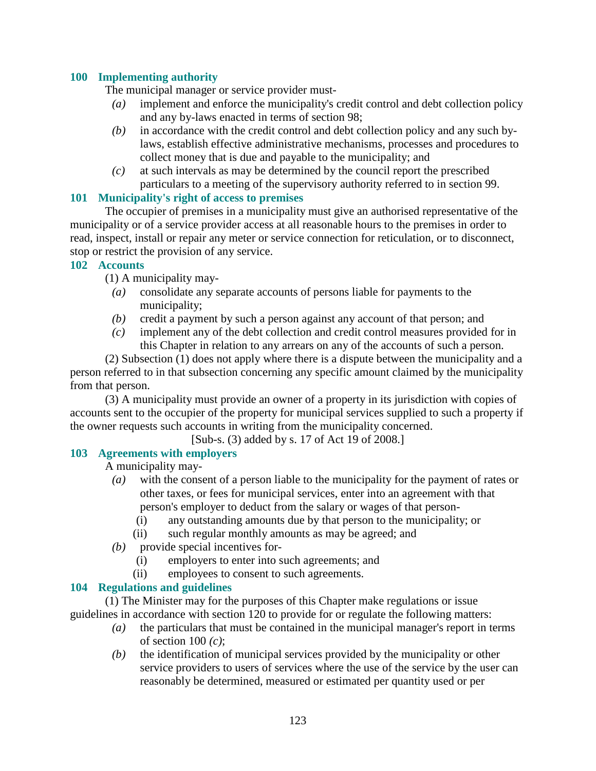#### **100 Implementing authority**

The municipal manager or service provider must-

- *(a)* implement and enforce the municipality's credit control and debt collection policy and any by-laws enacted in terms of section 98;
- *(b)* in accordance with the credit control and debt collection policy and any such bylaws, establish effective administrative mechanisms, processes and procedures to collect money that is due and payable to the municipality; and
- *(c)* at such intervals as may be determined by the council report the prescribed particulars to a meeting of the supervisory authority referred to in section 99.

#### **101 Municipality's right of access to premises**

 The occupier of premises in a municipality must give an authorised representative of the municipality or of a service provider access at all reasonable hours to the premises in order to read, inspect, install or repair any meter or service connection for reticulation, or to disconnect, stop or restrict the provision of any service.

#### **102 Accounts**

(1) A municipality may-

- *(a)* consolidate any separate accounts of persons liable for payments to the municipality;
- *(b)* credit a payment by such a person against any account of that person; and
- *(c)* implement any of the debt collection and credit control measures provided for in this Chapter in relation to any arrears on any of the accounts of such a person.

 (2) Subsection (1) does not apply where there is a dispute between the municipality and a person referred to in that subsection concerning any specific amount claimed by the municipality from that person.

 (3) A municipality must provide an owner of a property in its jurisdiction with copies of accounts sent to the occupier of the property for municipal services supplied to such a property if the owner requests such accounts in writing from the municipality concerned.

[Sub-s. (3) added by s. 17 of Act 19 of 2008.]

#### **103 Agreements with employers**

A municipality may-

- *(a)* with the consent of a person liable to the municipality for the payment of rates or other taxes, or fees for municipal services, enter into an agreement with that person's employer to deduct from the salary or wages of that person-
	- (i) any outstanding amounts due by that person to the municipality; or
	- (ii) such regular monthly amounts as may be agreed; and
- *(b)* provide special incentives for-
	- (i) employers to enter into such agreements; and
	- (ii) employees to consent to such agreements.

#### **104 Regulations and guidelines**

 (1) The Minister may for the purposes of this Chapter make regulations or issue guidelines in accordance with section 120 to provide for or regulate the following matters:

- *(a)* the particulars that must be contained in the municipal manager's report in terms of section 100 *(c)*;
- *(b)* the identification of municipal services provided by the municipality or other service providers to users of services where the use of the service by the user can reasonably be determined, measured or estimated per quantity used or per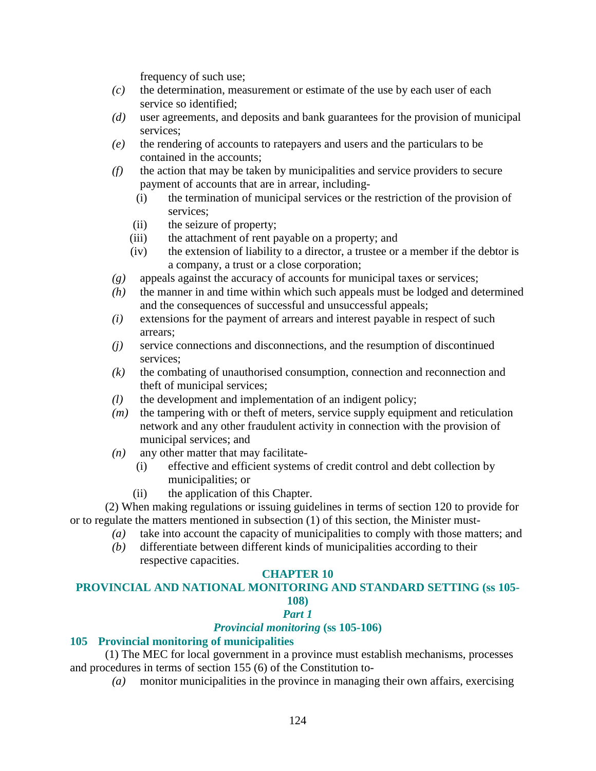frequency of such use;

- *(c)* the determination, measurement or estimate of the use by each user of each service so identified;
- *(d)* user agreements, and deposits and bank guarantees for the provision of municipal services;
- *(e)* the rendering of accounts to ratepayers and users and the particulars to be contained in the accounts;
- *(f)* the action that may be taken by municipalities and service providers to secure payment of accounts that are in arrear, including-
	- (i) the termination of municipal services or the restriction of the provision of services;
	- (ii) the seizure of property;
	- (iii) the attachment of rent payable on a property; and
	- (iv) the extension of liability to a director, a trustee or a member if the debtor is a company, a trust or a close corporation;
- *(g)* appeals against the accuracy of accounts for municipal taxes or services;
- *(h)* the manner in and time within which such appeals must be lodged and determined and the consequences of successful and unsuccessful appeals;
- *(i)* extensions for the payment of arrears and interest payable in respect of such arrears;
- *(j)* service connections and disconnections, and the resumption of discontinued services;
- *(k)* the combating of unauthorised consumption, connection and reconnection and theft of municipal services;
- *(l)* the development and implementation of an indigent policy;
- *(m)* the tampering with or theft of meters, service supply equipment and reticulation network and any other fraudulent activity in connection with the provision of municipal services; and
- *(n)* any other matter that may facilitate-
	- (i) effective and efficient systems of credit control and debt collection by municipalities; or
	- (ii) the application of this Chapter.

 (2) When making regulations or issuing guidelines in terms of section 120 to provide for or to regulate the matters mentioned in subsection (1) of this section, the Minister must-

- *(a)* take into account the capacity of municipalities to comply with those matters; and
- *(b)* differentiate between different kinds of municipalities according to their respective capacities.

#### **CHAPTER 10**

#### **PROVINCIAL AND NATIONAL MONITORING AND STANDARD SETTING (ss 105- 108)**

#### *Part 1*

#### *Provincial monitoring* **(ss 105-106)**

#### **105 Provincial monitoring of municipalities**

 (1) The MEC for local government in a province must establish mechanisms, processes and procedures in terms of section 155 (6) of the Constitution to-

*(a)* monitor municipalities in the province in managing their own affairs, exercising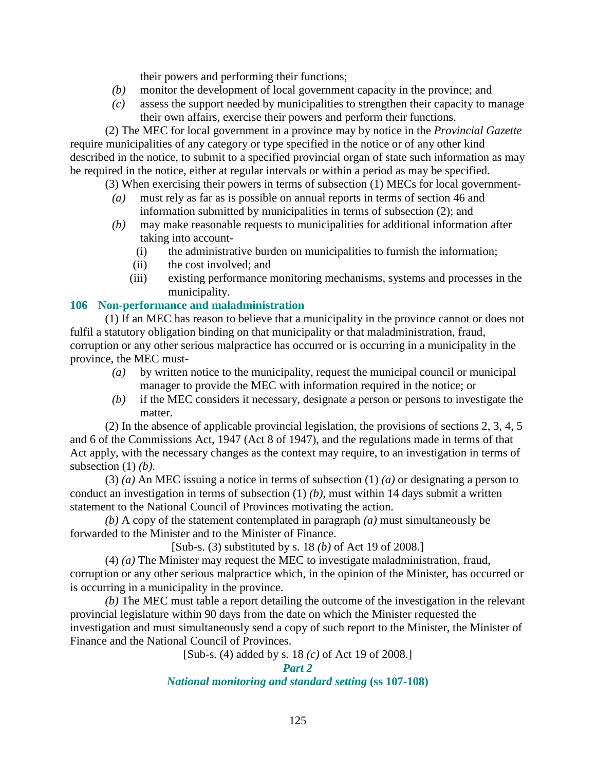their powers and performing their functions;

- *(b)* monitor the development of local government capacity in the province; and
- *(c)* assess the support needed by municipalities to strengthen their capacity to manage their own affairs, exercise their powers and perform their functions.

 (2) The MEC for local government in a province may by notice in the *Provincial Gazette* require municipalities of any category or type specified in the notice or of any other kind described in the notice, to submit to a specified provincial organ of state such information as may be required in the notice, either at regular intervals or within a period as may be specified.

(3) When exercising their powers in terms of subsection (1) MECs for local government-

- *(a)* must rely as far as is possible on annual reports in terms of section 46 and information submitted by municipalities in terms of subsection (2); and
- *(b)* may make reasonable requests to municipalities for additional information after taking into account-
	- (i) the administrative burden on municipalities to furnish the information;
	- (ii) the cost involved; and
	- (iii) existing performance monitoring mechanisms, systems and processes in the municipality.

#### **106 Non-performance and maladministration**

 (1) If an MEC has reason to believe that a municipality in the province cannot or does not fulfil a statutory obligation binding on that municipality or that maladministration, fraud, corruption or any other serious malpractice has occurred or is occurring in a municipality in the province, the MEC must-

- *(a)* by written notice to the municipality, request the municipal council or municipal manager to provide the MEC with information required in the notice; or
- *(b)* if the MEC considers it necessary, designate a person or persons to investigate the matter.

 (2) In the absence of applicable provincial legislation, the provisions of sections 2, 3, 4, 5 and 6 of the Commissions Act, 1947 (Act 8 of 1947), and the regulations made in terms of that Act apply, with the necessary changes as the context may require, to an investigation in terms of subsection (1) *(b)*.

 (3) *(a)* An MEC issuing a notice in terms of subsection (1) *(a)* or designating a person to conduct an investigation in terms of subsection (1) *(b)*, must within 14 days submit a written statement to the National Council of Provinces motivating the action.

*(b)* A copy of the statement contemplated in paragraph *(a)* must simultaneously be forwarded to the Minister and to the Minister of Finance.

[Sub-s. (3) substituted by s. 18 *(b)* of Act 19 of 2008.]

 (4) *(a)* The Minister may request the MEC to investigate maladministration, fraud, corruption or any other serious malpractice which, in the opinion of the Minister, has occurred or is occurring in a municipality in the province.

*(b)* The MEC must table a report detailing the outcome of the investigation in the relevant provincial legislature within 90 days from the date on which the Minister requested the investigation and must simultaneously send a copy of such report to the Minister, the Minister of Finance and the National Council of Provinces.

[Sub-s. (4) added by s. 18 *(c)* of Act 19 of 2008.]

#### *National monitoring and standard setting* **(ss 107-108)**

*Part 2*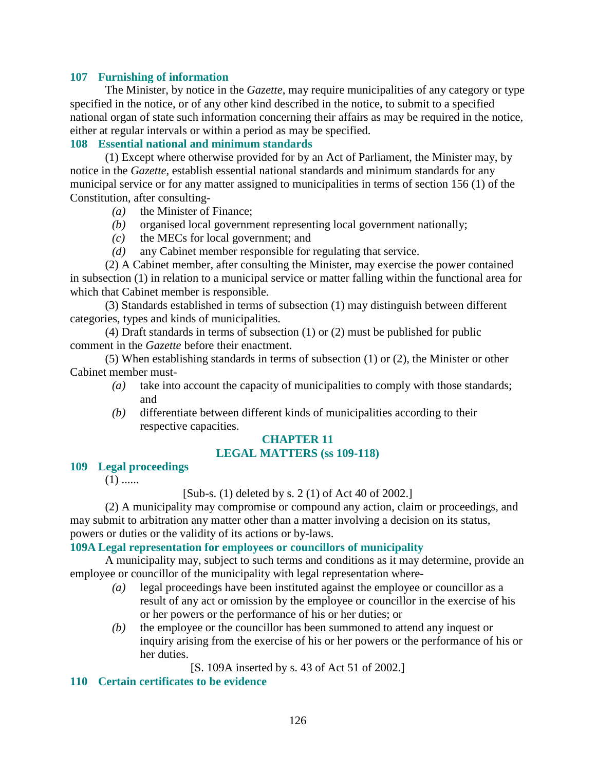#### **107 Furnishing of information**

 The Minister, by notice in the *Gazette*, may require municipalities of any category or type specified in the notice, or of any other kind described in the notice, to submit to a specified national organ of state such information concerning their affairs as may be required in the notice, either at regular intervals or within a period as may be specified.

#### **108 Essential national and minimum standards**

 (1) Except where otherwise provided for by an Act of Parliament, the Minister may, by notice in the *Gazette*, establish essential national standards and minimum standards for any municipal service or for any matter assigned to municipalities in terms of section 156 (1) of the Constitution, after consulting-

- *(a)* the Minister of Finance;
- *(b)* organised local government representing local government nationally;
- *(c)* the MECs for local government; and
- *(d)* any Cabinet member responsible for regulating that service.

 (2) A Cabinet member, after consulting the Minister, may exercise the power contained in subsection (1) in relation to a municipal service or matter falling within the functional area for which that Cabinet member is responsible.

 (3) Standards established in terms of subsection (1) may distinguish between different categories, types and kinds of municipalities.

 (4) Draft standards in terms of subsection (1) or (2) must be published for public comment in the *Gazette* before their enactment.

 (5) When establishing standards in terms of subsection (1) or (2), the Minister or other Cabinet member must-

- *(a)* take into account the capacity of municipalities to comply with those standards; and
- *(b)* differentiate between different kinds of municipalities according to their respective capacities.

#### **CHAPTER 11 LEGAL MATTERS (ss 109-118)**

#### **109 Legal proceedings**

 $(1)$  ......

[Sub-s. (1) deleted by s. 2 (1) of Act 40 of 2002.]

 (2) A municipality may compromise or compound any action, claim or proceedings, and may submit to arbitration any matter other than a matter involving a decision on its status, powers or duties or the validity of its actions or by-laws.

#### **109A Legal representation for employees or councillors of municipality**

 A municipality may, subject to such terms and conditions as it may determine, provide an employee or councillor of the municipality with legal representation where-

- *(a)* legal proceedings have been instituted against the employee or councillor as a result of any act or omission by the employee or councillor in the exercise of his or her powers or the performance of his or her duties; or
- *(b)* the employee or the councillor has been summoned to attend any inquest or inquiry arising from the exercise of his or her powers or the performance of his or her duties.

[S. 109A inserted by s. 43 of Act 51 of 2002.]

#### **110 Certain certificates to be evidence**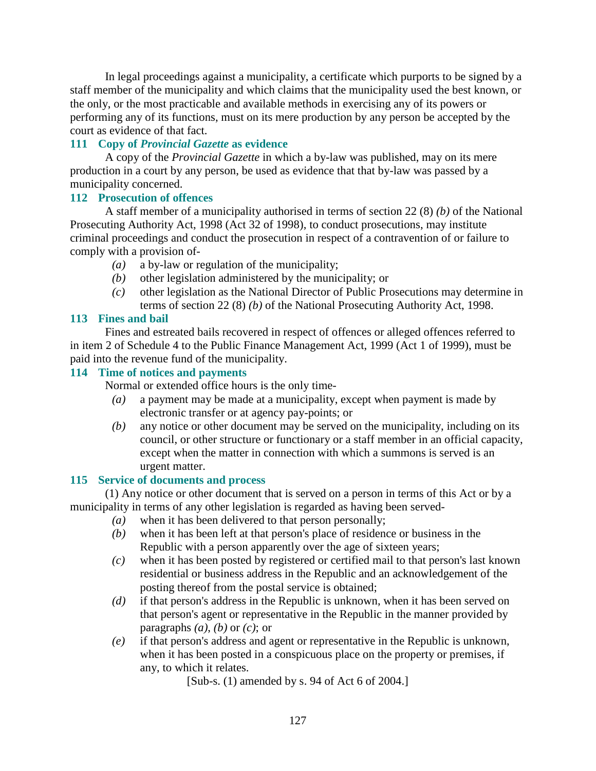In legal proceedings against a municipality, a certificate which purports to be signed by a staff member of the municipality and which claims that the municipality used the best known, or the only, or the most practicable and available methods in exercising any of its powers or performing any of its functions, must on its mere production by any person be accepted by the court as evidence of that fact.

#### **111 Copy of** *Provincial Gazette* **as evidence**

 A copy of the *Provincial Gazette* in which a by-law was published, may on its mere production in a court by any person, be used as evidence that that by-law was passed by a municipality concerned.

#### **112 Prosecution of offences**

 A staff member of a municipality authorised in terms of section 22 (8) *(b)* of the National Prosecuting Authority Act, 1998 (Act 32 of 1998), to conduct prosecutions, may institute criminal proceedings and conduct the prosecution in respect of a contravention of or failure to comply with a provision of-

- *(a)* a by-law or regulation of the municipality;
- *(b)* other legislation administered by the municipality; or
- *(c)* other legislation as the National Director of Public Prosecutions may determine in terms of section 22 (8) *(b)* of the National Prosecuting Authority Act, 1998.

#### **113 Fines and bail**

 Fines and estreated bails recovered in respect of offences or alleged offences referred to in item 2 of Schedule 4 to the Public Finance Management Act, 1999 (Act 1 of 1999), must be paid into the revenue fund of the municipality.

#### **114 Time of notices and payments**

Normal or extended office hours is the only time-

- *(a)* a payment may be made at a municipality, except when payment is made by electronic transfer or at agency pay-points; or
- *(b)* any notice or other document may be served on the municipality, including on its council, or other structure or functionary or a staff member in an official capacity, except when the matter in connection with which a summons is served is an urgent matter.

#### **115 Service of documents and process**

 (1) Any notice or other document that is served on a person in terms of this Act or by a municipality in terms of any other legislation is regarded as having been served-

- *(a)* when it has been delivered to that person personally;
- *(b)* when it has been left at that person's place of residence or business in the Republic with a person apparently over the age of sixteen years;
- *(c)* when it has been posted by registered or certified mail to that person's last known residential or business address in the Republic and an acknowledgement of the posting thereof from the postal service is obtained;
- *(d)* if that person's address in the Republic is unknown, when it has been served on that person's agent or representative in the Republic in the manner provided by paragraphs  $(a)$ ,  $(b)$  or  $(c)$ ; or
- *(e)* if that person's address and agent or representative in the Republic is unknown, when it has been posted in a conspicuous place on the property or premises, if any, to which it relates.

[Sub-s. (1) amended by s. 94 of Act 6 of 2004.]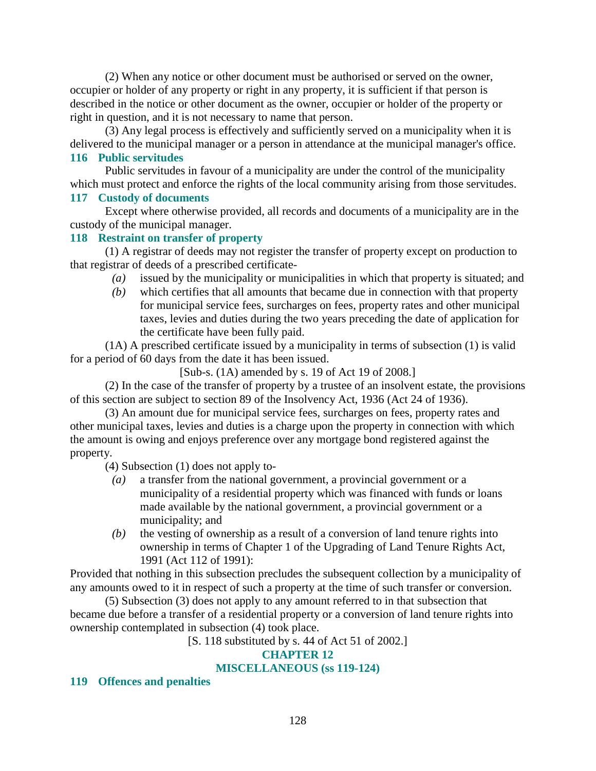(2) When any notice or other document must be authorised or served on the owner, occupier or holder of any property or right in any property, it is sufficient if that person is described in the notice or other document as the owner, occupier or holder of the property or right in question, and it is not necessary to name that person.

 (3) Any legal process is effectively and sufficiently served on a municipality when it is delivered to the municipal manager or a person in attendance at the municipal manager's office. **116 Public servitudes** 

 Public servitudes in favour of a municipality are under the control of the municipality which must protect and enforce the rights of the local community arising from those servitudes.

#### **117 Custody of documents**

 Except where otherwise provided, all records and documents of a municipality are in the custody of the municipal manager.

#### **118 Restraint on transfer of property**

 (1) A registrar of deeds may not register the transfer of property except on production to that registrar of deeds of a prescribed certificate-

- *(a)* issued by the municipality or municipalities in which that property is situated; and
- *(b)* which certifies that all amounts that became due in connection with that property for municipal service fees, surcharges on fees, property rates and other municipal taxes, levies and duties during the two years preceding the date of application for the certificate have been fully paid.

 (1A) A prescribed certificate issued by a municipality in terms of subsection (1) is valid for a period of 60 days from the date it has been issued.

[Sub-s. (1A) amended by s. 19 of Act 19 of 2008.]

 (2) In the case of the transfer of property by a trustee of an insolvent estate, the provisions of this section are subject to section 89 of the Insolvency Act, 1936 (Act 24 of 1936).

 (3) An amount due for municipal service fees, surcharges on fees, property rates and other municipal taxes, levies and duties is a charge upon the property in connection with which the amount is owing and enjoys preference over any mortgage bond registered against the property.

(4) Subsection (1) does not apply to-

- *(a)* a transfer from the national government, a provincial government or a municipality of a residential property which was financed with funds or loans made available by the national government, a provincial government or a municipality; and
- *(b)* the vesting of ownership as a result of a conversion of land tenure rights into ownership in terms of Chapter 1 of the Upgrading of Land Tenure Rights Act, 1991 (Act 112 of 1991):

Provided that nothing in this subsection precludes the subsequent collection by a municipality of any amounts owed to it in respect of such a property at the time of such transfer or conversion.

 (5) Subsection (3) does not apply to any amount referred to in that subsection that became due before a transfer of a residential property or a conversion of land tenure rights into ownership contemplated in subsection (4) took place.

#### [S. 118 substituted by s. 44 of Act 51 of 2002.]

#### **CHAPTER 12**

#### **MISCELLANEOUS (ss 119-124)**

#### **119 Offences and penalties**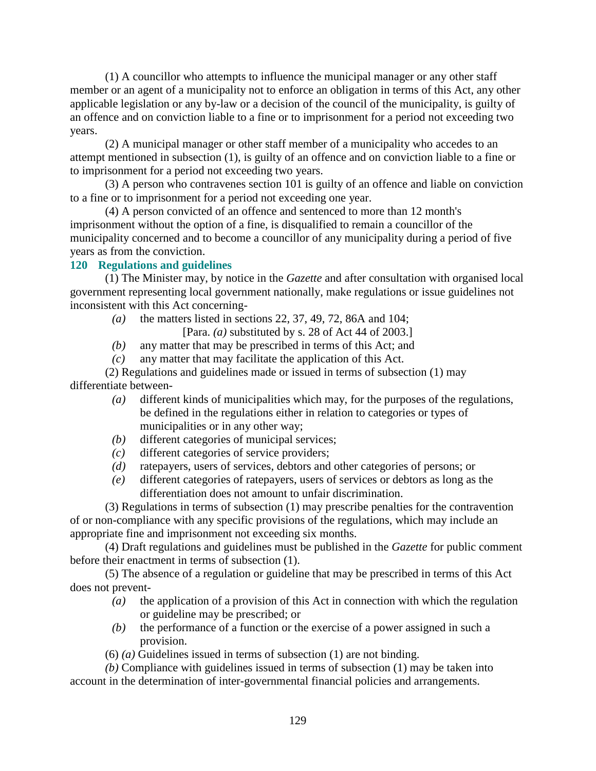(1) A councillor who attempts to influence the municipal manager or any other staff member or an agent of a municipality not to enforce an obligation in terms of this Act, any other applicable legislation or any by-law or a decision of the council of the municipality, is guilty of an offence and on conviction liable to a fine or to imprisonment for a period not exceeding two years.

 (2) A municipal manager or other staff member of a municipality who accedes to an attempt mentioned in subsection (1), is guilty of an offence and on conviction liable to a fine or to imprisonment for a period not exceeding two years.

 (3) A person who contravenes section 101 is guilty of an offence and liable on conviction to a fine or to imprisonment for a period not exceeding one year.

 (4) A person convicted of an offence and sentenced to more than 12 month's imprisonment without the option of a fine, is disqualified to remain a councillor of the municipality concerned and to become a councillor of any municipality during a period of five years as from the conviction.

#### **120 Regulations and guidelines**

 (1) The Minister may, by notice in the *Gazette* and after consultation with organised local government representing local government nationally, make regulations or issue guidelines not inconsistent with this Act concerning-

- *(a)* the matters listed in sections 22, 37, 49, 72, 86A and 104;
	- [Para. *(a)* substituted by s. 28 of Act 44 of 2003.]
- *(b)* any matter that may be prescribed in terms of this Act; and
- *(c)* any matter that may facilitate the application of this Act.

 (2) Regulations and guidelines made or issued in terms of subsection (1) may differentiate between-

- *(a)* different kinds of municipalities which may, for the purposes of the regulations, be defined in the regulations either in relation to categories or types of municipalities or in any other way;
- *(b)* different categories of municipal services;
- *(c)* different categories of service providers;
- *(d)* ratepayers, users of services, debtors and other categories of persons; or
- *(e)* different categories of ratepayers, users of services or debtors as long as the differentiation does not amount to unfair discrimination.

 (3) Regulations in terms of subsection (1) may prescribe penalties for the contravention of or non-compliance with any specific provisions of the regulations, which may include an appropriate fine and imprisonment not exceeding six months.

 (4) Draft regulations and guidelines must be published in the *Gazette* for public comment before their enactment in terms of subsection (1).

 (5) The absence of a regulation or guideline that may be prescribed in terms of this Act does not prevent-

- *(a)* the application of a provision of this Act in connection with which the regulation or guideline may be prescribed; or
- *(b)* the performance of a function or the exercise of a power assigned in such a provision.
- (6) *(a)* Guidelines issued in terms of subsection (1) are not binding.

*(b)* Compliance with guidelines issued in terms of subsection (1) may be taken into account in the determination of inter-governmental financial policies and arrangements.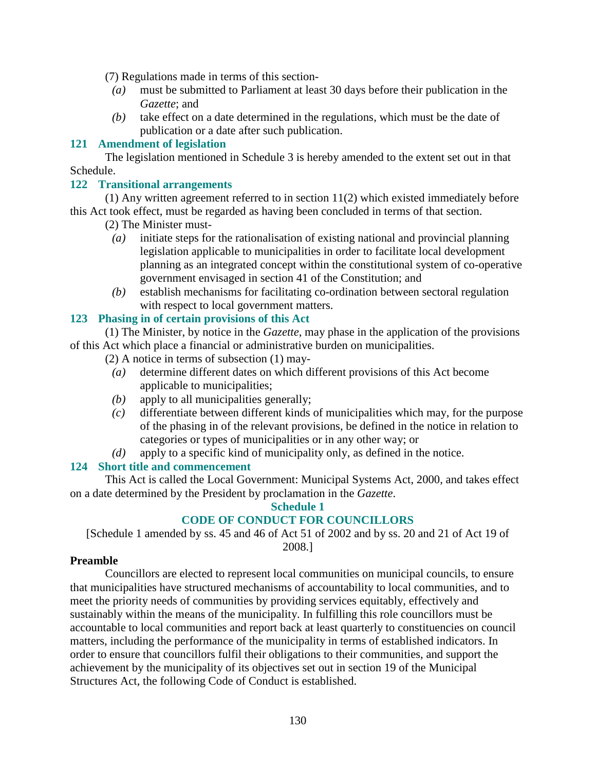(7) Regulations made in terms of this section-

- *(a)* must be submitted to Parliament at least 30 days before their publication in the *Gazette*; and
- *(b)* take effect on a date determined in the regulations, which must be the date of publication or a date after such publication.

#### **121 Amendment of legislation**

 The legislation mentioned in Schedule 3 is hereby amended to the extent set out in that Schedule.

#### **122 Transitional arrangements**

 (1) Any written agreement referred to in section 11(2) which existed immediately before this Act took effect, must be regarded as having been concluded in terms of that section.

(2) The Minister must-

- *(a)* initiate steps for the rationalisation of existing national and provincial planning legislation applicable to municipalities in order to facilitate local development planning as an integrated concept within the constitutional system of co-operative government envisaged in section 41 of the Constitution; and
- *(b)* establish mechanisms for facilitating co-ordination between sectoral regulation with respect to local government matters.

#### **123 Phasing in of certain provisions of this Act**

 (1) The Minister, by notice in the *Gazette*, may phase in the application of the provisions of this Act which place a financial or administrative burden on municipalities.

- (2) A notice in terms of subsection (1) may-
	- *(a)* determine different dates on which different provisions of this Act become applicable to municipalities;
	- *(b)* apply to all municipalities generally;
	- *(c)* differentiate between different kinds of municipalities which may, for the purpose of the phasing in of the relevant provisions, be defined in the notice in relation to categories or types of municipalities or in any other way; or
	- *(d)* apply to a specific kind of municipality only, as defined in the notice.

#### **124 Short title and commencement**

 This Act is called the Local Government: Municipal Systems Act, 2000, and takes effect on a date determined by the President by proclamation in the *Gazette*.

#### **Schedule 1**

#### **CODE OF CONDUCT FOR COUNCILLORS**

[Schedule 1 amended by ss. 45 and 46 of Act 51 of 2002 and by ss. 20 and 21 of Act 19 of 2008.]

#### **Preamble**

 Councillors are elected to represent local communities on municipal councils, to ensure that municipalities have structured mechanisms of accountability to local communities, and to meet the priority needs of communities by providing services equitably, effectively and sustainably within the means of the municipality. In fulfilling this role councillors must be accountable to local communities and report back at least quarterly to constituencies on council matters, including the performance of the municipality in terms of established indicators. In order to ensure that councillors fulfil their obligations to their communities, and support the achievement by the municipality of its objectives set out in section 19 of the Municipal Structures Act, the following Code of Conduct is established.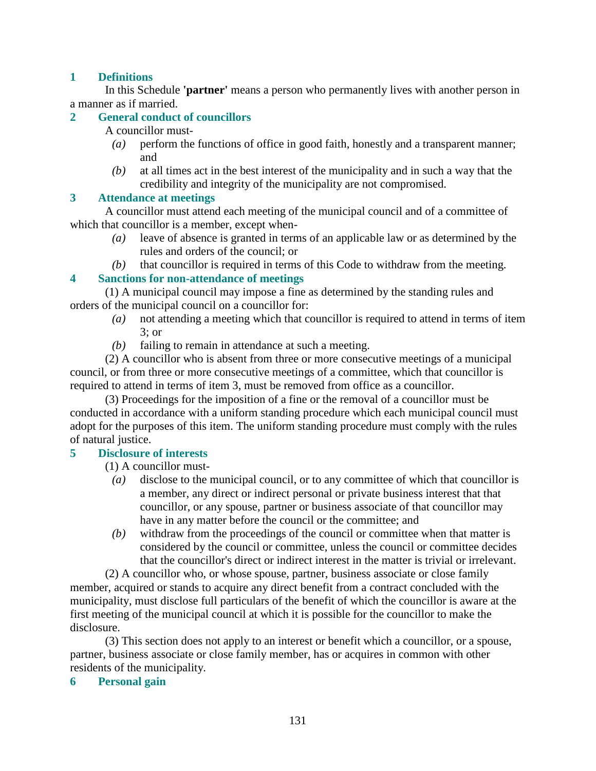#### **1 Definitions**

 In this Schedule **'partner'** means a person who permanently lives with another person in a manner as if married.

#### **2 General conduct of councillors**

A councillor must-

- *(a)* perform the functions of office in good faith, honestly and a transparent manner; and
- *(b)* at all times act in the best interest of the municipality and in such a way that the credibility and integrity of the municipality are not compromised.

#### **3 Attendance at meetings**

 A councillor must attend each meeting of the municipal council and of a committee of which that councillor is a member, except when-

- *(a)* leave of absence is granted in terms of an applicable law or as determined by the rules and orders of the council; or
- *(b)* that councillor is required in terms of this Code to withdraw from the meeting.

#### **4 Sanctions for non-attendance of meetings**

 (1) A municipal council may impose a fine as determined by the standing rules and orders of the municipal council on a councillor for:

- *(a)* not attending a meeting which that councillor is required to attend in terms of item 3; or
- *(b)* failing to remain in attendance at such a meeting.

 (2) A councillor who is absent from three or more consecutive meetings of a municipal council, or from three or more consecutive meetings of a committee, which that councillor is required to attend in terms of item 3, must be removed from office as a councillor.

 (3) Proceedings for the imposition of a fine or the removal of a councillor must be conducted in accordance with a uniform standing procedure which each municipal council must adopt for the purposes of this item. The uniform standing procedure must comply with the rules of natural justice.

#### **5 Disclosure of interests**

(1) A councillor must-

- *(a)* disclose to the municipal council, or to any committee of which that councillor is a member, any direct or indirect personal or private business interest that that councillor, or any spouse, partner or business associate of that councillor may have in any matter before the council or the committee; and
- *(b)* withdraw from the proceedings of the council or committee when that matter is considered by the council or committee, unless the council or committee decides that the councillor's direct or indirect interest in the matter is trivial or irrelevant.

 (2) A councillor who, or whose spouse, partner, business associate or close family member, acquired or stands to acquire any direct benefit from a contract concluded with the municipality, must disclose full particulars of the benefit of which the councillor is aware at the first meeting of the municipal council at which it is possible for the councillor to make the disclosure.

 (3) This section does not apply to an interest or benefit which a councillor, or a spouse, partner, business associate or close family member, has or acquires in common with other residents of the municipality.

#### **6 Personal gain**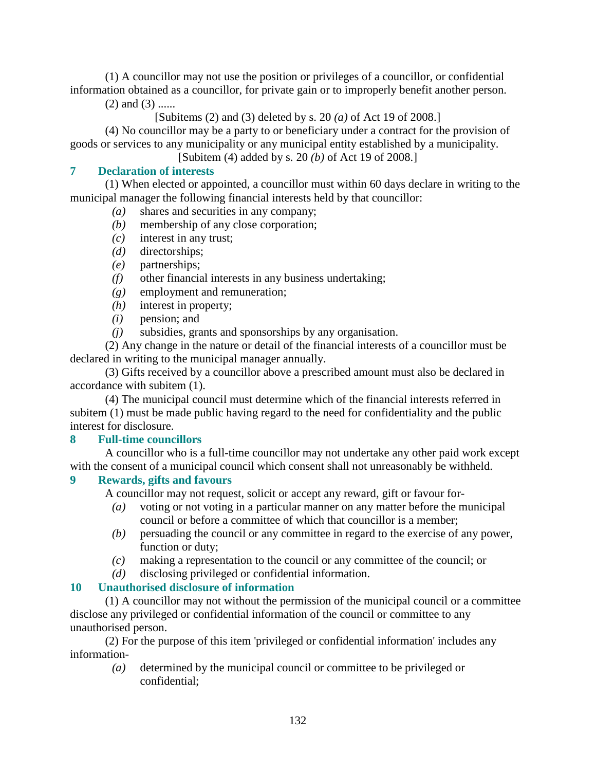(1) A councillor may not use the position or privileges of a councillor, or confidential information obtained as a councillor, for private gain or to improperly benefit another person.

 $(2)$  and  $(3)$  ......

[Subitems (2) and (3) deleted by s. 20 *(a)* of Act 19 of 2008.]

 (4) No councillor may be a party to or beneficiary under a contract for the provision of goods or services to any municipality or any municipal entity established by a municipality.

[Subitem (4) added by s. 20 *(b)* of Act 19 of 2008.]

#### **7 Declaration of interests**

 (1) When elected or appointed, a councillor must within 60 days declare in writing to the municipal manager the following financial interests held by that councillor:

- *(a)* shares and securities in any company;
- *(b)* membership of any close corporation;
- *(c)* interest in any trust;
- *(d)* directorships;
- *(e)* partnerships;
- *(f)* other financial interests in any business undertaking;
- *(g)* employment and remuneration;
- *(h)* interest in property;
- *(i)* pension; and
- *(j)* subsidies, grants and sponsorships by any organisation.

 (2) Any change in the nature or detail of the financial interests of a councillor must be declared in writing to the municipal manager annually.

 (3) Gifts received by a councillor above a prescribed amount must also be declared in accordance with subitem (1).

 (4) The municipal council must determine which of the financial interests referred in subitem (1) must be made public having regard to the need for confidentiality and the public interest for disclosure.

#### **8 Full-time councillors**

 A councillor who is a full-time councillor may not undertake any other paid work except with the consent of a municipal council which consent shall not unreasonably be withheld.

#### **9 Rewards, gifts and favours**

A councillor may not request, solicit or accept any reward, gift or favour for-

- *(a)* voting or not voting in a particular manner on any matter before the municipal council or before a committee of which that councillor is a member;
- *(b)* persuading the council or any committee in regard to the exercise of any power, function or duty;
- *(c)* making a representation to the council or any committee of the council; or
- *(d)* disclosing privileged or confidential information.

#### **10 Unauthorised disclosure of information**

 (1) A councillor may not without the permission of the municipal council or a committee disclose any privileged or confidential information of the council or committee to any unauthorised person.

 (2) For the purpose of this item 'privileged or confidential information' includes any information-

 *(a)* determined by the municipal council or committee to be privileged or confidential;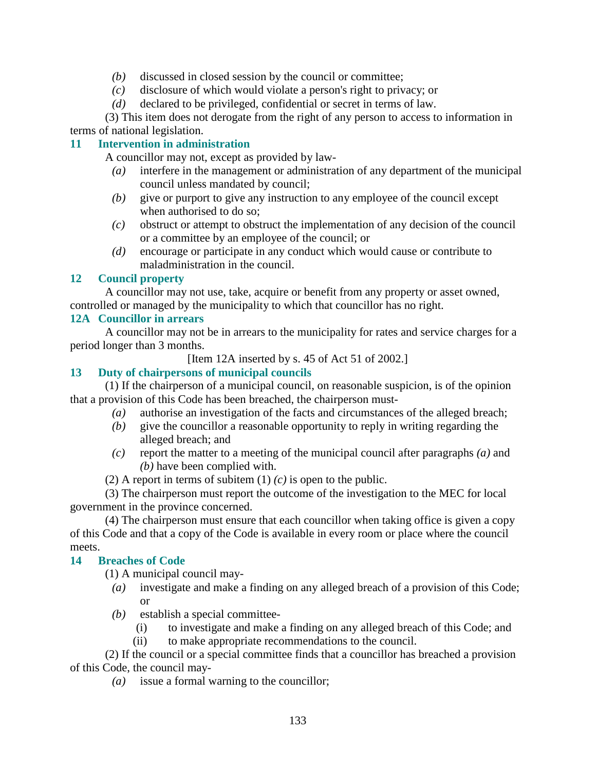- *(b)* discussed in closed session by the council or committee;
- *(c)* disclosure of which would violate a person's right to privacy; or
- *(d)* declared to be privileged, confidential or secret in terms of law.

 (3) This item does not derogate from the right of any person to access to information in terms of national legislation.

#### **11 Intervention in administration**

A councillor may not, except as provided by law-

- *(a)* interfere in the management or administration of any department of the municipal council unless mandated by council;
- *(b)* give or purport to give any instruction to any employee of the council except when authorised to do so:
- *(c)* obstruct or attempt to obstruct the implementation of any decision of the council or a committee by an employee of the council; or
- *(d)* encourage or participate in any conduct which would cause or contribute to maladministration in the council.

#### **12 Council property**

 A councillor may not use, take, acquire or benefit from any property or asset owned, controlled or managed by the municipality to which that councillor has no right.

#### **12A Councillor in arrears**

 A councillor may not be in arrears to the municipality for rates and service charges for a period longer than 3 months.

[Item 12A inserted by s. 45 of Act 51 of 2002.]

#### **13 Duty of chairpersons of municipal councils**

 (1) If the chairperson of a municipal council, on reasonable suspicion, is of the opinion that a provision of this Code has been breached, the chairperson must-

- *(a)* authorise an investigation of the facts and circumstances of the alleged breach;
- *(b)* give the councillor a reasonable opportunity to reply in writing regarding the alleged breach; and
- *(c)* report the matter to a meeting of the municipal council after paragraphs *(a)* and *(b)* have been complied with.
- (2) A report in terms of subitem (1) *(c)* is open to the public.

 (3) The chairperson must report the outcome of the investigation to the MEC for local government in the province concerned.

 (4) The chairperson must ensure that each councillor when taking office is given a copy of this Code and that a copy of the Code is available in every room or place where the council meets.

#### **14 Breaches of Code**

(1) A municipal council may-

- *(a)* investigate and make a finding on any alleged breach of a provision of this Code; or
- *(b)* establish a special committee-
	- (i) to investigate and make a finding on any alleged breach of this Code; and
	- (ii) to make appropriate recommendations to the council.

 (2) If the council or a special committee finds that a councillor has breached a provision of this Code, the council may-

*(a)* issue a formal warning to the councillor;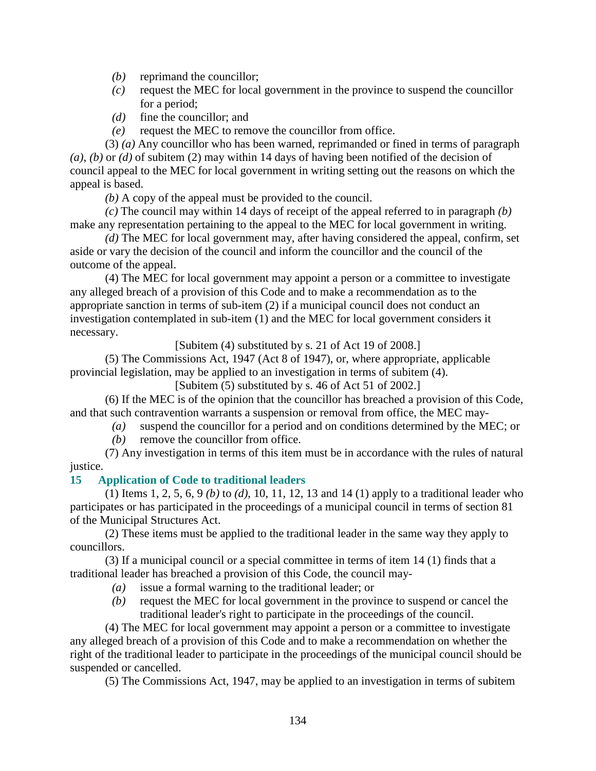- *(b)* reprimand the councillor;
- *(c)* request the MEC for local government in the province to suspend the councillor for a period;
- *(d)* fine the councillor; and
- *(e)* request the MEC to remove the councillor from office.

 (3) *(a)* Any councillor who has been warned, reprimanded or fined in terms of paragraph *(a)*, *(b)* or *(d)* of subitem (2) may within 14 days of having been notified of the decision of council appeal to the MEC for local government in writing setting out the reasons on which the appeal is based.

*(b)* A copy of the appeal must be provided to the council.

*(c)* The council may within 14 days of receipt of the appeal referred to in paragraph *(b)* make any representation pertaining to the appeal to the MEC for local government in writing.

*(d)* The MEC for local government may, after having considered the appeal, confirm, set aside or vary the decision of the council and inform the councillor and the council of the outcome of the appeal.

 (4) The MEC for local government may appoint a person or a committee to investigate any alleged breach of a provision of this Code and to make a recommendation as to the appropriate sanction in terms of sub-item (2) if a municipal council does not conduct an investigation contemplated in sub-item (1) and the MEC for local government considers it necessary.

[Subitem (4) substituted by s. 21 of Act 19 of 2008.]

 (5) The Commissions Act, 1947 (Act 8 of 1947), or, where appropriate, applicable provincial legislation, may be applied to an investigation in terms of subitem (4).

[Subitem (5) substituted by s. 46 of Act 51 of 2002.]

 (6) If the MEC is of the opinion that the councillor has breached a provision of this Code, and that such contravention warrants a suspension or removal from office, the MEC may-

- *(a)* suspend the councillor for a period and on conditions determined by the MEC; or
- *(b)* remove the councillor from office.

 (7) Any investigation in terms of this item must be in accordance with the rules of natural justice.

#### **15 Application of Code to traditional leaders**

 (1) Items 1, 2, 5, 6, 9 *(b)* to *(d)*, 10, 11, 12, 13 and 14 (1) apply to a traditional leader who participates or has participated in the proceedings of a municipal council in terms of section 81 of the Municipal Structures Act.

 (2) These items must be applied to the traditional leader in the same way they apply to councillors.

 (3) If a municipal council or a special committee in terms of item 14 (1) finds that a traditional leader has breached a provision of this Code, the council may-

- *(a)* issue a formal warning to the traditional leader; or
- *(b)* request the MEC for local government in the province to suspend or cancel the traditional leader's right to participate in the proceedings of the council.

 (4) The MEC for local government may appoint a person or a committee to investigate any alleged breach of a provision of this Code and to make a recommendation on whether the right of the traditional leader to participate in the proceedings of the municipal council should be suspended or cancelled.

(5) The Commissions Act, 1947, may be applied to an investigation in terms of subitem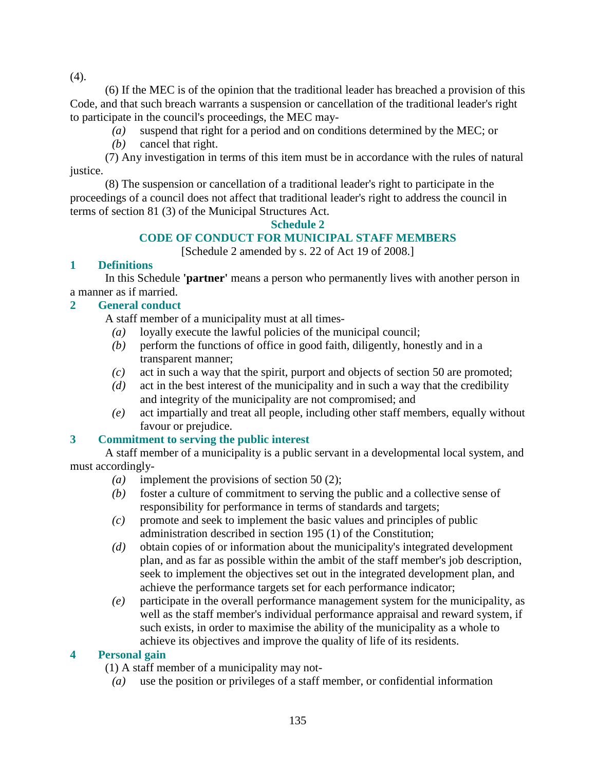(4).

 (6) If the MEC is of the opinion that the traditional leader has breached a provision of this Code, and that such breach warrants a suspension or cancellation of the traditional leader's right to participate in the council's proceedings, the MEC may-

- *(a)* suspend that right for a period and on conditions determined by the MEC; or
- *(b)* cancel that right.

 (7) Any investigation in terms of this item must be in accordance with the rules of natural justice.

 (8) The suspension or cancellation of a traditional leader's right to participate in the proceedings of a council does not affect that traditional leader's right to address the council in terms of section 81 (3) of the Municipal Structures Act.

#### **Schedule 2**

#### **CODE OF CONDUCT FOR MUNICIPAL STAFF MEMBERS**

[Schedule 2 amended by s. 22 of Act 19 of 2008.]

#### **1 Definitions**

 In this Schedule **'partner'** means a person who permanently lives with another person in a manner as if married.

#### **2 General conduct**

A staff member of a municipality must at all times-

- *(a)* loyally execute the lawful policies of the municipal council;
- *(b)* perform the functions of office in good faith, diligently, honestly and in a transparent manner;
- *(c)* act in such a way that the spirit, purport and objects of section 50 are promoted;
- *(d)* act in the best interest of the municipality and in such a way that the credibility and integrity of the municipality are not compromised; and
- *(e)* act impartially and treat all people, including other staff members, equally without favour or prejudice.

#### **3 Commitment to serving the public interest**

 A staff member of a municipality is a public servant in a developmental local system, and must accordingly-

- *(a)* implement the provisions of section 50 (2);
- *(b)* foster a culture of commitment to serving the public and a collective sense of responsibility for performance in terms of standards and targets;
- *(c)* promote and seek to implement the basic values and principles of public administration described in section 195 (1) of the Constitution;
- *(d)* obtain copies of or information about the municipality's integrated development plan, and as far as possible within the ambit of the staff member's job description, seek to implement the objectives set out in the integrated development plan, and achieve the performance targets set for each performance indicator;
- *(e)* participate in the overall performance management system for the municipality, as well as the staff member's individual performance appraisal and reward system, if such exists, in order to maximise the ability of the municipality as a whole to achieve its objectives and improve the quality of life of its residents.

#### **4 Personal gain**

(1) A staff member of a municipality may not-

*(a)* use the position or privileges of a staff member, or confidential information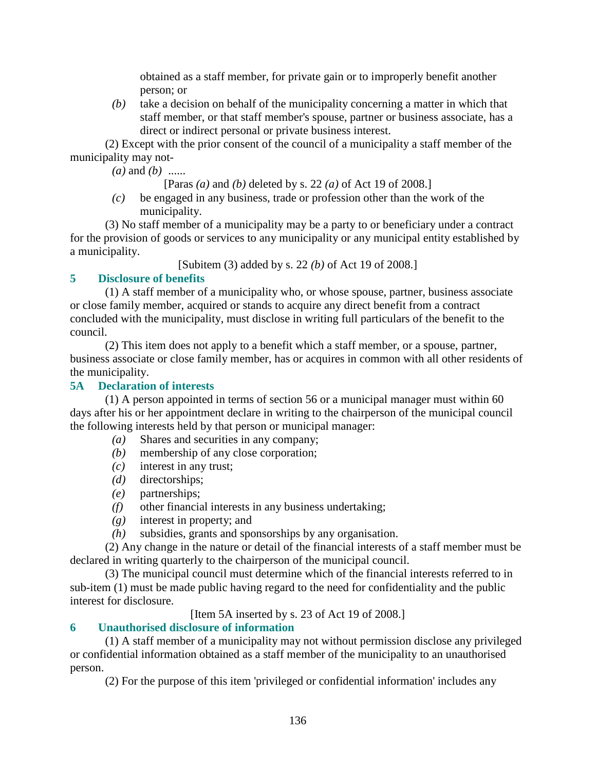obtained as a staff member, for private gain or to improperly benefit another person; or

 *(b)* take a decision on behalf of the municipality concerning a matter in which that staff member, or that staff member's spouse, partner or business associate, has a direct or indirect personal or private business interest.

 (2) Except with the prior consent of the council of a municipality a staff member of the municipality may not-

*(a)* and *(b)* ......

[Paras *(a)* and *(b)* deleted by s. 22 *(a)* of Act 19 of 2008.]

 *(c)* be engaged in any business, trade or profession other than the work of the municipality.

 (3) No staff member of a municipality may be a party to or beneficiary under a contract for the provision of goods or services to any municipality or any municipal entity established by a municipality.

[Subitem (3) added by s. 22 *(b)* of Act 19 of 2008.]

#### **5 Disclosure of benefits**

 (1) A staff member of a municipality who, or whose spouse, partner, business associate or close family member, acquired or stands to acquire any direct benefit from a contract concluded with the municipality, must disclose in writing full particulars of the benefit to the council.

 (2) This item does not apply to a benefit which a staff member, or a spouse, partner, business associate or close family member, has or acquires in common with all other residents of the municipality.

#### **5A Declaration of interests**

 (1) A person appointed in terms of section 56 or a municipal manager must within 60 days after his or her appointment declare in writing to the chairperson of the municipal council the following interests held by that person or municipal manager:

- *(a)* Shares and securities in any company;
- *(b)* membership of any close corporation;
- *(c)* interest in any trust;
- *(d)* directorships;
- *(e)* partnerships;
- *(f)* other financial interests in any business undertaking;
- *(g)* interest in property; and
- *(h)* subsidies, grants and sponsorships by any organisation.

 (2) Any change in the nature or detail of the financial interests of a staff member must be declared in writing quarterly to the chairperson of the municipal council.

 (3) The municipal council must determine which of the financial interests referred to in sub-item (1) must be made public having regard to the need for confidentiality and the public interest for disclosure.

[Item 5A inserted by s. 23 of Act 19 of 2008.]

#### **6 Unauthorised disclosure of information**

 (1) A staff member of a municipality may not without permission disclose any privileged or confidential information obtained as a staff member of the municipality to an unauthorised person.

(2) For the purpose of this item 'privileged or confidential information' includes any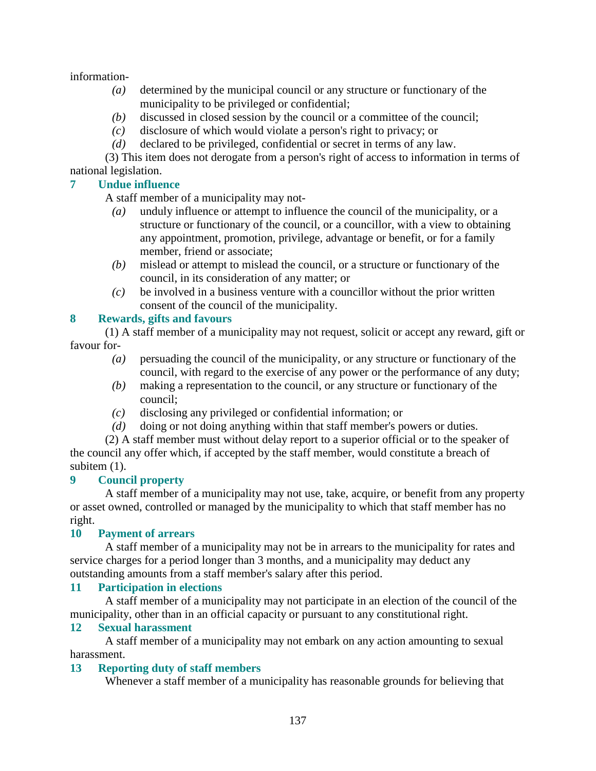information-

- *(a)* determined by the municipal council or any structure or functionary of the municipality to be privileged or confidential;
- *(b)* discussed in closed session by the council or a committee of the council;
- *(c)* disclosure of which would violate a person's right to privacy; or
- *(d)* declared to be privileged, confidential or secret in terms of any law.

 (3) This item does not derogate from a person's right of access to information in terms of national legislation.

#### **7 Undue influence**

A staff member of a municipality may not-

- *(a)* unduly influence or attempt to influence the council of the municipality, or a structure or functionary of the council, or a councillor, with a view to obtaining any appointment, promotion, privilege, advantage or benefit, or for a family member, friend or associate;
- *(b)* mislead or attempt to mislead the council, or a structure or functionary of the council, in its consideration of any matter; or
- *(c)* be involved in a business venture with a councillor without the prior written consent of the council of the municipality.

#### **8 Rewards, gifts and favours**

 (1) A staff member of a municipality may not request, solicit or accept any reward, gift or favour for-

- *(a)* persuading the council of the municipality, or any structure or functionary of the council, with regard to the exercise of any power or the performance of any duty;
- *(b)* making a representation to the council, or any structure or functionary of the council;
- *(c)* disclosing any privileged or confidential information; or
- *(d)* doing or not doing anything within that staff member's powers or duties.

 (2) A staff member must without delay report to a superior official or to the speaker of the council any offer which, if accepted by the staff member, would constitute a breach of subitem  $(1)$ .

#### **9 Council property**

 A staff member of a municipality may not use, take, acquire, or benefit from any property or asset owned, controlled or managed by the municipality to which that staff member has no right.

#### **10 Payment of arrears**

 A staff member of a municipality may not be in arrears to the municipality for rates and service charges for a period longer than 3 months, and a municipality may deduct any outstanding amounts from a staff member's salary after this period.

#### **11 Participation in elections**

 A staff member of a municipality may not participate in an election of the council of the municipality, other than in an official capacity or pursuant to any constitutional right.

#### **12 Sexual harassment**

 A staff member of a municipality may not embark on any action amounting to sexual harassment.

#### **13 Reporting duty of staff members**

Whenever a staff member of a municipality has reasonable grounds for believing that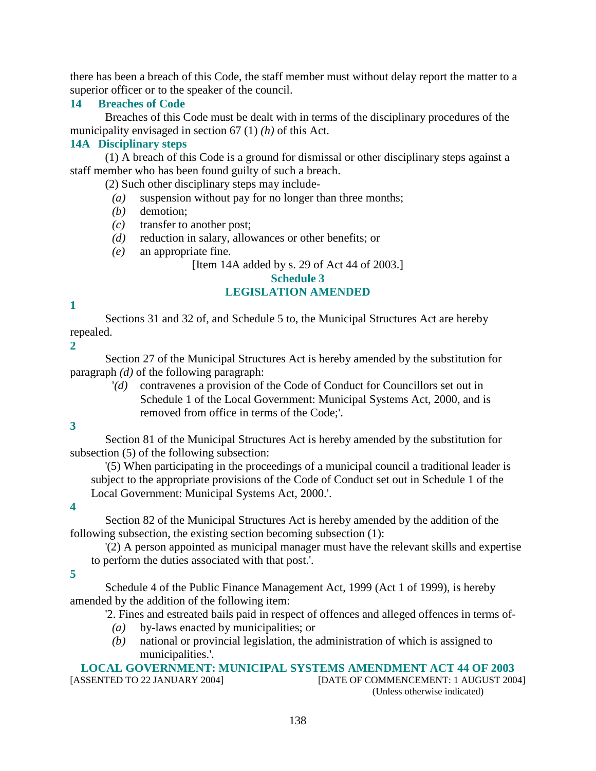there has been a breach of this Code, the staff member must without delay report the matter to a superior officer or to the speaker of the council.

#### **14 Breaches of Code**

 Breaches of this Code must be dealt with in terms of the disciplinary procedures of the municipality envisaged in section 67 (1) *(h)* of this Act.

#### **14A Disciplinary steps**

 (1) A breach of this Code is a ground for dismissal or other disciplinary steps against a staff member who has been found guilty of such a breach.

(2) Such other disciplinary steps may include-

- *(a)* suspension without pay for no longer than three months;
- *(b)* demotion;
- *(c)* transfer to another post;
- *(d)* reduction in salary, allowances or other benefits; or
- *(e)* an appropriate fine.

[Item 14A added by s. 29 of Act 44 of 2003.]

#### **Schedule 3**

#### **LEGISLATION AMENDED**

#### **1**

 Sections 31 and 32 of, and Schedule 5 to, the Municipal Structures Act are hereby repealed.

**2** 

 Section 27 of the Municipal Structures Act is hereby amended by the substitution for paragraph *(d)* of the following paragraph:

 '*(d)* contravenes a provision of the Code of Conduct for Councillors set out in Schedule 1 of the Local Government: Municipal Systems Act, 2000, and is removed from office in terms of the Code;'.

**3** 

 Section 81 of the Municipal Structures Act is hereby amended by the substitution for subsection (5) of the following subsection:

 '(5) When participating in the proceedings of a municipal council a traditional leader is subject to the appropriate provisions of the Code of Conduct set out in Schedule 1 of the Local Government: Municipal Systems Act, 2000.'.

**4** 

 Section 82 of the Municipal Structures Act is hereby amended by the addition of the following subsection, the existing section becoming subsection (1):

 '(2) A person appointed as municipal manager must have the relevant skills and expertise to perform the duties associated with that post.'.

**5** 

 Schedule 4 of the Public Finance Management Act, 1999 (Act 1 of 1999), is hereby amended by the addition of the following item:

'2. Fines and estreated bails paid in respect of offences and alleged offences in terms of-

- *(a)* by-laws enacted by municipalities; or
- *(b)* national or provincial legislation, the administration of which is assigned to municipalities.'.

# **LOCAL GOVERNMENT: MUNICIPAL SYSTEMS AMENDMENT ACT 44 OF 2003**

[DATE OF COMMENCEMENT: 1 AUGUST 2004] (Unless otherwise indicated)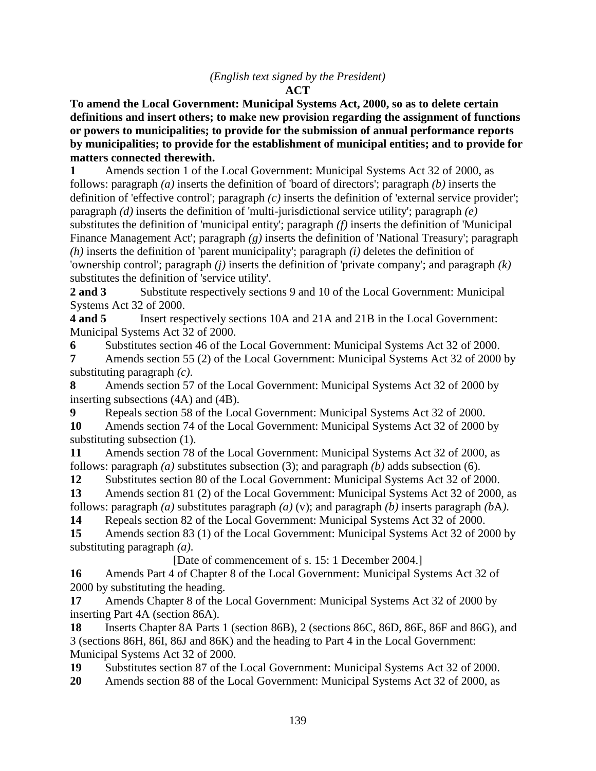#### *(English text signed by the President)*

#### **ACT**

**To amend the Local Government: Municipal Systems Act, 2000, so as to delete certain definitions and insert others; to make new provision regarding the assignment of functions or powers to municipalities; to provide for the submission of annual performance reports by municipalities; to provide for the establishment of municipal entities; and to provide for matters connected therewith.** 

**1** Amends section 1 of the Local Government: Municipal Systems Act 32 of 2000, as follows: paragraph *(a)* inserts the definition of 'board of directors'; paragraph *(b)* inserts the definition of 'effective control'; paragraph *(c)* inserts the definition of 'external service provider'; paragraph *(d)* inserts the definition of 'multi-jurisdictional service utility'; paragraph *(e)* substitutes the definition of 'municipal entity'; paragraph *(f)* inserts the definition of 'Municipal Finance Management Act'; paragraph *(g)* inserts the definition of 'National Treasury'; paragraph *(h)* inserts the definition of 'parent municipality'; paragraph *(i)* deletes the definition of 'ownership control'; paragraph *(j)* inserts the definition of 'private company'; and paragraph *(k)* substitutes the definition of 'service utility'.

**2 and 3** Substitute respectively sections 9 and 10 of the Local Government: Municipal Systems Act 32 of 2000.

**4 and 5** Insert respectively sections 10A and 21A and 21B in the Local Government: Municipal Systems Act 32 of 2000.

**6** Substitutes section 46 of the Local Government: Municipal Systems Act 32 of 2000. **7** Amends section 55 (2) of the Local Government: Municipal Systems Act 32 of 2000 by substituting paragraph *(c)*.

**8** Amends section 57 of the Local Government: Municipal Systems Act 32 of 2000 by inserting subsections (4A) and (4B).

**9** Repeals section 58 of the Local Government: Municipal Systems Act 32 of 2000.

**10** Amends section 74 of the Local Government: Municipal Systems Act 32 of 2000 by substituting subsection (1).

**11** Amends section 78 of the Local Government: Municipal Systems Act 32 of 2000, as follows: paragraph *(a)* substitutes subsection (3); and paragraph *(b)* adds subsection (6).

12 Substitutes section 80 of the Local Government: Municipal Systems Act 32 of 2000.

**13** Amends section 81 (2) of the Local Government: Municipal Systems Act 32 of 2000, as follows: paragraph *(a)* substitutes paragraph *(a)* (v); and paragraph *(b)* inserts paragraph *(b*A*)*.

**14** Repeals section 82 of the Local Government: Municipal Systems Act 32 of 2000.

**15** Amends section 83 (1) of the Local Government: Municipal Systems Act 32 of 2000 by substituting paragraph *(a)*.

[Date of commencement of s. 15: 1 December 2004.]

**16** Amends Part 4 of Chapter 8 of the Local Government: Municipal Systems Act 32 of 2000 by substituting the heading.

**17** Amends Chapter 8 of the Local Government: Municipal Systems Act 32 of 2000 by inserting Part 4A (section 86A).

**18** Inserts Chapter 8A Parts 1 (section 86B), 2 (sections 86C, 86D, 86E, 86F and 86G), and 3 (sections 86H, 86I, 86J and 86K) and the heading to Part 4 in the Local Government: Municipal Systems Act 32 of 2000.

**19** Substitutes section 87 of the Local Government: Municipal Systems Act 32 of 2000.

**20** Amends section 88 of the Local Government: Municipal Systems Act 32 of 2000, as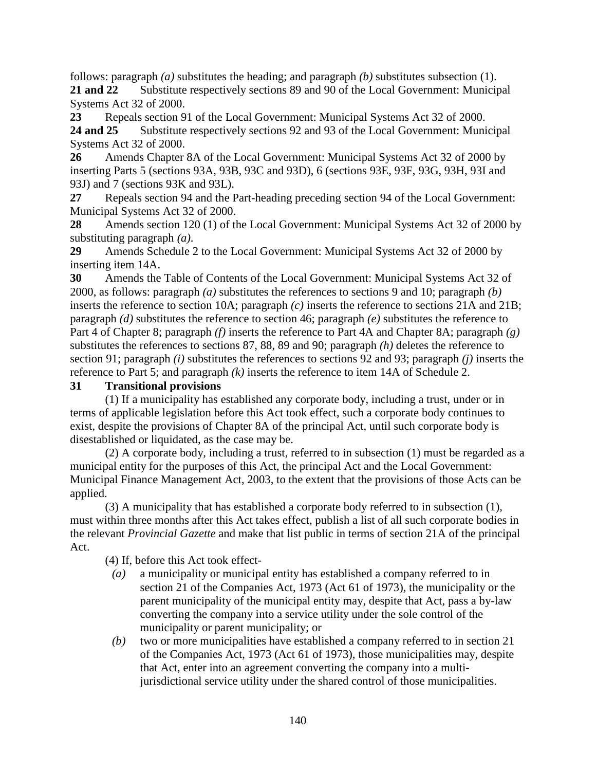follows: paragraph *(a)* substitutes the heading; and paragraph *(b)* substitutes subsection (1). **21 and 22** Substitute respectively sections 89 and 90 of the Local Government: Municipal Systems Act 32 of 2000.

**23** Repeals section 91 of the Local Government: Municipal Systems Act 32 of 2000.

**24 and 25** Substitute respectively sections 92 and 93 of the Local Government: Municipal Systems Act 32 of 2000.

**26** Amends Chapter 8A of the Local Government: Municipal Systems Act 32 of 2000 by inserting Parts 5 (sections 93A, 93B, 93C and 93D), 6 (sections 93E, 93F, 93G, 93H, 93I and 93J) and 7 (sections 93K and 93L).

**27** Repeals section 94 and the Part-heading preceding section 94 of the Local Government: Municipal Systems Act 32 of 2000.

**28** Amends section 120 (1) of the Local Government: Municipal Systems Act 32 of 2000 by substituting paragraph *(a)*.

**29** Amends Schedule 2 to the Local Government: Municipal Systems Act 32 of 2000 by inserting item 14A.

**30** Amends the Table of Contents of the Local Government: Municipal Systems Act 32 of 2000, as follows: paragraph *(a)* substitutes the references to sections 9 and 10; paragraph *(b)* inserts the reference to section 10A; paragraph *(c)* inserts the reference to sections 21A and 21B; paragraph *(d)* substitutes the reference to section 46; paragraph *(e)* substitutes the reference to Part 4 of Chapter 8; paragraph *(f)* inserts the reference to Part 4A and Chapter 8A; paragraph *(g)* substitutes the references to sections 87, 88, 89 and 90; paragraph *(h)* deletes the reference to section 91; paragraph *(i)* substitutes the references to sections 92 and 93; paragraph *(j)* inserts the reference to Part 5; and paragraph *(k)* inserts the reference to item 14A of Schedule 2.

#### **31 Transitional provisions**

 (1) If a municipality has established any corporate body, including a trust, under or in terms of applicable legislation before this Act took effect, such a corporate body continues to exist, despite the provisions of Chapter 8A of the principal Act, until such corporate body is disestablished or liquidated, as the case may be.

 (2) A corporate body, including a trust, referred to in subsection (1) must be regarded as a municipal entity for the purposes of this Act, the principal Act and the Local Government: Municipal Finance Management Act, 2003, to the extent that the provisions of those Acts can be applied.

 (3) A municipality that has established a corporate body referred to in subsection (1), must within three months after this Act takes effect, publish a list of all such corporate bodies in the relevant *Provincial Gazette* and make that list public in terms of section 21A of the principal Act.

(4) If, before this Act took effect-

- *(a)* a municipality or municipal entity has established a company referred to in section 21 of the Companies Act, 1973 (Act 61 of 1973), the municipality or the parent municipality of the municipal entity may, despite that Act, pass a by-law converting the company into a service utility under the sole control of the municipality or parent municipality; or
- *(b)* two or more municipalities have established a company referred to in section 21 of the Companies Act, 1973 (Act 61 of 1973), those municipalities may, despite that Act, enter into an agreement converting the company into a multijurisdictional service utility under the shared control of those municipalities.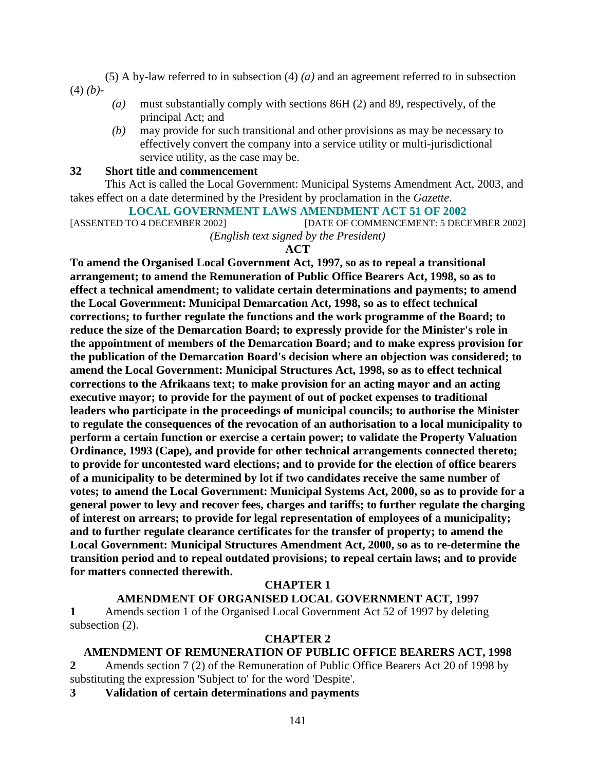(5) A by-law referred to in subsection (4) *(a)* and an agreement referred to in subsection (4) *(b)*-

- *(a)* must substantially comply with sections 86H (2) and 89, respectively, of the principal Act; and
- *(b)* may provide for such transitional and other provisions as may be necessary to effectively convert the company into a service utility or multi-jurisdictional service utility, as the case may be.

#### **32 Short title and commencement**

 This Act is called the Local Government: Municipal Systems Amendment Act, 2003, and takes effect on a date determined by the President by proclamation in the *Gazette*.

# **LOCAL GOVERNMENT LAWS AMENDMENT ACT 51 OF 2002**<br>[DATE OF COMMENCEMENT: 5 DECIMENT: 5 DECIMENT: 5 DECIMENT: 5 DECIMENT: 5 DECIMENT: 5 DECIMENT: 5 DECIMENT: 5 DECIMENT: 5 DECIMENT: 5 DECIMENT: 5 DECIMENT: 5 DECIMENT: 5 DECI

[DATE OF COMMENCEMENT: 5 DECEMBER 2002]

*(English text signed by the President)* 

#### **ACT**

**To amend the Organised Local Government Act, 1997, so as to repeal a transitional arrangement; to amend the Remuneration of Public Office Bearers Act, 1998, so as to effect a technical amendment; to validate certain determinations and payments; to amend the Local Government: Municipal Demarcation Act, 1998, so as to effect technical corrections; to further regulate the functions and the work programme of the Board; to reduce the size of the Demarcation Board; to expressly provide for the Minister's role in the appointment of members of the Demarcation Board; and to make express provision for the publication of the Demarcation Board's decision where an objection was considered; to amend the Local Government: Municipal Structures Act, 1998, so as to effect technical corrections to the Afrikaans text; to make provision for an acting mayor and an acting executive mayor; to provide for the payment of out of pocket expenses to traditional leaders who participate in the proceedings of municipal councils; to authorise the Minister to regulate the consequences of the revocation of an authorisation to a local municipality to perform a certain function or exercise a certain power; to validate the Property Valuation Ordinance, 1993 (Cape), and provide for other technical arrangements connected thereto; to provide for uncontested ward elections; and to provide for the election of office bearers of a municipality to be determined by lot if two candidates receive the same number of votes; to amend the Local Government: Municipal Systems Act, 2000, so as to provide for a general power to levy and recover fees, charges and tariffs; to further regulate the charging of interest on arrears; to provide for legal representation of employees of a municipality; and to further regulate clearance certificates for the transfer of property; to amend the Local Government: Municipal Structures Amendment Act, 2000, so as to re-determine the transition period and to repeal outdated provisions; to repeal certain laws; and to provide for matters connected therewith.** 

#### **CHAPTER 1**

#### **AMENDMENT OF ORGANISED LOCAL GOVERNMENT ACT, 1997**

**1** Amends section 1 of the Organised Local Government Act 52 of 1997 by deleting subsection (2).

#### **CHAPTER 2**

#### **AMENDMENT OF REMUNERATION OF PUBLIC OFFICE BEARERS ACT, 1998**

**2** Amends section 7 (2) of the Remuneration of Public Office Bearers Act 20 of 1998 by substituting the expression 'Subject to' for the word 'Despite'.

**3 Validation of certain determinations and payments**